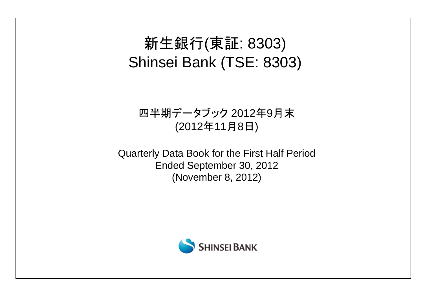# 新生銀行(東証: 8303) Shinsei Bank (TSE: 8303)

# 四半期データブック 2012年9月末 (2012年11月8日)

Quarterly Data Book for the First Half Period Ended September 30, 2012 (November 8, 2012)

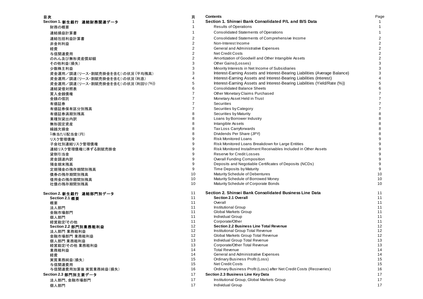| 目次                                | 頁              | <b>Contents</b>                                                            | Page           |
|-----------------------------------|----------------|----------------------------------------------------------------------------|----------------|
| Section 1. 新生銀行 連結財務関連データ         | 1              | Section 1. Shinsei Bank Consolidated P/L and B/S Data                      |                |
| 財務の概要                             | 1              | <b>Results of Operations</b>                                               | $\mathbf{1}$   |
| 連結損益計算書                           | 1              | <b>Consolidated Statements of Operations</b>                               | $\mathbf{1}$   |
| 連結包括利益計算書                         | 2              | Consolidated Statements of Comprehensive Income                            | $\overline{2}$ |
| 非金利利益                             | $\overline{c}$ | Non-Interest Income                                                        | $\overline{2}$ |
| 経費                                | 2              | General and Administrative Expenses                                        | $\overline{2}$ |
| 与信関連費用                            | 2              | <b>Net Credit Costs</b>                                                    | $\mathbf{2}$   |
| のれん及び無形資産償却額                      | 2              | Amortization of Goodwill and Other Intangible Assets                       | $\overline{2}$ |
| その他利益(損失)                         | 3              | Other Gains (Losses)                                                       | 3              |
| 少数株主利益                            | 3              | Minority Interests in Net Income of Subsidiaries                           | 3              |
| 資金運用/調達(リース・割賦売掛金を含む)の状況 (平均残高)   | 3              | Interest-Earning Assets and Interest-Bearing Liabilities (Average Balance) | 3              |
| 資金運用/調達(リース・割賦売掛金を含む)の状況 (利息)     | 4              | Interest-Earning Assets and Interest-Bearing Liabilities (Interest)        | $\overline{4}$ |
| 資金運用/調達(リース・割賦売掛金を含む)の状況 (利回り(%)) | 5              | Interest-Earning Assets and Interest-Bearing Liabilities (Yield/Rate (%))  | 5              |
| 連結貸借対照表                           | 6              | <b>Consolidated Balance Sheets</b>                                         | 6              |
| 買入金銭債権                            | $\overline{7}$ | Other Monetary Claims Purchased                                            | $\overline{7}$ |
| 金銭の信託                             | $\overline{7}$ | Monetary Asset Held in Trust                                               | $\overline{7}$ |
| 有価証券                              | 7              | <b>Securities</b>                                                          | $\overline{7}$ |
|                                   | 7              | Securities by Category                                                     | $\overline{7}$ |
| 有価証券保有区分別残高                       | 8              | Securities by Maturity                                                     | $\bf 8$        |
| 有価証券満期別残高                         | 8              | Loans by Borrower Industry                                                 | 8              |
| 業種別貸出内訳                           | 8              | Intangible Assets                                                          | 8              |
| 無形固定資産                            | 8              | Tax Loss Carryforwards                                                     | 8              |
| 繰越欠損金                             | 8              |                                                                            | 8              |
| 1株当たり配当金(円)                       | 9              | Dividends Per Share (JPY)                                                  | 9              |
| リスク管理債権                           |                | <b>Risk Monitored Loans</b>                                                | 9              |
| 子会社別連結リスク管理債権                     | 9<br>9         | Risk Monitored Loans Breakdown for Large Entities                          |                |
| 連結リスク管理債権に準ずる割賦売掛金                |                | Risk Monitored Installment Receivables Included in Other Assets            | 9              |
| 貸倒引当金                             | 9              | <b>Reserve for Credit Losses</b>                                           | 9              |
| 資金調達内訳                            | 9              | <b>Overall Funding Composition</b>                                         | 9              |
| 預金期末残高                            | 9              | Deposits and Negotiable Certificates of Deposits (NCDs)                    | 9              |
| 定期預金の残存期間別残高                      | 9              | Time Deposits by Maturity                                                  | 9              |
| 債券の残存期間別残高                        | 10             | Maturity Schedule of Debentures                                            | 10             |
| 借用金の残存期間別残高                       | 10             | Maturity Schedule of Borrowed Money                                        | 10             |
| 社債の残存期間別残高                        | 10             | Maturity Schedule of Corporate Bonds                                       | 10             |
| Section 2. 新生銀行 連結部門別データ          | 11             | Section 2. Shinsei Bank Consolidated Business Line Data                    | 11             |
| Section 2.1 概要                    | 11             | <b>Section 2.1 Overall</b>                                                 | 11             |
| 概要                                | 11             | Overall                                                                    | 11             |
| 法人部門                              | 11             | <b>Institutional Group</b>                                                 | 11             |
| 金融市場部門                            | 11             | <b>Global Markets Group</b>                                                | 11             |
| 個人部門                              | 11             | Individual Group                                                           | 11             |
| 経営勘定/その他                          | 11             | Corporate/Other                                                            | 11             |
| Section 2.2 部門別業務粗利益              | 12             | <b>Section 2.2 Business Line Total Revenue</b>                             | 12             |
| 法人部門 業務粗利益                        | 12<br>12       | Institutional Group Total Revenue                                          | 12<br>12       |
| 金融市場部門 業務粗利益                      |                | Global Markets Group Total Revenue                                         |                |
| 個人部門 業務粗利益                        | 13<br>13       | Individual Group Total Revenue<br>Corporate/Other Total Revenue            | 13<br>13       |
| 経営勘定/その他 業務粗利益                    | 14             | <b>Total Revenue</b>                                                       | 14             |
| 業務粗利益                             | 14             | General and Administrative Expenses                                        | 14             |
| 経費<br>実質業務純益(損失)                  | 15             | Ordinary Business Profit (Loss)                                            | 15             |
| 与信関連費用                            | 15             | <b>Net Credit Costs</b>                                                    | 15             |
| 与信関連費用加算後 実質業務純益(損失)              | 16             | Ordinary Business Profit (Loss) after Net Credit Costs (Recoveries)        | 16             |
| Section 2.3 部門別主要データ              | 17             | Section 2.3 Business Line Key Data                                         | 17             |
|                                   | 17             | Institutional Group, Global Markets Group                                  | 17             |
| 法人部門、金融市場部門                       | 17             | <b>Individual Group</b>                                                    | 17             |
| 個人部門                              |                |                                                                            |                |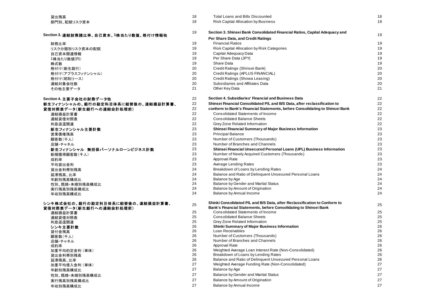| 貸出残高                                   | 18       | <b>Total Loans and Bills Discounted</b>                                      | 18       |
|----------------------------------------|----------|------------------------------------------------------------------------------|----------|
| 部門別、配賦リスク資本                            | 18       | <b>Risk Capital Allocation by Business</b>                                   | 18       |
| Section 3. 連結財務諸比率、自己資本、1株当たり数値、格付け情報他 | 19       | Section 3. Shinsei Bank Consolidated Financial Ratios, Capital Adequacy and  | 19       |
|                                        |          | Per Share Data, and Credit Ratings                                           |          |
| 財務比率                                   | 19       | <b>Financial Ratios</b>                                                      | 19       |
| リスク分類別リスク資本の配賦                         | 19       | Risk Capital Allocation by Risk Categories                                   | 19       |
| 自己資本関連情報                               | 19       | Capital Adequacy Data                                                        | 19       |
| 1株当たり数値(円)                             | 19       | Per Share Data (JPY)                                                         | 19       |
| 株式数                                    | 19       | Share Data                                                                   | 19       |
| 格付け(新生銀行)                              | 20       | Credit Ratings (Shinsei Bank)                                                | 20       |
| 格付け(アプラスフィナンシャル)                       | 20       | Credit Ratings (APLUS FINANCIAL)                                             | 20       |
| 格付け(昭和リース)                             | 20       | Credit Ratings (Showa Leasing)                                               | 20       |
| 連結対象会社数                                | 20       | Subsidiaries and Affiliates Data                                             | 20       |
| その他主要データ                               | 21       | Other Key Data                                                               | 21       |
| Section 4. 主要子会社の財務データ他                | 22       | Section 4. Subsidiaries' Financial and Business Data                         | 22       |
| 新生フィナンシャルの、銀行の勘定科目体系に組替後の、連結損益計算書、     | 22       | Shinsei Financial Consolidated P/L and B/S Data, after reclassification to   | 22       |
| 貸借対照表データ(新生銀行への連結会計処理前)                | 22       | conform to Bank's Financial Statements, before Consolidating to Shinsei Bank | 22       |
| 連結損益計算書                                | 22       | Consolidated Statements of Income                                            | 22       |
| 連結貸借対照表                                | 22       | <b>Consolidated Balance Sheets</b>                                           | 22       |
| 利息返還関連                                 | 22       | Grey Zone Related Information                                                | 22       |
| 新生フィナンシャル主要計数                          | 23       | Shinsei Financial Summary of Major Business Information                      | 23       |
| 営業債権残高                                 | 23       | <b>Principal Balance</b>                                                     | 23       |
| 顧客数(千人)                                | 23       | Number of Customers (Thousands)                                              | 23       |
| 店舗・チャネル                                | 23       | Number of Branches and Channels                                              | 23       |
| 新生フィナンシャル 無担保パーソナルローンビジネス計数            | 23       | Shinsei Financial Unsecured Personal Loans (UPL) Business Information        | 23       |
| 新規獲得顧客数(千人)                            | 23       | Number of Newly Acquired Customers (Thousands)                               | 23       |
| 成約率                                    | 23       | Approval Rate                                                                | 23       |
| 平均貸出金利                                 | 23       | Average Lending Rates                                                        | 23       |
| 貸出金利帯別残高                               | 24       | Breakdown of Loans by Lending Rates                                          | 24       |
|                                        | 24       | Balance and Ratio of Delinquent Unsecured Personal Loans                     | 24       |
| 延滞残高、比率                                | 24       | Balance by Age                                                               | 24       |
| 年齢別残高構成比                               | 24       | Balance by Gender and Marital Status                                         | 24       |
| 性別、既婚·未婚別残高構成比<br>実行残高別残高構成比           | 24       | Balance by Amount of Origination                                             | 24       |
| 年収別残高構成比                               | 24       | Balance by Annual Income                                                     | 24       |
| シンキ株式会社の、銀行の勘定科目体系に組替後の、連結損益計算書、       | 25       | Shinki Consolidated P/L and B/S Data, after Reclassification to Conform to   | 25       |
| 貸借対照表データ(新生銀行への連結会計処理前)                |          | Bank's Financial Statements, before Consolidating to Shinsei Bank            |          |
| 連結損益計算書                                | 25       | Consolidated Statements of Income                                            | 25       |
| 連結貸借対照表                                | 25       | <b>Consolidated Balance Sheets</b>                                           | 25       |
| 利息返還関連                                 | 25       | Grey Zone Related Information                                                | 25       |
| シンキ主要計数                                | 26       | Shinki Summary of Major Business Information                                 | 26       |
| 貸付金残高                                  | 26       | Loan Receivables                                                             | 26       |
| 顧客数(千人)                                | 26       | Number of Customers (Thousands)                                              | 26       |
| 店舗・チャネル                                | 26       | Number of Branches and Channels                                              | 26       |
| 成約率                                    | 26       | Approval Rate<br>Weighted Average Loan Interest Rate (Non-Consolidated)      | 26<br>26 |
| 加重平均約定金利 (単体)                          | 26<br>26 | Breakdown of Loans by Lending Rates                                          | 26       |
| 貸出金利帯別残高<br>延滞残高、比率                    | 26       | Balance and Ratio of Delinquent Unsecured Personal Loans                     | 26       |
| 加重平均借入金利 (単体)                          | 27       | Weighted Average Funding Rate (Non-Consolidated)                             | 27       |
|                                        | 27       | Balance by Age                                                               | 27       |
| 年齢別残高構成比                               | 27       |                                                                              | 27       |
| 性別、既婚·未婚別残高構成比                         |          | Balance by Gender and Marital Status                                         |          |
| 実行残高別残高構成比                             | 27       | Balance by Amount of Origination                                             | 27       |
| 年収別残高構成比                               | 27       | Balance by Annual Income                                                     | 27       |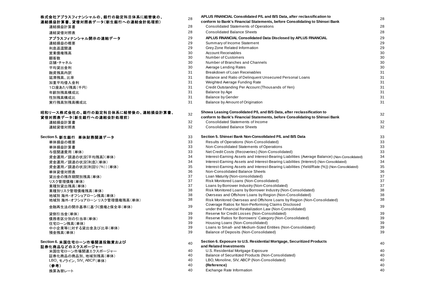#### 株式会社アプラスフィナンシャルの、銀行の勘定科目体系に組**替後の**、 連結損益計算書、貸借対照表データ(新生銀行への連結会計処理前)

| 連結損益計算書                      |
|------------------------------|
| 連結貸借対照表                      |
| アプラスフィナンシャル開示の連結データ          |
| 連結損益の概要                      |
| 利息返還関連                       |
| 営業債権残高                       |
| 顧客数                          |
| 店舗・チャネル                      |
| 平均貸出金利                       |
| 融資残高内訳                       |
| 延滞残高 比率                      |
| 加重平均借入金利                     |
| 1口座あたり残高(千円)                 |
| 年齢別残高構成比.                    |
| 性別残高構成比                      |
| 実行残高別残高構成比                   |
|                              |
| 8和リース株式会社の、銀行の勘定科目体系に組替後の、連: |
| 【借対照表データ(新生銀行への連結会計処理前)      |

| 連結損益計算書<br>連結貸借対照表 |  |
|--------------------|--|
| .                  |  |

#### **Section 6.** 米国住宅ローン市場関連投融資および証券化商品などのエクスポージャー

| 米国住宅ローン市場関連エクスポージャー       |
|---------------------------|
| 証券化商品の商品別、地域別残高(単体)       |
| LBO. モノライン. SIV. ABCP(単体) |
| (参考)                      |
| 換算為替レート                   |
|                           |

| 株式会社アプラスフィナンシャルの、銀行の勘定科目体系に組替後の、              | 28       | APLUS FINANCIAL Consolidated P/L and B/S Data, after reclassification to                          | 28       |
|-----------------------------------------------|----------|---------------------------------------------------------------------------------------------------|----------|
| 連結損益計算書、貸借対照表データ(新生銀行への連結会計処理前)               |          | conform to Bank's Financial Statements, before Consolidating to Shinsei Bank                      |          |
| 連結損益計算書                                       | 28       | <b>Consolidated Statements of Operations</b>                                                      | 28       |
| 連結貸借対照表                                       | 28       | <b>Consolidated Balance Sheets</b>                                                                | 28       |
| アプラスフィナンシャル開示の連結データ                           | 29       | APLUS FINANCIAL Consolidated Data Disclosed by APLUS FINANCIAL                                    | 29       |
| 連結損益の概要                                       | 29       | Summary of Income Statement                                                                       | 29       |
| 利息返還関連                                        | 29       | Grey Zone Related Information                                                                     | 29       |
| 営業債権残高                                        | 30       | <b>Account Receivables</b>                                                                        | 30       |
| 顧客数                                           | 30       | <b>Number of Customers</b>                                                                        | 30       |
| 店舗・チャネル                                       | 30       | Number of Branches and Channels                                                                   | 30       |
| 平均貸出金利                                        | 30       | Average Lending Rates                                                                             | 30       |
| 融資残高内訳                                        | 31       | Breakdown of Loan Receivables                                                                     | 31       |
| 延滞残高、比率                                       | 31       | Balance and Ratio of Delinquent Unsecured Personal Loans                                          | 31       |
| 加重平均借入金利                                      | 31       | Weighted Average Funding Rate                                                                     | 31       |
| 1口座あたり残高(千円)                                  | 31       | Credit Outstanding Per Account (Thousands of Yen)                                                 | 31       |
| 年齡別残高構成比                                      | 31       | Balance by Age                                                                                    | 31       |
| 性別残高構成比                                       | 31       | <b>Balance by Gender</b>                                                                          | 31       |
| 実行残高別残高構成比                                    | 31       | Balance by Amount of Origination                                                                  | 31       |
| 昭和リース株式会社の、銀行の勘定科目体系に組替後の、連結損益計算書、            | 32       | Showa Leasing Consolidated P/L and B/S Data, after reclassification to                            |          |
| 貸借対照表データ(新生銀行への連結会計処理前)                       |          | conform to Bank's Financial Statements, before Consolidating to Shinsei Bank                      | 32       |
| 連結損益計算書                                       | 32       | Consolidated Statements of Income                                                                 | 32       |
| 連結貸借対照表                                       | 32       | <b>Consolidated Balance Sheets</b>                                                                | 32       |
| Section 5. 新生銀行 単体財務関連データ                     | 33       | Section 5, Shinsei Bank Non-Consolidated P/L and B/S Data                                         | 33       |
| 単体損益の概要                                       | 33       | Results of Operations (Non-Consolidated)                                                          | 33       |
| 単体損益計算書                                       | 33       | Non-Consolidated Statements of Operations                                                         | 33       |
| 与信関連費用(単体)                                    | 33       | Net Credit Costs (Recoveries) (Non-Consolidated)                                                  | 33       |
| 資金運用/調達の状況(平均残高)(単体)                          | 34       | Interest-Earning Assets and Interest-Bearing Liabilities (Average Balance) (Non-Consolidated)     | 34       |
| 資金運用/調達の状況(利息)(単体)                            | 34       | Interest-Earning Assets and Interest-Bearing Liabilities (Interest) (Non-Consolidated)            | 34       |
| 資金運用/調達の状況(利回り(%))(単体)                        | 35       | Interest-Earning Assets and Interest-Bearing Liabilities (Yield/Rate (%)) (Non-Consolidated)      | 35       |
| 単体貸借対照表                                       | 36       | Non-Consolidated Balance Sheets                                                                   | 36       |
| 貸出金の残存期間別残高(単体)                               | 37       | Loan Maturity (Non-consolidated)                                                                  | 37       |
| リスク管理債権(単体)                                   | 37       | Risk Monitored Loans (Non-Consolidated)                                                           | 37       |
| 業種別貸出残高(単体)                                   | 37       | Loans by Borrower Industry (Non-Consolidated)                                                     | 37       |
| 業種別リスク管理債権残高(単体)                              | 38       | Risk Monitored Loans by Borrower Industry (Non-Consolidated)                                      | 38       |
| 地域別海外・オフショアローン残高(単体)                          | 38       | Overseas and Offshore Loans by Region (Non-Consolidated)                                          | 38       |
| 地域別 海外・オフショアローン リスク管理債権残高(単体)                 | 38       | Risk Monitored Overseas and Offshore Loans by Region (Non-Consolidated)                           | 38       |
| 金融再生法の開示基準に基づく債権と保全率(単体)                      | 39       | Coverage Ratios for Non-Performing Claims Disclosed                                               | 39       |
|                                               |          | under the Financial Revitalization Law (Non-Consolidated)                                         |          |
| 貸倒引当金(単体)                                     | 39       | Reserve for Credit Losses (Non-Consolidated)                                                      | 39       |
| 債務者区分別の引当率(単体)                                | 39       | Reserve Ratios for Borrowers' Category (Non-Consolidated)                                         | 39       |
| 住宅ローン残高(単体)                                   | 39       | Housing Loans (Non-Consolidated)                                                                  | 39       |
| 中小企業等に対する貸出金及び比率(単体)                          | 39<br>39 | Loans to Small- and Medium-Sized Entities (Non-Consolidated)                                      | 39<br>39 |
| 預金残高(単体)                                      |          | Balance of Deposits (Non-Consolidated)                                                            |          |
| Section 6. 米国住宅ローン市場関連投融資および                  | 40       | Section 6. Exposure to U.S. Residential Mortgage, Securitized Products<br>and Related Investments | 40       |
| 証券化商品などのエクスポージャー                              | 40       | U.S. Residential Mortgage Exposure                                                                | 40       |
| 米国住宅ローン市場関連エクスポージャー                           | 40       | Balance of Securitized Products (Non-Consolidated)                                                | 40       |
| 証券化商品の商品別、地域別残高(単体)<br>LBO、モノライン、SIV、ABCP(単体) | 40       | LBO, Monoline, SIV, ABCP (Non-Consolidated)                                                       | 40       |
| (参考)                                          | 40       | (Reference)                                                                                       | 40       |
| 換算為替レート                                       | 40       | Exchange Rate Information                                                                         | 40       |
|                                               |          |                                                                                                   |          |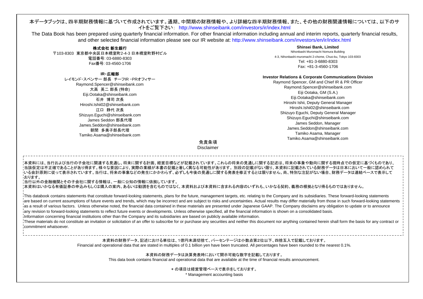# 本データブックは、四半期財務情報に基づいて作成されています。通期、中間期の財務情報や、より詳細な四半期財務情報、また、その他の財務関連情報については、以下のサ イトをご覧下さい: http://www.shinseibank.com/investors/ir/index.html

The Data Book has been prepared using quarterly financial information. For other financial information including annual and interim reports, quarterly financial results, and other selected financial information please see our IR website at: http://www.shinseibank.com/investors/en/ir/index.html

#### 株式会社 新生銀行 〒103-8303 東京都中央区日本橋室町2-4-3 日本橋室町野村ビル電話番号: 03-6880-8303 Fax番号: 03-4560-1706

#### **IR**・広報部

レイモンド・スペンサー 部長 チーフIR ・PRオフィサー Raymond.Spencer@shinseibank.com 大高 英二 部長 (特命) Eiji.Ootaka@shinseibank.com 石井 博司 次長 Hiroshi.Ishii02@shinseibank.com江口 静代 次長 Shizuyo.Eguchi@shinseibank.com James Seddon 部長代理James.Seddon@shinseibank.com朝間 多美子部長代理Tamiko.Asama@shinseibank.com

#### **Shinsei Bank, Limited** Nihonbashi Muromachi Nomura Building 4-3, Nihonbashi-muromachi 2-chome, Chuo-ku, Tokyo 103-8303 Tel: +81-3-6880-8303Fax: +81-3-4560-1706

#### **Investor Relations & Corporate Communications Division**

Raymond Spencer, GM and Chief IR & PR Officer Raymond.Spencer@shinseibank.com Eiji Ootaka, GM (S.A.) Eiji.Ootaka@shinseibank.com Hiroshi Ishii, Deputy General Manager Hiroshi.Ishii02@shinseibank.comShizuyo Eguchi, Deputy General Manager Shizuyo.Eguchi@shinseibank.com James Seddon, Manager James.Seddon@shinseibank.comTamiko Asama, Manager Tamiko.Asama@shinseibank.com

免責条項Disclaimer

本資料には、当行および当行の子会社に関連する見通し、将来に関する計画、経営目標などが記載されています。これらの将来の見通しに関する記述は、将来の事象や動向に関する現時点での仮定に基づくものであり、 ・当該仮定は不正確であることがあり得ます。様々な要因により、実際の業績が本書の記載と著しく異なる可能性があります。 別段の記載がない限り、本資料に記載されている財務データは日本において一般に認められて いる会計原則に従って表示されています。当行は、将来の事象などの発生にかかわらず、必ずしも今後の見通しに関する発表を修正するとは限りません。尚、特別な注記がない場合、財務データは連結ベースで表示して おります。

当行以外の金融機関とその子会社に関する情報は、一般に公知の情報に依拠しています。

本資料はいかなる有価証券の申込みもしくは購入の案内、あるいは勧誘を含むものではなく、本資料および本資料に含まれる内容のいずれも、いかなる契約、義務の根拠となり得るものではありません。

This databook contains statements that constitute forward-looking statements, plans for the future, management targets, etc. relating to the Company and its subsidiaries. These forward-looking statements are based on current assumptions of future events and trends, which may be incorrect and are subject to risks and uncertainties. Actual results may differ materially from those in such forward-looking statements as a result of various factors. Unless otherwise noted, the financial data contained in these materials are presented under Japanese GAAP. The Company disclaims any obligation to update or to announce any revision to forward-looking statements to reflect future events or developments. Unless otherwise specified, all the financial information is shown on a consolidated basis.

Information concerning financial institutions other than the Company and its subsidiaries are based on publicly available information.

These materials do not constitute an invitation or solicitation of an offer to subscribe for or purchase any securities and neither this document nor anything contained herein shall form the basis for any contract or commitment whatsoever.

> 本資料の財務データ、記述における単位は、1億円未満切捨て、パーセンテージは小数点第2位以下、四捨五入で記載しております。 Financial and operational data that are stated in multiples of 0.1 billion yen have been truncated. All percentages have been rounded to the nearest 0.1%.

本資料の財務データは決算発表時において開示可能な数字を記載しております。 This data book contains financial and operational data that are available at the time of financial results announcement.

\* の項目は経営管理ベースで表示をしております。

\* Management accounting basis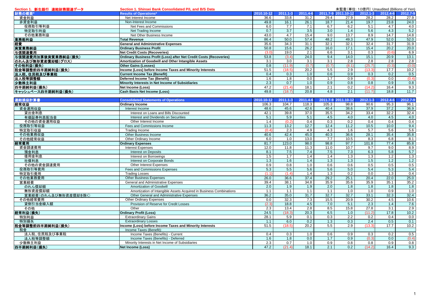| Section 1. 新生銀行 連結財務関連データ | Section 1. Shinsei Bank Consolidated P/L and B/S Data                      |            |              |                   |       | 未監査(単位: 10億円) Unaudited (Billions of Yen) |                   |            |          |
|---------------------------|----------------------------------------------------------------------------|------------|--------------|-------------------|-------|-------------------------------------------|-------------------|------------|----------|
| 財務の概要*                    | <b>Results of Operations*</b>                                              | 2010.10-12 | $2011.1 - 3$ | 2011.4-6          |       | 2011.7-9 2011.10-12                       | $2012.1 - 3$      | 2012.4-6   | 2012.7-9 |
| 資金利益                      | Net Interest Income                                                        | 36.6       | 33.8         | 31.2              | 29.4  | 27.9                                      | 28.2              | 28.2       | 27.9     |
| 非資金利益                     | Non-Interest Income                                                        | 49.8       | 16.1         | 26.1              | 18.7  | 21.4                                      | 19.7              | 23.8       | 24.0     |
| 役務取引等利益                   | Net Fees and Commissions                                                   | 6.0        | 7.7          | 7.1               | 6.7   | 6.2                                       | 5.1               | 4.7        | 4.0      |
| 特定取引利益                    | Net Trading Income                                                         | 0.7        | 3.7          | 3.5               | 3.0   | 1.4                                       | 5.6               | 4.3        | 5.2      |
| その他業務利益                   | Net Other Business Income                                                  | 43.0       | 4.7          | 15.4              | 9.0   | 13.7                                      | 8.9               | 14.7       | 14.8     |
| 業務粗利益                     | <b>Total Revenue</b>                                                       | 86.4       | 50.0         | $\overline{57.4}$ | 48.2  | 49.3                                      | 47.9              | 52.0       | 52.0     |
| 経費                        | <b>General and Administrative Expenses</b>                                 | 35.6       | 34.3         | 31.1              | 32.1  | 32.1                                      | 32.4              | 31.7       | 31.9     |
| 実質業務純益                    | <b>Ordinary Business Profit</b>                                            | 50.8       | 15.6         | 26.2              | 16.0  | 17.1                                      | 15.4              | 20.2       | 20.0     |
| 与信関連費用                    | <b>Net Credit Costs (Recoveries)</b>                                       | (3.0)      | 19.0         | 2.1               | 6.6   | 3.1                                       | 0.3               | (0.6)      | 6.9      |
| 与信関連費用加算後実質業務純益(損失)       | <b>Ordinary Business Profit (Loss) after Net Credit Costs (Recoveries)</b> | 53.8       | (3.4)        | 24.0              | 9.4   | 14.0                                      | 15.1              | 20.9       | 13.1     |
| のれん及び無形資産償却額(グロス)         | Amortization of Goodwill and Other Intangible Assets                       | 3.1        | 3.0          | 3.1               | 3.1   | 2.8                                       | 2.8               | 2.8        | 2.8      |
| その他利益(損失)                 | <b>Other Gains (Losses)</b>                                                | 0.8        | (11.9)       | (0.7)             | (0.7) | (8.1)                                     | (25.7)            | (0.3)      | (0.0)    |
| 税金等調整前四半期純利益(損失)          | Income (Loss) before Income Taxes and Minority Interests                   | 51.5       | (18.5)       | $\overline{20.2}$ | 5.5   | 2.9                                       | (13.3)            | 17.7       | 10.2     |
| 法人税、住民税及び事業税              | <b>Current Income Tax (Benefit)</b>                                        | 0.4        | 0.3          | 1.0               | 0.6   | 0.9                                       | 0.3               | 0.2        | 0.5      |
| 法人税等調整額                   | <b>Deferred Income Tax (Benefit)</b>                                       | 1.6        | 1.8          | 0.0               | 1.7   | 0.9                                       | (0.3)             | 0.0        | (0.4)    |
|                           | Minority Interests in Net Income of Subsidiaries                           | 2.3        | 0.7          | 1.0               | 0.9   | 0.8                                       | 0.8               | 0.9        | 0.8      |
| 少数株主利益                    |                                                                            | 47.2       | (21.4)       | 18.1              | 2.1   | 0.2                                       | (14.2)            | 16.4       |          |
| 四半期純利益(損失)                | <b>Net Income (Loss)</b>                                                   |            |              |                   |       | 2.1                                       |                   | 18.8       | 9.3      |
| キャッシュベース四半期純利益(損失)        | <b>Cash Basis Net Income (Loss)</b>                                        | 49.8       | (18.7)       | 20.8              | 4.8   |                                           | (11.7)            |            | 11.7     |
| 連結損益計算書                   | <b>Consolidated Statements of Operations</b>                               | 2010.10-12 | 2011.1-3     | 2011.4-6          |       | 2011.7-9 2011.10-12                       | $2012.1 - 3$      | 2012.4-6   | 2012.7-9 |
|                           |                                                                            | 106.3      | 104.7        | 118.3             | 105.3 | 98.8                                      | 90.6              | 95.3       | 96.1     |
| 経常収益                      | <b>Ordinary Income</b>                                                     |            |              | 42.6              |       |                                           |                   | 37.2       |          |
| 資金運用収益                    | Interest Income                                                            | 48.6       | 45.6         |                   | 40.4  | 38.6                                      | 37.9              | 32.2       | 36.9     |
| 貸出金利息                     | Interest on Loans and Bills Discounted                                     | 42.1       | 39.8         | 37.0              | 35.5  | 34.2                                      | 33.4              |            | 32.4     |
| 有価証券利息配当金                 | Interest and Dividends on Securities                                       | 5.1        | 5.9          | 5.1               | 4.5   | 4.0                                       | 4.0               | 4.5<br>0.4 | 4.0      |
| その他の資金運用収益                | Other Interest Income                                                      | 1.4        | (0.2)        | 0.4               | 0.3   | 0.2                                       | 0.4               |            | 0.4      |
| 役務取引等収益                   | Fees and Commissions Income                                                | 11.3       | 13.2         | 12.7              | 12.4  | 11.2                                      | $\overline{10.5}$ | 10.0       | 9.4      |
| 特定取引収益                    | Trading Income                                                             | (0.4)      | 2.3          | 4.9               | 4.3   | 1.6                                       | 5.7               | 5.6        | 5.6      |
| その他業務収益                   | Other Business Income                                                      | 40.6       | 42.4         | 45.0              | 40.3  | 36.6                                      | 28.1              | 35.4       | 35.8     |
| その他経常収益                   | Other Ordinary Income                                                      | 6.0        | 1.0          | 13.0              | 7.7   | 10.5                                      | 8.3               | 6.8        | 8.1      |
| 経常費用                      | <b>Ordinary Expenses</b>                                                   | 81.7       | 123.0        | 98.0              | 98.8  | 97.7                                      | 101.8             | 77.4       | 85.8     |
| 資金調達費用                    | <b>Interest Expenses</b>                                                   | 12.0       | 11.8         | 11.3              | 11.0  | 10.7                                      | 9.7               | 9.0        | 8.9      |
| 預金利息                      | <b>Interest on Deposits</b>                                                | 8.1        | 7.5          | 7.4               | 7.5   | 7.3                                       | 6.3               | 5.8        | 5.7      |
| 借用金利息                     | Interest on Borrowings                                                     | 1.5        | 1.7          | 1.4               | 1.4   | 1.3                                       | 1.3               | 1.2        | 1.3      |
| 社債利息                      | Interest on Corporate Bonds                                                | 1.3        | 1.6          | 1.4               | 1.3   | 1.3                                       | 1.5               | 1.2        | 1.2      |
| その他の資金調達費用                | Other Interest Expenses                                                    | 0.9        | 0.8          | 1.0               | 0.6   | 0.6                                       | 0.5               | 0.5        | 0.5      |
| 役務取引等費用                   | <b>Fees and Commissions Expenses</b>                                       | 5.3        | 5.5          | 5.6               | 5.6   | 5.0                                       | 5.4               | 5.3        | 5.4      |
| 特定取引費用                    | <b>Trading Losses</b>                                                      | (1.1)      | (1.4)        | 1.4               | 1.3   | $\overline{0.2}$                          | 0.0               | 1.3        | 0.4      |
| その他業務費用                   | <b>Other Business Expenses</b>                                             | 26.0       | 36.6         | 37.4              | 29.2  | 25.1                                      | 20.4              | 22.0       | 25.0     |
| 営業経費                      | General and Administrative Expenses                                        | 39.4       | 38.1         | 34.8              | 35.9  | 35.6                                      | 35.9              | 35.1       | 35.2     |
| のれん償却額                    | Amortization of Goodwill                                                   | 2.0        | 1.9          | 1.9               | 2.0   | 1.8                                       | 1.8               | 1.8        | 1.8      |
| 無形資産償却額                   | Amortization of Intangible Assets Acquired in Business Combinations        | 1.1        | 1.1          | 1.1               | 1.1   | 1.0                                       | 1.0               | 0.9        | 1.0      |
| 営業経費(のれん及び無形資産償却を除く)      | Other General and Administrative Expenses                                  | 36.2       | 35.0         | 31.7              | 32.7  | 32.7                                      | 33.1              | 32.3       | 32.4     |
| その他経常費用                   | Other Ordinary Expenses                                                    | 0.0        | 32.3         | 7.3               | 15.5  | $\overline{20.9}$                         | 30.2              | 4.5        | 10.6     |
| 貸倒引当金繰入額                  | Provision of Reserve for Credit Losses                                     | (2.3)      | 18.8         | 4.5               | 7.0   | 5.1                                       | 2.3               | 1.4        | 7.6      |
| その他                       | Other                                                                      | 2.3        | 13.4         | 2.8               | 8.5   | 15.8                                      | 27.8              | 3.1        | 2.9      |
| 経常利益(損失)                  | <b>Ordinary Profit (Loss)</b>                                              | 24.5       | (18.3)       | 20.3              | 6.5   | 1.0                                       | (11.2)            | 17.8       | 10.2     |
| 特別利益                      | <b>Extraordinary Gains</b>                                                 | 28.1       | 5.9          | 0.1               | 0.3   | 2.2                                       | 0.2               | 0.4        | 0.0      |
| 特別損失                      | <b>Extraordinary Losses</b>                                                | 1.1        | 6.0          | 0.2               | 1.3   | 0.3                                       | 2.4               | 0.5        | 0.1      |
| 税金等調整前四半期純利益(損失)          | Income (Loss) before Income Taxes and Minority Interests                   | 51.5       | (18.5)       | $\overline{20.2}$ | 5.5   | 2.9                                       | (13.3)            | 17.7       | 10.2     |
| 税金                        | Income Taxes (Benefit):                                                    |            |              |                   |       |                                           |                   |            |          |
| 法人税、住民税及び事業税              | Income Taxes (Benefits) - Current                                          | 0.4        | 0.3          | 1.0               | 0.6   | 0.9                                       | 0.3               | 0.2        | 0.5      |
| 法人税等調整額                   | Income Taxes (Benefits) - Deferred                                         | 1.6        | 1.8          | 0.0               | 1.7   | 0.9                                       | (0.3)             | 0.0        | (0.4)    |
| 少数株主利益                    | Minority Interests in Net Income of Subsidiaries                           | 2.3        | 0.7          | 1.0               | 0.9   | 0.8                                       | 0.8               | 0.9        | 0.8      |
| 四半期純利益(損失)                | Net Income (Loss)                                                          | 47.2       | (21.4)       | 18.1              | 2.1   | 0.2                                       | (14.2)            | 16.4       | 9.3      |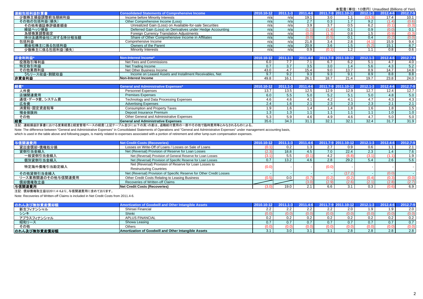| 連結包括利益計算書        | <b>Consolidated Statements of Comprehensive Income</b>     | 2010.10-12 | $11.1 - 3$ |      |       | 2011.4-6 2011.7-9 2011.10-12 2012.1-3 |        | 2012.4-6 | 2012.7-9 |
|------------------|------------------------------------------------------------|------------|------------|------|-------|---------------------------------------|--------|----------|----------|
| 少数株主損益調整前当期純利益   | Income before Minority Interests                           | n/ai       | n/al       | 19.1 | 3.0   | 1.1                                   | (13.3) | 17.4     | 10.1     |
| その他の包括利益(損失)     | Other Comprehensive Income (Loss)                          | n/a        | n/a        |      | 0.3   | 1.7                                   | 9.2    |          | (0.6)    |
| その他有価証券評価差額金     | Unrealized Gain (Loss) on Available-for-sale Securities    | n/a        | n/a        |      | 3.7   | 0.5                                   | 6.2    |          | (0.3)    |
| 繰延ヘッジ損益          | Deferred Gain (Loss) on Derivatives under Hedge Accounting | n/a        | n/a        |      |       | 0.1                                   | 0.9    | (0.0)    | 0.1      |
| 為替換算調整勘定         | <b>Foreign Currency Translation Adjustments</b>            | n/ai       | n/a        |      |       | 0.8                                   | 1.5    | (0.9)    | (0.3)    |
| 持分法適用会社に対する持分相当額 | Share of Other Comprehensive Income in Affiliates          | n/a        | n/a        |      | (0.5) | 0.1                                   | 0.4    | (0.2)    | (0.0)    |
| 包括利益             | Comprehensive Income                                       | n/a        | n/a        | 21.8 | 3.4   | 2.8                                   | (4.1)  | 15.9     | 9.4      |
| 親会社株主に係る包括利益     | Owners of the Parent                                       | n/a        | n/a        | 20.9 | 3.6   | 1.5                                   | (5.2)  | 15.1     | 8.7      |
| 少数株主に係る包括利益(損失)  | <b>Minority Interests</b>                                  | n/a        | n/a        | n a  |       | 1.2                                   | 1.1    | 0.8      | 0.6      |

| 非金利利益        | Non-Interest Income <sup>,</sup>                         |      |      |    | '011             |      |      |      | 2012.7-9 |
|--------------|----------------------------------------------------------|------|------|----|------------------|------|------|------|----------|
| 役務取引等利益      | Net Fees and Commissions                                 | ó.U  |      |    |                  | ∪.∠  | v.i  |      |          |
| 特定取引利益       | Net Trading Income                                       | 0.7  |      |    | 3.0 <sup>°</sup> | 1.4  | 5.6  | 4.3  | 5.2      |
| その他業務利益      | Net Other Business Income                                | 43.0 |      |    | 9.0              | 13.7 | 8.9  | 14.7 | 14.8     |
| うちリース収益・割賦収益 | Income on Leased Assets and Installment Receivables. Net |      | 9.2  |    |                  |      | 8.9  | 8.8  | 8.8      |
| 非資金利益        | <b>INon-Interest Income</b>                              | 49.8 | 16.1 | nn | 18.7             | 21.4 | 19.7 | 23.8 | 24.0     |

| 経費            | <b>General and Administrative Expenses*</b> | 2010.10-12 | $2011.1 - 3$ |      |      | 2011.4-6 2011.7-9 2011.10-12 | $2012.1 - 3$ | 2012.4-6 | 2012.7-9 |
|---------------|---------------------------------------------|------------|--------------|------|------|------------------------------|--------------|----------|----------|
| 人件費           | Personnel Expenses                          | 13.7       | 13.5         | 12.5 | 12.9 | 12.9                         | 12.7         | 12.4     | 12.7     |
| 店舗関連費用        | <b>Premises Expenses</b>                    | 6.0        | 0.5          |      |      | 5.1                          | 5.0          | 4.8      | 5.0      |
| 通信・データ費、システム費 | Technology and Data Processing Expenses     | 4.6        | 4.6          |      |      | 4.1                          | 4.7          | 4.3      | 4.3      |
| 広告費           | <b>Advertising Expenses</b>                 | 2.4        | 1.6 I        |      | 2.3  | 2.3                          | 2.3          |          | 2.1      |
| 消費税·固定資産税等    | Consumption and Property Taxes              |            | ا 1.6        |      |      | 1.8                          | 1.6          | 1.8      |          |
| 預金保険料         | Deposit Insurance Premium                   |            | $1.3+$       |      |      |                              | .            | 1.0      | 1.0      |
| その他           | Other General and Administrative Expenses   |            | 5.9          |      |      | 4.6                          | 4.7          | 5.0      | 5.0      |
| 経費            | <b>General and Administrative Expenses</b>  | 35.6       | 34.3         | 31.  | 32.1 | 32.1                         | 32.4         | 31.7     | 31.9     |

注記: 連結損益計算書における営業経費と経営管理ベースの経費(上記テーブル並びに以下の頁)の差は、退職給付費用の一部やその他で臨時費用等とみなされるものによる。

Note: The difference between "General and Administrative Expenses" in Consolidated Statements of Operations and "General and Administrative Expenses" under management accounting basis,

which is used in the table above and following pages, is mainly related to expenses associated with a portion of retirement and other lump-sum compensation expenses.

| 与信関連費用            | <b>Net Credit Costs (Recoveries)</b>                                 | 2010.10-12 | $2011.1 - 3$ |      |                      | 2011.4-6 2011.7-9 2011.10-12 | $2012.1 - 3$ | 2012.4-6   | 2012.7-9 |
|-------------------|----------------------------------------------------------------------|------------|--------------|------|----------------------|------------------------------|--------------|------------|----------|
| 貸出金償却·債権処分損       | Losses on Write-Off of Loans / Losses on Sale of Loans               | (0.1)      |              |      | $\sim$ $\sim$<br>2.1 | 0.9                          | 0.6          |            | 2.1      |
| 貸倒引当金繰入           | Net (Reversal) Provision of Reserve for Loan Losses                  | (2.3)      | 18.8         |      |                      | 22.4                         | 2.3          | $\sqrt{4}$ | 7.6      |
| 一般貸倒引当金繰入         | Net (Reversal) Provision of General Reserve for Loan Losses          | (3.1)      | 5.5          |      | 4.2                  | (6.8)                        | (3.1)        |            | 1.9      |
| 個別貸倒引当金繰入         | Net (Reversal) Provision of Specific Reserve for Loan Losses         | 0.7        | 13.2         |      | 2.8                  | 29.2                         | 5.4          | 2.6        | 5.6      |
|                   | Net (Reversal) Provision of Reserve for Loan Losses to               | (0.0)      |              |      | (0.0)                |                              |              |            |          |
| 特定海外債権引当勘定繰入      | <b>Restructuring Countries</b>                                       |            |              |      |                      |                              |              |            |          |
| その他貸倒引当金繰入        | Net (Reversal) Provision of Specific Reserve for Other Credit Losses |            |              |      |                      | (17.2)                       |              | $0.0\,$    |          |
| リース業務関連のその他与信関連費用 | Other Credit Costs Relating to Leasing Business                      |            | 0.0          |      |                      |                              | (0.4)        | U.3        | (0.0)    |
| 償却債権取立益           | Recoveries of Written-off Claims                                     |            |              | 73 Q | (2.9)                | (2.6)                        | (2.1)        | (2.8)      | (2.7)    |
| <b>与信関連費用</b>     | Net Credit Costs (Recoveries)                                        | 3.0        | 19.0         |      | 6.6                  | 3.1                          | 0.3          | (0.6)      | 6.9      |

注記: 償却債権取立益は2011.4-6より、与信関連費用に含めております。

Note: Recoveries of Written-off Claims is included in Net Credit Costs from 2011.4-6.

| のれん及び無形資産償却  | Amortization of Goodwill and Other Intangible Assets | 2010.10-1 | $2011.1 - 3$ | $4-6$ | 2011.7-9 2011.10-12 |       | $2012.4 - 6$ | 2012.7-9 |
|--------------|------------------------------------------------------|-----------|--------------|-------|---------------------|-------|--------------|----------|
| 新生フィナンシャル    | Shinsei Financial                                    |           |              |       | 20                  |       | 1 വ          | 2.0      |
| シンキ          | Shinki                                               |           | 0.0)         | (U.U) | (0.0)               | (0.0) | (0.0)        | (0.0)    |
| アプラスフィナンシャル  | <b>APLUS FINANCIAL</b>                               |           | $0.2\,$      |       | 0.2                 | 0.2   | 0.2          | 0.2      |
| 昭和リース        | Showa Leasing                                        |           | 0.7          |       |                     | 0.7   | 0.7          | 0.7      |
| その他          | Others                                               |           |              |       | (V.V.               | (0.0) |              |          |
| のれん及び無形資産償却額 | Amortization of Goodwill and Other Intangible Assets |           | 3.0          |       | 2.8                 | 2.8   | 2.8          | 2.8      |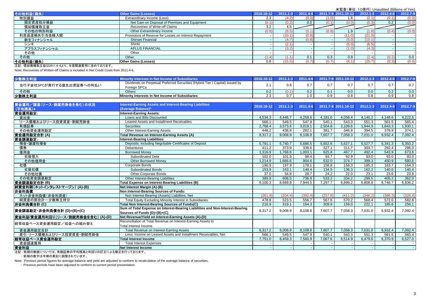| その他利益(損失)    | <b>Other Gains (Losses)</b>                            | 2010.10-12 | $2011.1 - 3$ | 2011.4-6 |       | 2011.7-9 2011.10-12 | $2012.1 - 3$ | 2012.4-6      | 2012.7-9 |
|--------------|--------------------------------------------------------|------------|--------------|----------|-------|---------------------|--------------|---------------|----------|
| 特別損益         | Extraordinary Income (Loss)                            | 2.3        | (4.2)        |          |       |                     | (2.1         | $0.1^{\circ}$ | (0.0)    |
| 固定資産処分損益     | Net Gain on Disposal of Premises and Equipment         |            | (0.2)        | 0.0      |       | (0.0)               | (0.3         | 0.2           | (0.0)    |
| 償却債権取立益      | Recoveries of Write-off Claims                         | 3.2        | 4.5          |          |       |                     |              |               |          |
| その他の特別利益     | Other Extraordinary Income                             | (0.8       | (8.5)        |          | (0.8) |                     |              | (0.4)         | (0.0)    |
| 利息返還損失引当金繰入額 | Provisions of Reserve for Losses on Interest Repayment |            | (10.1)       | (0.8)    |       | (11.0)              | (21.0)       |               |          |
| 新生フィナンシャル    | Shinsei Financial                                      |            | (4.7)        | (0.8)    |       | (5.0)               | (10.1)       |               |          |
| シンキ          | Shinki                                                 |            | (2.1)        |          |       | (5.0)               | (6.5         |               |          |
| アプラスフィナンシャル  | <b>APLUS FINANCIAL</b>                                 |            | (3.2)        |          |       | (1.0)               | (4.3)        |               |          |
| その他          | Other                                                  |            |              |          |       |                     |              |               |          |
| その他          | Other                                                  |            | (1.1)        |          | 0.3   | 0.9                 | (2.4)        | (0.2)         | 0.0      |
| その他利益(損失)    | <b>Other Gains (Losses)</b>                            | 0.8        | (15.5)       |          | (0.7) | (8.1)               | (25.7)       | (0.3)         | (0.0)    |
|              |                                                        |            |              |          |       |                     |              |               |          |

注記: 償却債権取立益は2011.4-6より、与信関連費用に含めております。

Note: Recoveries of Written-off Claims is included in Net Credit Costs from 2011.4-6.

| 少数株式                     |                                                                                               |     |     |                  | 2012.1 |     |     |
|--------------------------|-----------------------------------------------------------------------------------------------|-----|-----|------------------|--------|-----|-----|
| 当行子会社SPCが発行する優先出資証券への利払い | Dividends on Perpetual Preferred Securities (Hybrid Tier I Capital) issued by<br>Foreign SPCs | ີ   | U.O |                  | 0.7    | 0.7 |     |
| その他                      | <b>Others</b>                                                                                 | 0.2 |     | $\overline{0}$ . | 0.0    | 0.2 | 0.0 |
| 少数株主利益                   | Minority Interests in Net Income of Subsidiaries                                              |     |     | 0.9              | 0.8    | 0.9 | 0.8 |

| 資金運用/調達(リース·割賦売掛金を含む)の状況           | nterest-Earning Assets and Interest-Bearing Liabilities                       | 2010.10-12 | $2011.1 - 3$ | 2011.4-6 |         | 2011.7-9 2011.10-12 | $2012.1 - 3$ | 2012.4-6 | 2012.7-9 |
|------------------------------------|-------------------------------------------------------------------------------|------------|--------------|----------|---------|---------------------|--------------|----------|----------|
| (平均残高)*                            | <b>Average Balance)*</b>                                                      |            |              |          |         |                     |              |          |          |
| 資金運用勘定:                            | Interest-Earning Assets:                                                      |            |              |          |         |                     |              |          |          |
| 貸出金                                | Loans and Bills Discounted                                                    | 4,534.3    | 4,446.7      | 4,259.6  | 4,181.0 | 4,058.4             | 4,140.2      | 4,148.6  | 4,222.6  |
| リース債権およびリース投資資産・割賦売掛金              | Leased Assets and Installment Receivables                                     | 566.1      | 549.5        | 547.9    | 540.1   | 543.3               | 551.3        | 561.5    | 565.4    |
| 有価証券                               | <b>Securities</b>                                                             | 2,768.4    | 3,573.6      | 3,019.1  | 2,504.8 | 2,109.6             | 944.9        | .843.3   | 1,930.1  |
| その他資金運用勘定                          | Other Interest-Earning Assets                                                 | 448.2      | 438.8        | 282.1    | 381.7   | 346.8               | 394.5        | 378.9    | 374.1    |
| 資金運用勘定合計(A)                        | Total Revenue on Interest-Earning Assets (A)                                  | 8,317.2    | 9.008.9      | 8.108.8  | 7.607.7 | 7.058.3             | 7,031.0      | 6.932.4  | 7,092.4  |
| 資金調達勘定:                            | Interest-Bearing Liabilities:                                                 |            |              |          |         |                     |              |          |          |
| 預金·讓渡性預金                           | Deposits, including Negotiable Certificates of Deposit                        | 5,791.1    | 5,740.7      | 5,686.5  | 5,652.6 | 5,627.1             | 5,527.7      | 5,341.3  | 5,350.2  |
| 債券                                 | Debentures                                                                    | 411.2      | 373.9        | 339.6    | 327.1   | 311.7               | 303.7        | 292.4    | 286.0    |
| 借用金                                | <b>Borrowed Money</b>                                                         | 1,316.9    | .768.6       | 1,003.1  | 625.8   | 467.7               | 492.4        | 543.9    | 673.6    |
| 劣後借入                               | <b>Subordinated Debt</b>                                                      | 102.0      | 101.9        | 98.4     | 93.7    | 92.9                | 93.0         | 93.0     | 93.0     |
| その他借用金                             | <b>Other Borrowed Money</b>                                                   | 1,214.9    | .666.6       | 904.6    | 532.0   | 374.7               | 399.3        | 450.9    | 580.6    |
| 社債                                 | Corporate Bonds                                                               | 190.9      | 197.9        | 178.1    | 158.8   | 158.3               | 185.3        | 163.7    | 164.3    |
| 劣後社債                               | <b>Subordinated Bonds</b>                                                     | 153.9      | 163.1        | 149.4    | 134.5   | 136.3               | 162.2        | 140.0    | 140.4    |
| その他社債                              | Other Corporate Bonds                                                         | 37.0       | 34.8         | 28.7     | 24.2    | 22.0                | 23.1         | 23.6     | 23.8     |
| その他資金調達勘定                          | Other Interest-Bearing Liabilities                                            | 389.9      | 608.5        | 736.9    | 533.2   | 334.2               | 299.5        | 405.2    | 362.0    |
| 資金調達勘定合計(B)                        | Total Expense on Interest-Bearing Liabilities (B)                             | 8.100.3    | 8.689.8      | 7.944.5  | 7.297.7 | 6.899.2             | 6,808.8      | 6.746.7  | 6.836.2  |
| 純資金利鞘(ネットインタレストマージン)(A)-(B)        | Net Interest Margin (A)-(B)                                                   |            |              |          |         |                     |              |          |          |
| 非金利負債                              | Non Interest-Bearing Sources of Funds:                                        |            |              |          |         |                     |              |          |          |
| ネット非金利負債(非金利資産)                    | Non Interest-Bearing (Assets) Liabilities, Net                                | (261.9)    | (204.4)      | (392.4)  | (257.6) | (411.2)             | (346.2)      | (386.3)  | (326.4)  |
| 純資産の部合計ー少数株主持分                     | Total Equity Excluding Minority Interest in Subsidiaries                      | 478.8      | 523.5        | 556.7    | 567.6   | 570.2               | 568.4        | 572.0    | 582.6    |
| 非金利負債合計(C)                         | Total Non Interest-Bearing Sources of Funds(C)                                | 216.9      | 319.1        | 164.3    | 309.9   | 159.0               | 222.1        | 185.6    | 256.1    |
|                                    | Sum of Total Expense on Interest-Bearing Liabilities and Non-Interest-Bearing |            |              |          |         |                     |              | 6.932.4  | 7.092.4  |
| 資金調達勘定・非金利負債合計 (D)=(B)+(C)         | Sources of Funds (D)=(B)+(C)                                                  | 8,317.2    | 9.008.9      | 8,108.8  | 7,607.7 | 7,058.3             | 7,031.0      |          |          |
| 資金利益/資金運用利回り(リース·割賦売掛金を含む) (A)-(D) | Net Revenue/Yield on Interest-Earning Assets (A)-(D)                          |            |              |          |         |                     |              |          |          |
| 経常収益ベース資金運用勘定/収益への組み替え             | Reconciliation of Total Revenue on Interest-Earning Assets to                 |            |              |          |         |                     |              |          |          |
|                                    | <b>Total Interest Income</b>                                                  |            |              |          |         |                     |              |          |          |
| 資金運用勘定合計                           | Total Revenue on Interest-Earning Assets                                      | 8,317.2    | 9.008.9      | 8.108.8  | 7.607.7 | 7.058.3             | 7.031.0      | 6.932.4  | 7,092.4  |
| 差引:リース債権およびリース投資資産・割賦売掛金           | Less: Income on Leased Assets and Installment Receivables. Net                | 566.1      | 549.5        | 547.9    | 540.1   | 543.3               | 551.3        | 561.5    | 565.4    |
| 経常収益ペース資金運用勘定                      | <b>Total Interest Income</b>                                                  | 7,751.0    | 8,459.3      | 7,560.9  | 7,067.6 | 6,514.9             | 6,479.6      | 6,370.9  | 6,527.0  |
| 資金調達費用                             | <b>Total Interest Expenses</b>                                                |            |              |          |         |                     |              |          |          |
| 資金利益                               | Net Interest Income                                                           |            |              |          |         |                     |              |          |          |

注記: 前期の数値については、有価証券の平均残高と利回りの訂正による修正を行っております。

: 前期の数字は今期の表記に調整されています。

Note: Previous period figures for average balance and yield are adjusted to conform to recalculation of the average balance of securities.

: Previous periods have been adjusted to conform to current period presentation.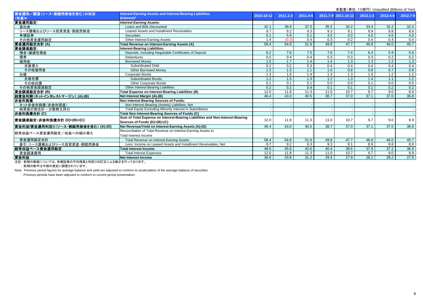|                                    |                                                                               |            |              |          |      |                     |                  | 木血且 \丰吐. TO底I ]/ Unduulted (Dillions of Terr |          |
|------------------------------------|-------------------------------------------------------------------------------|------------|--------------|----------|------|---------------------|------------------|----------------------------------------------|----------|
| 資金運用/調達(リース・割賦売掛金を含む)の状況           | Interest-Earning Assets and Interest-Bearing Liabilities                      | 2010.10-12 | $2011.1 - 3$ | 2011.4-6 |      | 2011.7-9 2011.10-12 | $2012.1 - 3$     | 2012.4-6                                     | 2012.7-9 |
| (利息)*                              | (Interest)*                                                                   |            |              |          |      |                     |                  |                                              |          |
| 資金運用勘定:                            | <b>Interest-Earning Assets:</b>                                               |            |              |          |      |                     |                  |                                              |          |
| 貸出金                                | Loans and Bills Discounted                                                    | 42.1       | 39.8         | 37.0     | 35.5 | 34.2                | 33.4             | 32.2                                         | 32.4     |
| リース債権およびリース投資資産・割賦売掛金              | Leased Assets and Installment Receivables                                     | 9.7        | 9.2          | 9.3      | 9.3  | 9.1                 | 8.9              | 8.8                                          | 8.8      |
| 有価証券                               | <b>Securities</b>                                                             | 5.1        | 5.9          | 5.1      | 4.5  | 4.0                 | 4.0              | 4.5                                          | 4.0      |
| その他資金運用勘定                          | Other Interest-Earning Assets                                                 | 1.4        | (0.2)        | 0.4      | 0.3  | 0.2                 | 0.4              | 0.4                                          | 0.4      |
| 資金運用勘定合計(A)                        | Total Revenue on Interest-Earning Assets (A)                                  | 58.4       | 54.8         | 51.9     | 49.8 | 47.7                | 46.8             | 46.0                                         | 45.7     |
| 資金調達勘定:                            | Interest-Bearing Liabilities:                                                 |            |              |          |      |                     |                  |                                              |          |
| 預金·讓渡性預金                           | Deposits, including Negotiable Certificates of Deposit                        | 8.2        | 7.6          | 7.5      | 7.6  | 7.4                 | 6.4              | 5.9                                          | 5.8      |
| 債券                                 | <b>Debentures</b>                                                             | 0.5        | 0.4          | 0.4      | 0.3  | $\overline{0.3}$    | $\overline{0.3}$ | 0.2                                          | 0.2      |
| 借用金                                | <b>Borrowed Money</b>                                                         | 1.5        | 1.7          | 1.4      | 1.4  | 1.3                 | 1.3              | 1.2                                          | 1.3      |
| 劣後借入                               | <b>Subordinated Debt</b>                                                      | 0.2        | 0.2          | 0.3      | 0.4  | 0.4                 | 0.4              | 0.4                                          | 0.4      |
| その他借用金                             | <b>Other Borrowed Money</b>                                                   | 1.3        | 1.5          | 1.1      | 1.0  | $\overline{0.8}$    | 0.8              | 0.7                                          | 0.8      |
| 社債                                 | Corporate Bonds                                                               | 1.3        | 1.6          | 1.4      | 1.3  | 1.3                 | 1.5              | 1.2                                          | 1.2      |
| 劣後社債                               | <b>Subordinated Bonds</b>                                                     | 1.2        | 1.5          | 1.3      | 1.2  | 1.3                 | 1.4              | 1.1                                          | 1.2      |
| その他社債                              | Other Corporate Bonds                                                         | 0.1        | 0.1          | 0.1      | 0.0  | 0.0                 | 0.1              | 0.0                                          | 0.0      |
| その他資金調達勘定                          | Other Interest-Bearing Liabilities                                            | 0.2        | 0.2          | 0.4      | 0.1  | 0.1                 | 0.1              | 0.2                                          | 0.2      |
| 資金調達勘定合計(B)                        | Total Expense on Interest-Bearing Liabilities (B)                             | 12.0       | 11.8         | 11.3     | 11.0 | 10.7                | 9.7              | 9.0                                          | 8.9      |
| 純資金利鞘(ネットインタレストマージン) (A)-(B)       | Net Interest Margin (A)-(B)                                                   | 46.4       | 43.0         | 40.5     | 38.7 | 37.0                | 37.1             | 37.0                                         | 36.8     |
| 非金利負債                              | Non Interest-Bearing Sources of Funds:                                        |            |              |          |      |                     |                  |                                              |          |
| ネット非金利負債(非金利資産)                    | Non Interest-Bearing (Assets) Liabilities, Net                                |            |              |          |      |                     |                  |                                              |          |
| 純資産の部合計一少数株主持分                     | Total Equity Excluding Minority Interest in Subsidiaries                      |            |              |          |      |                     |                  |                                              |          |
| 非金利負債合計(C)                         | Total Non Interest-Bearing Sources of Funds (C)                               |            |              |          |      |                     |                  |                                              |          |
|                                    | Sum of Total Expense on Interest-Bearing Liabilities and Non-Interest-Bearing |            | 11.8         | 11.3     | 11.0 | 10.7                | 9.7              | 9.0                                          |          |
| 資金調達勘定・非金利負債合計 (D)=(B)+(C)         | Sources of Funds (D)=(B)+(C)                                                  | 12.0       |              |          |      |                     |                  |                                              | 8.9      |
| 資金利益/資金運用利回り(リース・割賦売掛金を含む) (A)-(D) | Net Revenue/Yield on Interest-Earning Assets (A)-(D)                          | 46.4       | 43.0         | 40.5     | 38.7 | 37.0                | 37.1             | 37.0                                         | 36.8     |
|                                    | Reconciliation of Total Revenue on Interest-Earning Assets to                 |            |              |          |      |                     |                  |                                              |          |
| 経常収益ベース資金運用勘定/収益への組み替え             | Total Interest Income                                                         |            |              |          |      |                     |                  |                                              |          |
| 資金運用勘定合計                           | Total Revenue on Interest-Earning Assets                                      | 58.4       | 54.8         | 51.9     | 49.8 | 47.7                | 46.8             | 46.0                                         | 45.7     |
| 差引:リース債権およびリース投資資産·割賦売掛金           | Less: Income on Leased Assets and Installment Receivables, Net                | 9.7        | 9.2          | 9.3      | 9.3  | 9.1                 | 8.9              | 8.8                                          | 8.8      |
| 経常収益ベース資金運用勘定                      | <b>Total Interest Income</b>                                                  | 48.6       | 45.6         | 42.6     | 40.4 | 38.6                | 37.9             | 37.2                                         | 36.9     |
| 資金調達費用                             | <b>Total Interest Expenses</b>                                                | 12.0       | 11.8         | 11.3     | 11.0 | 10.7                | 9.7              | 9.0                                          | 8.9      |
| 資金利益                               | <b>Net Interest Income</b>                                                    | 36.6       | 33.8         | 31.2     | 29.4 | 27.9                | 28.2             | 28.2                                         | 27.9     |
|                                    |                                                                               |            |              |          |      |                     |                  |                                              |          |

注記: 前期の数値については、有価証券の平均残高と利回りの訂正による修正を行っております。

: 前期の数字は今期の表記に調整されています。

Note: Previous period figures for average balance and yield are adjusted to conform to recalculation of the average balance of securities.

: Previous periods have been adjusted to conform to current period presentation.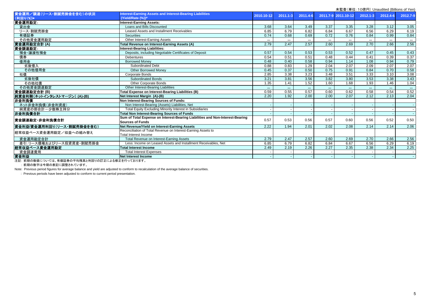|                              |                                                                               |            |              |          |       | 木血且 \丰��. TOj&I ]/ Orladdited (Dillions of Terry |              |          |          |
|------------------------------|-------------------------------------------------------------------------------|------------|--------------|----------|-------|--------------------------------------------------|--------------|----------|----------|
| 資金運用/調達(リース·割賦売掛金を含む)の状況     | Interest-Earning Assets and Interest-Bearing Liabilities                      | 2010.10-12 | $2011.1 - 3$ | 2011.4-6 |       | 2011.7-9 2011.10-12                              | $2012.1 - 3$ | 2012.4-6 | 2012.7-9 |
| (利回り(%))*                    | (Yield/Rate (%))*                                                             |            |              |          |       |                                                  |              |          |          |
| 資金運用勘定:                      | <b>Interest-Earning Assets:</b>                                               |            |              |          |       |                                                  |              |          |          |
| 貸出金                          | Loans and Bills Discounted                                                    | 3.68       | 3.64         | 3.49     | 3.37  | 3.35                                             | 3.28         | 3.12     | 3.05     |
| リース·割賦売掛金                    | Leased Assets and Installment Receivables                                     | 6.85       | 6.79         | 6.82     | 6.84  | 6.67                                             | 6.56         | 6.29     | 6.19     |
| 有価証券                         | <b>Securities</b>                                                             | 0.74       | 0.68         | 0.69     | 0.72  | 0.76                                             | 0.84         | 0.99     | 0.84     |
| その他資金運用勘定                    | Other Interest-Earning Assets                                                 | ***        | $***$        | $***$    | $***$ | $***$                                            | $***$        | $\cdots$ |          |
| 資金運用勘定合計(A)                  | Total Revenue on Interest-Earning Assets (A)                                  | 2.79       | 2.47         | 2.57     | 2.60  | 2.69                                             | 2.70         | 2.66     | 2.56     |
| 資金調達勘定:                      | Interest-Bearing Liabilities:                                                 |            |              |          |       |                                                  |              |          |          |
| 預金·讓渡性預金                     | Deposits, including Negotiable Certificates of Deposit                        | 0.57       | 0.54         | 0.53     | 0.53  | 0.52                                             | 0.47         | 0.45     | 0.43     |
| 債券                           | <b>Debentures</b>                                                             | 0.54       | 0.51         | 0.51     | 0.48  | 0.44                                             | 0.41         | 0.39     | 0.37     |
| 借用金                          | <b>Borrowed Money</b>                                                         | 0.48       | 0.40         | 0.58     | 0.94  | 1.14                                             | 1.08         | 0.94     | 0.79     |
| 劣後借入                         | <b>Subordinated Debt</b>                                                      | 0.88       | 0.83         | 1.29     | 2.04  | 2.07                                             | 2.09         | 2.07     | 2.07     |
| その他借用金                       | <b>Other Borrowed Money</b>                                                   | 0.45       | 0.37         | 0.50     | 0.75  | 0.91                                             | 0.84         | 0.70     | 0.58     |
| 社債                           | <b>Corporate Bonds</b>                                                        | 2.85       | 3.38         | 3.23     | 3.48  | 3.51                                             | 3.33         | 3.10     | 3.08     |
| 劣後社債                         | <b>Subordinated Bonds</b>                                                     | 3.21       | 3.81         | 3.56     | 3.82  | 3.80                                             | 3.53         | 3.38     | 3.43     |
| その他社債                        | Other Corporate Bonds                                                         | 1.35       | 1.41         | 1.52     | 1.60  | 1.68                                             | 1.93         | 1.46     | 1.04     |
| その他資金調達勘定                    | Other Interest-Bearing Liabilities                                            | $***$      | $***$        |          | $***$ | $***$                                            | $***$        | $***$    | $***$    |
| 資金調達勘定合計 (B)                 | Total Expense on Interest-Bearing Liabilities (B)                             | 0.59       | 0.55         | 0.57     | 0.60  | 0.62                                             | 0.58         | 0.54     | 0.52     |
| 純資金利鞘(ネットインタレストマージン) (A)-(B) | Net Interest Margin (A)-(B)                                                   | 2.20       | 1.92         | 2.00     | 2.00  | 2.07                                             | 2.12         | 2.13     | 2.04     |
| 非金利負債                        | Non Interest-Bearing Sources of Funds:                                        |            |              |          |       |                                                  |              |          |          |
| ネット非金利負債(非金利資産)              | Non Interest-Bearing (Assets) Liabilities, Net                                |            |              |          |       |                                                  |              |          |          |
| 純資産の部合計ー少数株主持分               | Total Equity Excluding Minority Interest in Subsidiaries                      |            |              |          |       |                                                  |              |          |          |
| 非金利負債合計                      | <b>Total Non Interest-Bearing Sources of Funds</b>                            |            |              |          |       |                                                  |              |          |          |
| 資金調達勘定·非金利負債合計               | Sum of Total Expense on Interest-Bearing Liabilities and Non-Interest-Bearing | 0.57       | 0.53         | 0.56     | 0.57  | 0.60                                             | 0.56         | 0.52     | 0.50     |
|                              | Sources of Funds                                                              |            |              |          |       |                                                  |              |          |          |
| 資金利益/資金運用利回り(リース・割賦売掛金を含む)   | Net Revenue/Yield on Interest-Earning Assets                                  | 2.22       | 1.94         | 2.01     | 2.02  | 2.08                                             | 2.14         | 2.14     | 2.06     |
| 経常収益ベース資金運用勘定/収益への組み替え       | Reconciliation of Total Revenue on Interest-Earning Assets to                 |            |              |          |       |                                                  |              |          |          |
|                              | Total Interest Income                                                         |            |              |          |       |                                                  |              |          |          |
| 資金運用勘定合計                     | Total Revenue on Interest-Earning Assets                                      | 2.79       | 2.47         | 2.57     | 2.60  | 2.69                                             | 2.70         | 2.66     | 2.56     |
| 差引:リース債権およびリース投資資産・割賦売掛金     | Less: Income on Leased Assets and Installment Receivables, Net                | 6.85       | 6.79         | 6.82     | 6.84  | 6.67                                             | 6.56         | 6.29     | 6.19     |
| 経常収益ベース資金運用勘定                | <b>Total Interest Income</b>                                                  | 2.49       | 2.19         | 2.26     | 2.27  | 2.35                                             | 2.38         | 2.34     | 2.25     |
| 資金調達費用                       | <b>Total Interest Expenses</b>                                                |            |              |          |       |                                                  |              |          |          |
| 資金利益                         | <b>Net Interest Income</b>                                                    |            |              |          |       |                                                  |              |          |          |
|                              |                                                                               |            |              |          |       |                                                  |              |          |          |

注記: 前期の数値については、有価証券の平均残高と利回りの訂正による修正を行っております。

: 前期の数字は今期の表記に調整されています。

Note: Previous period figures for average balance and yield are adjusted to conform to recalculation of the average balance of securities.

: Previous periods have been adjusted to conform to current period presentation.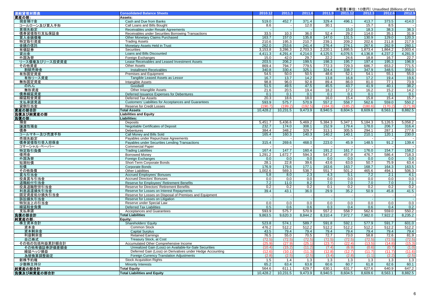| 連結貸借対照表          | <b>Consolidated Balance Sheets</b>                           | 2010.12  | 2011.3                   | 2011.6  | 2011.9            | 2011.12                  | 2012.3  | 2012.6  | 2012.9  |
|------------------|--------------------------------------------------------------|----------|--------------------------|---------|-------------------|--------------------------|---------|---------|---------|
| 資産の部:            | Assets:                                                      |          |                          |         |                   |                          |         |         |         |
| 現金預け金            | Cash and Due from Banks                                      | 519.0    | 452.7                    | 371.4   | 329.4             | 496.1                    | 413.7   | 373.5   | 414.0   |
| コールローン及び買入手形     | Call Loans and Bills Bought                                  | 8.6      |                          | 12.0    | 30.1              |                          | 15.7    | 8.5     |         |
| 買現先勘定            | Receivables under Resale Agreements                          |          | $\sim$                   |         |                   | 15.0                     | 18.3    | 38.3    | 38.3    |
| 債券貸借取引支払保証金      | Receivables under Securities Borrowing Transactions          | 33.5     | 10.3                     | 36.0    | 52.4              | 29.2                     | 114.0   | 35.1    | 31.9    |
| 買入金銭債権           | Other Monetary Claims Purchased                              | 163.7    | 157.0                    | 135.8   | 147.0             | 131.5                    | 130.9   | 129.0   | 120.3   |
| 特定取引資産           | <b>Trading Assets</b>                                        | 210.6    | 195.3                    | 210.7   | 239.1             | 209.2                    | 202.6   | 211.8   | 217.9   |
| 金銭の信託            | Monetary Assets Held in Trust                                | 262.0    | 253.6                    | 241.4   | 276.4             | 274.1                    | 267.6   | 262.9   | 260.1   |
| 有価証券             | <b>Securities</b>                                            | 3,153.8  | 3,286.3                  | 2,703.3 | 2,220.1           | 1,895.5                  | 1,873.4 | 1,864.2 | 2,003.4 |
| 貸出金              | Loans and Bills Discounted                                   | 4,411.3  | 4,291.4                  | 4,214.0 | 4,125.5           | 4,076.5                  | 4,136.8 | 4,237.2 | 4,281.9 |
| 外国為替             | Foreign Exchanges                                            | 15.0     | 42.0                     | 29.7    | 22.2              | 24.6                     | 18.8    | 16.7    | 22.7    |
| リース債権及びリース投資資産   | Lease Receivables and Leased Investment Assets               | 203.5    | 206.2                    | 199.5   | 198.3             | 195.7                    | 197.4   | 195.3   | 196.9   |
| その他資産            | Other Assets                                                 | 869.4    | 794.7                    | 779.5   | 772.3             | 729.3                    | 686.7   | 653.2   | 771.5   |
| 割賦売掛金            | <b>Installment Receivables</b>                               | 340.8    | 330.4                    | 325.1   | 324.4             | 338.7                    | 347.9   | 348.5   | 356.0   |
| 有形固定資産           | Premises and Equipment                                       | 54.5     | 50.0                     | 50.5    | 48.6              | 52.1                     | 54.1    | 55.1    | 55.0    |
| 有形リース資産          | Tangible Leased Assets as Lessor                             | 16.7     | 13.7                     | 14.2    | 13.8              | 16.8                     | 17.2    | 19.4    | 19.6    |
| 無形固定資産           | Intangible Assets                                            | 98.8     | 96.0                     | 92.8    | 89.4              | 86.0                     | 81.0    | 77.1    | 73.9    |
| のれん              | Goodwill                                                     | 51.5     | 49.5                     | 47.5    | 45.5              | 43.7                     | 41.9    | 40.1    | 38.2    |
| 無形資産             | Other Intangible Assets                                      | 21.6     | 20.5                     | 19.4    | 18.2              | 17.2                     | 16.2    | 15.2    | 14.2    |
| 債券繰延資産           | Deferred Issuance Expenses for Debentures                    | 0.1      | 0.1                      | 0.1     | 0.1               | 0.1                      | 0.1     | 0.1     | 0.1     |
| 繰延税金資産           | Deferred Tax Assets                                          | 20.3     | 18.6                     | 18.0    | 16.0              | 15.4                     | 15.8    | 15.4    | 15.7    |
| 支払承諾見返           | <b>Customers' Liabilities for Acceptances and Guarantees</b> | 593.9    | 575.7                    | 570.9   | 557.2             | 558.7                    | 562.6   | 559.0   | 550.2   |
| 貸倒引当金            | Reserve for Credit Losses                                    | (190.7   | (199.2)                  | (192.5) | (184.3)           | (185.2)                  | (180.6) | (170.2) | (171.9) |
| 資産の部合計           | <b>Total Assets</b>                                          | 10,428.2 | 10,231.5                 | 9,473.9 | 8,940.5           | 8,604.5                  | 8,609.6 | 8,563.1 | 8,882.5 |
| 負債及び純資産の部        | Liabilities and Equity                                       |          |                          |         |                   |                          |         |         |         |
| <u>負債の部:</u>     | Liabilities:                                                 |          |                          |         |                   |                          |         |         |         |
| 預金               | Deposits                                                     | 5,451.7  | 5,436.6                  | 5,469.2 | 5,384.3           | 5,347.1                  | 5,184.3 | 5,126.5 | 5,058.2 |
| 讓渡性預金            | <b>Negotiable Certificates of Deposit</b>                    | 232.7    | 174.0                    | 308.1   | 152.9             | 179.4                    | 178.0   | 206.7   | 316.4   |
| 債券               | Debentures                                                   | 384.4    | 348.2                    | 329.7   | 313.1             | 305.5                    | 294.1   | 287.1   | 277.6   |
| コールマネー及び売渡手形     | Call Money and Bills Sold                                    | 165.4    | 160.3                    | 140.3   | 140.2             | 140.1                    | 210.1   | 120.1   | 230.0   |
| 売現先勘定            | Payables under Repurchase Agreements                         |          |                          | $\sim$  |                   |                          |         | $\sim$  | $\sim$  |
| 債券貸借取引受入担保金      | Payables under Securities Lending Transactions               | 315.4    | 269.6                    | 468.0   | 223.0             | 45.9                     | 148.5   | 91.2    | 139.4   |
| コマーシャル・ペーパー      | <b>Commercial Paper</b>                                      |          |                          |         |                   |                          |         |         |         |
| 特定取引負債           | <b>Trading Liabilities</b>                                   | 167.4    | 147.7                    | 160.4   | 191.2             | 161.7                    | 176.0   | 154.7   | 158.2   |
| 借用金              | <b>Borrowed Money</b>                                        | 1,291.2  | 1,672.7                  | 594.3   | $\frac{1}{547.2}$ | 457.9                    | 476.7   | 586.4   | 718.3   |
| 外国為替             | Foreign Exchanges                                            | 0.0      | 0.0                      | 0.0     | 0.0               | 0.0                      | 0.0     | 0.0     | 0.0     |
| 短期社債             | Short-Term Corporate Bonds                                   | 28.1     | 22.8                     | 39.6    | 43.6              | 63.0                     | 50.7    | 75.9    | 63.4    |
| 社債               | <b>Corporate Bonds</b>                                       | 176.9    | 179.6                    | 177.1   | 163.6             | 163.7                    | 168.7   | 164.3   | 163.5   |
| その他負債            | <b>Other Liabilities</b>                                     | 1,002.6  | 569.3                    | 538.7   | 551.7             | 501.2                    | 465.6   | 494.1   | 506.3   |
| 賞与引当金            | <b>Accrued Employees' Bonuses</b>                            | 5.8      | 8.0                      | 2.3     | 4.3               | 5.1                      | 7.2     | 2.1     | 4.1     |
| 役員賞与引当金          | <b>Accrued Directors' Bonuses</b>                            | 0.0      | 0.0                      | 0.0     | 0.0               | 0.0                      | 0.0     | 0.0     | 0.0     |
| 退職給付引当金          | Reserve for Employees' Retirement Benefits                   | 7.2      | 11.0                     | 8.2     | 7.0               | 7.0                      | 7.0     | 7.0     | 7.1     |
| 役員退職慰労引当金        | Reserve for Directors' Retirement Benefits                   | 0.2      | 0.2                      | 0.2     | 0.1               | 0.2                      | 0.2     | 0.2     | 0.2     |
| 利息返還損失引当金        | Reserve for Losses on Interest Repayments                    | 39.4     | 43.1                     | 36.0    | 29.9              | 35.2                     | 50.9    | 45.8    | 41.5    |
| 固定資産処分損失引当金      | Reserve for Losses on Disposal of Premises and Equipment     |          | $\overline{\phantom{a}}$ |         | $\sim$            | $\overline{\phantom{a}}$ | $\sim$  |         | $\sim$  |
| 訴訟損失引当金          | Reserve for Losses on Litigation                             |          | $\sim$                   | $\sim$  | $\sim$            | $\blacksquare$           |         | $\sim$  | $\sim$  |
| 特別法上の引当金         | Reserve under Special Law                                    | 0.0      | 0.0                      | 0.0     | 0.0               | 0.0                      | 0.0     | 0.0     | 0.0     |
| 繰延税金負債           | <b>Deferred Tax Liabilities</b>                              | 0.5      | 0.6                      | 0.6     | 0.3               | 0.4                      | 0.6     | 0.4     | 0.2     |
| 支払承諾             | <b>Acceptances and Guarantees</b>                            | 593.9    | 575.7                    | 570.9   | 557.2             | 558.7                    | 562.6   | 559.0   | 550.2   |
| 負債の部合計<br>純資産の部: | <b>Total Liabilities</b>                                     | 9,863.5  | 9,620.3                  | 8,844.2 | 8,310.4           | 7,972.7                  | 7,982.0 | 7,922.2 | 8,235.2 |
|                  | Equity:                                                      | 523.8    | 574.1                    | 589.7   | 591.8             | 592.1                    | 577.9   | 591.7   | 601.0   |
| 株主資本合計<br>資本金    | Shareholders' Equity<br>Common Stock                         | 476.2    | 512.2                    | 512.2   | 512.2             | 512.2                    | 512.2   | 512.2   | 512.2   |
| 資本剰余金            | <b>Capital Surplus</b>                                       | 43.5     | 79.4                     | 79.4    | 79.4              | 79.4                     | 79.4    | 79.4    | 79.4    |
| 利益剰余金            | <b>Retained Earnings</b>                                     | 76.5     | 55.0                     | 70.5    | 72.7              | 73.0                     | 58.8    | 72.6    | 81.9    |
| 自己株式             | Treasury Stock, at Cost                                      | (72.5)   | (72.5)                   | (72.5)  | (72.5)            | (72.5)                   | (72.5)  | (72.5)  | (72.5)  |
| その他の包括利益累計額合計    | Accumulated Other Comprehensive Income                       | (25.9)   | (27.9)                   | (25.1)  | (23.7)            | (22.4)                   | (13.5)  | (14.8)  | (15.3)  |
| その他有価証券評価差額金     | Unrealized Gain (Loss) on Available-for-Sale Securities      | (10.4)   | (15.2)                   | (11.2)  | (7.4)             | (6.9)                    | (0.6)   | (0.7)   | (1.0)   |
| 繰延ヘッジ損益          | Deferred Gain (Loss) on Derivatives under Hedge Accounting   | (12.6)   | (10.1)                   | (11.3)  | (12.8)            | (12.7)                   | (11.7)  | (11.7)  | (11.6)  |
| 為替換算調整勘定         | Foreign Currency Translation Adjustments                     | (2.8)    | (2.5)                    | (2.5)   | (3.4)             | (2.8)                    | (1.1)   | (2.2)   | (2.5)   |
|                  | <b>Stock Acquisition Rights</b>                              |          | 1.4                      |         |                   |                          | 1.3     | 1.3     |         |
| 新株予約権            |                                                              | 1.5      |                          | 1.3     | 1.3               | 1.3                      |         |         | 1.3     |
| 少数株主持分           | Minority Interests                                           | 65.2     | 63.4                     | 63.8    | 60.6              | 60.7                     | 61.8    | 62.6    | 60.1    |
| 純資産の部合計          | <b>Total Equity</b>                                          | 564.6    | 611.1                    | 629.7   | 630.1             | 631.7                    | 627.6   | 640.9   | 647.2   |
| 負債及び純資産の部合計      | <b>Total Liabilities and Equity</b>                          | 10,428.2 | 10,231.5                 | 9,473.9 | 8,940.5           | 8,604.5                  | 8,609.6 | 8,563.1 | 8,882.5 |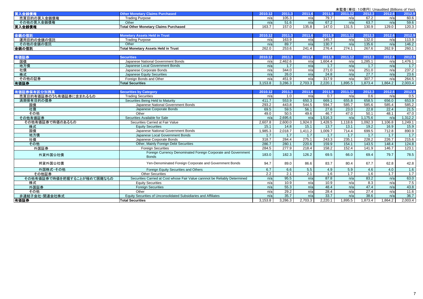|                            |                                                                            |         |         |         |         |         |         | 未監査(単位:10億円) Unaudited (Billions of Yen) |         |
|----------------------------|----------------------------------------------------------------------------|---------|---------|---------|---------|---------|---------|------------------------------------------|---------|
| 買入金錢債権                     | <b>Other Monetary Claims Purchased</b>                                     | 2010.12 | 2011.3  | 2011.6  | 2011.9  | 2011.12 | 2012.3  | 2012.6                                   | 2012.9  |
| 売買目的の買入金銭債権                | <b>Trading Purpose</b>                                                     | n/a     | 105.3   | n/a     | 79.7    | n/a     | 67.2    | n/a                                      | 60.6    |
| その他の買入金銭債権                 | Other                                                                      | n/a     | 51.6    | n/a     | 67.2    | n/a     | 63.7    | n/a                                      | 59.6    |
| 買入金銭債権                     | <b>Total Other Monetary Claims Purchased</b>                               | 163.7   | 157.0   | 135.8   | 147.0   | 131.5   | 130.9   | 129.0                                    | 120.3   |
|                            |                                                                            |         |         |         |         |         |         |                                          |         |
| 金銭の信託                      | <b>Monetary Assets Held in Trust</b>                                       | 2010.12 | 2011.3  | 2011.6  | 2011.9  | 2011.12 | 2012.3  | 2012.6                                   | 2012.9  |
| 運用目的の金銭の信託                 | <b>Trading Purpose</b>                                                     | n/a     | 163.9   | n/a     | 145.7   | n/a     | 132.0   | n/a                                      | 113.9   |
| その他の金銭の信託                  | Other                                                                      | n/a     | 89.7    | n/a     | 130.7   | n/a     | 135.6   | n/a                                      | 146.2   |
| 金銭の信託                      | <b>Total Monetary Assets Held in Trust</b>                                 | 262.0   | 253.6   | 241.4   | 276.4   | 274.1   | 267.6   | 262.9                                    | 260.1   |
|                            |                                                                            |         |         |         |         |         |         |                                          |         |
| 有価証券                       | <b>Securities</b>                                                          | 2010.12 | 2011.3  | 2011.6  | 2011.9  | 2011.12 | 2012.3  | 2012.6                                   | 2012.9  |
| 国債                         | Japanese National Government Bonds                                         | n/a     | 2,462.6 | n/a     | 1,604.4 | n/a     | 1,285.1 | n/a                                      | 1,476.1 |
| 地方侵                        | Japanese Local Government Bonds                                            | n/a     | 1.7     | n/a     | 1.7     | n/a     | 1.7     | n/a                                      | 1.7     |
| 社債                         | Japanese Corporate Bonds                                                   | n/a     | 344.0   | n/a     | 271.0   | n/a     | 251.0   | n/a                                      | 237.2   |
| 株式                         | Japanese Equity Securities                                                 | n/a     | 26.0    | n/a     | 24.8    | n/a     | 27.7    | n/a                                      | 23.6    |
| その他の証券                     | Foreign Bonds and Other                                                    | n/a     | 451.9   | n/a     | 317.9   | n/a     | 307.7   | n/a                                      | 264.5   |
| 有価証券                       | <b>Total Securities</b>                                                    | 3,153.8 | 3.286.3 | 2,703.3 | 2.220.1 | 1,895.5 | 1.873.4 | 1.864.2                                  | 2.003.4 |
|                            |                                                                            |         |         |         |         |         |         |                                          |         |
| 有価証券保有区分別残高                | <b>Securities by Category</b>                                              | 2010.12 | 2011.3  | 2011.6  | 2011.9  | 2011.12 | 2012.3  | 2012.6                                   | 2012.9  |
| 売買目的有価証券のうち有価証券に含まれるもの     | <b>Trading Securities</b>                                                  | n/a     | 1.0     | n/a     | 0.7     | n/a     | 0.6     | n/a                                      | 0.5     |
| 満期保有目的の債券                  | Securities Being Held to Maturity                                          | 411.7   | 553.9   | 650.3   | 669.1   | 655.8   | 658.5   | 656.0                                    | 653.9   |
| 国債                         | Japanese National Government Bonds                                         | 293.2   | 443.8   | 544.5   | 594.7   | 585.7   | 585.6   | 585.4                                    | 585.2   |
| 社債                         | Japanese Corporate Bonds                                                   | 69.5    | 59.5    | 56.1    | 27.6    | 23.0    | 22.8    | 22.4                                     | 21.5    |
| その他                        | Other                                                                      | 49.0    | 50.5    | 49.6    | 46.7    | 47.0    | 50.1    | 48.1                                     | 47.0    |
| その他有価証券                    | Securities Available for Sale                                              | n/a     | 2,695.6 | n/a     | 1,516.3 | n/a     | 1,175.6 | n/a                                      | 1,312.2 |
| その他有価証券で時価のあるもの            | Securities Carried at Fair Value                                           | 2,607.8 | 2,600.0 | 1,924.0 | 1,428.5 | 1,118.6 | 1,092.3 | 1,106.8                                  | 1,249.1 |
| 株式                         | <b>Equity Securities</b>                                                   | 15.1    | 14.8    | 15.1    | 13.7    | 13.1    | 19.2    | 16.9                                     | 15.9    |
| 国債                         | Japanese National Government Bonds                                         | 1,985.3 | 2,018.7 | 1,411.2 | 1,009.7 | 714.4   | 699.5   | 712.8                                    | 890.9   |
| 地方債                        | Japanese Local Government Bonds                                            | 1.7     | 1.7     | 1.7     | 1.7     | 1.7     | 1.7     | 1.7                                      | 1.7     |
| 社債                         | Japanese Corporate Bonds                                                   | 318.7   | 284.4   | 275.1   | 243.3   | 235.1   | 228.2   | 226.7                                    | 215.6   |
| その他                        | Other, Mainly Foreign Debt Securities                                      | 286.7   | 280.1   | 220.6   | 159.9   | 154.1   | 143.5   | 148.4                                    | 124.8   |
| 外国証券                       | <b>Foreign Securities</b>                                                  | 284.5   | 277.9   | 218.4   | 158.2   | 152.4   | 141.9   | 146.7                                    | 123.1   |
| 外貨外国公社債                    | Foreign Currency Denominated Foreign Corporate and Government              | 183.0   | 182.3   | 126.2   | 69.5    | 66.0    | 69.4    | 79.7                                     | 78.5    |
|                            | <b>Bonds</b>                                                               |         |         |         |         |         |         |                                          |         |
| 邦貨外国公社債                    | Yen-Denominated Foreign Corporate and Government Bonds                     | 94.7    | 89.0    | 86.6    | 83.7    | 80.4    | 67.7    | 62.8                                     | 42.8    |
|                            |                                                                            |         |         |         |         |         |         |                                          |         |
| 外国株式·その他                   | Foreign Equity Securities and Others                                       | 6.7     | 6.6     | 5.5     | 4.9     | 5.9     | 4.6     | 4.0                                      | 1.6     |
| その他証券                      | <b>Other Securities</b>                                                    | 2.2     | 2.1     | 2.1     | 1.6     | 1.7     | 1.6     | 1.7                                      | 1.7     |
| その他有価証券で時価を把握することが極めて困難なもの | Securities Carried at Cost whose Fair Value cannnot be Reliably Determined | n/a     | 95.5    | n/a     | 87.8    | n/a     | 83.2    | n/a                                      | 63.0    |
| 株式                         | <b>Equity Securities</b>                                                   | n/a     | 10.9    | n/a     | 10.9    | n/a     | 8.3     | n/a                                      | 7.5     |
| 外国証券                       | <b>Foreign Securities</b>                                                  | n/a     | 55.3    | n/a     | 48.4    | n/a     | 47.4    | n/a                                      | 43.8    |
| その他                        | Other                                                                      | n/a     | 29.2    | n/a     | 28.4    | n/a     | 27.4    | n/a                                      | 11.6    |
| 非連結子会社·関連会社株式              | Equity Securities of Unconsolidated Subsidiaries and Affiliates            | n/a     | 35.7    | n/a     | 33.7    | n/a     | 38.6    | n/a                                      | 36.7    |
| 有価証券                       | <b>Total Securities</b>                                                    | 3,153.8 | 3.286.3 | 2,703.3 | 2,220.1 | 1,895.5 | 1,873.4 | 1,864.2                                  | 2,003.4 |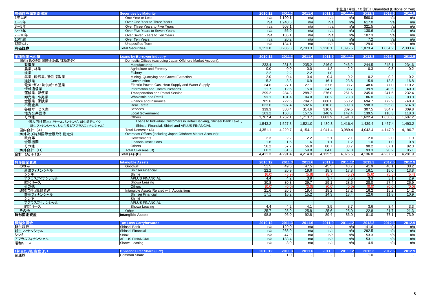| 有価証券満期別残高    | <b>Securities by Maturity</b>  | 2010.12 | 2011    | 0044C   | 2011.9  | 2011.12 | 2012.3  | 2012.6 | 2012.9  |
|--------------|--------------------------------|---------|---------|---------|---------|---------|---------|--------|---------|
| 1年以内         | One Year or Less               | n/a     | .190.1  | n/a     | n/al    | n/a     | 560.0   | n/a    | n/a     |
| 1~3年         | Over One Year to Three Years   | n/a     | .240.5  | n/a     | n/a     | n/a     | 617.0   | n/a    | n/a     |
| 3~5年         | Over Three Years to Five Years | n/a     | 508.1   | n/ai    | n/al    | n/a     | 321.5   | n/a    | n/a     |
| 5~7年         | Over Five Years to Seven Years | n/a     | 56.9    | n/a     | n/a     | n/a     | 130.6   | n/a    | n/a     |
| 7~10年        | Over Seven Years to Ten Years  | n/al    | 136.1   | n/a     | n/a     | n/a     | 107.3   | n/a    | n/a     |
|              | Over Ten Years                 | n/a     | 20.2    | n/a     | n/al    | n/a     | 7.2     | n/a    | n/a     |
| 10年超<br>期限なし | <b>Unspecified Term</b>        | n/al    | 134.1   | n/al    | n/a     | n/a     | 129.6   | n/a    | n/a     |
| 有価証券         | <b>Total Securities</b>        | 3,153.8 | 3,286.3 | 2,703.3 | 2,220.1 | .895.5  | 1,873.4 | .864.2 | 2,003.4 |

| 業種別貸出内訳                     | <b>Loans by Borrower Industry</b>                                   | 2010.12 | 2011.3  | 2011.6  | 2011.9           | 2011.12 | 2012.3  | 2012.6  | 2012.9  |
|-----------------------------|---------------------------------------------------------------------|---------|---------|---------|------------------|---------|---------|---------|---------|
| 国内(除く特別国際金融取引勘定分)           | Domestic Offices (excluding Japan Offshore Market Account):         |         |         |         |                  |         |         |         |         |
| 製造業                         | Manufacturing                                                       | 233.4   | 231.5   | 235.2   | 246.9            | 246.2   | 244.5   | 248.1   | 234.6   |
| 農業、林業                       | Agriculture and Forestry                                            | 0.0     | 0.0     | 0.0     | 1.2              | 2.2     | 0.3     | 0.3     | 0.2     |
| 漁業                          | Fisherv                                                             | 2.2     | 2.2     | 2.2     | 1.0              |         |         |         |         |
| 鉱業、砕石業、砂利採取業                | Mining, Quarrying and Gravel Extraction                             | 2.0     | 0.4     | 0.4     | 0.4              | 0.2     | 0.2     | 0.2     | 0.2     |
| 建設業                         | Construction                                                        | 5.2     | 8.3     | 16.9    | 16.1             | 23.6    | 15.9    | 13.8    | 16.8    |
| 電気・ガス・熱供給・水道業               | Electric Power, Gas, Heat Supply and Water Supply                   | 24.6    | 27.1    | 27.1    | 37.6             | 38.7    | 48.6    | 77.0    | 110.2   |
| 情報通信業                       | Information and Communications                                      | 11.7    | 12.6    | 15.0    | 34.9             | 38.7    | 39.9    | 40.5    | 40.0    |
| 運輸業、郵便業                     | <b>Transportation and Postal Service</b>                            | 299.2   | 284.3   | 288.7   | 276.0            | 251.6   | 245.0   | 241.5   | 232.4   |
| 卸売業、小売業                     | Wholesale and Retail                                                | 93.1    | 101.4   | 84.8    | 80.2             | 73.8    | 86.0    | 82.6    | 83.0    |
| 金融業、保険業                     | Finance and Insurance                                               | 785.6   | 722.6   | 704.7   | 680.0            | 660.2   | 694.7   | 772.9   | 748.9   |
| 不動産業                        | <b>Real Estate</b>                                                  | 623.6   | 597.4   | 592.6   | 610.8            | 609.8   | 598.3   | 595.8   | 614.8   |
| 各種サービス業                     | <b>Services</b>                                                     | 339.3   | 330.4   | 314.6   | 310.8            | 309.5   | 307.5   | 304.7   | 309.8   |
| 地方公共団体                      | <b>Local Government</b>                                             | 163.2   | 158.8   | 157.5   | 140.9            | 142.4   | 139.5   | 118.3   | 118.0   |
| その他                         | <b>Others</b>                                                       | 1,767.4 | ,752.1  | ,713.7  | 0.603.9          | 1,591.8 | 1,622.4 | .650.6  | .687.2  |
| 個人向け貸出(リテールバンキング、新生銀行レイク    | Loans to Individual Customers in Retail Banking, Shinsei Bank Lake, | 1,543.2 | 1,527.8 | 1,521.0 | 1,430.3          | 1,416.4 | 1,439.4 | 1,457.4 | 1,493.2 |
| 新生フィナンシャル、シンキ及びアプラスフィナンシャル) | Shinsei Financial, Shinki and APLUS FINANCIAL                       |         |         |         |                  |         |         |         |         |
| 国内合計 (A)                    | Total Domestic (A)                                                  | 4,351.1 | 4,229.7 | 4,154.1 | 4,041.4          | 3,989.4 | 4,043.4 | 4,147.0 | 4,196.7 |
| 海外及び特別国際金融取引勘定分             | Overseas Offices (including Japan Offshore Market Account):         |         |         |         |                  |         |         |         |         |
| 政府等                         | Governments                                                         | 2.3     | 2.2     | 2.2     | 2.1              | 2.1     | 2.0     | 2.0     | 1.9     |
| 金融機関                        | <b>Financial Institutions</b>                                       | 1.6     | 1.6     | 1.6     | 1.1              | 1.2     | 1.0     | 1.0     | 0.8     |
| その他                         | <b>Others</b>                                                       | 56.2    | 57.7    | 56.0    | 80.7             | 83.7    | 90.2    | 87.1    | 82.3    |
| 海外合計 (B)                    | Total Overseas (B)                                                  | 60.2    | 61.6    | 59.8    | 84.0             | 87.0    | 93.3    | 90.2    | 85.1    |
| 合計 (A)+(B)                  | Total (A)+(B)                                                       | 4,411.3 | 4,291.4 | 4,214.0 | $\sqrt{4,125.5}$ | 4,076.5 | 4,136.8 | 4,237.2 | 4,281.9 |

| 無形固定資産      | <b>Intangible Assets</b>                    | 2010.12 | 2011.3 | 2011.6 |       | 2011  | 2012.3 | 2012.6 | 2012.9 |
|-------------|---------------------------------------------|---------|--------|--------|-------|-------|--------|--------|--------|
| のれん         | Goodwill                                    | 51.5    | 49.5   | 47.5   | 45.5  | 43.7  | 41.9   | 40.1   | 38.2   |
| 新生フィナンシャル   | Shinsei Financial                           | 22.2    | 20.9   | 19.6   | 18.3  | 17.3  | 16.1   | 15.0   | 13.8   |
| シンキ         | Shinki                                      | (6.0)   | (5.9)  | (5.8)  | (5.7) | (5.7) | (5.6)  | (5.5)  | (5.4)  |
| アプラスフィナンシャル | <b>APLUS FINANCIAL</b>                      | 4.4     | 4.2    | 3.9    | 3.7   | 3.5   | 3.3    | 3.1    | 2.9    |
| 昭和リース       | Showa Leasing                               | 30.8    | 30.3   | 29.7   | 29.1  | 28.6  | 28.0   | 27.4   | 26.9   |
| その他         | Others                                      | (0.0)   | (0.0)  | (0.0)  | (0.0) | (0.0) | (0.0)  | (0.0)  | (0.0)  |
| 連結に伴う無形資産   | Intangible Assets Related with Acquisitions | 21.6    | 20.5   | 19.4   | 18.2  | 17.2  | 16.2   | 15.2   | 14.2   |
| 新生フィナンシャル   | Shinsei Financial                           | 17.1    | 16.2   | 15.2   | 14.3  | 13.4  | 12.6   | 11.8   | 10.9   |
| シンキ         | Shinki                                      |         |        |        |       |       |        |        |        |
| アプラスフィナンシャル | <b>APLUS FINANCIAL</b>                      |         |        |        |       |       |        |        |        |
| 昭和リース       | Showa Leasing                               | 4.4     | 4.2    |        | 3.9   | 3.7   | 3.6    | 3.4    | 3.3    |
| その他         | Other                                       | 25.7    | 25.9   | 25.8   | 25.6  | 25.0  | 22.8   | 21.7   | 21.3   |
| 無形固定資産      | Intangible Assets                           | 98.8    | 96.0   | 92.8   | 89.4  | 86.0  | 81.0   | 77.1   | 73.9   |

| …… わる おん<br>:火損金 | Tax Loss Carryforwards, | $\overline{A}$ | 2011  | 2011 |     | 2011 | 2012.3 | 2012.6 | 2012.9           |
|------------------|-------------------------|----------------|-------|------|-----|------|--------|--------|------------------|
| 新生銀行             | Shinsei Bank            | n/a            | 129.0 | n/a  | n/a | n/a  | 141.6  | n/a    | II/d             |
| 新生フィナンシャル        | Shinsei Financial       | n/a            | 265.9 | n/a  | n/a | n/a  | 292.5  | n/a    | n/a              |
| シンキ              | Shinki                  | n/a            |       | n/a  |     | n/a  | 53.3   | n/a    | n/ai             |
| アプラスフィナンシャル      | <b>APLUS FINANCIAL</b>  | n/a            | 183.4 | n/a  | n/a | n/a  | 53.1   | n/a    | n/a <sub>1</sub> |
| 昭和リース            | Showa Leasing           | n/a            | 8.9   | n/a  |     | ~ "  | 4.9    | n/a    | . I/di           |
|                  |                         |                |       |      |     |      |        |        |                  |

|     | k amazi      | ---- | 2011   | 2011.6 | $\sim$ $\sim$ $\sim$ | ______<br>2011 | 2012.3              | ____ |  |
|-----|--------------|------|--------|--------|----------------------|----------------|---------------------|------|--|
| 普通株 | Common Share |      | -<br>. |        |                      |                | $\sim$<br><b></b> U |      |  |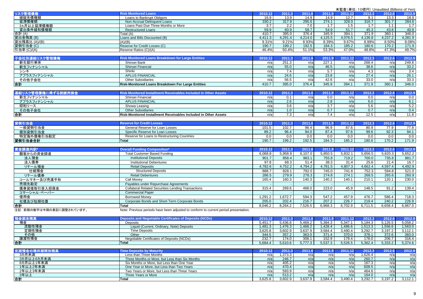|                           |                                                                                      |                |                   |                |                  | 未監査(単位:10億円) Unaudited (Billions of Yen) |                   |                   |                   |
|---------------------------|--------------------------------------------------------------------------------------|----------------|-------------------|----------------|------------------|------------------------------------------|-------------------|-------------------|-------------------|
| リスク管理債権                   | <b>Risk Monitored Loans</b>                                                          | 2010.12        | 2011.3            | 2011.6         | 2011.9           | 2011.12                                  | 2012.3            | 2012.6            | 2012.9            |
| 破綻先債権額                    | Loans to Bankrupt Obligors                                                           | 16.9           | 13.9              | 14.9           | 14.9             | 12.7                                     | 8.1               | 13.3              | 18.9              |
| 延滞債権額                     | Non-Accrual Delinquent Loans                                                         | 330.2          | 317.9             | 295.6          | 274.1            | 328.0                                    | 316.7             | 301.7             | 284.6             |
| 3ヵ月以上延滞債権額                | Loans Past Due Three Months or More                                                  | 3.7            | $\overline{2.2}$  | 7.0            | 1.7              | 1.5                                      | 1.7               | 1.1               | 1.7               |
| 貸出条件緩和債権額                 | <b>Restructured Loans</b>                                                            | 59.9           | 60.9              | 58.7           | 54.9             | 51.7                                     | 45.3              | 43.8              | 40.8              |
| 合計 (A)                    | Total (A)                                                                            | 410.7          | 395.0             | 376.4          | 345.9            | 394.1                                    | 371.9             | 360.1             | 346.0             |
| 貸出金残高(B)                  | Loans and Bills Discounted (B)                                                       | 4,411.3        | 4,291.4           | 4,214.0        | 4,125.5          | 4,076.5                                  | 4,136.8           | 4,237.2           | 4,281.9           |
| 貸出残高比 (A)/(B)             | (A)/(B)                                                                              | 9.31%          | 9.21%             | 8.93%          | 8.39%            | 9.67%                                    | 8.99%             | 8.50%             | 8.08%             |
| 貸倒引当金(C)                  | Reserve for Credit Losses (C)                                                        | 190.7          | 199.2             | 192.5          | 184.3            | 185.2                                    | 180.6             | 170.2             | 171.9             |
| 引当率 (C)/(A)               | Reserve Ratios (C)/(A)                                                               | 46.4%          | 50.4%             | 51.1%          | 53.3%            | 47.0%                                    | 48.6%             | 47.3%             | 49.7%             |
| 子会社別連結リスク管理債権             | <b>Risk Monitored Loans Breakdown for Large Entities</b>                             | 2010.12        | 2011.3            | 2011.6         | 2011.9           | 2011.12                                  | 2012.3            | 2012.6            | 2012.9            |
| 新生銀行単体                    | Shinsei Bank                                                                         | n/a            | 251.3             | n/a            | 227.1            | n/a                                      | 268.4             | n/a               | 249.8             |
| 新生フィナンシャル                 | Shinsei Financial                                                                    | n/a            | 55.0              | n/a            | 46.5             | n/a                                      | 38.6              | n/a               | 33.2              |
|                           | Shinki                                                                               |                | 7.4               |                | 5.7              | n/a                                      | 4.3               | n/a               |                   |
| シンキ                       | <b>APLUS FINANCIAL</b>                                                               | n/a            | 24.6              | n/a            | 23.8             |                                          | 27.4              |                   | 3.4<br>26.1       |
| アプラスフィナンシャル<br>その他子会社     |                                                                                      | n/a            | 56.5              | n/a            | 42.6             | n/a                                      | 33.0              | n/a               | 33.3              |
|                           | <b>Other Subsidiaries</b>                                                            | n/a<br>410.7   | 395.0             | n/a<br>376.4   | 345.9            | n/a<br>394.1                             | 371.9             | n/a<br>360.1      | 346.0             |
| 合計                        | Risk-Monitored Loans Breakdown For Large Entities                                    |                |                   |                |                  |                                          |                   |                   |                   |
|                           |                                                                                      | 2010.12        |                   | 2011.6         |                  |                                          |                   | 2012.6            |                   |
| 連結リスク管理債権に準ずる割賦売掛金        | <b>Risk Monitored Installment Receivables Included in Other Assets</b>               |                | 2011.3            |                | 2011.9           | 2011.12                                  | 2012.3            |                   | 2012.9            |
| 新生フィナンシャル                 | Shinsei Financial                                                                    | n/a            | 0.1               | n/a            | 0.0              | n/a                                      | 0.0               | n/a               | 0.0               |
| アプラスフィナンシャル               | <b>APLUS FINANCIAL</b>                                                               | n/a            | 2.6               | n/a            | 2.8              | n/a                                      | 6.0               | n/a               | 6.1               |
| 昭和リース<br>その他子会社           | Showa Leasing                                                                        | n/a            | 3.6               | n/a            | $\overline{3.7}$ | n/a                                      | 5.6               | n/a               | 5.2               |
|                           | <b>Other Subsidiaries</b>                                                            | n/a            | 1.0               | n/a            | 0.7              | n/a                                      | 0.7               | n/a               | 0.4               |
| 合計                        | Risk-Monitored Installment Receivables Included in Other Assets                      | n/a            | 7.3               | n/a            | 7.4              | n/a                                      | 12.5              | n/a               | 11.8              |
|                           |                                                                                      |                |                   |                |                  |                                          |                   |                   |                   |
| 貸倒引当金                     | <b>Reserve for Credit Losses</b>                                                     | 2010.12        | 2011.3            | 2011.6         | 2011.9           | 2011.12                                  | 2012.3            | 2012.6            | 2012.9            |
| 一般貸倒引当金                   | General Reserve for Loan Losses                                                      | 101.5          | 102.7             | 98.4           | 96.9             | 87.6                                     | 80.9              | 77.9              | 77.8              |
| 個別貸倒引当金                   | Specific Reserve for Loan Losses                                                     | 89.2           | 96.4              | 94.0           | 87.4             | 97.6                                     | 99.6              | 92.3              | 94.1              |
| 特定海外債権引当勘定                | Reserve for Loans to Restructuring Countries                                         | 0.0            | 0.0               | 0.0            | 0.0              | 0.0                                      | 0.0               | 0.0               | 0.0               |
| 貸倒引当金合計                   | <b>Total</b>                                                                         | 190.7          | 199.2             | 192.5          | 184.3            | 185.2                                    | 180.6             | 170.2             | 171.9             |
|                           | <b>Overall Funding Composition'</b>                                                  |                |                   |                |                  |                                          |                   |                   |                   |
| 資金調達内訳                    |                                                                                      | 2010.12        | 2011.3            | 2011.6         | 2011.9           | 2011.12                                  | 2012.3<br>5,656.5 | 2012.6<br>5,620.3 | 2012.9<br>5,652.2 |
| 顧客からの資金調達                 | <b>Total Customer Based Funding</b>                                                  | 6,068.8        | 5,958.9           | 6,107.0        | 5,850.5          | 5,832.1                                  |                   |                   |                   |
|                           |                                                                                      |                |                   |                |                  |                                          |                   |                   |                   |
| 法人預金                      | <b>Institutional Deposits</b>                                                        | 901.7          | 858.4             | 983.1          | 755.8            | 719.2                                    | 700.0             | 735.8             | 881.7             |
| 法人債券                      | <b>Institutional Debentures</b>                                                      | 97.8           | 68.3              | 51.4           | 38.3             | 31.4                                     | 25.6              | 21.4              | 16.7              |
| リテール預金                    | <b>Retail Deposits</b>                                                               | 4,782.6        | 4,752.2           | 4,794.2        | 4,781.5          | 4,807.3                                  | 4,662.4           | 4,597.4           | 4,492.9           |
| 仕組預金                      | <b>Structured Deposits</b>                                                           | 888.7          | 828.1             | 792.0          | 745.0            | 741.6                                    | 752.3             | 594.8             | 521.0             |
| リテール債券                    | <b>Retail Debentures</b>                                                             | 286.5          | 279.9             | 278.3          | 274.8            | 274.1                                    | 268.5             | 265.6             | 260.9             |
| コールマネー及び売渡手形              | Call Monev                                                                           | 165.4          | 160.3             | 140.3          | 140.2            | 140.1                                    | 210.1             | 120.1             | 230.0             |
| 売現先勘定                     | Payables under Repurchase Agreements                                                 |                |                   |                |                  |                                          |                   |                   |                   |
| 債券貸借取引受入担保金               | <b>Collateral Related Securities Lending Transactions</b>                            | 315.4          | 269.6             | 468.0          | 223.0            | 45.9                                     | 148.5             | 91.2              | 139.4             |
| コマーシャル・ペーパー               | <b>Commercial Paper</b>                                                              |                |                   |                |                  |                                          |                   |                   |                   |
| 借用金                       | <b>Borrowed Money</b>                                                                | 1,291.2        | 1,672.7           | 594.3          | 547.2            | 457.9                                    | 476.7             | 586.4             | 718.3             |
| 社債及び短期社債                  | Corporate Bonds and Short-Term Corporate Bonds                                       | 205.0          | 202.4             | 216.7          | 207.2            | 226.7                                    | 219.4             | 240.2             | 226.9             |
| 合計                        | <b>Total</b>                                                                         | 8,046.2        | 8,264.2           | 7,526.5        | 6,968.3          | 6,702.9                                  | 6,711.5           | 6,658.4           | 6,967.0           |
| 注記: 前期の数字は今期の表記に調整されています。 | Note: Previous periods have been adjusted to conform to current period presentation. |                |                   |                |                  |                                          |                   |                   |                   |
|                           |                                                                                      |                |                   |                |                  |                                          |                   |                   |                   |
| 預金期末残高                    | <b>Deposits and Negotiable Certificates of Deposits (NCDs)</b>                       | 2010.12        | 2011.3            | 2011.6         | 2011.9           | 2011.12                                  | 2012.3            | 2012.6            | 2012.9            |
| 預金                        | <b>Deposits</b>                                                                      | 5.451.7        | 5,436.6           | 5,469.2        | 5,384.3          | 5,347.1                                  | 5,184.3           | 5,126.5           | 5,058.2           |
| 流動性預金                     | Liquid (Current, Ordinary, Note) Deposits                                            | 1,481.3        | 1,476.3           | 1,468.2        | 1,428.4          | 1,486.6                                  | 1,513.3           | 1,556.6           | 1,563.0           |
| 定期性預金                     | <b>Time Deposits</b>                                                                 | 3,625.8        | 3,602.9           | 3,637.9        | 3,584.4          | 3,490.4                                  | 3,292.7           | 3,197.2           | 3,112.1           |
| その他                       | Other                                                                                | 344.5          | 357.2             | 363.0          | 371.4            | 370.0                                    | 378.1             | 372.6             | 383.0             |
| 讓渡性預金                     | Negotiable Certificates of Deposits (NCDs)                                           | 232.7          | 174.0             | 308.1          | 152.9            | 179.4                                    | 178.0             | 206.7             | 316.4             |
| 合計                        | Total                                                                                | 5,684.4        | 5,610.6           | 5,777.3        | 5,537.3          | 5,526.5                                  | 5,362.4           | 5,333.2           | 5,374.6           |
|                           | <b>Time Deposits by Maturity</b>                                                     |                |                   |                |                  |                                          |                   | 2012.6            |                   |
| 定期預金の残存期間別残高<br>3カ月未満     | Less than Three Months                                                               | 2010.12<br>n/a | 2011.3<br>1,373.3 | 2011.6<br>n/a  | 2011.9<br>n/a    | 2011.12<br>n/a                           | 2012.3<br>1,626.4 | n/a               | 2012.9<br>n/a     |
| 3カ月以上6カ月未満                | Three Months or More, but Less than Six Months                                       | n/a            | 246.7             | n/a            | n/a              | n/a                                      | 260.7             | n/a               | n/a               |
| 6カ月以上1年未満                 | Six Months or More, but Less than One Year                                           | n/a            | 405.2             | n/a            | n/a              | n/a                                      | 167.3             | n/a               | n/a               |
| 1年以上2年未満                  | One Year or More, but Less than Two Years                                            | n/a            | 470.4             | n/a            | n/a              | n/a                                      | 609.5             | n/a               | n/a               |
| 2年以上3年未満                  | Two Years or More, but Less than Three Years                                         | n/a            | 593.9             | n/a            | n/a              | n/a                                      | 464.6             | n/a               | n/a               |
| 3年以上<br>合計                | Three Years or More<br><b>Total</b>                                                  | n/a<br>3,625.8 | 513.2<br>3,602.9  | n/a<br>3,637.9 | n/a<br>3,584.4   | n/a<br>3,490.4                           | 164.0<br>3,292.7  | n/a<br>3,197.2    | n/a<br>3,112.1    |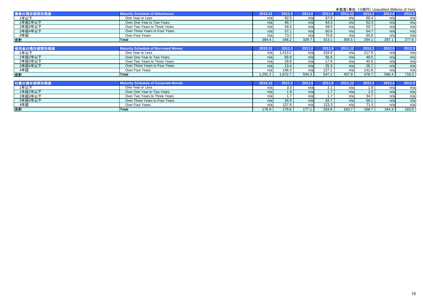|             |                                             |         |        |        |        |         |        | 未監査(単位: 10億円) Unaudited (Billions of Yen) |        |
|-------------|---------------------------------------------|---------|--------|--------|--------|---------|--------|-------------------------------------------|--------|
| 債券の残存期間別残高  | <b>Maturity Schedule of Debentures</b>      | 2010.12 | 2011.3 | 2011.6 | 2011.9 | 2011.12 | 2012.3 | 2012.6                                    | 2012.9 |
| 1年以下        | One Year or Less                            | n/a     | 92.5   | n/a    | 67.8   | n/a     | 60.4   | n/a                                       | n/a    |
| 1年超2年以下     | Over One Year to Two Years                  | n/a     | 66.7   | n/a    | 64.3   | n/a     | 52.3   | n/a                                       | n/a    |
| 2年超3年以下     | Over Two Years to Three Years               | n/a     | 58.5   | n/a    | 49.5   | n/a     | 50.7   | n/a                                       | n/a    |
| 3年超4年以下     | Over Three Years to Four Years              | n/a     | 57.1   | n/a    | 60.6   | n/a     | 64.7   | n/a                                       | n/a    |
| 4年超         | Over Four Years                             | n/a     | 73.2   | n/a    | 70.8   | n/a     | 65.8   | n/a                                       | n/a    |
| 合計          | <b>Total</b>                                | 384.4   | 348.2  | 329.7  | 313.1  | 305.5   | 294.1  | 287.1                                     | 277.6  |
|             |                                             |         |        |        |        |         |        |                                           |        |
| 借用金の残存期間別残高 | <b>Maturity Schedule of Borrowed Money</b>  | 2010.12 | 2011.3 | 2011.6 | 2011.9 | 2011.12 | 2012.3 | 2012.6                                    | 2012.9 |
| 1年以下        | One Year or Less                            | n/a     | ,413.2 | n/a    | 319.9  | n/a     | 217.9  | n/a                                       | n/a    |
| 1年超2年以下     | Over One Year to Two Years                  | n/a     | 69.9   | n/a    | 56.8   | n/a     | 49.5   | n/a                                       | n/a    |
| 2年超3年以下     | Over Two Years to Three Years               | n/a     | 29.8   | n/a    | 17.9   | n/a     | 40.6   | n/a                                       | n/a    |
| 3年超4年以下     | Over Three Years to Four Years              | n/a     | 13.4   | n/a    | 25.3   | n/a     | 26.7   | n/a                                       | n/a    |
| 4年超         | Over Four Years                             | n/a     | 146.3  | n/a    | 127.1  | n/a     | 141.8  | n/a                                       | n/a    |
| 合計          | <b>Total</b>                                | 1,291.2 | .672.7 | 594.3  | 547.2  | 457.9   | 476.7  | 586.4                                     | 718.3  |
|             |                                             |         |        |        |        |         |        |                                           |        |
| 社債の残存期間別残高  | <b>Maturity Schedule of Corporate Bonds</b> | 2010.12 | 2011.3 | 2011.6 | 2011.9 | 2011.12 | 2012.3 | 2012.6                                    | 2012.9 |
| 1年以下        | One Year or Less                            | n/a     | 3.3    | n/a    | 2.1    | n/a     | 1.9    | n/a                                       | n/a    |
| 1年超2年以下     | Over One Year to Two Years                  | n/a     | 1.9    | n/a    | 1.7    | n/a     | 1.5    | n/a                                       | n/a    |
| 2年超3年以下     | Over Two Years to Three Years               | n/a     | 1.7    | n/a    | 1.7    | n/a     | 34.7   | n/a                                       | n/a    |
| 3年超4年以下     | Over Three Years to Four Years              | n/a     | 34.9   | n/a    | 34.7   | n/a     | 59.1   | n/a                                       | n/a    |
| 4年超         | Over Four Years                             | n/a     | 137.6  | n/a    | 123.3  | n/a     | 71.3   | n/a                                       | n/a    |
| 合計          | Total                                       | 176.9   | 179.6  | 177.1  | 163.6  | 163.7   | 168.7  | 164.3                                     | 163.5  |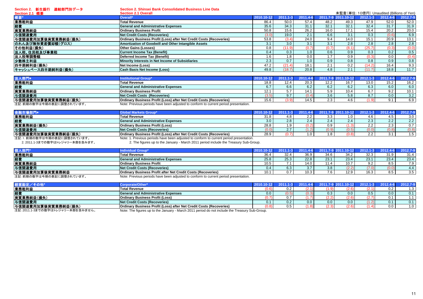**Section 2.** 新生銀行 連結部門別データ

**Section 2. Shinsei Bank Consolidated Business Line Data**

| Section 2.1 概要      | <b>Section 2.1 Overall</b>                                          |               |                  |          |       |       |              | 未監査(単位:10億円) Unaudited (Billions of Yen) |          |
|---------------------|---------------------------------------------------------------------|---------------|------------------|----------|-------|-------|--------------|------------------------------------------|----------|
|                     | <b>Overall*</b>                                                     | 2010.10-12    | 201/             | 2011.4-6 | 2011  |       | $2012.1 - 3$ | 2012.4-6                                 | 2012.7-9 |
| 業務粗利益               | <b>Total Revenue</b>                                                | 86.4          | 50.0             | 57.4     | 48.2  | 49.3  | 47.9         | 52.0                                     | 52.0     |
| 経費                  | <b>General and Administrative Expenses</b>                          | 35.6          | 34.3             | 31.7     | 32.1  | 32.1  | 32.4         | 31.7                                     | 31.9     |
| 実質業務純益              | <b>Ordinary Business Profit</b>                                     | 50.8          | 15.6             | 26.2     | 16.0  | 17.1  | 15.4         | 20.2                                     | 20.0     |
| 与信関連費用              | <b>Net Credit Costs (Recoveries)</b>                                | (3.0)         | 19.0             |          | 6.6   | 3.1   | 0.3          | (0.6)                                    | 6.9      |
| 与信関連費用加算後実質業務純益(損失) | Ordinary Business Profit (Loss) after Net Credit Costs (Recoveries) | 53.8          | (3.4)            | 24.0     | 9.4   | 14.0  | 15.1         | 20.9                                     | 13.1     |
| のれん及び無形資産償却額(グロス)   | Amortization of Goodwill and Other Intangible Assets                | 3.1           | 3.0              |          | 3.1   | 2.8   | 2.8          | 2.8                                      | 2.8      |
| その他利益(損失)           | <b>Other Gains (Losses)</b>                                         | 0.8           |                  |          | (0.7) | (8.1) | (25.7)       | (0.3)                                    | (0.0)    |
| 法人税、住民税及び事業税        | Current Income Tax (Benefit)                                        | $0.4^{\circ}$ | 0.3 <sub>0</sub> | 1.0      | 0.6   | 0.9   | 0.3          | 0.2                                      | 0.5      |
| 法人税等調整額             | Deferred Income Tax (Benefit)                                       | 1.6           | .8               | 0.0      |       | 0.9   | (0.3)        | 0.0                                      | (0.4)    |
| 少数株主利益              | Minority Interests in Net Income of Subsidiaries                    | 2.3           |                  | 1.0      | 0.9   | 0.8   | 0.8          | 0.9                                      | 0.8      |
| 四半期純利益(損失)          | Net Income (Loss)                                                   | 47.2          | (21.4)           | 18.7     | 2.1   | 0.2   | (14.2)       | 16.4                                     | 9.3      |
| キャッシュベース四半期純利益(損失)  | Cash Basis Net Income (Loss)                                        | 49.8          | (18.7            | 20.8     | 4.8   | 2.1   | (11.7)       | 18.8                                     | 11.7     |

| 法人部門*                    |                                                                                      |      |     | $2011.4 - 6$  |      |      | $2012.1 - 3$ |      | 2012.7-9         |
|--------------------------|--------------------------------------------------------------------------------------|------|-----|---------------|------|------|--------------|------|------------------|
| 業務粗利益                    | <b>Total Revenue</b>                                                                 | 18.8 |     | 20.3          | 12.2 | 16.7 | 13.0         | 15.2 | 16.2             |
| 経費                       | <b>General and Administrative Expenses</b>                                           |      | o.c | $\sim$ $\sim$ |      | 6.2  | 6.3          | 6.0  | 6.0              |
| 実質業務純益                   | <b>Ordinary Business Profit</b>                                                      | 12.1 |     | 14.           | ບ.ອ  | 10.4 | 6.7          | 9.2  | 10.1             |
| 与信関連費用                   | Net Credit Costs (Recoveries)                                                        | 3.5) |     |               |      | 5.8  | 8.7          | 0.0  | 3.2              |
| 与信関連費用加算後実質業務純益(損失)      | Ordinary Business Profit (Loss) after Net Credit Costs (Recoveries)                  | 15.6 |     | 14.t          |      | 4.6  | 1.9          |      | 6.9 <sub>1</sub> |
| 注記:前期の数字は今期の表記に調整されています。 | Note: Previous periods have been adjusted to conform to current period presentation. |      |     |               |      |      |              |      |                  |

|                           | Global Markets Group'                                                                 |      |      |       |       |     | $2012.4 - 6$ | 1012.7-9 |
|---------------------------|---------------------------------------------------------------------------------------|------|------|-------|-------|-----|--------------|----------|
| 業務粗利益                     | <b>Total Revenue</b>                                                                  |      |      | ບ.ບ   |       |     |              | 3.0      |
| 経費                        | <b>General and Administrative Expenses</b>                                            |      | 2.8. | 2.4   | 2.4   | 2.3 | ے.۔          | 2.2      |
| 実質業務純益(損失)                | <b>Ordinary Business Profit (Loss)</b>                                                | 28.8 |      | 0.9   |       |     |              | 0.7      |
| 与信関連費用                    | Net Credit Costs (Recoveries)                                                         |      |      | (0.9) | (0.5) | 0.0 | U.ŏ          | (0.8)    |
| 与信関連費用加算後実質業務純益(損失)       | <b>Ordinary Business Profit (Loss) after Net Credit Costs (Recoveries)</b>            | 28.9 |      |       | (0.8) |     |              | 1.5      |
| 注記:1 前期の数字は会期の実記に調整されています | Note: 1 Previous periods have been adjusted to conform to current period presentation |      |      |       |       |     |              |          |

注記:1. 前期の数字は今期の表記に調整されています。 Note: 1. Previous periods have been adjusted to conform to current period presentation.<br>- 2. 2011.1-3までの数字はトレジャリー本部を含みます。 2. The figures up to the January - March 2011 period

| 固人部門*                    | <b>Individual Group*</b>                                                             | 2010.10-12 | $2011.1 - 3$ |      |      | 2011.4-6 2011.7-9 2011.10-12 | $2012.1 - 3$ | 2012.4-6 | 2012.7-9         |
|--------------------------|--------------------------------------------------------------------------------------|------------|--------------|------|------|------------------------------|--------------|----------|------------------|
| 業務粗利益                    | <b>Total Revenue</b>                                                                 | 36.4       | າາ           | 36.9 | 34.6 | 34.2                         | 32.3         | 31.9     | 31.4             |
| 経費                       | <b>General and Administrative Expenses</b>                                           | 25.8       | 25.3         | 22.8 | 23.1 | 23.4                         | 23.1         | 23.4     | 23.4             |
| 実質業務純益                   | <b>Ordinary Business Profit</b>                                                      | 10.5       |              | 14.0 | 11.4 | 10.7                         | 9.2          | 8.5      | 7.9 <sup>1</sup> |
| 与信関連費用                   | <b>Net Credit Costs (Recoveries)</b>                                                 |            | ხ.ა          |      | 3.8  | (2.2)                        | (7.0)        | (0.0)    | 4.4              |
| 与信関連費用加算後実質業務純益          | <b>Ordinary Business Profit after Net Credit Costs (Recoveries)</b>                  | 101        |              | 10.3 |      | 12.9                         | 16.3         | 8.5      | 3.5              |
| 注記:前期の数字は今期の表記に調整されています。 | Note: Previous periods have been adjusted to conform to current period presentation. |            |              |      |      |                              |              |          |                  |
|                          |                                                                                      |            |              |      |      |                              |              |          |                  |

| 経営勘定/その他』                       | Corporate/Other                                                                               |              | 2011.1 | $2011.4 - 6$ | 2011.7-9 201 | $1.10 - 12$   | $2012.1 - 3$ | 2012.4-6 | $2012.7 -$ |
|---------------------------------|-----------------------------------------------------------------------------------------------|--------------|--------|--------------|--------------|---------------|--------------|----------|------------|
| 業務粗利益                           | <b>Total Revenue</b>                                                                          |              |        |              |              | 2.6           |              | 0.2      |            |
| 経費                              | <b>General and Administrative Expenses</b>                                                    | $0.0\degree$ |        |              | 0.3          | 0.0           | 0.5          | 0.0      |            |
| 実質業務純益(損失)                      | <b>Ordinary Business Profit (Loss)</b>                                                        |              |        |              |              | (2.6)         |              |          |            |
| 与信関連費用                          | Net Credit Costs (Recoveries)                                                                 |              |        |              | 0.0          | 0.0           |              |          |            |
| 与信関連費用加算後実質業務純益(損失)             | Ordinary Business Profit (Loss) after Net Credit Costs (Recoveries)                           |              |        |              |              | $2.6^{\circ}$ |              | 0.0      |            |
| 注意 0044.4.0ナモの粘壳はロード・ローナ毎も今もナル! | Alata: The Causes un to the Jonuary - Morek 2014 noried de not include the Treasury Cub Crous |              |        |              |              |               |              |          |            |

注記:2011.1-3までの数字はトレジャリー本部を含みません。

Note: The figures up to the January - March 2011 period do not include the Treasury Sub-Group.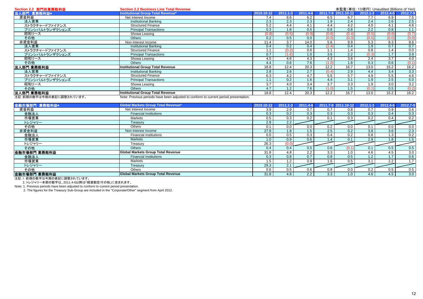| Section 2.2 部門別業務粗利益 | <b>Section 2.2 Business Line Total Revenue</b>                                                                |            |              |                  |       | 未監査(単位:10億円) Unaudited (Billions of Yen) |              |          |          |
|----------------------|---------------------------------------------------------------------------------------------------------------|------------|--------------|------------------|-------|------------------------------------------|--------------|----------|----------|
| 法人部門 業務粗利益*          | Institutional Group Total Revenue*                                                                            | 2010.10-12 | $2011.1 - 3$ | 2011.4-6         |       | 2011.7-9 2011.10-12                      | $2012.1 - 3$ | 2012.4-6 | 2012.7-9 |
| 資金利益                 | Net Interest Income                                                                                           | 7.4        | 8.6          | 6.2              | 6.5   | 6.7                                      | 7.7          | 6.9      | 7.5      |
| 法人営業                 | <b>Institutional Banking</b>                                                                                  | 2.3        | 2.3          | 2.3              | 1.9   | 2.4                                      | 2.4          | 2.6      | 2.5      |
| ストラクチャードファイナンス       | <b>Structured Finance</b>                                                                                     | 5.2        | 4.4          | 4.1              | 4.4   | 4.2                                      | 4.0          | 4.1      | 4.6      |
| プリンシパルトランザクションズ      | <b>Principal Transactions</b>                                                                                 | 0.3        | 1.8          | 0.5              | 0.8   | 0.8                                      | 2.2          | 0.8      | 1.1      |
| 昭和リース                | Showa Leasing                                                                                                 | (0.8)      |              | (0.9)            | (0.6) | (0.4)                                    | (0.5)        | (0.6)    | (0.7)    |
| その他                  | <b>Others</b>                                                                                                 | 0.2        | 0.5          | 0.0              | (0.0) | (0.3)                                    | (0.5)        | (0.0)    | (0.0)    |
| 非資金利益                | Non-Interest Income                                                                                           | 11.4       | 3.7          | 14.0             | 5.6   | 9.9                                      | 5.3          | 8.3      | 8.6      |
| 法人営業                 | <b>Institutional Banking</b>                                                                                  | 0.4        | 0.2          | 0.4              | (2.4) | 0.4                                      | 1.9          | 0.7      | 0.7      |
| ストラクチャードファイナンス       | <b>Structured Finance</b>                                                                                     |            |              | 0.6              | 1.1   | 1.4                                      | 0.8          | 1.4      | 0.0      |
| プリンシパルトランザクションズ      | <b>Principal Transactions</b>                                                                                 | 0.7        |              | 1.0              | 3.6   | 2.2                                      | (0.3)        | 1.7      | 3.9      |
| 昭和リース                | Showa Leasing                                                                                                 | 4.5        | 4.6          | 4.3              | 4.3   | 3.8                                      | 2.4          | 3.7      | 4.0      |
| その他                  | Others                                                                                                        | 4.4        | 0.6          | 7.6              | (1.0) | 1.8                                      | 0.3          | 0.6      | (0.1)    |
| 法人部門 業務粗利益           | <b>Institutional Group Total Revenue</b>                                                                      | 18.8       | 12.4         | 20.3             | 12.2  | 16.7                                     | 13.0         | 15.2     | 16.2     |
| 法人営業                 | <b>Institutional Banking</b>                                                                                  | 2.8        | 2.6          | 2.7              | (0.4) | 2.9                                      | 4.4          | 3.4      | 3.3      |
| ストラクチャードファイナンス       | <b>Structured Finance</b>                                                                                     | 6.3        | 4.2          | 4.7              | 5.5   | 5.7                                      | 4.9          | 5.5      | 4.6      |
| プリンシパルトランザクションズ      | <b>Principal Transactions</b>                                                                                 |            | 0.2          | 1.6              | 4.4   | 3.1                                      | 1.9          | 2.5      | 5.0      |
| 昭和リース                | Showa Leasing                                                                                                 | 3.7        | 4.0          | 3.4              | 3.7   | 3.3                                      | 1.9          | 3.0      | 3.2      |
| その他                  | Others                                                                                                        | 4.7        | 1.2          | 7.6 <sub>1</sub> | (1.0) | 1.5                                      | (0.1)        | 0.5      | (0.2)    |
| 法人部門 業務粗利益           | <b>Institutional Group Total Revenue</b>                                                                      | 18.8       | 12.4         | 20.3             | 12.2  | 16.7                                     | 13.0         | 15.2     | 16.2     |
|                      | Maria Decedente e celeste financia e con estimare directe escritore in compositore e celestia e especialmente |            |              |                  |       |                                          |              |          |          |

注記:前期の数字は今期の表記に調整されています。 Note: Previous periods have been adjusted to conform to current period presentation.

| 金融市場部門 業務粗利益* | <b>Global Markets Group Total Revenue*</b> | 2010.10-12 | $2011.1 - 3$ | 2011.4-6 |     | 2011.7-9 2011.10-12 | $2012.1 - 3$ | 2012.4-6         | 2012.7-9 |
|---------------|--------------------------------------------|------------|--------------|----------|-----|---------------------|--------------|------------------|----------|
| 資金利益          | Net Interest Income                        | 3.9        | 2.9          | 0.7      | 0.7 | 0.8                 | 0.7          | 0.9              | 0.6      |
| 金融法人          | <b>Financial Institutions</b>              | 0.3        | 0.2          | 0.3      | 0.3 | 0.3                 | 0.3          | 0.4              | 0.3      |
| 市場営業          | Markets                                    | 0.5        | 0.3          | 0.2      | 0.1 | 0.3                 | 0.2          | 0.4              | 0.2      |
| トレジャリー        | Treasury                                   | 2.9        | 2.2          |          |     |                     |              |                  |          |
| その他           | <b>Others</b>                              | 0.1        | 0.0          | 0.0      | 0.2 | 0.0                 | 0.1          | 0.0              | 0.0      |
| 非資金利益         | Non-Interest Income                        | 27.8       | 1.8          | 1.5      | 2.5 | 0.2                 | 3.8          | 3.6              | 2.3      |
| 金融法人          | <b>Financial Institutions</b>              | 0.0        | 0.5          | 0.3      | 0.4 | 0.2                 | 0.8          | 1.3              | 0.2      |
| 市場営業          | <b>Markets</b>                             | 1.0        | 0.9          | 0.6      | 1.4 | 0.1                 | 2.9          | 1.8              | 1.5      |
| トレジャリー        | Treasury                                   | 26.3       | (0.0)        |          |     |                     |              |                  |          |
| その他           | Others                                     | 0.4        | 0.4          | 0.5      | 0.6 | (0.1)               | 0.1          | 0.5              | 0.5      |
| 金融市場部門 業務粗利益  | Global Markets Group Total Revenue         | 31.8       | 4.8          | 2.2      | 3.3 | 1.0                 | 4.6          | 4.5              | 3.0      |
| 金融法人          | <b>Financial Institutions</b>              | 0.3        | 0.8          | 0.7      | 0.8 | 0.5                 | 1.2          | 1.7 <sub>2</sub> | 0.6      |
| 市場営業          | <b>Markets</b>                             | 1.5        | 1.2          | 0.9      | 1.6 | 0.5                 | 3.1          | 2.2              | 1.7      |
| トレジャリー        | Treasury                                   | 29.3       | 2.1          |          |     |                     |              |                  |          |
| その他           | <b>Others</b>                              | 0.6        | 0.5          | 0.6      | 0.8 | 0.0                 | 0.2          | 0.5              | 0.5      |
| 金融市場部門 業務粗利益  | <b>Global Markets Group Total Revenue</b>  | 31.8       | 4.8          | 2.2      | 3.3 | 1.0                 | 4.6          | 4.5              | 3.0      |

**ニュー・ロー・・・・・・・ ーー ーーー**<br>注記:1. 前期の数字は今期の表記に調整されています。

2. トレジャリー本部の数字は、2011.4-6以降は「経営勘定/その他」に含まれます。

Note: 1. Previous periods have been adjusted to conform to current period presentation.

2. The figures for the Treasury Sub-Group are included in the "Corporate/Other" segment from April 2012.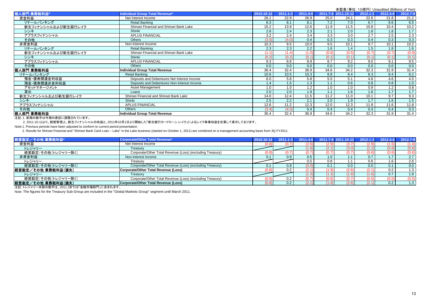未監査(単位:10億円) Unaudited (Billions of Yen)<br>2011.10-12 2012.1-3 2012.4-6 2012.7-9 人部門 業務粗利益 業務粗利益**\* Individual Group Total Revenue\* 2010.10-12 2011.1-3 2011.4-6 2011.7-9 2011.10-12 2012.1-3 2012.4-6 2012.7-9** 資金利益 Net Interest Income 26.1 22.9 26.9 25.0 24.1 22.6 21.8 21.2 リテールバンキング Retail Banking 8.3 8.1 8.1 7.2 7.0 6.7 6.6 6.5 新生フィナンシャルおよび新生銀行レイクShinsei Financial and Shinsei Bank Lake 15.2 15.2 13.9 12.6 11.9 11.5 10.8 10.4 10.2 シンキキ | Shinki | 2.8 | 2.4 | 2.3 | 2.1 | 2.0 | 1.8 | 1.7 | 1.7 アプラスフィナンシャル APLUS FINANCIAL 3.2 2.4 3.4 3.3 3.0 2.7 2.5 2.3 その他 Others (3.5) (4.0) 0.4 0.3 0.3 0.4 0.3 0.3 非資金利益 Non-Interest Income 10.3 9.5 10.0 9.5 10.1 9.7 10.1 10.2 リテールバンキンググ | Retail Banking | 2.3 | 2.2 | 1.6 | 1.4 | 1.5 | 1.6 | 1.6 新生フィナンシャルおよび新生銀行レイク Shinsei Financial and Shinsei Bank Lake (1.1) (1.4) (1.0) (0.6) (0.5) (0.7) (0.7) (0.9) シンキ Shinki (0.2) (0.2) (0.1) (0.1) (0.1) (0.1) (0.1) (0.1) アプラスフィナンシャル APLUS FINANCIAL 9.3 8.8 8.9 8.7 9.2 9.0 9.1 9.5 その他他 | Others | 0.0 | 0.0 | 0.0 | 0.0 | 0.0 | 0.0 | 0.0 個人部門 業務粗利益 **Individual Group Total Revenue** 36.4 32.4 36.9 34.6 34.2 32.3 31.9 31.4 リテールバンキンググ Retail Banking 10.6 | 10.5 | 10.3 | 8.8 | 8.2 | 8.2 | 8.2 預金・債券関連金利収益 Deposits and Debentures Net Interest Income 6.0 5.8 5.8 5.5 5.1 4.8 4.6 4.5 預金・債券関連非金利収益Deposits and Debentures Non-Interest Income 1.4 1.4 1.5 1.3 1.1 0.6 0.8 0.8 1.0 アセットマネージメント Asset Management 1.0 1.0 1.2 1.0 1.0 0.9 1.2 0.8 貸出出 Loans 1.9 | 1.1 | 1.6 | 1.7 | 1.7 | 新生フィナンシャルおよび新生銀行レイクShinsei Financial and Shinsei Bank Lake 14.0 12.4 11.5 11.2 11.0 10.1 9.7 9.3 シンキ Shinki 2.5 2.2 2.1 2.0 1.9 1.7 1.6 1.5 アプラスフィナンシャル APLUS FINANCIAL 12.6 11.2 12.3 12.0 12.3 11.8 11.6 11.8 その他 Others (3.4) (4.0) 0.4 0.4 0.4 0.4 0.4 0.3 個人部門 業務粗利益**Individual Group Total Revenue** 36.4 32.4 36.9 34.6 34.2 32.3 31.9 31.4

注記:1. 前期の数字は今期の表記に調整されています。

2. 2011.10-12より、経営管理上、新生フィナンシャルの収益と、2011年10月1日より開始した「新生銀行カードローン レイク」によるレイク事業収益を合算して表示しております。

Note:1. Previous periods have been adjusted to conform to current period presentation.

2. Results for Shinsei Financial and "Shinsei Bank Card Loan – Lake" in the Lake business (started on October 1, 2011) are combined on a management accounting basis from 3Q FY2011.

| 経営勘定/その他 業務粗利益*    | <b>Corporate/Other Total Revenue*</b>                     | 2010.10-12 | $-1 - 3$         |     |         | 2011.4-6 2011.7-9 2011.10-12 | $2012.1 - 3$ | 2012.4-6 | 2012.7-9 |
|--------------------|-----------------------------------------------------------|------------|------------------|-----|---------|------------------------------|--------------|----------|----------|
| 資金利益               | Net Interest Income                                       | (0.8)      |                  |     | (2.9)   |                              | (2.9)        | ، ن      | (1.4)    |
| トレジャリー             | Treasury                                                  |            |                  |     | (2.1)   | (3.0)                        | (2.2)        | (0.8)    | (0.8)    |
| 経営勘定/その他(トレジャリー除く) | Corporate/Other Total Revenue (Loss) (excluding Treasury) | (0.8)      |                  |     | (0.7)   |                              | (0.6)        | (0.6)    | (0.6)    |
| 非資金利益              | Non-Interest Income                                       | 0.1        | 0.9              | 0.5 | $1.0\,$ |                              | 0.7          | 1.7      | 2.7      |
| トレジャリー             | Treasurv                                                  |            |                  |     | 0.8     |                              | 0.6          | 1.6      | 2.6      |
| 経営勘定/その他(トレジャリー除く) | Corporate/Other Total Revenue (Loss) (excluding Treasury) |            | 0.9              |     | 0.1     | 0.0                          | 0.0          | 0.1      | 0.0      |
| 経営勘定/その他 業務粗利益(損失) | Corporate/Other Total Revenue (Loss)                      | (0.6)      | 0.2              |     | (1.9)   | (2.6)                        | (2.1)        | 0.2      | 1.3      |
| トレジャリー             | Treasurv                                                  |            |                  |     |         |                              | (1.6)        | 0.7      | 1.8      |
| 経営勘定/その他(トレジャリー除く) | Corporate/Other Total Revenue (Loss) (excluding Treasury) | (0.6)      |                  |     | (0.6)   |                              | (0.5)        | '0.5)    | (0.5)    |
| 経営勘定/その他 業務粗利益(損失) | Corporate/Other Total Revenue (Loss)                      | (0.6)      | 0.2 <sub>0</sub> |     | (1.9,   | (2.6)                        | (2.1)        | 0.2      | 1.3      |

注記: トレジャリー本部の数字は、2011.3までは「金融市場部門」に含まれます。

Note: The figures for the Treasury Sub-Group are included in the "Global Markets Group" segment until March 2011.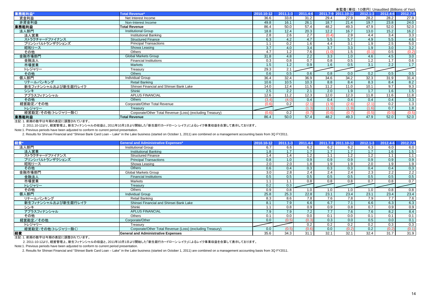|                     |                                                           |                  |              |                   |       |                     |              | 木監査(単位:IO偲円) Unaudited (Billions of Yen) |          |
|---------------------|-----------------------------------------------------------|------------------|--------------|-------------------|-------|---------------------|--------------|------------------------------------------|----------|
| 業務粗利益*              | <b>Total Revenue*</b>                                     | 2010.10-12       | $2011.1 - 3$ | 2011.4-6          |       | 2011.7-9 2011.10-12 | $2012.1 - 3$ | $2012.4 - 6$                             | 2012.7-9 |
| 資金利益                | Net Interest Income                                       | 36.6             | 33.8         | 31.2              | 29.4  | 27.9                | 28.2         | 28.2                                     | 27.9     |
| 非資金利益               | Non-Interest Income                                       | 49.8             | 16.1         | 26.1              | 18.7  | 21.4                | 19.7         | 23.8                                     | 24.0     |
| 業務粗利益               | Total Revenue                                             | 86.4             | 50.0         | 57.4              | 48.2  | 49.3                | 47.9         | 52.0                                     | 52.0     |
| 法人部門                | <b>Institutional Group</b>                                | 18.8             | 12.4         | $\overline{20.3}$ | 12.2  | 16.7                | 13.0         | 15.2                                     | 16.2     |
| 法人営業                | Institutional Banking                                     | 2.8              | 2.6          | 2.7               | (0.4) | 2.9                 | 4.4          | 3.4                                      | 3.3      |
| ストラクチャードファイナンス      | <b>Structured Finance</b>                                 | 6.3              | 4.2          | 4.7               | 5.5   | 5.7                 | 4.9          | 5.5                                      | 4.6      |
| プリンシパルトランザクションズ     | <b>Principal Transactions</b>                             | 1.1              | 0.2          | 1.6               | 4.4   | 3.1                 | 1.9          | 2.5                                      | 5.0      |
| 昭和リース               | Showa Leasing                                             | $\overline{3.7}$ | 4.0          | 3.4               | 3.7   | $\overline{3.3}$    | 1.9          | 3.0                                      | 3.2      |
| その他                 | Others                                                    | 4.7              | 1.2          | 7.6               | (1.0) | 1.5                 | (0.1)        | 0.5                                      | (0.2)    |
| 金融市場部門              | <b>Global Markets Group</b>                               | 31.8             | 4.8          | 2.2               | 3.3   | 1.0                 | 4.6          | 4.5                                      | 3.0      |
| 金融法人                | <b>Financial Institutions</b>                             | 0.3              | 0.8          | 0.7               | 0.8   | 0.5                 | 1.2          | 1.7                                      | 0.6      |
| 市場営業                | <b>Markets</b>                                            | 1.5              | 1.2          | 0.9               | 1.6   | 0.5                 | 3.1          | 2.2                                      | 1.7      |
| トレジャリー              | Treasurv                                                  | 29.3             | 2.1          |                   |       |                     |              |                                          |          |
| その他                 | <b>Others</b>                                             | 0.6              | 0.5          | 0.6               | 0.8   | 0.0                 | 0.2          | 0.5                                      | 0.5      |
| 個人部門                | Individual Group                                          | 36.4             | 32.4         | 36.9              | 34.6  | 34.2                | 32.3         | 31.9                                     | 31.4     |
| リテールバンキング           | Retail Banking                                            | 10.6             | 10.5         | 10.3              | 8.8   | 8.4                 | 8.3          | 8.4                                      | 8.2      |
| 新生フィナンシャルおよび新生銀行レイク | Shinsei Financial and Shinsei Bank Lake                   | 14.0             | 12.4         | 11.5              | 11.2  | 11.0                | 10.1         | 9.7                                      | 9.3      |
| シンキ                 | Shinki                                                    | 2.5              | 2.2          | 2.1               | 2.0   | 1.9                 | 1.7          | 1.6                                      | 1.5      |
| アプラスフィナンシャル         | <b>APLUS FINANCIAL</b>                                    | 12.6             | 11.2         | 12.3              | 12.0  | 12.3                | 11.8         | 11.6                                     | 11.8     |
| その他                 | <b>Others</b>                                             | (3.4)            | (4.0)        | 0.4               | 0.4   | 0.4                 | 0.4          | 0.4                                      | 0.3      |
| 経営勘定/その他            | Corporate/Other Total Revenue                             | (0.6)            | 0.2          | (2.1)             | (1.9) | (2.6)               | (2.1)        | 0.2                                      | 1.3      |
| トレジャリー              | Treasurv                                                  |                  |              | (1.3)             | (1.3) | (1.9)               | (1.6)        | 0.7                                      | 1.8      |
| 経営勘定/その他(トレジャリー除く)  | Corporate/Other Total Revenue (Loss) (excluding Treasury) | 0.6              | 0.2          | (0.7)             | (0.6) | (0.7)               | (0.5)        | (0.5)                                    | (0.5)    |
| 業務粗利益               | <b>Total Revenue</b>                                      | 86.4             | 50.0         | 57.4              | 48.2  | 49.3                | 47.9         | 52.0                                     | 52.0     |

注記:1. 前期の数字は今期の表記に調整されています。

2. 2011.10-12より、経営管理上、新生フィナンシャルの収益と、2011年10月1日より開始した「新生銀行カードローン レイク」によるレイク事業収益を合算して表示しております。

Note:1. Previous periods have been adjusted to conform to current period presentation.

2. Results for Shinsei Financial and "Shinsei Bank Card Loan – Lake" in the Lake business (started on October 1, 2011) are combined on a management accounting basis from 3Q FY2011.

| 経費'                 | <b>General and Administrative Expenses*</b>               | 2010.10-12 | $2011.1 - 3$ | 2011.4-6       |      | 2011.7-9 2011.10-12 | $2012.1 - 3$ | 2012.4-6         | 2012.7-9         |
|---------------------|-----------------------------------------------------------|------------|--------------|----------------|------|---------------------|--------------|------------------|------------------|
| 法人部門                | <b>Institutional Group</b>                                | 6.7        | 6.6          | 6.2            | 6.2  | 6.2                 | 6.3          | 6.0              | 6.0              |
| 法人営業                | <b>Institutional Banking</b>                              | 1.8        | 1.7          | $\overline{7}$ | 1.7  | 1.7                 | 1.7          | 1.6              | 1.5              |
| ストラクチャードファイナンス      | <b>Structured Finance</b>                                 | 1.4        | 1.4          | 1.2            |      | 1.2                 | 1.2          | 1.1 <sub>1</sub> | 1.1              |
| プリンシパルトランザクションズ     | <b>Principal Transactions</b>                             | 0.8        | 1.0          | 0.9            | 0.9  | 0.9                 | 0.9          | 0.9              | 0.9              |
| 昭和リース               | Showa Leasing                                             | 2.0        | 2.0          | 1.8            | 1.9  | 1.9                 | 2.0          | 1.9              | 1.9              |
| その他                 | Others                                                    | 0.6        | 0.4          | 0.3            | 0.3  | 0.3                 | 0.4          | 0.4              | 0.3              |
| 金融市場部門              | <b>Global Markets Group</b>                               | 3.0        | 2.8          | 2.4            | 2.4  | 2.4                 | 2.3          | 2.2              | 2.2              |
| 金融法人                | <b>Financial Institutions</b>                             | 0.5        | 0.5          | 0.5            | 0.5  | 0.5                 | 0.5          | 0.5              | 0.5              |
| 市場営業                | Markets                                                   |            |              | 0.8            | 0.8  | 0.8                 | 0.7          | 0.8              | 0.7              |
| トレジャリー              | Treasury                                                  | 0.2        | 0.3          |                |      |                     |              |                  |                  |
| その他                 | Others                                                    | 0.9        | 0.8          | 1.0            |      | 1.0                 | 1.0          | 0.8              | 0.8              |
| 個人部門                | <b>Individual Group</b>                                   | 25.8       | 25.3         | 22.8           | 23.1 | 23.4                | 23.1         | 23.4             | 23.4             |
| リテールバンキング           | Retail Banking                                            | 8.3        | 8.6          | 7.8            | 7.6  | 7.8                 | 7.9          | 7.7              | 7.6              |
| 新生フィナンシャルおよび新生銀行レイク | Shinsei Financial and Shinsei Bank Lake                   | 8.1        | 7.9          | 6.6            | 6.7  | 7.1                 | 6.6          | 6.3              | 6.3              |
| シンキ                 | Shinki                                                    | 1.1        | 0.8          | 0.9            | 0.9  | 0.8                 | 0.7          | 0.9              | 0.9              |
| アプラスフィナンシャル         | <b>APLUS FINANCIAL</b>                                    | 7.9        | 7.9          | 7.2            | 7.7  | 7.6                 | 7.6          | 8.2              | 8.4              |
| その他                 | <b>Others</b>                                             | 0.1        | 0.0          | 0.0            | 0.1  | 0.0                 | 0.1          | 0.1              | 0.1              |
| 経営勘定/その他            | Corporate/Other                                           | 0.0        | (0.5)        | (0.3)          | 0.3  | 0.0                 | 0.5          | 0.0              | 0.1              |
| トレジャリー              | Treasurv                                                  |            |              | 0.2            | 0.2  | 0.2                 | 0.2          | 0.3              | $0.\overline{3}$ |
| 経営勘定/その他(トレジャリー除く)  | Corporate/Other Total Revenue (Loss) (excluding Treasury) | 0.0        | (0.5)        | (0.6)          | 0.0  | (0.2)               | 0.2          | (0.2)            | (0.1)            |
| 経費                  | <b>General and Administrative Expenses</b>                | 35.6       | 34.3         | 31.1           | 32.1 | 32.1                | 32.4         | 31.7             | 31.9             |

注記:1. 前期の数字は今期の表記に調整されています。

2. 2011-10-12より、経営管理上、新生フィナンシャルの収益と、2011年10月1日より開始した「新生銀行カードローン レイク」によるレイク事業収益を合算して表示しております。

Note:1. Previous periods have been adjusted to conform to current period presentation.

2. Results for Shinsei Financial and "Shinsei Bank Card Loan – Lake" in the Lake business (started on October 1, 2011) are combined on a management accounting basis from 3Q FY2011.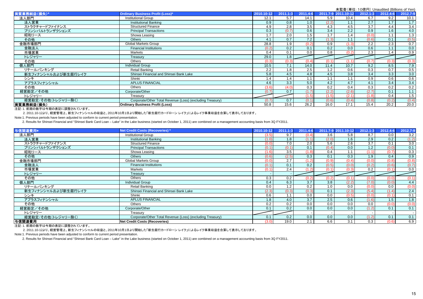|                     |                                                           |            |              |          |          |            |                  | 木血且 \ 丰 山 . TV 忌 门 / Urlaudited (DilliUris UI Terry |                  |
|---------------------|-----------------------------------------------------------|------------|--------------|----------|----------|------------|------------------|-----------------------------------------------------|------------------|
| 実質業務純益(損失)*         | Ordinary Business Profit (Loss)*                          | 2010.10-12 | $2011.1 - 3$ | 2011.4-6 | 2011.7-9 | 2011.10-12 | $2012.1 - 3$     | 2012.4-6                                            | 2012.7-9         |
| 法人部門                | <b>Institutional Group</b>                                | 12.1       | 5.7          | 14.1     | 5.9      | 10.4       | 6.7              | 9.2                                                 | 10.1             |
| 法人営業                | Institutional Banking                                     | 0.9        | 0.8          | 1.0      | (2.2)    | 1.1        | 2.7              | 1.7                                                 | 1.7              |
| ストラクチャードファイナンス      | <b>Structured Finance</b>                                 | 4.9        | 2.8          | 3.5      | 4.3      | 4.5        | $\overline{3.7}$ | 4.4                                                 | 3.4              |
| プリンシパルトランザクションズ     | <b>Principal Transactions</b>                             | 0.3        | (0.7)        | 0.6      | 3.4      | 2.2        | 0.9              | 1.6                                                 | 4.0              |
| 昭和リース               | Showa Leasing                                             | 1.7        | 2.0          | 1.5      | 1.7      | 1.4        | (0.0)            | 1.1                                                 | 1.3              |
| その他                 | <b>Others</b>                                             | 4.1        | 0.7          | 7.2      | (1.3)    | 1.1        | (0.6)            | 0.1                                                 | (0.5)            |
| 金融市場部門              | Global Markets Group                                      | 28.8       | 1.9          | (0.2)    | 0.9      | (1.3)      | 2.2              | 2.3                                                 | 0.7              |
| 金融法人                | <b>Financial Institutions</b>                             | (0.2)      | 0.2          | 0.1      | 0.2      | 0.0        | 0.6              | 1.1                                                 | 0.0              |
| 市場営業                | <b>Markets</b>                                            | 0.4        | 0.1          | 0.0      | 0.8      | (0.2)      | 2.3              | 1.4                                                 | 0.9              |
| トレジャリー              | Treasurv                                                  | 29.0       | 1.8          |          |          |            |                  |                                                     |                  |
| その他                 | Others                                                    | (0.3       | (0.3)        |          |          |            | (0.7)            | (0.3                                                | (0.3)            |
| 個人部門                | <b>Individual Group</b>                                   | 10.5       | 7.1          | 14.0     | 11.4     | 10.7       | 9.2              | 8.5                                                 | 7.9              |
| リテールバンキング           | Retail Banking                                            | 2.2        | 1.8          | 2.5      | 1.2      | 0.6        | 0.3              | 0.7                                                 | 0.5              |
| 新生フィナンシャルおよび新生銀行レイク | Shinsei Financial and Shinsei Bank Lake                   | 5.8        | 4.5          | 4.8      | 4.5      | 3.8        | 3.4              | 3.3                                                 | 3.0              |
| シンキ                 | Shinki                                                    | 1.4        | 1.4          |          | 1.1      | 1.1        | 0.9              | 0.6                                                 | 0.6              |
| アプラスフィナンシャル         | <b>APLUS FINANCIAL</b>                                    | 4.6        | 3.3          | 5.0      | 4.2      | 4.7        | 4.1              | 3.4                                                 | 3.4              |
| その他                 | Others                                                    | (3.6)      | (4.0)        | 0.3      | 0.2      | 0.4        | 0.3              | 0.2                                                 | 0.2              |
| 経営勘定/その他            | Corporate/Other                                           | (0.7)      | 0.7          | (1.7)    | (2.2)    | (2.6)      | (2.7)            | 0.1                                                 | 1.1              |
| トレジャリー              | Treasurv                                                  |            |              | (1.5)    | (1.5)    | (2.1)      | (1.8)            | 0.4                                                 | $1.\overline{5}$ |
| 経営勘定/その他(トレジャリー除く)  | Corporate/Other Total Revenue (Loss) (excluding Treasury) | (0.7)      | 0.7          | (0.1)    | (0.6)    | (0.4)      | (0.8)            | (0.2)                                               | (0.4)            |
| 実質業務純益(損失)          | <b>Ordinary Business Profit (Loss)</b>                    | 50.8       | 15.6         | 26.2     | 16.0     | 17.1       | 15.4             | 20.2                                                | 20.0             |

注記:1. 前期の数字は今期の表記に調整されています。

2. 2011.10-12より、経営管理上、新生フィナンシャルの収益と、2011年10月1日より開始した「新生銀行カードローン レイク」によるレイク事業収益を合算して表示しております。

Note:1. Previous periods have been adjusted to conform to current period presentation.

2. Results for Shinsei Financial and "Shinsei Bank Card Loan – Lake" in the Lake business (started on October 1, 2011) are combined on a management accounting basis from 3Q FY2011.

| 与信関連費用*             | Net Credit Costs (Recoveries)*                            | 2010.10-12 | $2011.1 - 3$ | 2011.4-6 |       | 2011.7-9 2011.10-12 | $2012.1 - 3$ | 2012.4-6 | 2012.7-9         |
|---------------------|-----------------------------------------------------------|------------|--------------|----------|-------|---------------------|--------------|----------|------------------|
| 法人部門                | <b>Institutional Group</b>                                | (3.5)      | 9.7          | (0.4)    | 3.6   | 5.8                 | 8.7          | 0.0      | 3.2              |
| 法人営業                | <b>Institutional Banking</b>                              | (1.0)      | 1.8          | (1.1)    | (2.0) | 1.6                 | 2.9          | 0.2      | (1.2)            |
| ストラクチャードファイナンス      | <b>Structured Finance</b>                                 | (0.0)      | 7.0          | 2.0      | 5.6   | 2.6                 | 3.7          | 0.1      | $\overline{3.0}$ |
| プリンシパルトランザクションズ     | <b>Principal Transactions</b>                             | (0.1)      |              | 0.1      | (0.4) | 0.0                 | 1.2          | (0.0)    | 0.1              |
| 昭和リース               | Showa Leasing                                             | (1.6)      | 3.5          | (1.8)    | 0.4   | 1.1                 | (1.1)        | (0.7)    | 0.3              |
| その他                 | Others                                                    | (0.6)      | (2.5)        | 0.3      | 0.1   | 0.3                 | 1.9          | 0.4      | 0.9              |
| 金融市場部門              | <b>Global Markets Group</b>                               | (0.0)      | 2.7          | (1.2)    | (0.9) | (0.4)               | (0.0)        | (0.8)    | (0.8)            |
| 金融法人                | <b>Financial Institutions</b>                             | (0.1)      | 0.1          | 0.2      | (0.5) | (0.0)               | (0.2)        | (0.6)    | (0.7)            |
| 市場営業                | Markets                                                   | (0.1)      | 2.4          | (1.2)    | (0.1) | (0.3)               | 0.2          | (0.1)    | 0.0              |
| トレジャリー              | Treasury                                                  |            |              |          |       |                     |              |          |                  |
| その他                 | <b>Others</b>                                             | 0.3        | 0.2          | (0.2)    | (0.2) | (0.1)               | 0.0          | (0.0     | (0.1)            |
| 個人部門                | Individual Group                                          | 0.4        | 6.3          | 3.7      | 3.8   | (2.2)               | (7.0)        | (0.0)    | 4.4              |
| リテールバンキング           | Retail Banking                                            | 0.0        | 1.2          | 0.2      | 1.0   | 0.0                 | (0.0)        | 0.0      | (0.0)            |
| 新生フィナンシャルおよび新生銀行レイク | Shinsei Financial and Shinsei Bank Lake                   | (2.3)      | (0.3)        | (0.3)    | 0.1   | (2.3)               | (5.4)        | (1.4)    | 2.4              |
| シンキ                 | Shinki                                                    | 0.6        | 1.1          | 0.0      | 0.0   | (0.5)               | (0.0)        | (0.1)    | 0.1              |
| アプラスフィナンシャル         | <b>APLUS FINANCIAL</b>                                    | 1.8        | 4.0          | 3.7      | 2.5   | 0.6                 | (1.6)        | 1.5      | 1.8              |
| その他                 | Others                                                    | 0.2        | 0.2          | 0.0      | 0.0   | 0.0                 | 0.0          | (0.0)    | (0.0)            |
| 経営勘定/その他            | Corporate/Other                                           | 0.1        | 0.2          | 0.0      | 0.0   | 0.0                 | (1.2)        | 0.1      | 0.1              |
| トレジャリー              | Treasury                                                  |            |              |          |       |                     |              |          |                  |
| 経営勘定/その他(トレジャリー除く)  | Corporate/Other Total Revenue (Loss) (excluding Treasury) | 0.1        | 0.2          | 0.0      | 0.0   | 0.0                 | (1.2)        | 0.1      | 0.1              |
| 与信関連費用              | <b>Net Credit Costs (Recoveries)</b>                      | (3.0)      | 19.0         | 2.1      | 6.6   | 3.1                 | 0.3          | (0.6)    | 6.9              |

注記:1. 前期の数字は今期の表記に調整されています。

2. 2011.10-12より、経営管理上、新生フィナンシャルの収益と、2011年10月1日より開始した「新生銀行カードローン レイク」によるレイク事業収益を合算して表示しております。

Note:1. Previous periods have been adjusted to conform to current period presentation.

2. Results for Shinsei Financial and "Shinsei Bank Card Loan – Lake" in the Lake business (started on October 1, 2011) are combined on a management accounting basis from 3Q FY2011.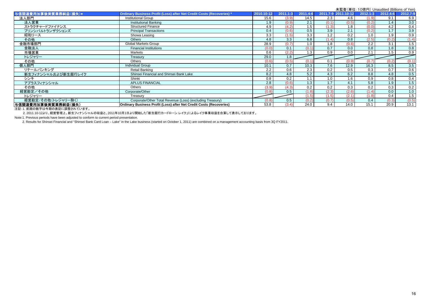|                      |                                                                       |            |              |              |       |                     | 木盅宜\芈位. TO忌门/ Urlaudited (Dillions of Terry |          |          |
|----------------------|-----------------------------------------------------------------------|------------|--------------|--------------|-------|---------------------|---------------------------------------------|----------|----------|
| 与信関連費用加算後実質業務純益(損失)* | Ordinary Business Profit (Loss) after Net Credit Costs (Recoveries) * | 2010.10-12 | $2011.1 - 3$ | $2011.4 - 6$ |       | 2011.7-9 2011.10-12 | 2012.1-3                                    | 2012.4-6 | 2012.7-9 |
| 法人部門                 | <b>Institutional Group</b>                                            | 15.6       | (3.9)        | 14.5         | 2.3   | 4.6                 | (1.9)                                       | 9.1      | 6.9      |
| 法人営業                 | <b>Institutional Banking</b>                                          | 1.9        | (0.9)        | 2.1          | (0.1) | (0.5)               | (0.2)                                       | 1.4      | 3.0      |
| ストラクチャードファイナンス       | <b>Structured Finance</b>                                             | 4.9        | (4.2)        | 1.5          | (1.3) | 1.8                 | (0.0)                                       | 4.2      | 0.4      |
| プリンシパルトランザクションズ      | <b>Principal Transactions</b>                                         | 0.4        | (0.6)        | 0.5          | 3.9   | 2.1                 | (0.2)                                       | 1.7      | 3.9      |
| 昭和リース                | Showa Leasing                                                         | 3.3        |              | 3.3          | 1.2   | 0.2                 | 1.0                                         | 1.9      | 0.9      |
| その他                  | <b>Others</b>                                                         | 4.8        | 3.3          | 6.8          | (1.4) | 0.8                 | (2.5)                                       | (0.2)    | (1.4)    |
| 金融市場部門               | Global Markets Group                                                  | 28.9       | (0.7)        | 1.0          | 1.8   | (0.8)               | 2.2                                         | 3.1      | 1.5      |
| 金融法人                 | <b>Financial Institutions</b>                                         | (0.0)      | 0.1          | (0.1         | 0.7   | 0.0                 | 0.8                                         | 1.8      | 0.8      |
| 市場営業                 | Markets                                                               | 0.6        | (2.2)        | 1.3          | 0.9   | 0.0                 | 2.1                                         | 1.5      | 0.9      |
| トレジャリー               | Treasury                                                              | 29.0       | 1.8          |              |       |                     |                                             |          |          |
| その他                  | <b>Others</b>                                                         | (0.6)      | (0.5)        |              | 0.1   |                     | (0.7)                                       |          | (0.1)    |
| 個人部門                 | Individual Group                                                      | 10.1       | 0.7          | 10.3         | 7.6   | 12.9                | 16.3                                        | 8.5      | 3.5      |
| リテールバンキング            | Retail Banking                                                        | 2.2        | 0.6          | 2.3          | 0.2   | 0.5                 | 0.3                                         | 0.7      | 0.6      |
| 新生フィナンシャルおよび新生銀行レイク  | Shinsei Financial and Shinsei Bank Lake                               | 8.2        | 4.8          | 5.2          | 4.3   | 6.2                 | 8.8                                         | 4.8      | 0.5      |
| シンキ                  | Shinki                                                                | 0.8        | 0.2          | 1.1          | 1.0   | 1.6                 | 0.9                                         | 0.8      | 0.4      |
| アプラスフィナンシャル          | <b>APLUS FINANCIAL</b>                                                | 2.8        | (0.6)        | 1.3          | 1.7   | 4.1                 | 5.8                                         | 1.9      | 1.5      |
| その他                  | <b>Others</b>                                                         | (3.9)      | (4.3)        | 0.2          | 0.2   | 0.3                 | 0.2                                         | 0.3      | 0.2      |
| 経営勘定/その他             | Corporate/Other                                                       | (0.8)      | 0.5          | (1.8)        | (2.3) | (2.6)               | (1.4)                                       | 0.0      | 1.0      |
| トレジャリー               | Treasury                                                              |            |              | (1.5)        | (1.5) | (2.1)               | (1.8)                                       | 0.4      | 1.5      |
| 経営勘定/その他(トレジャリー除く)   | Corporate/Other Total Revenue (Loss) (excluding Treasury)             | (0.8)      | 0.5          | (0.2)        | (0.7) | (0.5)               | 0.4                                         | (0.3)    | (0.5)    |
| 与信関連費用加算後実質業務純益(損失)  | Ordinary Business Profit (Loss) after Net Credit Costs (Recoveries)   | 53.8       | (3.4)        | 24.0         | 9.4   | 14.0                | 15.1                                        | 20.9     | 13.1     |

注記:1. 前期の数字は今期の表記に調整されています。

2. 2011.10-12より、経営管理上、新生フィナンシャルの収益と、2011年10月1日より開始した「新生銀行カードローン レイク」によるレイク事業収益を合算して表示しております。

Note:1. Previous periods have been adjusted to conform to current period presentation.

2. Results for Shinsei Financial and "Shinsei Bank Card Loan – Lake" in the Lake business (started on October 1, 2011) are combined on a management accounting basis from 3Q FY2011.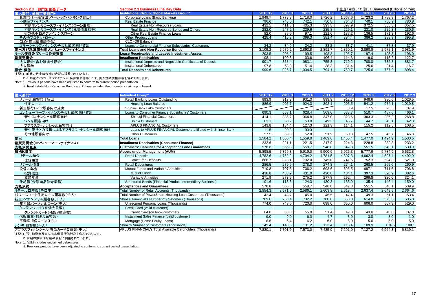| Section 2.3 部門別主要データ    | <b>Section 2.3 Business Line Key Data</b>                     |         |         |         |         |         | 未監査(単位: 10億円) Unaudited (Billions of Yen) |         |         |
|-------------------------|---------------------------------------------------------------|---------|---------|---------|---------|---------|-------------------------------------------|---------|---------|
| 法人部門、金融市場部門*            | Institutional Group, Global Markets Group*                    | 2010.12 |         | 2011    | 2011.9  |         | 2012.3                                    | 2012.6  | 2012.9  |
| 企業向け一般貸出(ベーシックバンキング貸出)  | Corporate Loans (Basic Banking)                               | 1.849.7 | .778.3  | .718.0  | .726.2  | 1.667.6 | .723.2                                    | .788.3  | 1,767.2 |
| 不動産ファイナンス               | Real Estate Finance                                           | 796.6   | 743.6   | 742.1   | 750.8   | 764.3   | 740.1                                     | 756.9   | 780.8   |
| 不動産ノンリコースファイナンス(ローン形態)  | Real Estate Non-Recourse Loans                                | 432.5   | 411.3   | 405.3   | 393.3   | 397.9   | 372.5                                     | 355.3   | 357.5   |
| 不動産ノンリコースファイナンス(私募債形態等) | Real Estate Non-Recourse Bonds and Others                     | 282.0   | 247.2   | 239.6   | 235.8   | 229.1   | 231.0                                     | 229.8   | 230.6   |
| その他不動産ファイナンスローン         | Other Real Estate Finance Loans                               | 82.0    | 85.0    | 97.1    | 121.6   | 137.2   | 136.5                                     | 171.8   | 192.6   |
| その他プロダクトローン             | <b>Other Product Loans</b>                                    | 428.4   | 415.3   | 399.3   | 381.4   | 384.4   | 386.2                                     | 388.9   | 395.8   |
| CLO(貸出債権証券化)            | CLO (Off Balance)                                             |         |         |         |         |         |                                           |         |         |
| コマーシャルファイナンス子会社顧客向け貸出   | Loans to Commercial Finance Subsidiaries' Customers           | 34.3    | 34.9    | 34.2    | 33.2    | 33.7    | 41.1                                      | 37.8    | 37.9    |
| 貸出及び私募債形態ノンリコースファイナンス   | <b>Total Loans and Non-Recourse Bonds</b>                     | 3.109.2 | 2,979.2 | 2.893.8 | 2.891.7 | 2.850.1 | 2.890.8                                   | 2,972.1 | 2,981.9 |
| リース債権及びリース投資資産          | <b>Lease Receivables and Leased Investment Assets</b>         | 203.5   | 206.2   | 199.5   | 198.3   | 195.7   | 197.4                                     | 195.3   | 196.9   |
| 割賦売掛金                   | <b>Installment Receivables</b>                                | 108.1   | 109.3   | 103.6   | 106.4   | 114.3   | 119.0                                     | 116.2   | 122.7   |
| 法人預金(含む讓渡性預金)           | Institutional Deposits and Negotiable Certificates of Deposit | 901.7   | 858.4   | 983.1   | 755.8   | 719.2   | 700.0                                     | 735.8   | 881.7   |
| 法人債券                    | <b>Institutional Debentures</b>                               | 97.8    | 68.3    | 51.4    | 38.3    | 31.4    | 25.6                                      | 21.4    | 16.7    |
| 預金·債券                   | <b>Total Deposits and Debentures</b>                          | 999.6   | 926.7   | .034.5  | 794.1   | 750.7   | 725.6                                     | 757.2   | 898.4   |
|                         |                                                               |         |         |         |         |         |                                           |         |         |

注記:1. 前期の数字は今期の表記に調整されています。

2. 不動産ノンリコースファイナンス(私募債形態等)には、買入金銭債権形態を含めております。

Note: 1. Previous periods have been adjusted to conform to current period presentation.

2. Real Estate Non-Recourse Bonds and Others include other monetary claims purchased.

| 個人部門*                      | Individual Group*                                                 | 2010.12 | 2011.3  | 2011.6  | 2011.9  | 2011.12 | 2012.3  | 2012.6  | 2012.9  |
|----------------------------|-------------------------------------------------------------------|---------|---------|---------|---------|---------|---------|---------|---------|
| リテール顧客向け貸出                 | Retail Banking Loans Outstanding                                  | 893.9   | 913.3   | 931.3   | 899.9   | 912.7   | 948.6   | 980.6   | 1,026.5 |
| 住宅ローン                      | <b>Housing Loan Balance</b>                                       | 886.9   | 905.7   | 924.3   | 892.1   | 905.5   | 941.2   | 974.1   | 1,019.8 |
| 新生銀行レイク顧客向け貸出              | Shinsei Bank Lake Customers                                       |         |         |         |         | 8.9     | 17.5    | 26.5    | 37.9    |
| コンシューマーファイナンス子会社顧客向け貸出     | Loans to Consumer Finance Subsidiaries' Customers                 | 690.3   | 653.1   | 628.4   | 569.6   | 533.7   | 510.7   | 487.6   | 466.1   |
| 新生フィナンシャル顧客向け              | <b>Shinsei Financial Customers</b>                                | 414.1   | 385.7   | 364.8   | 347.0   | 323.6   | 303.3   | 285.2   | 268.8   |
| シンキ顧客向け                    | <b>Shinki Customers</b>                                           | 63.1    | 58.2    | 53.0    | 49.3    | 45.7    | 44.7    | 43.1    | 42.3    |
| アプラスフィナンシャル顧客向け            | <b>APLUS FINANCIAL Customers</b>                                  | 143.8   | 134.4   | 127.3   | 121.3   | 114.1   | 115.2   | 112.5   | 108.5   |
| 新生銀行との提携によるアプラスフィナンシャル顧客向け | Loans to APLUS FINANCIAL Customers affiliated with Shinsei Bank   | 11.5    | 20.8    | 30.3    |         |         |         |         |         |
| その他顧客向け                    | <b>Other Customers</b>                                            | 57.5    | 53.8    | 52.8    | 51.9    | 50.3    | 47.5    | 46.7    | 46.3    |
| 貸出                         | <b>Total Loans</b>                                                | 1,584.2 | ,566.4  | ,559.8  | 1,469.6 | 455.4   | .477.0  | 1,494.9 | 1,530.5 |
| 割賦売掛金(コンシューマーファイナンス)       | <b>Installment Receivables (Consumer Finance)</b>                 | 232.6   | 221.1   | 221.5   | 217.9   | 224.3   | 228.8   | 232.3   | 233.2   |
|                            | <b>Customers' Liabilities for Acceptances and Guarantees</b>      | 578.8   | 566.8   | 558.7   | 548.8   | 547.8   | 551.5   | 548.1   | 539.9   |
| <br> 支払承諾見返<br> 預り総資産      | <b>Assets under Management (AUM)</b>                              | 5,898.5 | 5.869.8 | 5,919.0 | 5,900.6 | 5,926.3 | 5,777.6 | 5,734.9 | 5,632.8 |
| リテール預金                     | <b>Retail Deposits</b>                                            | 4,782.6 | 4,752.2 | 4,794.2 | 4,781.5 | 4,807.3 | 4,662.4 | 4,597.4 | 4,492.9 |
| 仕組預金                       | <b>Structured Deposits</b>                                        | 888.7   | 828.1   | 792.0   | 745.0   | 741.6   | 752.3   | 594.8   | 521.0   |
| リテール債券                     | <b>Retail Debentures</b>                                          | 286.5   | 279.9   | 278.3   | 274.8   | 274.1   | 268.5   | 265.6   | 260.9   |
| 投信/年金                      | Mutual Funds and Variable Annuities                               | 710.8   | 707.5   | 706.2   | 698.6   | 696.5   | 697.1   | 711.6   | 706.8   |
| 投資信託                       | <b>Mutual Funds</b>                                               | 438.8   | 433.9   | 431.0   | 420.8   | 404.1   | 397.3   | 390.9   | 382.6   |
| 変額年金                       | Variable Annuities                                                | 271.9   | 273.5   | 275.2   | 277.8   | 292.4   | 299.8   | 320.6   | 324.1   |
| 仕組債(金融商品仲介業務)              | <b>Structured Bonds (Financial Product Intermediary Business)</b> | 101.6   | 113.6   | 124.3   | 130.3   | 133.9   | 135.4   | 146.4   | 159.0   |
| 支払承諾                       | <b>Acceptances and Guarantees</b>                                 | 578.8   | 566.8   | 558.7   | 548.8   | 547.8   | 551.5   | 548.1   | 539.9   |
| リテールロ座数(千口座)               | <b>Total Number of Retail Accounts (Thousands)</b>                | 2,554.3 | 2,571.6 | 2,586.1 | 2,603.8 | 2,618.4 | 2,637.4 | 2,649.5 | 2,664.6 |
| パワースマート住宅ローン顧客数(千人)        | Total Number of PowerSmart Housing Loan Customers (Thousands)     | 42.4    | 43.7    | 45.0    | 46.5    | 47.4    | 49.3    | 51.1    | 53.4    |
| 新生フィナンシャル顧客数(千人)           | Shinsei Financial's Number of Customers (Thousands)               | 789.6   | 758.4   | 732.2   | 708.8   | 658.0   | 614.0   | 573.3   | 535.0   |
| 無担保パーソナルローン(千人)            | <b>Unsecured Personal Loans (Thousands)</b>                       | 774.0   | 743.0   | 720.0   | 698.0   | 650.0   | 606.0   | 567.3   | 529.0   |
| クレジットカード(有効会員数)            | Credit Card (valid customer)                                      |         |         |         |         |         |         |         |         |
| クレジットカード(残あり顧客数)           | Credit Card (on book customer)                                    | 64.0    | 63.0    | 55.0    | 51.4    | 47.0    | 43.0    | 40.0    | 37.0    |
| 信販事業(残あり顧客数)               | Installment Sales Finance (valid customer)                        | 9.0     | 9.0     | 6.0     | 4.7     | 3.0     | 3.0     | 3.0     | 1.0     |
| 不動産担保ローン(HEL)              | Mortgage (Home Equity Loans)                                      | 6.6     | 6.4     | 6.2     | 6.0     | 5.0     | 5.0     | 5.0     | 5.0     |
| シンキ 顧客数(千人)                | Shinki's Number of Customers (Thousands)                          | 149.4   | 140.5   | 131.2   | 123.4   | 115.4   | 109.9   | 104.6   | 100.1   |
| アプラスフィナンシャル 有効カード会員数(千人)   | APLUS FINANCIAL's Total Available Cardholders (Thousands)         | 7.830.1 | 7,701.0 | 7,573.0 | 7,435.9 | 7,291.0 | 7,127.2 | 6.964.3 | 6,819.1 |

注記:1. 預り総資産残高には未償還債券残高を含んでおります。

2. 前期の数字は今期の表記に調整されています。

Note: 1. AUM includes unclaimed debentures

2. Previous periods have been adjusted to conform to current period presentation.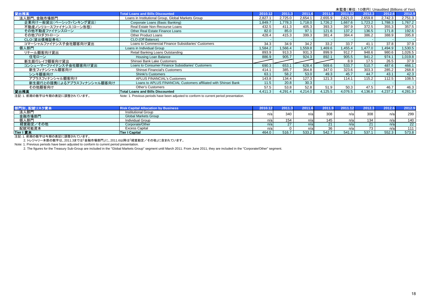|                             |                                                                                         |         |         |         |         |         |         | 未監査(単位: 10億円) Unaudited (Billions of Yen) |         |
|-----------------------------|-----------------------------------------------------------------------------------------|---------|---------|---------|---------|---------|---------|-------------------------------------------|---------|
| 貸出残高                        | <b>Total Loans and Bills Discounted</b>                                                 | 2010.12 | 2011.3  | 2011.6  | 2011.9  | 2011.12 | 2012.3  | 2012.6                                    | 2012.9  |
| 法人部門、金融市場部門                 | Loans in Institutional Group, Global Markets Group                                      | 2.827.7 | 2.725.0 | 2,654.1 | 2.655.9 | 2.621.0 | 2,659.8 | 2.742.3                                   | 2,751.3 |
| 企業向け一般貸出(ベーシックバンキング貸出)      | Corporate Loans (Basic Banking)                                                         | 1,849.7 | ,778.3  | ,718.0  | 1,726.2 | 1.667.6 | 1,723.2 | ,788.3                                    | 1,767.2 |
| 不動産ノンリコースファイナンス(ローン形態)      | Real Estate Non-Recourse Loans                                                          | 432.5   | 411.3   | 405.3   | 393.3   | 397.9   | 372.5   | 355.3                                     | 357.5   |
| その他不動産ファイナンスローン             | Other Real Estate Finance Loans                                                         | 82.0    | 85.0    | 97.1    | 121.6   | 137.2   | 136.5   | 171.8                                     | 192.6   |
| その他プロダクトローン                 | Other Product Loans                                                                     | 428.4   | 415.3   | 399.3   | 381.4   | 384.4   | 386.2   | 388.9                                     | 395.8   |
| CLO(貸出債権証券化)                | CLO (Off Balance)                                                                       |         |         |         |         |         |         |                                           |         |
| コマーシャルファイナンス子会社顧客向け貸出       | Loans to Commercial Finance Subsidiaries' Customers                                     | 34.3    | 34.9    | 34.2    | 33.2    | 33.7    | 41.1    | 37.8                                      | 37.9    |
| 個人部門                        | Loans in Individual Group                                                               | 1,584.2 | .566.4  | .559.8  | 1,469.6 | 455.4   | 1,477.0 | ,494.9                                    | 1,530.5 |
| リテール顧客向け貸出                  | Retail Banking Loans Outstanding                                                        | 893.9   | 913.3   | 931.3   | 899.9   | 912.7   | 948.6   | 980.6                                     | 1,026.5 |
| 住宅ローン                       | Housing Loan Balance                                                                    | 886.9   | 905.7   | 924.3   | 892.1   | 905.5   | 941.2   | 974.1                                     | 1,019.8 |
| 新生銀行レイク顧客向け貸出               | Shinsei Bank Lake Customers                                                             |         |         |         |         | 8.9     | 17.5    | 26.5                                      | 37.9    |
| コンシューマーファイナンス子会社顧客向け貸出      | Loans to Consumer Finance Subsidiaries' Customers                                       | 690.3   | 653.1   | 628.4   | 569.6   | 533.7   | 510.7   | 487.6                                     | 466.1   |
| 新生フィナンシャル顧客向け               | Shinsei Financial's Customers                                                           | 414.1   | 385.7   | 364.8   | 347.0   | 323.6   | 303.3   | 285.2                                     | 268.8   |
| シンキ顧客向け                     | <b>Shinki's Customers</b>                                                               | 63.1    | 58.2    | 53.0    | 49.3    | 45.7    | 44.7    | 43.1                                      | 42.3    |
| アプラスフィナンシャル顧客向け             | <b>APLUS FINANCIAL's Customers</b>                                                      | 143.8   | 134.4   | 127.3   | 121.3   | 114.1   | 115.2   | 112.5                                     | 108.5   |
| 新生銀行との提携によるアプラスフィナンシャル顧客向け  | Loans to APLUS FINANCIAL Customers affiliated with Shinsei Bank                         | 11.5    | 20.8    | 30.3    |         |         |         |                                           |         |
| その他顧客向け                     | <b>Other's Customers</b>                                                                | 57.5    | 53.8    | 52.8    | 51.9    | 50.3    | 47.5    | 46.7                                      | 46.3    |
| 貸出残高                        | <b>Total Loans and Bills Discounted</b>                                                 | 4.411.3 | 4.291.4 | 4.214.0 | 4,125.5 | 4.076.5 | 4,136.8 | 4,237.2                                   | 4,281.9 |
| 注記:1. 前期の数字は今期の表記に調整されています。 | Note: 1. Previous periods have been adjusted to conform to current period presentation. |         |         |         |         |         |         |                                           |         |

部門別、配賦リスク資本 **Risk Capital Allocation by Business 2010.12 2011.3 2011.6 2011.9 2011.12 2012.3 2012.6 2012.9** 法人部門**Institutional Group**  金融市場部門**Global Markets Group**<br>Individual Group 個人部門 Individual Group n/a 154 n/a 145 n/a 134 n/a 140 経営勘定/その他他 | Corporate/Other n/a| 27 | n/a| 21 | n/a| 22 | n/a| 22 配賦可能資本 Excess Capital n/a 0 n/a 36 n/a 73 n/a 111 **Tier I** 資本 **Tier I Capital** 464.0 516.7 533.2 542.7 541.2 537.1 552.3 573.8 n/aal 340 l n/al 308 l n/al 308 l n/al 299

注記:1. 前期の数字は今期の表記に調整されています。

2. トレジャリー本部の数字は、2011.3までは「金融市場部門」に、2011.6以降は「経営勘定/その他」に含まれています。

Note: 1. Previous periods have been adjusted to conform to current period presentation.

2. The figures for the Treasury Sub-Group are included in the "Global Markets Group" segment until March 2011. From June 2011, they are included in the "Corporate/Other" segment.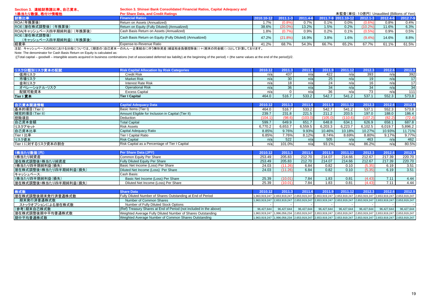| Section 3. 連結財務諸比率、自己資本、                | Section 3. Shinsei Bank Consolidated Financial Ratios, Capital Adequacy and            |            |            |          |       |                                           |              |          |          |
|-----------------------------------------|----------------------------------------------------------------------------------------|------------|------------|----------|-------|-------------------------------------------|--------------|----------|----------|
| 1株当たり数値、格付け情報他                          | Per Share Data, and Credit Ratings                                                     |            |            |          |       | 未監査(単位: 10億円) Unaudited (Billions of Yen) |              |          |          |
| 財務比率                                    | <b>Financial Ratios</b>                                                                | 2010.10-12 |            | 2011.4-6 |       | 2011.7-9 2011.10-12                       | $2012.1 - 3$ | 2012.4-6 | 2012.7-9 |
| ROA(年換算後)                               | Return on Assets (Annualized)                                                          | 1.7%       | (0.8°      | 0.7%     | 0.1%  | $0.0\%$                                   | $(0.6\%)$    | 0.8%     | 0.4%     |
| ROE(潜在株式調整後) (年換算後)                     | Return on Equity (Fully Diluted) (Annualized)                                          | 38.6%      | (20.0%     | 13.2%    | 1.5%  | 0.2%                                      | $(10.2\%)$   | 11.6%    | 6.3%     |
| ROA(キャッシュベース四半期純利益) (年換算後)              | Cash Basis Return on Assets (Annualized)                                               | 1.8%       |            | 0.9%     | 0.2%  | 0.1%                                      | $(0.5\%)$    | 0.9%     | 0.5%     |
| ROE(潜在株式調整後)<br>(キャッシュベース四半期純利益) (年換算後) | Cash Basis Return on Equity (Fully Diluted) (Annualized)                               | 47.2%      | $(21.8\%)$ | 16.9%    | 3.8%  | 1.6%                                      | (9.4% )      | 14.6%    | 8.8%     |
| 経費率                                     | Expense-to-Revenue Ratio                                                               | 41.2%      | 68.7%      | 54.3%    | 66.7% | 65.2%                                     | 67.7%        | 61.1%    | 61.5%    |
|                                         | 注記,もぁ☆』。X_7のDOCにかける公母については(/期苦の/白ヨ姿大_のカた_本業結合に伴う無形姿を(編延税全負售物腔络))エ/期末の日全額))のり て計質してかけます |            |            |          |       |                                           |              |          |          |

注記: キャッシュベースのROEにおける分母については、((期首の(自己資本-のれん-企業結合に伴う無形資産(繰延税金負債控除後))+(期末の同金額))/2として計算しております。<br>Note: The denominator for Cash Basis Return on Equity is calculated as:

((Total capital – goodwill – intangible assets acquired in business combinations (net of associated deferred tax liability) at the beginning of the period) + (the same values at the end of the period))/2.

| リスク分類別リスク資本の配賦 | <b>Risk Capital Allocation by Risk Categories</b> | 2010.1 | 2011.3          | 2011. |       | 2011.12 | 2012.3 | 2012.6 |       |
|----------------|---------------------------------------------------|--------|-----------------|-------|-------|---------|--------|--------|-------|
| 信用リスク          | <b>Credit Risk</b>                                | n/a    | 437             | n/a   | 422   |         | 393    | n/al   | 392   |
| 市場リスク          | <b>Market Risk</b>                                | n/a    | 30 <sup>°</sup> | n/a   |       | n/a     | 19     | n/a    | 17    |
| 金利リスク          | <b>Interest Rate Risk</b>                         | n/al   |                 | n/a   |       |         | 16     | n/a    | 17    |
| オペレーショナル・リスク   | <b>Operational Risk</b>                           | n/a    | 36              | n/al  |       |         | 34     | n/a    | 34    |
| 配賦可能資本         | <b>Excess Capital</b>                             | n/a    |                 |       | 36    | n/a     | 73     | n/al   | 1111  |
| Tier I 資本      | <b>Tier I Capital</b>                             | 464.0  | 516.7           | 533.2 | 542.7 | 541.2   | 537.1  | 552.3  | 573.8 |

| 自己資本関連情報            | <b>Capital Adequacy Data</b>                       | 2010.12 | 2011.3  | 2011.6      | 2011.9            | 2011.12 | 2012.3       | 2012.6  | 2012.9  |
|---------------------|----------------------------------------------------|---------|---------|-------------|-------------------|---------|--------------|---------|---------|
| 基本的項目(Tier I)       | Basic Items (Tier I)                               | 464.0   | 516.7   | 533.2       | 542.7             | 541.2   | 537.1        | 552.3   | 573.8   |
| 補完的項目(Tier II)      | Amount Eligible for Inclusion in Capital (Tier II) | 239.7   | 231.8   | 221.5       | 211.2             | 203.5   | 197.0        | 188.0   | 186.4   |
| 控除項目                | Deduction                                          | (104.1  | (98.6)  | (103.0)     | (105.0)           | (110.6) | (107.2)      | (82.2)  | (72.4)  |
| 自己資本金額              | <b>Total Capital</b>                               | 599.7   | 649.9   | 651.7       | 648.8             | 634.1   | 626.9        | 658.1   | 687.8   |
| リスクアセット             | <b>Risk Assets</b>                                 | 6.770.2 | 6,653.7 | 6,559.5     | 6,203.3           | 6,223.7 | 6,102.5      | 6,019.7 | 5,896.2 |
| 自己資本比率              | Capital Adequacy Ratio                             | 8.85%   | 9.76%   | 9.93%       | 10.46%            | 10.18%  | 10.27%       | 10.93%  | 11.71%  |
| Tier I 比率           | Tier I Capital Ratio                               | 6.85%   | 7.76%   | 8.12%       | 8.74%             | 8.69%   | 8.80%        | 9.17%   | 9.77%   |
| リスク資本               | <b>Risk Capital</b>                                | n/a     | 522     | n/a         | 505               | n/a     | 463          | n/a     | 462     |
| Tier I に対するリスク資本の割合 | Risk Capital as a Percentage of Tier I Capital     | n/a     | 101.0%  | n/a         | 93.1%             | n/a     | 86.2%        | n/al    | 80.5%   |
|                     |                                                    |         |         |             |                   |         |              |         |         |
| 1株当たり数値(円)          | Per Share Data (JPY)                               | 2010.12 | 2011.3  | 2011.6      | 2011              | 2011.12 | 2012.3       | 2012.6  | 2012.9  |
| 1株当たり純資産            | Common Equity Per Share                            | 253.49  | 205.83  | 212.70      | 214.07            | 214.66  | 212.67       | 217.39  | 220.70  |
| 潜在株式調整後1株当たり純資産     | Fully Diluted Equity Per Share                     | 253.49  | 205.83  | 212.70      | 214.07            | 214.66  | 212.67       | 217.39  | 220.70  |
| 1株当たり四半期純利益(損失)     | Basic Net Income (Loss) Per Share                  | 24.03   | (11.26) | 6.84        | 0.82              | 0.10    | (5.35)       | 6.19    | 3.51    |
|                     | Diluted Net Income (Loga), Day Chase               | 2402    | (44.90) | $C$ $Q$ $A$ | 0.02 <sub>1</sub> | 0.40    | $(E \cap E)$ | 0.40    | 2E4     |

| 潜在株式調整後1株当たり四半期純利益(損失) | Per Share<br>Diluted Net Income (Loss) | 24.03 |       | 6.84 | 0.82  | 0.10 | (5.35) | 6.19     | ג – י<br>3.D I |
|------------------------|----------------------------------------|-------|-------|------|-------|------|--------|----------|----------------|
| キャッシュベース:              | Cash Basis:                            |       |       |      |       |      |        |          |                |
| 1株当たり四半期純利益(損失)        | Basic Net Income (Loss) Per Share      | 25.39 | 10.01 | 7.84 | 1.83  |      | (4.43) | − .<br>. | .44            |
| 潜在株式調整後1株当たり四半期純利益(損失) | Diluted Net Income (Loss) Per Share    | 25.39 | ט.ט   | 7.84 | i .83 |      |        | $-1$     | 4.44           |
|                        |                                        |       |       |      |       |      |        |          |                |

| 株式数               | <b>Share Data</b>                                                  |            | 2010.12 2011.3 2011.6 2011.9 2011.12 2012.3 |            |            |            |            | 2012.6     | 2012.9                                                                                                                 |
|-------------------|--------------------------------------------------------------------|------------|---------------------------------------------|------------|------------|------------|------------|------------|------------------------------------------------------------------------------------------------------------------------|
| 潜在株式調整後期末発行済普通株式数 | Fully Diluted Number of Shares Outstanding at End of Period        |            |                                             |            |            |            |            |            | 1,963,919,247 2,653,919,247 2,653,919,247 2,653,919,247 2,653,919,247 2,653,919,247 2,653,919,247 2,653,919,247        |
| 期末発行済普通株式数        | Number of Common Shares                                            |            |                                             |            |            |            |            |            | 1,963,919,247 2,653,919,247 2,653,919,247 2,653,919,247 2,653,919,247 2,653,919,247 2,653,919,247 2,653,919,247        |
| ストックオプションによる潜在株式数 | Number of Fully Diluted Stock Options                              |            |                                             |            |            |            |            |            |                                                                                                                        |
| (参考)期末自己株式数       | (Ref) Treasury Shares at End of Period (not included in the above) | 96,427,644 | 96,427,644                                  | 96,427,644 | 96,427,644 | 96,427,644 | 96,427,644 | 96,427,644 | 96,427,644                                                                                                             |
| 潜在株式調整後期中平均普通株式数  | Weighted Average Fully Diluted Number of Shares Outstanding        |            |                                             |            |            |            |            |            | 1,963,919,247 1,996,056,234 2,653,919,247 2,653,919,247 2,653,919,247 2,653,919,247 2,653,919,247 2,653,919,247        |
| 期中平均普通株式数         | Weighted Average Number of Common Shares Outstanding               |            |                                             |            |            |            |            |            | 1,963,919,247  1,996,056,234  2,653,919,247  2,653,919,247  2,653,919,247  2,653,919,247  2,653,919,247  2,653,919,247 |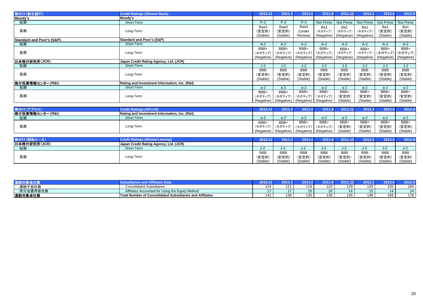| 格付け(新生銀行)                            | <b>Credit Ratings (Shinsei Bank)</b>          | 2010.12    | 2011.3     | 2011.6                | 2011.9                           | 2011.12    | 2012.3     | 2012.6     | 2012.9     |
|--------------------------------------|-----------------------------------------------|------------|------------|-----------------------|----------------------------------|------------|------------|------------|------------|
| Moody's                              | Moody's                                       |            |            |                       |                                  |            |            |            |            |
| 短期                                   | Short-Term                                    | $P-3$      | $P-3$      | $P-3$                 | Not Prime                        | Not Prime  | Not Prime  | Not Prime  | Not Prime  |
|                                      |                                               | Baa3       | Baa3       | Baa3                  | Ba1                              | Ba1        | Ba1        | Ba1        | Ba1        |
| 長期                                   | Long-Term                                     | (安定的)      | (安定的)      | (Under                | (ネガティブ)                          | (ネガティブ)    | (ネガティブ)    | (安定的)      | (安定的)      |
|                                      |                                               | (Stable)   | (Stable)   | Review)               | (Negative)                       | (Negative) | (Negative) | (Stable)   | (Stable)   |
| <b>Standard and Poor's (S&amp;P)</b> | <b>Standard and Poor's (S&amp;P)</b>          |            |            |                       |                                  |            |            |            |            |
| 短期                                   | Short-Term                                    | $A-2$      | $A-2$      | $A-2$                 | $A-2$                            | $A-2$      | $A-2$      | $A-2$      | $A-2$      |
|                                      |                                               | BBB+       | BBB+       | BBB+                  | BBB+                             | BBB+       | BBB+       | BBB+       | BBB+       |
| 長期                                   | Long-Term                                     | (ネガティブ)    | (ネガティブ)    | (ネガティブ)               | (ネガティブ)                          | (ネガティブ)    | (ネガティブ)    | (ネガティブ)    | (ネガティブ)    |
|                                      |                                               | (Negative) |            | (Negative) (Negative) | (Negative)                       | (Negative) | (Negative) | (Negative) | (Negative) |
| 日本格付研究所(JCR)                         | Japan Credit Rating Agency, Ltd. (JCR)        |            |            |                       |                                  |            |            |            |            |
| 短期                                   | Short-Term                                    | $J-2$      | $J-2$      | $J-2$                 | $J-2$                            | $J-2$      | $J-2$      | $J-2$      | $J-2$      |
|                                      |                                               | <b>BBB</b> | <b>BBB</b> | <b>BBB</b>            | <b>BBB</b>                       | <b>BBB</b> | <b>BBB</b> | <b>BBB</b> | <b>BBB</b> |
| 長期                                   | Long-Term                                     | (安定的)      | (安定的)      | (安定的)                 | (安定的)                            | (安定的)      | (安定的)      | (安定的)      | (安定的)      |
|                                      |                                               | (Stable)   | (Stable)   | (Stable)              | (Stable)                         | (Stable)   | (Stable)   | (Stable)   | (Stable)   |
| 格付投資情報センター(R&I)                      | Rating and Investment Information, Inc. (R&I) |            |            |                       |                                  |            |            |            |            |
| 短期                                   | Short-Term                                    | $a-2$      | $a-2$      | $a-2$                 | $a-2$                            | $a-2$      | $a-2$      | $a-2$      | $a-2$      |
|                                      |                                               | BBB+       | BBB+       | BBB+                  | BBB+                             | BBB+       | BBB+       | BBB+       | BBB+       |
| 長期                                   | Long-Term                                     | (ネガティブ)    | (ネガティブ)    | (ネガティブ)               | (ネガティブ)                          | (安定的)      | (安定的)      | (安定的)      | (安定的)      |
|                                      |                                               | (Negative) |            |                       | (Negative) (Negative) (Negative) | (Stable)   | (Stable)   | (Stable)   | (Stable)   |
|                                      |                                               |            |            |                       |                                  |            |            |            |            |
| 格付け(アプラス)                            | <b>Credit Ratings (APLUS)</b>                 | 2010.12    | 2011.3     | 2011.6                | 2011.9                           | 2011.12    | 2012.3     | 2012.6     | 2012.9     |
| 格付投資情報センター(R&I)                      | Rating and Investment Information, Inc. (R&I) |            |            |                       |                                  |            |            |            |            |
| 短期                                   | Short-Term                                    | $a-2$      | $a-2$      | $a-2$                 | $a-2$                            | $a-2$      | $a-2$      | $a-2$      | $a-2$      |
|                                      |                                               | BBB+       | BBB+       | BBB+                  | BBB+                             | BBB+       | BBB+       | BBB+       | BBB+       |
| 長期                                   | Long-Term                                     | (ネガティブ)    | (ネガティブ)    | (ネガティブ)               | (ネガティブ)                          | (安定的)      | (安定的)      | (安定的)      | (安定的)      |
|                                      |                                               | (Negative) |            |                       | (Negative) (Negative) (Negative) | (Stable)   | (Stable)   | (Stable)   | (Stable)   |
|                                      |                                               |            |            |                       |                                  |            |            |            |            |
| 格付け(昭和リース)                           | <b>Credit Ratings (Showa Leasing)</b>         | 2010.12    | 2011.3     | 2011.6                | 2011.9                           | 2011.12    | 2012.3     | 2012.6     | 2012.9     |
| 日本格付研究所(ICP)                         | <b>Janan Credit Rating Agency Ltd (ICR)</b>   |            |            |                       |                                  |            |            |            |            |

|              | <b>UPUL KALING (SHOWA LEASING)</b>     | ZUIU.IZI      | <b>ZUI 1.31</b> | 2011.0     | 2011.31    | ZUI I.IZ   | <b>ZUIZ.JI</b> | ZU I Z.OI  | <b>LUIL.J</b> |
|--------------|----------------------------------------|---------------|-----------------|------------|------------|------------|----------------|------------|---------------|
| 日本格付研究所(JCR) | Japan Credit Rating Agency, Ltd. (JCR) |               |                 |            |            |            |                |            |               |
| 短期           | Short-Term                             | $\sim$<br>J-Z | $\sim$<br>◡╌∠   | J-4        | J-Z        | ے-ں        | J-Z.           |            | $\sim$<br>J-Z |
|              |                                        | <b>BBB</b>    | <b>BBB</b>      | <b>BBB</b> | <b>BBB</b> | <b>BBB</b> | <b>BBB</b>     | <b>BBB</b> | <b>BBB</b>    |
| 長期           | Long-Term                              | (安定的)         | (安定的            | (安定的)      | (安定的)      | (安定的)      | (安定的)          | (安定的)      | (安定的)         |
|              |                                        | (Stable)      | (Stable)        | (Stable)   | (Stable)   | (Stable)   | (Stable)       | (Stable)   | (Stable)      |

|          |                                                                       |              |       |     |     |     |     | Aar        | $-012$ |
|----------|-----------------------------------------------------------------------|--------------|-------|-----|-----|-----|-----|------------|--------|
| 連結子会社数   | <b>Consolidated Subsidiaries</b>                                      | 124          | 1 7 1 | 110 | 123 | 129 | 133 | . .<br>JJ. | $\sim$ |
| 持分法適用会社数 | Affiliates Accounted for Using the Equity Method                      |              |       |     |     | 10  | 15. | 14.        | ۰.     |
| 連結対象会社数  | umber of Consolidated Subsidiaries and Affiliates<br><b>Total Nur</b> | <b>A</b> A A | 138   | 125 | 139 | 145 | 148 | 169        | 178    |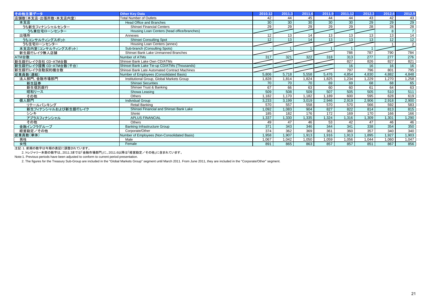| その他主要データ                                          | <b>Other Kev Data</b>                         | 2010.12         | 2011.3          | 2011.6          | 2011.9           | 2011.12         | 2012.3          | 2012.6          | 2012.9          |
|---------------------------------------------------|-----------------------------------------------|-----------------|-----------------|-----------------|------------------|-----------------|-----------------|-----------------|-----------------|
| 店舗数(本支店・出張所数・本支店内室)                               | <b>Total Number of Outlets</b>                | 42              | 44              | 45              | 44               | 44              | 43              | 42              | 43              |
| 本支店                                               | <b>Head Office and Branches</b>               | 30              | 30              | $\overline{30}$ | 30               | $\overline{30}$ | 29              | 29              | 29              |
| うち新生フィナンシャルセンター                                   | Shinsei Financial Centers                     | 29              | 29              | $\overline{29}$ | 29               | 29              | $\overline{28}$ | $\overline{28}$ | $\overline{28}$ |
| うち兼住宅ローンセンター                                      | Housing Loan Centers (head office/branches)   |                 |                 |                 |                  |                 |                 | 8               | $\overline{7}$  |
| 出張所                                               | Annexes                                       | 12              | 13              | 14              | 13               | 13              | $\overline{13}$ | 13              | 14              |
| うちコンサルティングスポット                                    | <b>Shinsei Consulting Spot</b>                | 12 <sup>2</sup> | 13 <sup>2</sup> | 14              | 13               | 13              | 13              | 12              | 12              |
| うち住宅ローンセンター                                       | Housing Loan Centers (annex)                  |                 |                 |                 |                  |                 |                 |                 | $\overline{2}$  |
| 本支店内室(コンサルティングスポット)                               | Sub-branch (Consulting Spots)                 |                 |                 |                 |                  |                 |                 |                 |                 |
| 新生銀行レイク無人店舗                                       | Shinsei Bank Lake Unmanned Branches           |                 |                 |                 |                  | 788             | 787             | 790             | 784             |
| ATM台数                                             | Number of ATMs                                | 317             | 321             | 322             | 318              | 313             | 277             | 277             | 276             |
| 新生銀行レイク自社 CD·ATM台数                                | Shinsei Bank Lake Own CD/ATMs                 |                 |                 |                 |                  | 827             | 826             | 827             | 821             |
| 新生銀行レイク提携 CD·ATM台数(千台)                            | Shinsei Bank Lake Tie-up CD/ATMs (Thousands)  |                 |                 |                 |                  | 16              | 16              | 16              | 16              |
| 新生銀行レイク自動契約機台数                                    | Shinsei Bank Late Automated Contract Machines |                 |                 |                 |                  | 797             | 796             | 801             | 795             |
| 従業員数(連結)                                          | Number of Employees (Consolidated Basis)      | 5,806           | 5,718           | 5,558           | 5,476            | 4,854           | 4,830           | 4,882           | 4,848           |
| 法人部門、金融市場部門                                       | Institutional Group, Global Markets Group     | ,828            | 1,814           | 1,824           | .825             | 1,234           | 1,229           | 1,270           | 1,258           |
| 新生証券                                              | <b>Shinsei Securities</b>                     | $\overline{70}$ | 70              | 70              | 69               | 69              | 68              | 68              | 65              |
| 新生信託銀行                                            | Shinsei Trust & Banking                       | 67              | 66              | 63              | 60               | 60              | 61              | 64              | 63              |
| 昭和リース                                             | Showa Leasing                                 | 509             | 508             | 509             | 507              | 505             | 505             | 510             | 511             |
| その他                                               | Others                                        | .182            | 1.170           | 1.182           | 1.189            | 600             | 595             | 628             | 619             |
| 個人部門                                              | <b>Individual Group</b>                       | 3,233           | 3,199           | 3,019           | 2,946            | 2,919           | 2,906           | 2,918           | 2,900           |
| リテールバンキング                                         | Retail Banking                                | 570             | 557             | 558             | 570              | 570             | 566             | 592             | 583             |
| 新生フィナンシャルおよび新生銀行レイク                               | Shinsei Financial and Shinsei Bank Lake       | ,092            | 1,083           | 904             | 827              | 822             | 814             | 813             | 815             |
| シンキ                                               | Shinki                                        | 185             | 182             | 176             | $\overline{172}$ | 169             | 170             | 166             | 166             |
| アプラスフィナンシャル                                       | <b>APLUS FINANCIAL</b>                        | .337            | 1,330           | .335            | 1,324            | 1,316           | 1,309           | 1,301           | 1,290           |
| その他                                               | Others                                        | 49              | 47              | 46              | 53               | 42              | 47              | 46              | 46              |
| 金融インフラグループ                                        | <b>Banking Infrastructure Group</b>           | 371             | 343             | 346             | 344              | 341             | 338             | 354             | 350             |
| 経営勘定/その他                                          | Corporate/Other                               | 374             | 362             | 369             | 361              | 360             | 357             | 340             | 340             |
| 従業員数(単体)                                          | Number of Employees (Non-Consolidated Basis)  | 1,958           | 1.907           | 1,913           | 1,916            | 1,913           | 1,895           | 1,927           | 1,903           |
| 男性                                                | Male                                          | .067            | 1,042           | 1,050           | 1,059            | 1,056           | 1,044           | 1,060           | 1,047           |
| 女性<br><u>、 노는 그 사는 사람들이 나서 사는 것 같은 것 같은 것 같아.</u> | Female                                        | 891             | 865             | 863             | 857              | 857             | 851             | 867             | 856             |

注記:1. 前期の数字は今期の表記に調整されています。

2. トレジャリー本部の数字は、2011.3までは「金融市場部門」に、2011.6以降は「経営勘定/その他」に含まれています。

Note:1. Previous periods have been adjusted to conform to current period presentation.

2. The figures for the Treasury Sub-Group are included in the "Global Markets Group" segment until March 2011. From June 2011, they are included in the "Corporate/Other" segment.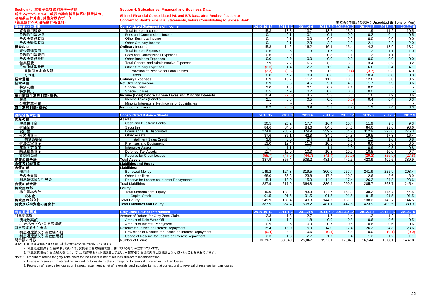#### **Section 4.** 主要子会社の財務データ他新生フィナンシャルの、銀行の勘定科目体系に組替後の、 連結損益計算書、貸借対照表データ

#### **Section 4. Subsidiaries' Financial and Business Data**

### **Shinsei Financial Consolidated P/L and B/S Data, after Reclassification to**

**Conform to Bank's Financial Statements, before Consolidating to Shinsei Bank**

| (新生銀行への連結会計処理前) | Comoni to Dank 3 i mancial otalements, before consonuating to omniser Dank |                  |                  |                           |                  | 未監査(単位: 10億円) Unaudited (Billions of Yen) |                  |                  |                   |
|-----------------|----------------------------------------------------------------------------|------------------|------------------|---------------------------|------------------|-------------------------------------------|------------------|------------------|-------------------|
| 連結損益計算書         | <b>Consolidated Statements of Income</b>                                   | 2010.10-12       | $2011.1 - 3$     | 2011.4-6                  |                  | 2011.7-9 2011.10-12                       | $2012.1 - 3$     | 2012.4-6         | 2012.7-9          |
| 資金運用収益          | Total Interest Income                                                      | 15.3             | 13.8             | 13.7                      | 13.7             | 13.0                                      | 11.9             | 11.2             | 10.5              |
| 役務取引等収益         | Fees and Commissions Income                                                | 0.1              | 0.1              | 0.1                       | 0.1              | 0.0                                       | 0.2              | 0.4              | 0.5               |
| その他業務収益         | Other Business Income                                                      | 0.1              | 0.1              | 0.0                       | 0.0              | 0.0                                       | 0.0              | 0.0              | 0.0               |
| その他経常収益         | Other Ordinary Income                                                      | 0.1              | 0.1              | 2.3                       | 2.2              | 2.3                                       | 2.1              | 2.2              | 2.0               |
| 経常収益            | <b>Ordinary Income</b>                                                     | 15.8             | 14.2             | 16.2                      | 16.1             | 15.4                                      | 14.3             | 13.9             | 13.2              |
| 資金調達費用          | <b>Total Interest Expenses</b>                                             | 0.6              | 0.6              | 1.3                       | 1.7              | 1.5                                       | 1.2              | 1.1              | 1.0               |
| 役務取引等費用         | Fees and Commissions Expenses                                              | 0.6              | 0.9              | 1.1                       | 0.8              | 1.1                                       | 1.2              | 1.1              | 1.1               |
| その他業務費用         | <b>Other Business Expenses</b>                                             | 0.0              | 0.0              | 0.0                       | 0.0              | 0.0                                       | 0.0              | 0.0              | 0.0               |
| 営業経費            | <b>Total General and Administrative Expenses</b>                           | 7.9              | 7.7              | 6.5                       | 6.5              | 3.6                                       | 3.4              | 3.2              | $\frac{3.2}{4.1}$ |
| その他経常費用         | <b>Other Ordinary Expenses</b>                                             | (2.3)            | 4.4              | 2.7                       | 1.9              | 4.6                                       | 6.6              | 0.4              |                   |
| 貸倒引当金繰入額        | Provision of Reserve for Loan Losses                                       | (2.3)            | (0.3)            | $\overline{1.8}$          | 1.9              | (0.4)                                     | (3.7)            | $\overline{0.3}$ | 4.0               |
| その他             | <b>Others</b>                                                              | 0.0              | 4.7              | 0.8                       | 0.0              | 5.0                                       | 10.4             | $\overline{0.0}$ | 0.0               |
| 経常費用            | <b>Ordinary Expenses</b>                                                   | 6.9              | 13.7             | 11.7                      | 11.0             | 10.9                                      | 12.6             | 6.0              | 9.5               |
| 経常利益            | <b>Net Ordinary Income</b>                                                 | 8.9              | $\overline{0.5}$ | 4.5                       | 5.1              | 4.5                                       | 1.7              | 7.9              | 3.6               |
| 特別利益            | <b>Special Gains</b>                                                       | 2.0              | 1.8              | 0.1                       | 0.2              | 2.1                                       | 0.0              |                  |                   |
| 特別損失            | <b>Special Losses</b>                                                      | 0.5              | 4.9              | 0.2                       | 0.0              | 0.0                                       | $\overline{0.0}$ |                  |                   |
| 税引前四半期純利益(損失)   | Income (Loss) before Income Taxes and Minority Interests                   | 10.4             | (2.6)            | 4.5                       | 5.3              | 6.6                                       | 1.6              | 7.9              | 3.6               |
| 税金              | Income Taxes (Benefit)                                                     | 2.1              | 0.8              | 0.5                       | 0.0              | (0.6)                                     | 0.4              | 0.4              | 0.3               |
| 少数株主利益          | Minority Interests in Net Income of Subsidiaries                           |                  | $\sim$           |                           |                  |                                           |                  |                  |                   |
| 四半期純利益(損失)      | <b>Net Income (Loss)</b>                                                   | 8.2              | (3.5)            | 3.9                       | 5.3              | 7.2                                       | 1.2              | 7.4              | 3.3               |
|                 |                                                                            |                  |                  |                           |                  |                                           |                  |                  |                   |
| 連結貸借対照表         | <b>Consolidated Balance Sheets</b>                                         | 2010.12          | 2011.3           | 2011.6                    | 2011.9           | 2011.12                                   | 2012.3           | 2012.6           | 2012.9            |
| 資産の部:           | Assets:                                                                    |                  |                  |                           |                  |                                           |                  |                  |                   |
| 現金預け金<br>有価証券   | Cash and Due from Banks<br><b>Securities</b>                               | 20.5<br>84.6     | 25.2             | $\overline{17.7}$<br>84.6 | 16.4<br>84.6     | 10.4<br>84.6                              | 11.9<br>84.6     | 9.5<br>93.6      | 9.3<br>93.6       |
| 貸出金             | Loans and Bills Discounted                                                 | 274.8            | 84.6<br>235.7    | 379.9                     | 359.9            | 334.7                                     | 312.9            | 293.6            |                   |
| その他資産           | <b>Other Assets</b>                                                        | 37.6             | 35.1             | 42.8                      | 34.9             | 24.8                                      | 19.5             | 17.3             | 276.3<br>16.4     |
| 割賦売掛金           | <b>Installment Sales Credit</b>                                            | $\overline{3.8}$ | 3.0              | 2.4                       | $\overline{1.9}$ | 1.5                                       | 1.2              | $\overline{1.0}$ | 0.8               |
| 有形固定資産          | <b>Premises and Equipment</b>                                              | 13.0             | 12.4             | 11.6                      | 10.5             | 8.6                                       | 8.6              | 8.6              | 8.5               |
| 無形固定資産          | <b>Intangible Assets</b>                                                   | 1.1              | 1.1              | 1.1                       | 1.1              | 1.0                                       | $\overline{0.9}$ | 0.8              | 0.8               |
| 繰延税金資産          | <b>Deferred Tax Assets</b>                                                 | 11.7             | 10.9             | 10.3                      | 10.3             | 10.9                                      | 10.5             | 10.0             | 9.7               |
| 貸倒引当金           | <b>Reserve for Credit Losses</b>                                           | (55.7)           | (47.9)           | (44.7)                    | (41.4)           | (37.0)                                    | (29.2)           | (26.9)           | (27.8)            |
| 資産の部合計          | <b>Total Assets</b>                                                        | 387.9            | 357.4            | 508.2                     | 481.1            | 442.5                                     | 423.9            | 409.5            | 389.9             |
| 負債及び純資産         | <b>Liabilities and Equity</b>                                              |                  |                  |                           |                  |                                           |                  |                  |                   |
| 負債の部∶           | Liabilities:                                                               |                  |                  |                           |                  |                                           |                  |                  |                   |
| 借用金             | <b>Borrowed Money</b>                                                      | 149.2            | 124.3            | 319.5                     | 300.0            | 257.4                                     | 241.9            | 225.9            | 208.4             |
| その他負債           | <b>Other Liabilities</b>                                                   | 68.0             | 66.3             | 23.8                      | 17.8             | 10.9                                      | 12.6             | 8.6              | 8.9               |
| 利息返還損失引当金       | Reserve for Losses on Interest Repayments                                  | 15.4             | 18.0             | 15.9                      | 14.0             | 17.4                                      | 26.2             | 24.8             | 23.6              |
| 負債の部合計          | <b>Total Liabilities</b>                                                   | 237.9            | 217.9            | 364.8                     | 336.4            | 290.5                                     | 285.7            | 263.7            | 245.4             |
| 純資産の部:          | Eauity:                                                                    |                  |                  |                           |                  |                                           |                  |                  |                   |
| 株主資本合計          | <b>Total Shareholders' Equity</b>                                          | 149.9            | 139.4            | 143.3                     | 144.7            | 151.9                                     | 138.2            | 145.7            | 144.5             |
| 資本金             | <b>Capital Stock</b>                                                       | 91.5             | 91.5             | 91.5                      | 91.5             | 91.5                                      | 91.5             | 91.5             | 91.5              |
| 純資産の部合計         | <b>Total Equity</b>                                                        | 149.9            | 139.4            | 143.3                     | 144.7            | 151.9                                     | 138.2            | 145.7            | 144.5             |
| 負債及び純資産の部合計     | <b>Total Liabilities and Equity</b>                                        | 387.9            | 357.4            | 508.2                     | 481.1            | 442.5                                     | 423.9            | 409.5            | 389.9             |
|                 |                                                                            |                  |                  |                           |                  |                                           |                  |                  |                   |
| 利息返還関連          | <b>Grev Zone Related Information</b>                                       | 2010.10-12       | $2011.1 - 3$     | 2011.4-6                  |                  | 2011.7-9 2011.10-12                       | $2012.1 - 3$     | 2012.4-6         | 2012.7-9          |
| 利息返還額           | Amount of Refund for Grev Zone Claim                                       | 2.3              | 1.8              | 2.7                       | 1.7              | $1.4$                                     | $\overline{1.2}$ | 1.2              | 1.1               |

| <b>IN AN AN AN AN AN AN AN AN A</b> | $\sim$ , $\sim$ , $\sim$ , $\sim$ , $\sim$ , $\sim$ , $\sim$ , $\sim$ , $\sim$ , $\sim$ , $\sim$ , $\sim$ , $\sim$ , $\sim$ , $\sim$ , $\sim$ , $\sim$ , $\sim$ , $\sim$ , $\sim$ , $\sim$ , $\sim$ , $\sim$ , $\sim$ , $\sim$ , $\sim$ , $\sim$ , $\sim$ , $\sim$ , $\sim$ , $\sim$ , $\sim$ , $\sim$ , $\sim$ , $\sim$ , $\sim$ , $\sim$ , | $-0.10.10.14$ |        |        |        |        |        |        |        |
|-------------------------------------|----------------------------------------------------------------------------------------------------------------------------------------------------------------------------------------------------------------------------------------------------------------------------------------------------------------------------------------------|---------------|--------|--------|--------|--------|--------|--------|--------|
| 利息返還額                               | Amount of Refund for Grev Zone Claim                                                                                                                                                                                                                                                                                                         | 2.3           |        |        |        | 1.4    |        |        |        |
| 債権放棄額                               | Amount of Debt Write-Off                                                                                                                                                                                                                                                                                                                     |               |        |        | 0.9    | 0.8    | 0.6    | 0.6    |        |
| キャッシュアウト利息返還額                       | Amount of Interest Repayment                                                                                                                                                                                                                                                                                                                 |               |        |        | 0.7    | 0.6    | 0.6    | 0.6    | 0.6    |
| 利息返還損失引当金                           | Reserve for Losses on Interest Repayment                                                                                                                                                                                                                                                                                                     | 15.4          | 18.0   | 15.9   | 14.0   | 17.4   | 26.2   | 24.8   | 23.6   |
| 利息返還損失引当金繰入額                        | Provisions of Reserve for Losses on Interest Repayment                                                                                                                                                                                                                                                                                       |               |        | 0.6    | (0.1   | 4.8    | 10.0   |        |        |
| 利息返還損失引当金使用額                        | Usage of Reserve for Losses on Interest Repayment                                                                                                                                                                                                                                                                                            |               |        |        |        | 1.4    |        |        |        |
| 開示請求件数                              | Number of Claims                                                                                                                                                                                                                                                                                                                             | 36.267        | 38.640 | 25.067 | 19.501 | 17.848 | 16.544 | 16.681 | 14.418 |

注記: 1. 利息返還額については、補償対象分とネットで記載しております。

2. 利息返還損失引当金の取り崩しには、貸倒引当金取崩益で計上されているものが含まれています。

3. 利息返還損失引当金繰入額については、取崩額とネットで記載しており、一部貸倒引当金取り崩し益で計上されているものも含まれています。

Note: 1. Amount of refund for grey zone claim for the assets is net of refunds subject to indemnification.

2. Usage of reserves for interest repayment includes items that correspond to reversal of reserves for loan losses.

3. Provision of reserve for losses on interest repayment is net of reversals, and includes items that correspond to reversal of reserves for loan losses.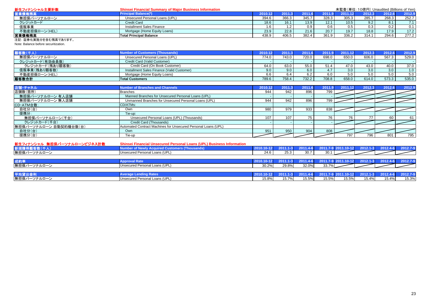| 新生フィナンシャル主要計数          | <b>Shinsei Financial Summary of Major Business Information</b> |         |       |       |          |         | 未監査(単位:10億円) Unaudited (Billions of Yen) |        |                  |
|------------------------|----------------------------------------------------------------|---------|-------|-------|----------|---------|------------------------------------------|--------|------------------|
| <b>iii 業債権残高</b>       | <b>Principal Balance(*)</b>                                    | 2010.12 | 2011  |       | 2011.9 . | 2011.12 | 2012.3                                   | 2012.6 | 2012.9           |
| 無担保パーソナルローン            | Unsecured Personal Loans (UPL)                                 | 394.6   | 366.3 | 345.7 | 328.3    | 305.3   | 285.7                                    | 268.3  | 252.7            |
| クレジットカード               | Credit Card                                                    | 18.6    | 16.7  | 13.9  | 12.1     | 10.5    | 9.2                                      |        | $\overline{7.1}$ |
| 信販事業                   | Installment Sales Finance                                      | 1.6     |       |       | 0.6      | 0.5     | 0.3                                      | 0.2    | 0.1              |
| 不動産担保ローン(HEL)          | Mortgage (Home Equity Loans)                                   | 23.9    | 22.8  | 21.6  | 20.7     | 19.7    | 18.8                                     | 17.9   | $\sqrt{17.2}$    |
| 営業債権残高                 | <b>Total Principal Balance</b>                                 | 438.9   | 406.5 | 382.4 | 361.9    | 336.2   | 314.1                                    | 294.6  | 277.2            |
| 2+51 57半ル中地ハナ合セ建吉オセリナナ |                                                                |         |       |       |          |         |                                          |        |                  |

#### 注記: 証券化実施分を含む残高であります。 Note: Balance before securitization.

| 顧客数(千人)          | Number of Customers (Thousands)            | 2010.1 | 2011.3 |       |       | 2011.12 | 2012.3 | 2012.6 | 2012.9 |
|------------------|--------------------------------------------|--------|--------|-------|-------|---------|--------|--------|--------|
| 無担保パーソナルローン      | Unsecured Personal Loans (UPL)             | 774.0  | 743.0  | 720.0 | 698.0 | 650.0   | 606.0  | 567.3  | 529.0  |
| クレジットカード(有効会員数)  | Credit Card (Valid Customer)               |        |        |       |       |         |        |        |        |
| クレジットカード(残あり顧客数) | Credit Card (On Book Customer)             | 64.0   | 63.0   | 55.0  | 51.4  | 47.0    | 43.0   | 40.0   | 37.0   |
| 信販事業(残あり顧客数)     | Installment Sales Finance (Valid Customer) | 9.0    | 9.0    | 6.0   |       | 3.0     | 3.0    | 3.0    | 1.0    |
| 不動産担保ローン(HEL)    | Mortgage (Home Equity Loans)               | 6.6    | 6.4    |       | 6.0   | 5.0     | 5.0    | 5.0    | 5.0    |
| 顧客数合計            | <b>Total Customers</b>                     | 789.6  | 758.4  | 732.2 | 708.8 | 658.0   | 614.0  | 573.3  | 535.0  |

| 店舗・チャネル                | Number of Branches and Channels                                | 2010. | 2011 | 2011.6 | 2011 | 2011<br>121 | 2012.3 | 2012.6 | 2012.9 |
|------------------------|----------------------------------------------------------------|-------|------|--------|------|-------------|--------|--------|--------|
| 店舗数(箇所)                | <b>Branches</b>                                                | 944   | 942  | 896    | 799  |             |        |        |        |
| 無担保パーソナルローン 有人店舗       | Manned Branches for Unsecured Personal Loans (UPL)             |       |      |        |      |             |        |        |        |
| 無担保パーソナルローン 無人店舗       | Unmanned Branches for Unsecured Personal Loans (UPL)           | 944   |      | 896    | 799  |             |        |        |        |
| CD·ATM台数:              | CD/ATMs:                                                       |       |      |        |      |             |        |        |        |
| 自社分(台)                 | Own                                                            | 980   |      | 933    | 838  |             |        |        |        |
| 提携分:                   | Tie-up:                                                        |       |      |        |      |             |        |        |        |
| 無担保パーソナルローン(千台)        | Unsecured Personal Loans (UPL) (Thousands)                     | 107   | 107  |        | 76   | 76          |        | 60     | 61     |
| クレジットカード(千台)           | Credit Card (Thousands)                                        |       |      |        |      |             |        |        |        |
| 無担保パーソナルローン 自動契約機台数(台) | Automated Contract Machines for Unsecured Personal Loans (UPL) |       |      |        |      |             |        |        |        |
| 自社分(台)                 | Own                                                            | 951   | 950  | 904    | 808  |             |        |        |        |
| 提携分(台)                 | Tie-up                                                         |       |      |        |      | 797         | 796    | 801    | 795    |

| 新生フィナンシャル 無担保パーソナルローンビジネス計数 | <b>Shinsei Financial Unsecured Personal Loans (UPL) Business Information</b> |            |                 |          |       |       |                                                         |          |          |
|-----------------------------|------------------------------------------------------------------------------|------------|-----------------|----------|-------|-------|---------------------------------------------------------|----------|----------|
| 新規獲得顧客数(千人)                 | <b>Number of Newly Acquired Customers (Thousands)</b>                        | 2010.10-12 | $2011.1 - 3$    |          |       |       | 2011.4-6 2011.7-9 2011.10-12 2012.1-3 2012.4-6 2012.7-9 |          |          |
| 無担保パーソナルローン                 | Unsecured Personal Loans (UPL)                                               | 24.6       | 25.3            | 30.7     | 30.1  |       |                                                         |          |          |
|                             |                                                                              |            |                 |          |       |       |                                                         |          |          |
| 成約率                         | <b>Approval Rate</b>                                                         |            | 1.1-31          |          |       |       | 2011.4-6 2011.7-9 2011.10-12 2012.1-3 2012.4-6 2012.7-9 |          |          |
| 無担保パーソナルローン                 | Unsecured Personal Loans (UPL)                                               | 30.2%      | 29.8%           | 32.0%    | 33.7% |       |                                                         |          |          |
|                             |                                                                              |            |                 |          |       |       |                                                         |          |          |
| 平均貸出金利                      | <b>Average Lending Rates</b>                                                 |            | / 201<br>1.1-31 | 2011.4-6 |       |       | $2011.7 - 92011.10 - 122012.1 - 3$                      | 2012.4-6 | 2012.7-9 |
| 無担保パーソナルローン                 | Unsecured Personal Loans (UPL)                                               | 15.8%      | $15.7\%$        | 15.5%    | 15.5% | 15.5% | 15.4%                                                   | 15.4%    | 15.3%    |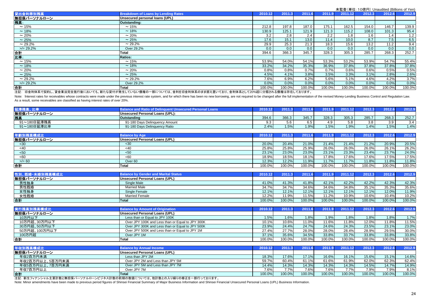|              |                                            |         |        |        |        |         | 2012.6<br>2012.3<br>146.7<br>154.0<br>108.0<br>101.3 |        |        |  |  |  |
|--------------|--------------------------------------------|---------|--------|--------|--------|---------|------------------------------------------------------|--------|--------|--|--|--|
| 貸出金利帯別残高     | <b>Breakdown of Loans by Lending Rates</b> | 2010.12 | 2011.3 | 2011.6 | 2011.9 | 2011.12 |                                                      |        | 2012.9 |  |  |  |
| 無担保パーソナルローン  | Unsecured personal loans (UPL)             |         |        |        |        |         |                                                      |        |        |  |  |  |
| 残高:          | Outstanding:                               |         |        |        |        |         |                                                      |        |        |  |  |  |
| $\sim$ 15%   | $\sim$ 15%                                 | 212.8   | 197.8  | 187.0  | 175.1  | 162.5   |                                                      |        | 139.9  |  |  |  |
| $\sim$ 18%   | $~18\%$                                    | 130.9   | 125.1  | 121.9  | 121.3  | 115.2   |                                                      |        | 95.4   |  |  |  |
| $\sim$ 20%   | $\sim 20\%$                                | 3.2     | 2.8    | 2.4    | 2.2    | 1.8     | 1.6                                                  | 1.4    | 1.2    |  |  |  |
| $\sim$ 25%   | $\sim 25%$                                 | 17.6    | 15.1   | 13.0   | 11.4   | 10.0    | 8.7                                                  | 7.5    | 6.5    |  |  |  |
| $\sim$ 29.2% | $\sim$ 29.2%                               | 29.9    | 25.3   | 21.3   | 18.3   | 15.6    | 13.2                                                 | 11.2   | 9.4    |  |  |  |
| $>= 29.2%$   | Over 29.2%                                 | 0.0     | 0.0    | 0.0    | 0.0    | 0.0     | 0.0                                                  | 0.0    | 0.0    |  |  |  |
| 合計           | <b>Total</b>                               | 394.6   | 366.3  | 345.7  | 328.3  | 305.3   | 285.7                                                | 268.3  | 252.7  |  |  |  |
| 比率:          | <b>Ratios:</b>                             |         |        |        |        |         |                                                      |        |        |  |  |  |
| $\sim$ 15%   | $\sim$ 15%                                 | 53.9%   | 54.0%  | 54.1%  | 53.3%  | 53.2%   | 53.9%                                                | 54.7%  | 55.4%  |  |  |  |
| $\sim$ 18%   | $\sim$ 18%                                 | 33.2%   | 34.2%  | 35.3%  | 36.9%  | 37.8%   | 37.8%                                                | 37.8%  | 37.8%  |  |  |  |
| $\sim$ 20%   | $\sim 20\%$                                | 0.8%    | 0.8%   | 0.7%   | 0.7%   | 0.6%    | 0.6%                                                 | 0.5%   | 0.5%   |  |  |  |
| $\sim$ 25%   | $\sim 25\%$                                | 4.5%    | 4.1%   | 3.8%   | 3.5%   | 3.3%    | 3.1%                                                 | 2.8%   | 2.6%   |  |  |  |
| $\sim$ 29.2% | $\sim$ 29.2%                               | 7.6%    | 6.9%   | 6.2%   | 5.6%   | 5.1%    | 4.6%                                                 | 4.2%   | 3.7%   |  |  |  |
| $>= 29.2%$   | Over 29.2%                                 | 0.0%    | 0.0%   | 0.0%   | 0.0%   | 0.0%    | 0.0%                                                 | 0.0%   | 0.0%   |  |  |  |
| 合計           | Total                                      | 100.0%  | 100.0% | 100.0% | 100.0% | 100.0%  | 100.0%                                               | 100.0% | 100.0% |  |  |  |
|              |                                            |         |        |        |        |         |                                                      |        |        |  |  |  |

注記: 旧金利体系で契約し、貸金業法完全施行後においても、新たな貸付が発生していない債権の一部については、金利を旧金利体系のまま据え置いており、金利体系として20%超に分類される債権は存在しております。

Note: Interest rates for receivables whose contracts were made under the previous interest rate system, and for which there has been no new borrowing, are not required to be changed after the full implementation of the rev As a result, some receivables are classified as having interest rates of over 20%.

| 延滞残高、比率     | <b>Balance and Ratio of Delinguent Unsecured Personal Loans</b> | 2010.12 | 2011.3 | 2011.6 | 2011.9 | 2011.12 | 2012.3 | 2012.6 | 2012.9 |
|-------------|-----------------------------------------------------------------|---------|--------|--------|--------|---------|--------|--------|--------|
| 無担保パーソナルローン | Unsecured Personal Loans (UPL):                                 |         |        |        |        |         |        |        |        |
| 残高          | <b>Outstanding</b>                                              | 394.6   | 366.3  | 345.7  | 328.3  | 305.3   | 285.7  | 268.3  | 252.7  |
| 91~180日延滞残高 | 91-180 Days Delinquency Amount                                  | 9.3     | 5.6    | 6.5    | 4.9    | 5.8     | 3.8    | 3.9    | 3.4    |
| 91~180日延滞比率 | 91-180 Days Delinquency Ratio                                   | 2.4%    | 1.5%   | 1.9%   | 1.5%   | 1.9%    | 1.4%   | 1.5%   | 1.4%   |
|             |                                                                 |         |        |        |        |         |        |        |        |
| 年齡別残高構成比    | <b>Balance by Age</b>                                           | 2010.12 | 2011.3 | 2011.6 | 2011.9 | 2011.12 | 2012.3 | 2012.6 | 2012.9 |
| 無担保パーソナルローン | Unsecured Personal Loans (UPL)                                  |         |        |        |        |         |        |        |        |
| $30$        | <30                                                             | 20.0%   | 20.4%  | 21.0%  | 21.4%  | 21.4%   | 21.2%  | 20.9%  | 20.5%  |
| <40         | <40                                                             | 25.8%   | 25.8%  | 25.9%  | 26.0%  | 26.0%   | 26.0%  | 26.1%  | 26.2%  |
| < 50        | $50$                                                            | 23.1%   | 23.0%  | 23.0%  | 23.1%  | 23.3%   | 23.4%  | 23.7%  | 24.0%  |
| <60         | < 60                                                            | 18.9%   | 18.5%  | 18.1%  | 17.8%  | 17.6%   | 17.6%  | 17.5%  | 17.5%  |
| $>$ /= 60   | Over <sub>60</sub>                                              | 12.3%   | 12.2%  | 11.9%  | 11.7%  | 11.7%   | 11.8%  | 11.8%  | 11.8%  |

| 性別、既婚·未婚別残高<br>高橋成比 | <b>Balance by Gender and Marital Status</b> | 2010.12 | 004 <sup>2</sup> | 2011.  | 2011      |           | 2012.3 | 2012.6 | 2012.9 |
|---------------------|---------------------------------------------|---------|------------------|--------|-----------|-----------|--------|--------|--------|
| 無担保パーソナルローン         | Unsecured Personal Loans (UPL)              |         |                  |        |           |           |        |        |        |
| 男性独身                | Single Male                                 | 41.0%   | 41.3%            | 41.8%  | 42.1%     | 42.2%     | 42.2%  | 42.3%  | 42.3%  |
| 男性既婚                | <b>Married Male</b>                         | 34.7%   | 34.7%            | 34.6%  | 34.6%     | 34.8%     | 35.1%  | 35.3%  | 35.6%  |
| 女性独身                | Single Female                               | 12.1%   | 12.1%            | 12.1%  | 12.1%     | 12.1%     | 12.1%  | 12.0%  | 11.9%  |
| 女性既婚                | <b>Married Female</b>                       | 12.2%   | 11.9%            | 11.5%  | 11.2%     | 10.9%     | 10.6%  | 10.4%  | 10.2%  |
| 合計                  | <b>Total</b>                                | 100.0%  | 100.0%           | 100.0% | $100.0\%$ | $100.0\%$ | 100.0% | 100.0% | 100.0% |

**Total** 100.0% 100.0% 100.0% 100.0% 100.0% 100.0% 100.0% 100.0%

| 実行残高別残高構成比    | <b>Balance by Amount of Origination</b>          | 2010.12 | 2011.3   |        | 2011.9 | 2011.12 | 2012.3 | 2012.6 | 2012.9 |
|---------------|--------------------------------------------------|---------|----------|--------|--------|---------|--------|--------|--------|
| 無担保パーソナルローン   | Unsecured Personal Loans (UPL)                   |         |          |        |        |         |        |        |        |
| 10万円以下        | Less than or Equal to JPY 100K                   | 1.5%    | 1.6%     | 1.8%   | 1.9%   | 1.8%    | 1.8%   | 1.8%   | 1.7%   |
| 10万円超、30万円以下  | Over JPY 100K and Less than or Equal to JPY 300K | 10.1%   | $10.6\%$ | 11.0%  | 11.6%  | 11.8%   | 12.0%  | 11.8%  | 11.5%  |
| 30万円超、50万円以下  | Over JPY 300K and Less than or Equal to JPY 500K | 23.9%   | 24.4%    | 24.7%  | 24.6%  | 24.3%   | 23.5%  | 23.1%  | 23.0%  |
| 50万円超、100万円以下 | Over JPY 500K and Less than or Equal to JPY 1M   | 27.4%   | 27.7%    | 28.0%  | 28.0%  | 28.4%   | 28.9%  | 29.5%  | 30.0%  |
| 100万円超        | Over JPY 1M                                      | 37.1%   | 35.6%    | 34.5%  | 33.8%  | 33.7%   | 33.8%  | 33.8%  | 33.8%  |
| 合計            | Total                                            | 100.0%  | 100.0%   | 100.0% | 100.0% | 100.0%  | 100.0% | 100.0% | 100.0% |

| <b>Balance by Annual Income</b>        | 2010.12 | 2011.3 | 2011.6 | 2011.9         | 2011.12 | 2012.3 | 2012.6 | 2012.9 |
|----------------------------------------|---------|--------|--------|----------------|---------|--------|--------|--------|
| <b>IUnsecured Personal Loans (UPL)</b> |         |        |        |                |         |        |        |        |
| Less than JPY 2M                       | 18.3%   |        | 17.1%  | 16.6%          | 16.1%   | 15.6%  | 15.1%  | 14.6%  |
| Over JPY 2M and Less than JPY 5M       | 59.7%   | 60.4%  | 61.1%  | 61.6%          | 61.9%   | 62.0%  | 62.3%  | 62.4%  |
| Over JPY 5M and Less than JPY 7M       | 14.4%   |        | 14.3%  | 14.3%          | 14.3%   | 14.5%  | 14.7%  | 14.9%  |
| Over JPY 7M                            | 7.6%    | 77%    | 7.6%   | 7.6%           | 7.7%    | 7.9%   | 7.9%   | 8.1%   |
| <b>Total</b>                           | 100.0%  | 100.0% | 100.0% | 100.0%         | 100.0%  | 100.0% | 100.0% | 100.0% |
|                                        |         |        |        | 17.6%<br>14.3% |         |        |        |        |

注記: 新生フィナンシャル主要計数と無担保パーソナルローンビジネス計数の前期の数値については、他計数との入り繰りの修正を一部行っております。

合計

Note: Minor amendments have been made to previous period figures of Shinsei Financial Summary of Major Business Information and Shinsei Financial Unsecured Personal Loans (UPL) Business Information.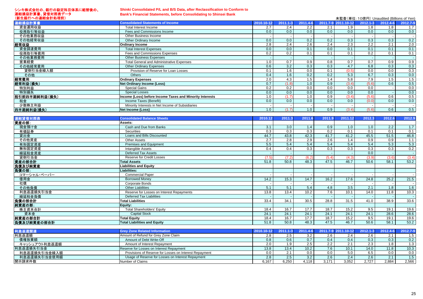#### シンキ株式会社の、銀行の勘定科目体系に組替後の、 連結損益計算書、貸借対照表データ (新生銀行への連結会計処理前)

# **Shinki Consolidated P/L and B/S Data, after Reclassification to Conform to**

**Bank's Financial Statements, before Consolidating to Shinsei Bank**

| (新生銀行への連結会計処理前) |                                                          |            |              |          |     | 未監査(単位:10億円) Unaudited (Billions of Yen) |              |          |          |
|-----------------|----------------------------------------------------------|------------|--------------|----------|-----|------------------------------------------|--------------|----------|----------|
| 連結損益計算書         | <b>Consolidated Statements of Income</b>                 | 2010.10-12 | $2011.1 - 3$ | 2011.4-6 |     | 2011.7-9 2011.10-12                      | $2012.1 - 3$ | 2012.4-6 | 2012.7-9 |
| 資金運用収益          | Total Interest Income                                    | 2.7        | 2.4          | 2.2      | 2.1 | 1.9                                      | 1.8          | 1.8      | 1.7      |
| 役務取引等収益         | Fees and Commissions Income                              | 0.0        | 0.0          | 0.0      | 0.0 | 0.0                                      | 0.0          | 0.0      | 0.0      |
| その他業務収益         | Other Business Income                                    |            |              |          |     |                                          |              |          |          |
| その他経常収益         | Other Ordinary Income                                    | 0.0        | 0.0          | 0.2      | 0.2 | 0.3                                      | 0.3          | 0.3      | 0.2      |
| 経常収益            | <b>Ordinary Income</b>                                   | 2.8        | 2.4          | 2.6      | 2.4 | 2.3                                      | 2.2          | 2.1      | 2.0      |
| 資金調達費用          | <b>Total Interest Expenses</b>                           | 0.0        | 0.0          | 0.1      | 0.0 | 0.1                                      | 0.1          | 0.1      | 0.1      |
| 役務取引等費用         | Fees and Commissions Expenses                            | 0.2        | 0.2          | 0.1      | 0.1 | 0.1                                      | 0.2          | 0.1      | 0.1      |
| その他業務費用         | <b>Other Business Expenses</b>                           |            |              |          |     |                                          |              |          |          |
| 営業経費            | <b>Total General and Administrative Expenses</b>         | 1.0        | 0.7          | 0.9      | 0.8 | 0.7                                      | 0.7          | 0.9      | 0.9      |
| その他経常費用         | <b>Other Ordinary Expenses</b>                           | 0.6        | 3.2          | 0.3      | 0.3 | 4.7                                      | 6.8          | 0.3      | 0.3      |
| 貸倒引当金繰入額        | Provision of Reserve for Loan Losses                     | 0.1        | 1.6          | 0.0      | 0.1 | (0.5)                                    | 0.0          | 0.0      | 0.3      |
| その他             | <b>Others</b>                                            | 0.4        | 1.6          | 0.2      | 0.2 | 5.3                                      | 6.7          | 0.3      | 0.0      |
| 経常費用            | <b>Ordinary Expenses</b>                                 | 2.0        | 4.3          | 1.5      | 1.4 | 5.8                                      | 7.9          | 1.5      | 1.5      |
| 経常利益(損失)        | Net Ordinary Income (Loss)                               | 0.7        | (1.8)        | 1.0      | 0.9 | (3.4)                                    | (5.6)        | 0.6      | 0.5      |
| 特別利益            | <b>Special Gains</b>                                     | 0.2        | 0.2          | 0.0      | 0.0 | 0.0                                      | 0.0          |          | 0.0      |
| 特別損失            | <b>Special Losses</b>                                    | 0.0        | 0.0          | 0.0      | 0.0 | 0.0                                      | 0.0          |          | 0.0      |
| 税引前四半期純利益(損失)   | Income (Loss) before Income Taxes and Minority Interests | 1.0        |              | 1.0      | 0.9 | (3.4)                                    | (5.6)        | 0.6      | 0.5      |
| 税金              | Income Taxes (Benefit)                                   | 0.0        | 0.0          | 0.0      | 0.0 | 0.0                                      | (0.0)        | 0.0      | 0.0      |
| 少数株主利益          | Minority Interests in Net Income of Subsidiaries         |            |              |          |     |                                          |              |          |          |
| 四半期純利益(損失)      | Net Income (Loss)                                        | 1.0        |              | 1.0      | 0.9 | (3.4)                                    | (5.6)        | 0.6      | 0.5      |

| 連結貸借対照表       | <b>Consolidated Balance Sheets</b>        | 2010.12          | 2011.3       | 2011.6   | 2011.9 | 2011.12             | 2012.3       | 2012.6   | 2012.9          |
|---------------|-------------------------------------------|------------------|--------------|----------|--------|---------------------|--------------|----------|-----------------|
| 資産の部:         | Assets:                                   |                  |              |          |        |                     |              |          |                 |
| 現金預け金         | Cash and Due from Banks                   | 3.1              | 3.0          | 1.4      | 0.9    | 1.0                 | 1.0          | 2.2      | 1.7             |
| 有価証券          | Securities                                | 0.3              | 0.3          | 0.3      | 0.2    | 0.1                 | 0.1          | 0.1      | 0.1             |
| 貸出金           | Loans and Bills Discounted                | 44.7             | 43.8         | 42.3     | 41.7   | 41.2                | 45.5         | 51.5     | 46.8            |
| その他資産         | <b>Other Assets</b>                       | $\overline{2.7}$ | 2.8          | 2.9      | 2.6    | 1.4                 | 0.9          | 0.9      | 1.1             |
| 有形固定資産        | Premises and Equipment                    | 5.5              | 5.4          | 5.4      | 5.4    | 5.4                 | 5.4          | 5.3      | 5.3             |
| 無形固定資産        | Intangible Assets                         | 0.4              | 0.4          | 0.3      | 0.3    | 0.3                 | 0.3          | 0.3      | 0.2             |
| 繰延税金資産        | <b>Deferred Tax Assets</b>                |                  |              |          |        |                     | 0.0          |          |                 |
| 貸倒引当金         | <b>Reserve for Credit Losses</b>          | (7.5)            | (7.2)        | (6.2)    | (5.4)  | (4.3)               | (3.9)        | (3.6)    | (3.4)           |
| 資産の部合計        | <b>Total Assets</b>                       | 51.8             | 50.8         | 48.3     | 47.5   | 46.7                | 50.6         | 58.1     | 53.2            |
| 負債及び純資産       | <b>Liabilities and Equity</b>             |                  |              |          |        |                     |              |          |                 |
| 負債の部:         | Liabilities:                              |                  |              |          |        |                     |              |          |                 |
| コマーシャル・ペーパー   | <b>Commercial Paper</b>                   |                  |              |          |        |                     |              |          |                 |
| 借用金           | <b>Borrowed Money</b>                     | 14.2             | 15.3         | 14.7     | 16.2   | 17.6                | 24.8         | 25.2     | 21.5            |
| 社債            | Corporate Bonds                           |                  |              |          |        |                     |              |          |                 |
| その他負債         | <b>Other Liabilities</b>                  | 5.1              | 5.1          | 5.4      | 4.8    | 3.5                 | 2.1          | 1.8      | 1.6             |
| 利息返還損失引当金     | Reserve for Losses on Interest Repayments | 13.8             | 13.4         | 10.2     | 7.6    | 10.1                | 14.0         | 11.8     | 10.3            |
| 繰延税金負債        | <b>Deferred Tax Liabilities</b>           |                  |              |          |        |                     |              |          |                 |
| 負債の部合計        | <b>Total Liabilities</b>                  | 33.4             | 34.1         | 30.5     | 28.8   | 31.5                | 41.0         | 38.9     | 33.6            |
| 純資産の部:        | Equity:                                   |                  |              |          |        |                     |              |          |                 |
| 株主資本合計        | <b>Total Shareholders' Equity</b>         | 18.4             | 16.7         | 17.7     | 18.7   | 15.2                | 9.5          | 19.1     | 19.6            |
| 資本金           | <b>Capital Stock</b>                      | 24.1             | 24.1         | 24.1     | 24.1   | 24.1                | 24.1         | 28.6     | 28.6            |
| 純資産の部合計       | <b>Total Equity</b>                       | 18.4             | 16.7         | 17.7     | 18.7   | 15.2                | 9.5          | 19.1     | 19.6            |
| 負債及び純資産の部合計   | <b>Total Liabilities and Equity</b>       | 51.8             | 50.8         | 48.3     | 47.5   | 46.7                | 50.6         | 58.1     | 53.2            |
|               |                                           |                  |              |          |        |                     |              |          |                 |
| 利息返還関連        | <b>Grey Zone Related Information</b>      | 2010.10-12       | $2011.1 - 3$ | 2011.4-6 |        | 2011.7-9 2011.10-12 | $2012.1 - 3$ | 2012.4-6 | 2012.7-9        |
| 利息返還額         | Amount of Refund for Grey Zone Claim      | 2.8              | 2.5          | 3.2      | 2.6    | 2.4                 | 2.6          | 2.1      | 1.5             |
| 債権放棄額         | Amount of Debt Write-Off                  | 0.8              | 0.6          | 0.7      | 0.4    | 0.4                 | 0.3          | 0.3      | 0.2             |
| キャッシュアウト利息返還額 | Amount of Interest Renayment              | 2.0              | 1.9          | 2.5      | 22     | 2.1                 | 2.3          | 1.8      | $\overline{13}$ |

| 債権放棄額         | Amount of Debt Write-Off                               | 0.8   | 0.6   | 0.7   | 0.4        | 0.4   | 0.3 <sub>2</sub> | 0.3   |       |
|---------------|--------------------------------------------------------|-------|-------|-------|------------|-------|------------------|-------|-------|
| キャッシュアウト利息返還額 | Amount of Interest Repayment                           | 2.0   | ت ا   | 2.5   | $2.2 \mid$ |       |                  |       |       |
| 利息返還損失引当金     | Reserve for Losses on Interest Repayment               | 13.8  | 13.4  | 10.2  | 7.6        | 10.1  | 14.0             | 11.8  | 10.3  |
| 利息返還損失引当金繰入額  | Provisions of Reserve for Losses on Interest Repayment | 0.0   |       | 0.0   | 0.0        |       |                  | 0.0   |       |
| 利息返還損失引当金使用額  | Usage of Reserve for Losses on Interest Repayment      | 2.8   | 2.5   | 3.2   | 2.61       |       | 2.6              | .     |       |
| 開示請求件数        | Number of Claims                                       | 6,167 | 6.250 | 4,118 | 3.171      | 3,052 | 2.727            | 2,884 | 2,566 |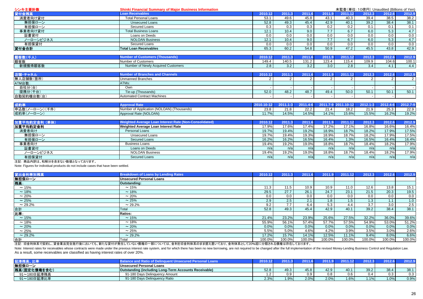| <b>Loan Receivables</b><br>貸付金残高<br>2010.12<br>2011.3<br>2011.12<br>2012.3<br>2012.6<br>2011.6<br>2012.9<br>2011.9<br>消費者向け貸付<br><b>Total Personal Loans</b><br>45.8<br>39.4<br>38.2<br>53.1<br>49.6<br>43.1<br>40.3<br>38.5<br>39.2<br>38.1<br>無担保ローン<br>52.8<br>49.3<br>45.4<br>42.9<br>40.1<br>38.4<br><b>Unsecured Loans</b><br>0.2<br>有担保ローン<br>0.3<br>0.3<br>0.2<br>0.1<br>0.1<br>0.1<br>0.3<br>Secured Loans<br>4.7<br>6.7<br>6.0<br>5.3<br>事業者向け貸付<br>10.4<br>9.0<br>7.7<br>12.1<br><b>Total Business Loans</b><br>0.0<br>0.0<br>0.0<br>0.0<br>証書貸付<br>0.0<br>0.0<br>0.0<br>Loans on Deeds<br>0.0<br>4.7<br>7.7<br>6.7<br>ノーローンビジネス<br>9.0<br>6.0<br>5.3<br>12.1<br>10.4<br><b>NOLOAN Business</b><br>0.0<br>0.0<br>0.0<br>0.0<br>0.0<br>有担保貸付<br>0.0<br>0.0<br>0.0<br><b>Secured Loans</b><br>42.9<br>47.2<br>45.5<br>貸付金合計<br>65.3<br>60.2<br>54.8<br>50.9<br>43.8<br><b>Total Loan Receivables</b><br>顧客数(千人)<br><b>Number of Customers (Thousands)</b><br>2012.6<br>2012.9<br>2010.12<br>2011.3<br>2011.6<br>2011.9<br>2011.12<br>2012.3<br>顧客数<br><b>Number of Customers</b><br>131.2<br>104.6<br>149.4<br>140.5<br>123.4<br>115.4<br>109.9<br>100.1<br>新規獲得顧客数<br>Number of Newly Acquired Customers<br>3.4<br>2.8<br>3.2<br>3.2<br>3.0<br>4.4<br>2.8<br>4.1<br><b>Number of Branches and Channels</b><br>2012.9<br>店舗・チャネル<br>2010.12<br>2011.12<br>2012.3<br>2012.6<br>2011.3<br>2011.6<br>2011.9<br>無人店舗数(箇所)<br><b>Unmanned Branches</b><br>2<br>$\overline{2}$<br>$\mathcal{P}$<br>$\overline{2}$<br>2<br>$\overline{2}$<br>2<br>2<br>ATMs:<br>自社分(台)<br>Own<br>提携分(千台)<br>52.0<br>50.0<br>50.1<br>48.2<br>48.7<br>49.4<br>50.1<br>50.1<br>Tie-up (Thousands)<br><b>Automated Contract Machines</b><br>成約率<br><b>Approval Rate</b><br>$2012.1 - 3$<br>2012.4-6<br>2012.7-9<br>$2011.1 - 3$<br>2011.4-6<br>2011.7-9 2011.10-12<br>2010.10-12<br>申込数(ノーローン)(千件)<br>Number of Application (NOLOAN) (Thousands)<br>23.8<br>21.8<br>22.2<br>21.4<br>18.2<br>21.9<br>25.3<br>22.9<br>14.5%<br>16.2%<br>19.2%<br>11.7%<br>14.5%<br>14.1%<br>15.6%<br>15.5%<br>成約率(ノーローン)<br>Approval Rate (NOLOAN)<br>Weighted Average Loan Interest Rate (Non-Consolidated)<br>加重平均約定金利 (単体)<br>2011.12<br>2012.3<br>2012.6<br>2012.9<br>2010.12<br>2011.3<br>2011.6<br>2011.9<br>17.6%<br>17.4%<br>17.2%<br>17.1%<br>16.8%<br>16.6%<br>加重平均約定金利<br>Weighted Average Loan Interest Rate<br>17.9%<br>16.4%<br>19.2%<br>19.7%<br>19.4%<br>18.9%<br>18.7%<br>18.2%<br>17.9%<br>17.5%<br>消費者向け<br>Personal Loans<br>18.9%<br>18.7%<br>18.2%<br>無担保ローン<br>19.7%<br>19.4%<br>19.3%<br>17.9%<br>17.5%<br><b>Unsecured Loans</b><br>有担保ローン<br>1.3%<br>16.5%<br>16.4%<br><b>Secured Loans</b><br>16.2%<br>16.2%<br>16.5%<br>16.4%<br>16.4%<br>事業者向け<br>18.7%<br>19.2%<br>18.8%<br>18.4%<br>18.2%<br><b>Business Loans</b><br>19.4%<br>19.0%<br>17.9%<br>証書貸付<br>Loans on Deeds<br>n/a<br>n/a<br>n/a<br>n/a<br>n/a<br>n/a<br>n/a<br>n/a<br>ノーローンビジネス<br>18.7%<br>18.4%<br>18.2%<br>17.9%<br><b>NOLOAN Business</b><br>19.4%<br>19.2%<br>19.0%<br>18.8% | シンキ主要計数    | <b>Shinki Financial Summary of Major Business Information</b> |     | 未監査(単位: 10億円) Unaudited (Billions of Yen) |     |     |     |     |     |     |
|-------------------------------------------------------------------------------------------------------------------------------------------------------------------------------------------------------------------------------------------------------------------------------------------------------------------------------------------------------------------------------------------------------------------------------------------------------------------------------------------------------------------------------------------------------------------------------------------------------------------------------------------------------------------------------------------------------------------------------------------------------------------------------------------------------------------------------------------------------------------------------------------------------------------------------------------------------------------------------------------------------------------------------------------------------------------------------------------------------------------------------------------------------------------------------------------------------------------------------------------------------------------------------------------------------------------------------------------------------------------------------------------------------------------------------------------------------------------------------------------------------------------------------------------------------------------------------------------------------------------------------------------------------------------------------------------------------------------------------------------------------------------------------------------------------------------------------------------------------------------------------------------------------------------------------------------------------------------------------------------------------------------------------------------------------------------------------------------------------------------------------------------------------------------------------------------------------------------------------------------------------------------------------------------------------------------------------------------------------------------------------------------------------------------------------------------------------------------------------------------------------------------------------------------------------------------------------------------------------------------------------------------------------------------------------------------------------------------------------------------------------------------------------------------------------------------------------------------------------------------------------------------------------------------------------------------------------------------------------------------------------------------------------------------|------------|---------------------------------------------------------------|-----|-------------------------------------------|-----|-----|-----|-----|-----|-----|
|                                                                                                                                                                                                                                                                                                                                                                                                                                                                                                                                                                                                                                                                                                                                                                                                                                                                                                                                                                                                                                                                                                                                                                                                                                                                                                                                                                                                                                                                                                                                                                                                                                                                                                                                                                                                                                                                                                                                                                                                                                                                                                                                                                                                                                                                                                                                                                                                                                                                                                                                                                                                                                                                                                                                                                                                                                                                                                                                                                                                                                           |            |                                                               |     |                                           |     |     |     |     |     |     |
|                                                                                                                                                                                                                                                                                                                                                                                                                                                                                                                                                                                                                                                                                                                                                                                                                                                                                                                                                                                                                                                                                                                                                                                                                                                                                                                                                                                                                                                                                                                                                                                                                                                                                                                                                                                                                                                                                                                                                                                                                                                                                                                                                                                                                                                                                                                                                                                                                                                                                                                                                                                                                                                                                                                                                                                                                                                                                                                                                                                                                                           |            |                                                               |     |                                           |     |     |     |     |     |     |
|                                                                                                                                                                                                                                                                                                                                                                                                                                                                                                                                                                                                                                                                                                                                                                                                                                                                                                                                                                                                                                                                                                                                                                                                                                                                                                                                                                                                                                                                                                                                                                                                                                                                                                                                                                                                                                                                                                                                                                                                                                                                                                                                                                                                                                                                                                                                                                                                                                                                                                                                                                                                                                                                                                                                                                                                                                                                                                                                                                                                                                           |            |                                                               |     |                                           |     |     |     |     |     |     |
|                                                                                                                                                                                                                                                                                                                                                                                                                                                                                                                                                                                                                                                                                                                                                                                                                                                                                                                                                                                                                                                                                                                                                                                                                                                                                                                                                                                                                                                                                                                                                                                                                                                                                                                                                                                                                                                                                                                                                                                                                                                                                                                                                                                                                                                                                                                                                                                                                                                                                                                                                                                                                                                                                                                                                                                                                                                                                                                                                                                                                                           |            |                                                               |     |                                           |     |     |     |     |     |     |
|                                                                                                                                                                                                                                                                                                                                                                                                                                                                                                                                                                                                                                                                                                                                                                                                                                                                                                                                                                                                                                                                                                                                                                                                                                                                                                                                                                                                                                                                                                                                                                                                                                                                                                                                                                                                                                                                                                                                                                                                                                                                                                                                                                                                                                                                                                                                                                                                                                                                                                                                                                                                                                                                                                                                                                                                                                                                                                                                                                                                                                           |            |                                                               |     |                                           |     |     |     |     |     |     |
|                                                                                                                                                                                                                                                                                                                                                                                                                                                                                                                                                                                                                                                                                                                                                                                                                                                                                                                                                                                                                                                                                                                                                                                                                                                                                                                                                                                                                                                                                                                                                                                                                                                                                                                                                                                                                                                                                                                                                                                                                                                                                                                                                                                                                                                                                                                                                                                                                                                                                                                                                                                                                                                                                                                                                                                                                                                                                                                                                                                                                                           |            |                                                               |     |                                           |     |     |     |     |     |     |
|                                                                                                                                                                                                                                                                                                                                                                                                                                                                                                                                                                                                                                                                                                                                                                                                                                                                                                                                                                                                                                                                                                                                                                                                                                                                                                                                                                                                                                                                                                                                                                                                                                                                                                                                                                                                                                                                                                                                                                                                                                                                                                                                                                                                                                                                                                                                                                                                                                                                                                                                                                                                                                                                                                                                                                                                                                                                                                                                                                                                                                           |            |                                                               |     |                                           |     |     |     |     |     |     |
|                                                                                                                                                                                                                                                                                                                                                                                                                                                                                                                                                                                                                                                                                                                                                                                                                                                                                                                                                                                                                                                                                                                                                                                                                                                                                                                                                                                                                                                                                                                                                                                                                                                                                                                                                                                                                                                                                                                                                                                                                                                                                                                                                                                                                                                                                                                                                                                                                                                                                                                                                                                                                                                                                                                                                                                                                                                                                                                                                                                                                                           |            |                                                               |     |                                           |     |     |     |     |     |     |
|                                                                                                                                                                                                                                                                                                                                                                                                                                                                                                                                                                                                                                                                                                                                                                                                                                                                                                                                                                                                                                                                                                                                                                                                                                                                                                                                                                                                                                                                                                                                                                                                                                                                                                                                                                                                                                                                                                                                                                                                                                                                                                                                                                                                                                                                                                                                                                                                                                                                                                                                                                                                                                                                                                                                                                                                                                                                                                                                                                                                                                           |            |                                                               |     |                                           |     |     |     |     |     |     |
|                                                                                                                                                                                                                                                                                                                                                                                                                                                                                                                                                                                                                                                                                                                                                                                                                                                                                                                                                                                                                                                                                                                                                                                                                                                                                                                                                                                                                                                                                                                                                                                                                                                                                                                                                                                                                                                                                                                                                                                                                                                                                                                                                                                                                                                                                                                                                                                                                                                                                                                                                                                                                                                                                                                                                                                                                                                                                                                                                                                                                                           |            |                                                               |     |                                           |     |     |     |     |     |     |
|                                                                                                                                                                                                                                                                                                                                                                                                                                                                                                                                                                                                                                                                                                                                                                                                                                                                                                                                                                                                                                                                                                                                                                                                                                                                                                                                                                                                                                                                                                                                                                                                                                                                                                                                                                                                                                                                                                                                                                                                                                                                                                                                                                                                                                                                                                                                                                                                                                                                                                                                                                                                                                                                                                                                                                                                                                                                                                                                                                                                                                           |            |                                                               |     |                                           |     |     |     |     |     |     |
|                                                                                                                                                                                                                                                                                                                                                                                                                                                                                                                                                                                                                                                                                                                                                                                                                                                                                                                                                                                                                                                                                                                                                                                                                                                                                                                                                                                                                                                                                                                                                                                                                                                                                                                                                                                                                                                                                                                                                                                                                                                                                                                                                                                                                                                                                                                                                                                                                                                                                                                                                                                                                                                                                                                                                                                                                                                                                                                                                                                                                                           |            |                                                               |     |                                           |     |     |     |     |     |     |
|                                                                                                                                                                                                                                                                                                                                                                                                                                                                                                                                                                                                                                                                                                                                                                                                                                                                                                                                                                                                                                                                                                                                                                                                                                                                                                                                                                                                                                                                                                                                                                                                                                                                                                                                                                                                                                                                                                                                                                                                                                                                                                                                                                                                                                                                                                                                                                                                                                                                                                                                                                                                                                                                                                                                                                                                                                                                                                                                                                                                                                           |            |                                                               |     |                                           |     |     |     |     |     |     |
|                                                                                                                                                                                                                                                                                                                                                                                                                                                                                                                                                                                                                                                                                                                                                                                                                                                                                                                                                                                                                                                                                                                                                                                                                                                                                                                                                                                                                                                                                                                                                                                                                                                                                                                                                                                                                                                                                                                                                                                                                                                                                                                                                                                                                                                                                                                                                                                                                                                                                                                                                                                                                                                                                                                                                                                                                                                                                                                                                                                                                                           |            |                                                               |     |                                           |     |     |     |     |     |     |
|                                                                                                                                                                                                                                                                                                                                                                                                                                                                                                                                                                                                                                                                                                                                                                                                                                                                                                                                                                                                                                                                                                                                                                                                                                                                                                                                                                                                                                                                                                                                                                                                                                                                                                                                                                                                                                                                                                                                                                                                                                                                                                                                                                                                                                                                                                                                                                                                                                                                                                                                                                                                                                                                                                                                                                                                                                                                                                                                                                                                                                           |            |                                                               |     |                                           |     |     |     |     |     |     |
|                                                                                                                                                                                                                                                                                                                                                                                                                                                                                                                                                                                                                                                                                                                                                                                                                                                                                                                                                                                                                                                                                                                                                                                                                                                                                                                                                                                                                                                                                                                                                                                                                                                                                                                                                                                                                                                                                                                                                                                                                                                                                                                                                                                                                                                                                                                                                                                                                                                                                                                                                                                                                                                                                                                                                                                                                                                                                                                                                                                                                                           | ATM台数:     |                                                               |     |                                           |     |     |     |     |     |     |
|                                                                                                                                                                                                                                                                                                                                                                                                                                                                                                                                                                                                                                                                                                                                                                                                                                                                                                                                                                                                                                                                                                                                                                                                                                                                                                                                                                                                                                                                                                                                                                                                                                                                                                                                                                                                                                                                                                                                                                                                                                                                                                                                                                                                                                                                                                                                                                                                                                                                                                                                                                                                                                                                                                                                                                                                                                                                                                                                                                                                                                           |            |                                                               |     |                                           |     |     |     |     |     |     |
|                                                                                                                                                                                                                                                                                                                                                                                                                                                                                                                                                                                                                                                                                                                                                                                                                                                                                                                                                                                                                                                                                                                                                                                                                                                                                                                                                                                                                                                                                                                                                                                                                                                                                                                                                                                                                                                                                                                                                                                                                                                                                                                                                                                                                                                                                                                                                                                                                                                                                                                                                                                                                                                                                                                                                                                                                                                                                                                                                                                                                                           |            |                                                               |     |                                           |     |     |     |     |     |     |
|                                                                                                                                                                                                                                                                                                                                                                                                                                                                                                                                                                                                                                                                                                                                                                                                                                                                                                                                                                                                                                                                                                                                                                                                                                                                                                                                                                                                                                                                                                                                                                                                                                                                                                                                                                                                                                                                                                                                                                                                                                                                                                                                                                                                                                                                                                                                                                                                                                                                                                                                                                                                                                                                                                                                                                                                                                                                                                                                                                                                                                           | 自動契約機台数(台) |                                                               |     |                                           |     |     |     |     |     |     |
|                                                                                                                                                                                                                                                                                                                                                                                                                                                                                                                                                                                                                                                                                                                                                                                                                                                                                                                                                                                                                                                                                                                                                                                                                                                                                                                                                                                                                                                                                                                                                                                                                                                                                                                                                                                                                                                                                                                                                                                                                                                                                                                                                                                                                                                                                                                                                                                                                                                                                                                                                                                                                                                                                                                                                                                                                                                                                                                                                                                                                                           |            |                                                               |     |                                           |     |     |     |     |     |     |
|                                                                                                                                                                                                                                                                                                                                                                                                                                                                                                                                                                                                                                                                                                                                                                                                                                                                                                                                                                                                                                                                                                                                                                                                                                                                                                                                                                                                                                                                                                                                                                                                                                                                                                                                                                                                                                                                                                                                                                                                                                                                                                                                                                                                                                                                                                                                                                                                                                                                                                                                                                                                                                                                                                                                                                                                                                                                                                                                                                                                                                           |            |                                                               |     |                                           |     |     |     |     |     |     |
|                                                                                                                                                                                                                                                                                                                                                                                                                                                                                                                                                                                                                                                                                                                                                                                                                                                                                                                                                                                                                                                                                                                                                                                                                                                                                                                                                                                                                                                                                                                                                                                                                                                                                                                                                                                                                                                                                                                                                                                                                                                                                                                                                                                                                                                                                                                                                                                                                                                                                                                                                                                                                                                                                                                                                                                                                                                                                                                                                                                                                                           |            |                                                               |     |                                           |     |     |     |     |     |     |
|                                                                                                                                                                                                                                                                                                                                                                                                                                                                                                                                                                                                                                                                                                                                                                                                                                                                                                                                                                                                                                                                                                                                                                                                                                                                                                                                                                                                                                                                                                                                                                                                                                                                                                                                                                                                                                                                                                                                                                                                                                                                                                                                                                                                                                                                                                                                                                                                                                                                                                                                                                                                                                                                                                                                                                                                                                                                                                                                                                                                                                           |            |                                                               |     |                                           |     |     |     |     |     |     |
|                                                                                                                                                                                                                                                                                                                                                                                                                                                                                                                                                                                                                                                                                                                                                                                                                                                                                                                                                                                                                                                                                                                                                                                                                                                                                                                                                                                                                                                                                                                                                                                                                                                                                                                                                                                                                                                                                                                                                                                                                                                                                                                                                                                                                                                                                                                                                                                                                                                                                                                                                                                                                                                                                                                                                                                                                                                                                                                                                                                                                                           |            |                                                               |     |                                           |     |     |     |     |     |     |
|                                                                                                                                                                                                                                                                                                                                                                                                                                                                                                                                                                                                                                                                                                                                                                                                                                                                                                                                                                                                                                                                                                                                                                                                                                                                                                                                                                                                                                                                                                                                                                                                                                                                                                                                                                                                                                                                                                                                                                                                                                                                                                                                                                                                                                                                                                                                                                                                                                                                                                                                                                                                                                                                                                                                                                                                                                                                                                                                                                                                                                           |            |                                                               |     |                                           |     |     |     |     |     |     |
|                                                                                                                                                                                                                                                                                                                                                                                                                                                                                                                                                                                                                                                                                                                                                                                                                                                                                                                                                                                                                                                                                                                                                                                                                                                                                                                                                                                                                                                                                                                                                                                                                                                                                                                                                                                                                                                                                                                                                                                                                                                                                                                                                                                                                                                                                                                                                                                                                                                                                                                                                                                                                                                                                                                                                                                                                                                                                                                                                                                                                                           |            |                                                               |     |                                           |     |     |     |     |     |     |
|                                                                                                                                                                                                                                                                                                                                                                                                                                                                                                                                                                                                                                                                                                                                                                                                                                                                                                                                                                                                                                                                                                                                                                                                                                                                                                                                                                                                                                                                                                                                                                                                                                                                                                                                                                                                                                                                                                                                                                                                                                                                                                                                                                                                                                                                                                                                                                                                                                                                                                                                                                                                                                                                                                                                                                                                                                                                                                                                                                                                                                           |            |                                                               |     |                                           |     |     |     |     |     |     |
|                                                                                                                                                                                                                                                                                                                                                                                                                                                                                                                                                                                                                                                                                                                                                                                                                                                                                                                                                                                                                                                                                                                                                                                                                                                                                                                                                                                                                                                                                                                                                                                                                                                                                                                                                                                                                                                                                                                                                                                                                                                                                                                                                                                                                                                                                                                                                                                                                                                                                                                                                                                                                                                                                                                                                                                                                                                                                                                                                                                                                                           |            |                                                               |     |                                           |     |     |     |     |     |     |
|                                                                                                                                                                                                                                                                                                                                                                                                                                                                                                                                                                                                                                                                                                                                                                                                                                                                                                                                                                                                                                                                                                                                                                                                                                                                                                                                                                                                                                                                                                                                                                                                                                                                                                                                                                                                                                                                                                                                                                                                                                                                                                                                                                                                                                                                                                                                                                                                                                                                                                                                                                                                                                                                                                                                                                                                                                                                                                                                                                                                                                           |            |                                                               |     |                                           |     |     |     |     |     |     |
|                                                                                                                                                                                                                                                                                                                                                                                                                                                                                                                                                                                                                                                                                                                                                                                                                                                                                                                                                                                                                                                                                                                                                                                                                                                                                                                                                                                                                                                                                                                                                                                                                                                                                                                                                                                                                                                                                                                                                                                                                                                                                                                                                                                                                                                                                                                                                                                                                                                                                                                                                                                                                                                                                                                                                                                                                                                                                                                                                                                                                                           |            |                                                               |     |                                           |     |     |     |     |     |     |
|                                                                                                                                                                                                                                                                                                                                                                                                                                                                                                                                                                                                                                                                                                                                                                                                                                                                                                                                                                                                                                                                                                                                                                                                                                                                                                                                                                                                                                                                                                                                                                                                                                                                                                                                                                                                                                                                                                                                                                                                                                                                                                                                                                                                                                                                                                                                                                                                                                                                                                                                                                                                                                                                                                                                                                                                                                                                                                                                                                                                                                           |            |                                                               |     |                                           |     |     |     |     |     |     |
|                                                                                                                                                                                                                                                                                                                                                                                                                                                                                                                                                                                                                                                                                                                                                                                                                                                                                                                                                                                                                                                                                                                                                                                                                                                                                                                                                                                                                                                                                                                                                                                                                                                                                                                                                                                                                                                                                                                                                                                                                                                                                                                                                                                                                                                                                                                                                                                                                                                                                                                                                                                                                                                                                                                                                                                                                                                                                                                                                                                                                                           | 有担保貸付      | <b>Secured Loans</b>                                          | n/a | n/a                                       | n/a | n/a | n/a | n/a | n/a | n/a |

注記: 商品内訳は、和解分を含まない数値となっております。

Note: Figures for individual products do not include cases that have been settled.

| 貸出金利帯別残高             | <b>Breakdown of Loans by Lending Rates</b>                                                                                                                                                                                             | 2010.12 | 2011.3   | 2011.6 | 2011.9 | 2011<br>$\blacksquare$ | 2012.3 | 2012.6 | 2012.9 |
|----------------------|----------------------------------------------------------------------------------------------------------------------------------------------------------------------------------------------------------------------------------------|---------|----------|--------|--------|------------------------|--------|--------|--------|
| <b>無担保ローン</b><br>残高: | Unsecured Personal Loans                                                                                                                                                                                                               |         |          |        |        |                        |        |        |        |
|                      | Outstanding:                                                                                                                                                                                                                           |         |          |        |        |                        |        |        |        |
| $\sim$ 15%           | $\sim$ 15%                                                                                                                                                                                                                             | 11.3    | $11.5 -$ | 10.9   | 10.9   | 11.0                   | 12.6   | 13.8   | 15.1   |
| ~18%                 | $\sim$ 18%                                                                                                                                                                                                                             | 29.5    | 27.7     | 26.1   | 24.7   | 23.1                   | 21.5   | 20.3   | 19.5   |
| $\sim$ 20%           | $\sim 20\%$                                                                                                                                                                                                                            | 0.0     | 0.0      | 0.0    | 0.0    | 0.0                    | 0.0    | 0.0    | 0.0    |
| $\sim$ 25%           | $\sim 25%$                                                                                                                                                                                                                             | 2.9     | 2.5      | 2.1    | 1.8    | 1.5                    | 1.3    | 1.1    | 1.0    |
| $\sim$ 29.2%         | $\sim$ 29.2%                                                                                                                                                                                                                           | 9.2     | 7.7      | 6.4    | 5.3    | 4.4                    | 3.7    | 3.0    | 2.5    |
| 合計                   | Total                                                                                                                                                                                                                                  | 52.8    | 49.3     | 45.4   | 42.9   | 40.1                   | 39.2   | 38.4   | 38.1   |
| 比率:                  | Ratios:                                                                                                                                                                                                                                |         |          |        |        |                        |        |        |        |
| ~15%                 | $\sim$ 15%                                                                                                                                                                                                                             | 21.4%   | 23.2%    | 23.9%  | 25.6%  | 27.5%                  | 32.2%  | 36.0%  | 39.6%  |
| $\sim$ 18%           | $~18\%$                                                                                                                                                                                                                                | 55.9%   | 56.1%    | 57.4%  | 57.7%  | 57.5%                  | 54.9%  | 53.0%  | 51.2%  |
| $\sim 20\%$          | $\sim 20\%$                                                                                                                                                                                                                            | 0.0%    | 0.0%     | 0.0%   | 0.0%   | 0.0%                   | 0.0%   | 0.0%   | 0.0%   |
| $\sim$ 25%           | $\sim 25%$                                                                                                                                                                                                                             | 5.5%    | 5.0%     | 4.6%   | 4.2%   | 3.9%                   | 3.5%   | 3.0%   | 2.6%   |
| $\sim$ 29.2%         | $\sim$ 29.2%                                                                                                                                                                                                                           | 17.2%   | 15.7%    | 14.1%  | 12.5%  | 11.1%                  | 9.4%   | 8.0%   | 6.6%   |
| 合計                   | Total<br>ited in the chain and district the contract and an international and the contract of the television of the contract of the contract of the contract of the contract of the contract of the contract of the contract of the co | 100.0%  | 100.0%   | 100.0% | 100.0% | 100.0%                 | 100.0% | 100.0% | 100.0% |

注記: 旧金利体系で契約し、貸金業法完全施行後においても、新たな貸付が発生していない債権の一部については、金利を旧金利体系のまま据え置いており、金利体系として20%超に分類される債権は存在しております。

Note: Interest rates for receivables whose contracts were made under the previous interest rate system, and for which there has been no new borrowing, are not required to be changed after the full implementation of the rev As a result, some receivables are classified as having interest rates of over 20%.

|              | <b>Loans</b>                                                 | 2010.1 |      |      |      | 44.491 | 2012.3 | א ס  |      |
|--------------|--------------------------------------------------------------|--------|------|------|------|--------|--------|------|------|
| 無担保ローン       | Unsecured Personal Loans                                     |        |      |      |      |        |        |      |      |
| 残高(固定化債権を含む) | <b>Outstanding (including Long-Term Accounts Receivable)</b> | 52.8   | 49.3 | 45.8 | 42.9 | 40.1   | 39.2   | 38.4 | 38.1 |
| 91~180日延滞残高  | 91-180 Davs Delinguency Amount                               | .      |      |      | 0.8  | 0.6    | 0.4    | ე.ვ  | 0.3  |
| 91~180日延滞比率  | 91-180 Davs Delinguency Ratio                                | 2.3%   | 1.9% | 2.0% | 2.0% | 1.6%   | 1.1%   | 1.0% | 0.9% |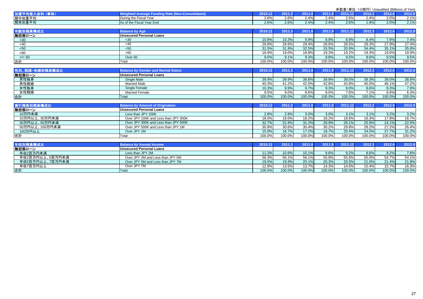|                 |                                                         |         |        |        |        |         | 未監査(単位:10億円) Unaudited (Billions of Yen) |        |        |
|-----------------|---------------------------------------------------------|---------|--------|--------|--------|---------|------------------------------------------|--------|--------|
| 加重平均借入金利 (単体)   | <b>Weighted Average Funding Rate (Non-Consolidated)</b> | 2010.12 | 2011.3 | 2011.6 | 2011.9 | 2011.12 | 2012.3                                   | 2012.6 | 2012.9 |
| 期中加重平均          | During the Fiscal Year                                  | 2.6%    | 2.6%   | 2.4%   | 2.4%   | 2.5%    | 2.4%                                     | 2.0%   | 2.1%   |
| 期末加重平均          | As of the Fiscal Year End                               | 2.6%    | 2.6%   | 2.4%   | 2.4%   | 2.6%    | 1.9%                                     | 2.0%   | 2.1%   |
| 年齡別残高構成比        | <b>Balance by Age</b>                                   | 2010.12 | 2011.3 | 2011.6 | 2011.9 | 2011.12 | 2012.3                                   | 2012.6 | 2012.9 |
| 無担保ローン          | <b>Unsecured Personal Loans</b>                         |         |        |        |        |         |                                          |        |        |
| $30$            | $30$                                                    | 10.8%   | 10.3%  | 9.9%   | 8.9%   | 8.9%    | 8.4%                                     | 7.9%   | 7.4%   |
| <40             | <40                                                     | 29.8%   | 29.6%  | 29.4%  | 28.6%  | 28.5%   | 28.3%                                    | 27.9%  | 27.4%  |
| < 50            | $50$                                                    | 31.5%   | 31.9%  | 32.5%  | 33.5%  | 33.9%   | 34.4%                                    | 35.1%  | 35.8%  |
| <60             | <60                                                     | 18.9%   | 19.0%  | 18.8%  | 19.3%  | 19.2%   | 19.3%                                    | 19.6%  | 19.9%  |
| $>$ /= 60       | Over <sub>60</sub>                                      | 9.0%    | 9.1%   | 9.3%   | 9.8%   | 9.5%    | 9.6%                                     | 9.5%   | 9.5%   |
| 合計              | Total                                                   | 100.0%  | 100.0% | 100.0% | 100.0% | 100.0%  | 100.0%                                   | 100.0% | 100.0% |
| 性別、既婚·未婚別残高構成比  | <b>Balance by Gender and Marital Status</b>             | 2010.12 | 2011.3 | 2011.6 | 2011.9 | 2011.12 | 2012.3                                   | 2012.6 | 2012.9 |
| 無担保ローン          | <b>Unsecured Personal Loans</b>                         |         |        |        |        |         |                                          |        |        |
| 男性独身            | Single Male                                             | 39.9%   | 39.9%  | 39.8%  | 39.8%  | 39.5%   | 39.3%                                    | 39.0%  | 38.6%  |
| 男性既婚            | <b>Married Male</b>                                     | 40.3%   | 41.2%  | 42.0%  | 42.8%  | 43.8%   | 45.0%                                    | 46.1%  | 47.2%  |
| 女性独身            | Single Female                                           | 10.3%   | 9.9%   | 9.7%   | 9.3%   | 9.0%    | 8.6%                                     | 8.3%   | 7.9%   |
| 女性既婚            | <b>Married Female</b>                                   | 9.5%    | 9.0%   | 8.6%   | 8.0%   | 7.6%    | 7.1%                                     | 6.6%   | 6.3%   |
| 合計              | Total                                                   | 100.0%  | 100.0% | 100.0% | 100.0% | 100.0%  | 100.0%                                   | 100.0% | 100.0% |
|                 |                                                         |         |        |        |        |         |                                          |        |        |
| 実行残高別残高構成比      | <b>Balance by Amount of Origination</b>                 | 2010.12 | 2011.3 | 2011.6 | 2011.9 | 2011.12 | 2012.3                                   | 2012.6 | 2012.9 |
| 無担保ローン          | <b>Unsecured Personal Loans</b>                         |         |        |        |        |         |                                          |        |        |
| 10万円未満          | Less than JPY 100K                                      | 2.8%    | 2.9%   | 3.0%   | 3.0%   | 3.1%    | 3.1%                                     | 3.2%   | 3.2%   |
| 10万円以上、30万円未満   | Over JPY 100K and Less than JPY 300K                    | 18.0%   | 18.0%  | 18.2%  | 18.2%  | 18.6%   | 18.3%                                    | 17.8%  | 16.7%  |
| 30万円以上、50万円未満   | Over JPY 300K and Less than JPY 500K                    | 32.7%   | 31.9%  | 31.2%  | 29.9%  | 28.1%   | 25.9%                                    | 24.1%  | 22.5%  |
| 50万円以上、100万円未満  | Over JPY 500K and Less than JPY 1M                      | 30.8%   | 30.6%  | 30.4%  | 30.2%  | 29.8%   | 28.2%                                    | 27.2%  | 26.4%  |
| 100万円以上         | Over JPY 1M                                             | 15.8%   | 16.7%  | 17.2%  | 18.7%  | 20.4%   | 24.5%                                    | 27.7%  | 31.2%  |
| 合計              | Total                                                   | 100.0%  | 100.0% | 100.0% | 100.0% | 100.0%  | 100.0%                                   | 100.0% | 100.0% |
| 年収別残高横成比        | <b>Balance by Annual Income</b>                         | 2010.12 | 2011.3 | 2011.6 | 2011.9 | 2011.12 | 2012.3                                   | 2012.6 | 2012.9 |
| 無担保ローン          | <b>Unsecured Personal Loans</b>                         |         |        |        |        |         |                                          |        |        |
| 年収2百万円未満        | Less than JPY 2M                                        | 11.3%   | 10.6%  | 10.1%  | 9.6%   | 9.2%    | 8.6%                                     | 8.2%   | 7.8%   |
| 年収2百万円以上、5百万円未満 | Over JPY 2M and Less than JPY 5M                        | 56.3%   | 56.1%  | 56.1%  | 55.8%  | 55.6%   | 55.0%                                    | 54.7%  | 54.1%  |
| 年収5百万円以上、7百万円未満 | Over JPY 5M and Less than JPY 7M                        | 19.5%   | 19.9%  | 20.1%  | 20.3%  | 20.5%   | 21.0%                                    | 21.4%  | 21.8%  |
| 年収7百万円以上        | Over JPY 7M                                             | 12.9%   | 13.5%  | 13.7%  | 14.3%  | 14.6%   | 15.4%                                    | 15.7%  | 16.3%  |
| 合計              | <b>Total</b>                                            | 100.0%  | 100.0% | 100.0% | 100.0% | 100.0%  | 100.0%                                   | 100.0% | 100.0% |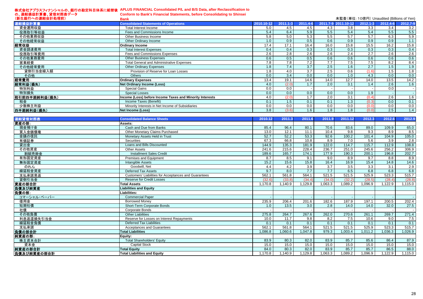#### 株式会社アプラスフィナンシャルの、銀行の勘定科目体系に組替後**APLUS FINANCIAL Consolidated P/L and B/S Data, after Reclassification to**

|                    | 株式会社アプラスフィナンシャルの、銀行の勘定科目体糸に組替後 APLUS FINANCIAL Consolidated P/L and B/S Data, after Reclassification to |            |              |                  |          |                                           |              |          |          |
|--------------------|---------------------------------------------------------------------------------------------------------|------------|--------------|------------------|----------|-------------------------------------------|--------------|----------|----------|
| の、連結損益計算書、貸借対照表データ | <b>Conform to Bank's Financial Statements, before Consolidating to Shinsei</b>                          |            |              |                  |          |                                           |              |          |          |
| (新生銀行への連結会計処理前)    | <b>Bank</b>                                                                                             |            |              |                  |          | 未監査(単位: 10億円) Unaudited (Billions of Yen) |              |          |          |
| 連結損益計算書            | <b>Consolidated Statements of Operations</b>                                                            | 2010.10-12 | $2011.1 - 3$ | 2011.4-6         | 2011.7-9 | $1.10 - 12$                               | $2012.1 - 3$ | 2012.4-6 | 2012.7-9 |
| 資金運用収益             | Total Interest Income                                                                                   | 5.0        | 4.5          | 4.5              | 4.3      | 3.8                                       | 3.3          | 3.4      | 3.2      |
| 役務取引等収益            | Fees and Commissions Income                                                                             | 5.4        | 6.4          | 5.9              | 5.5      | 5.4                                       | 5.4          | 5.5      | 5.5      |
| その他業務収益            | Other Business Income                                                                                   | 5.8        | 5.0          | 5.3              | 5.5      | 5.7                                       | 5.7          | 6.3      | 5.9      |
| その他経常収益            | Other Ordinary Income                                                                                   | 1.0        | 0.9          | 0.5              | 0.6      | 0.9                                       | 0.9          | 0.9      | 1.1      |
| 経常収益               | <b>Ordinary Income</b>                                                                                  | 17.4       | 17.1         | 16.4             | 16.0     | 15.8                                      | 15.5         | 16.2     | 15.8     |
| 資金調達費用             | <b>Total Interest Expenses</b>                                                                          | 0.4        | 0.4          | 0.3              | 0.3      | 0.3                                       | 0.3          | 0.3      | 0.4      |
| 役務取引等費用            | Fees and Commissions Expenses                                                                           | 2.6        | 2.8          | 2.6              | 2.6      | 2.4                                       | 2.7          | 2.6      | 2.6      |
| その他業務費用            | <b>Other Business Expenses</b>                                                                          | 0.6        | 0.5          | 0.5              | 0.6      | 0.6                                       | 0.6          | 0.6      | 0.6      |
| 営業経費               | Total General and Administrative Expenses                                                               | 7.8        | 7.8          | 7.2              | 7.7      | 7.5                                       | 7.5          | 8.2      | 8.4      |
| その他経常費用            | <b>Other Ordinary Expenses</b>                                                                          | 1.8        | 7.4          | 3.7              | 2.5      | 1.6                                       | 2.7          | 1.5      | 1.9      |
| 貸倒引当金繰入額           | Provision of Reserve for Loan Losses                                                                    | 1.8        | 4.0          | 3.7              | 2.5      | 0.6                                       | (1.6)        | 1.5      | 1.8      |
| その他                | Others                                                                                                  | 0.0        | 3.4          | 0.0 <sub>1</sub> | 0.0      | 1.0                                       | 4.3          | 0.0      | 0.0      |
| 経常費用               | <b>Ordinary Expenses</b>                                                                                | 13.4       | 19.1         | 14.6             | 14.0     | 12.7                                      | 14.0         | 13.5     | 14.2     |
| 経常利益(損失)           | Net Ordinary Income (Loss)                                                                              | 4.0        | (2.0)        |                  | 2.0      | 3.1                                       | 1.4          | 2.6      | 1.6      |
| 特別利益               | <b>Special Gains</b>                                                                                    | 0.0        | 0.0          |                  |          |                                           |              | 0.0      |          |
| 特別損失               | <b>Special Losses</b>                                                                                   | 0.0        | 0.0          | 0.0 <sub>1</sub> | 0.0      | 0.0                                       | 1.9          |          |          |
| 我引前四半期结别共(場牛)      | Income (Loss) before Income Taxes and Minority Interests                                                | 40         | (2.0)        | 17               | 20       | 31                                        | (0, 4)       | 26       | 16       |

| 特別利益          | Special Gains                                            | J.O              | 0.0 |     |       | 0.0 |     |
|---------------|----------------------------------------------------------|------------------|-----|-----|-------|-----|-----|
| 特別損失          | Special Losses                                           | $0.0\,$          | 0.0 |     | 1.9   |     |     |
| 税引前四半期純利益(損失) | Income (Loss) before Income Taxes and Minority Interests | 4.U              |     |     | 0.4   |     |     |
| 税金            | Income Taxes (Benefit)                                   |                  |     |     | (0.3) | 0.0 |     |
| 少数株主利益        | Minority Interests in Net Income of Subsidiaries         |                  | 0.0 | 0.0 | 0.0   | 0.0 | 0.0 |
| 四半期純利益(損失)    | Net Income (Loss)                                        | 3.8 <sub>1</sub> |     |     | (0.0) |     |     |

| 連結貸借対照表     | <b>Consolidated Balance Sheets</b>                    | 2010.12 | 2011.3  | 2011.6  | 2011.9           | 2011.12 | 2012.3  | 2012.6  | 2012.9  |
|-------------|-------------------------------------------------------|---------|---------|---------|------------------|---------|---------|---------|---------|
| 資産の部:       | Assets:                                               |         |         |         |                  |         |         |         |         |
| 現金預け金       | Cash and Due from Banks                               | 85.4    | 96.4    | 80.1    | 70.6             | 83.6    | 89.0    | 109.9   | 65.0    |
| 買入金銭債権      | Other Monetary Claims Purchased                       | 13.0    | 12.1    | 11.1    | 10.4             | 9.8     | 9.3     | 8.9     | 8.5     |
| 金銭の信託       | Monetary Assets Held in Trust                         | 52.7    | 52.2    | 53.3    | 92.6             | 100.2   | 101.4   | 104.9   | 105.0   |
| 有価証券        | <b>Securities</b>                                     | 67.3    | 66.8    | 10.8    | 8.9              | 7.0     | 5.6     | 3.9     | 2.8     |
| 貸出金         | Loans and Bills Discounted                            | 144.9   | 135.3   | 181.9   | 122.0            | 114.7   | 115.7   | 112.9   | 108.8   |
| その他資産       | <b>Other Assets</b>                                   | 241.6   | 215.6   | 228.4   | 236.7            | 251.0   | 245.6   | 256.2   | 306.9   |
| 割賦売掛金       | <b>Installment Sales Credit</b>                       | 189.6   | 165.7   | 174.1   | 177.9            | 190.3   | 200.1   | 196.8   | 202.7   |
| 有形固定資産      | <b>Premises and Equipment</b>                         | 8.7     | 8.5     | 9.1     | 9.0              | 8.9     | 9.7     | 8.8     | 8.9     |
| 無形固定資産      | <b>Intangible Assets</b>                              | 15.2    | 15.6    | 15.8    | 16.4             | 16.9    | 15.4    | 14.8    | 14.6    |
| のれん         | Goodwill, Net                                         | 4.4     | 4.2     | 3.9     | $\overline{3.7}$ | 3.5     | 3.3     | 3.1     | 2.9     |
| 繰延税金資産      | <b>Deferred Tax Assets</b>                            | 9.7     | 8.0     | 7.7     | 7.7              | 6.5     | 6.8     | 6.8     | 6.8     |
| 支払承諾見返      | Customers' Liabilities for Acceptances and Guarantees | 562.1   | 561.8   | 564.1   | 521.5            | 521.5   | 525.9   | 523.3   | 515.7   |
| 貸倒引当金       | <b>Reserve for Credit Losses</b>                      | (32.6)  | (33.8)  | (34.4)  | (34.0)           | (32.2)  | (28.5)  | (28.4)  | (28.8)  |
| 資産の部合計      | <b>Total Assets</b>                                   | 1,170.8 | .140.9  | .129.8  | 1.063.3          | 1.089.2 | 1.096.9 | 1,122.9 | 1,115.0 |
| 負債及び純資産     | <b>Liabilities and Equity</b>                         |         |         |         |                  |         |         |         |         |
| 負債の部:       | Liabilities:                                          |         |         |         |                  |         |         |         |         |
| コマーシャル・ペーパー | <b>Commercial Paper</b>                               |         |         |         |                  |         |         |         |         |
| 借用金         | <b>Borrowed Monev</b>                                 | 235.9   | 206.4   | 201.6   | 182.6            | 187.9   | 197.1   | 200.5   | 202.4   |
| 短期社債        | Short-Term Corporate Bonds                            | 1.0     | 13.5    | 3.0     | 2.8              | 14.0    | 14.0    | 32.0    | 27.5    |
| 社債          | <b>Corporate Bonds</b>                                |         |         |         |                  |         |         |         |         |
| その他負債       | <b>Other Liabilities</b>                              | 275.8   | 264.7   | 267.6   | 262.0            | 270.6   | 261.1   | 269.7   | 271.4   |
| 利息返還損失引当金   | Reserve for Losses on Interest Repayments             | 10.0    | 11.7    | 9.8     | 8.2              | 7.5     | 10.6    | 9.0     | 7.5     |
| 繰延税金負債      | <b>Deferred Tax Liabilities</b>                       | 0.1     | 0.1     | 0.1     | 0.1              | 0.1     | 0.1     | 0.1     | 0.1     |
| 支払承諾        | Acceptances and Guarantees                            | 562.1   | 561.8   | 564.1   | 521.5            | 521.5   | 525.9   | 523.3   | 515.7   |
| 負債の部合計      | <b>Total Liabilities</b>                              | 1.086.8 | 1.060.6 | 1.047.8 | 979.3            | 1,003.4 | 1.011.2 | 1.036.3 | 1,026.9 |
| 純資産の部:      | Equity:                                               |         |         |         |                  |         |         |         |         |
| 株主資本合計      | <b>Total Shareholders' Equity</b>                     | 83.9    | 80.3    | 82.0    | 83.9             | 85.7    | 85.6    | 86.4    | 87.9    |
| 資本金         | <b>Capital Stock</b>                                  | 15.0    | 15.0    | 15.0    | 15.0             | 15.0    | 15.0    | 15.0    | 15.0    |
| 純資産の部合計     | <b>Total Equity</b>                                   | 84.0    | 80.3    | 82.0    | 83.9             | 85.7    | 85.7    | 86.5    | 88.0    |
| 負債及び純資産の部合計 | Total Liabilities and Equity                          | 1.170.8 | .140.9  | 1.129.8 | .063.3           | 1.089.2 | 1.096.9 | 1.122.9 | 1,115.0 |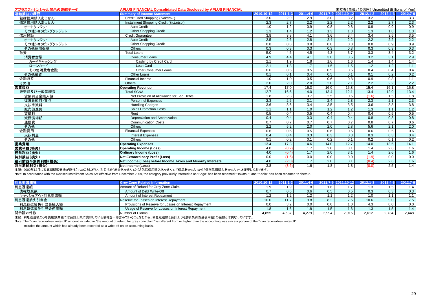| アプラスフィナンシャル開示の連結データ | <b>APLUS FINANCIAL Consolidated Data Disclosed by APLUS FINANCIAL</b> |                  |                  |                  |                  | 未監査(単位:10億円) Unaudited (Billions of Yen) |                  |                  |                                                                                                         |
|---------------------|-----------------------------------------------------------------------|------------------|------------------|------------------|------------------|------------------------------------------|------------------|------------------|---------------------------------------------------------------------------------------------------------|
| 連結損益の概要             | <b>Summary of Income Statement</b>                                    | 2010.10-12       | $2011.1 - 3$     | 2011.4-6         |                  | 2011.7-9 2011.10-12                      | $2012.1 - 3$     | 2012.4-6         | 2012.7-9                                                                                                |
| 包括信用購入あっせん          | Credit Card Shopping (Hokatsu)                                        | 3.0              | 2.9              | 2.9              | 3.0              | 3.2                                      | $\overline{3.2}$ | 3.3              | 3.3                                                                                                     |
| 個別信用購入あっせん          | Installment Shopping Credit (Kobetsu)                                 | 2.3              | 2.7              | $\overline{2.2}$ | 2.2              | 2.2                                      | 2.2              | 2.7              | $\begin{array}{r} 2.3 \\ 0.9 \\ 1.3 \\ 3.5 \\ 2.2 \\ 0.9 \\ 3.2 \\ 2.9 \\ 1.4 \end{array}$              |
| オートクレジット            | Auto Credit                                                           | 1.0              | $\overline{1.2}$ | 0.9              | 0.8              | 0.8                                      | 0.9              | 0.9              |                                                                                                         |
| その他ショッピングクレジット      | <b>Other Shopping Credit</b>                                          | 1.3              | 1.4              | 1.2              | 1.3              | 1.3                                      | 1.3              | 1.8              |                                                                                                         |
| 信用保証                | <b>Credit Guarantee</b>                                               | $\overline{3.8}$ | $\overline{3.8}$ | 4.1              | 3.6              | 3.4                                      | 3.4              | 3.5              |                                                                                                         |
| オートクレジット            | <b>Auto Credit</b>                                                    | 2.5              | 2.6              | 2.8              | 2.4              | 2.2                                      | 2.2              | 2.2              |                                                                                                         |
| その他ショッピングクレジット      | <b>Other Shopping Credit</b>                                          | 0.8              | 0.8              | 0.8              | 0.8              | 0.8                                      | 0.8              | 0.9              |                                                                                                         |
| その他信用保証             | Others                                                                | 0.3              | 0.3              | 0.3              | 0.3              | 0.3                                      | 0.3              | 0.3              |                                                                                                         |
| 融資                  | <b>Total Loans</b>                                                    | 5.0              | 4.5              | 4.5              | 4.3              | 3.7                                      | 3.3              | 3.4              |                                                                                                         |
| 消費者金融               | <b>Consumer Loans</b>                                                 | 4.9              | 4.4              | 4.1              | 3.8              | $\overline{3.6}$                         | 3.2              | 3.1              |                                                                                                         |
| カードキャッシング           | Cashing by Credit Card                                                | 2.1              | 1.9              | 1.8              | 1.6              | 1.6                                      | 1.4              | 1.4              |                                                                                                         |
| ローンカード              | Loan Card                                                             | 2.1              | 1.8              | 1.7              | 1.5              | 1.5                                      | 1.2              | $\overline{1.2}$ | 1.1                                                                                                     |
| その他消費者金融            | Other Consumer Loans                                                  | 0.6              | 0.5              | 0.5              | 0.5              | 0.5                                      | 0.4              | 0.4              |                                                                                                         |
| その他融資               | Other Loans                                                           | 0.1              | 0.1              | 0.4              | 0.5              | 0.1                                      | 0.1              | 0.2              | $\frac{0.4}{0.2}$<br>1.1                                                                                |
| 金融収益                | Financial Income                                                      | 1.0              | 1.0              | 0.5              | 0.6              | 0.8                                      | 0.9              | 0.8              |                                                                                                         |
| その他                 | Others                                                                | 2.0              | 2.0              | $\overline{2.0}$ | 2.0              | 2.1                                      | 2.2              | 2.2              | $\frac{2.2}{15.8}$                                                                                      |
| 営業収益                | <b>Operating Revenue</b>                                              | 17.4             | 17.0             | 16.3             | 16.0             | 15.8                                     | 15.4             | 16.1             |                                                                                                         |
| 販売費及び一般管理費          | <b>Total SG&amp;A</b>                                                 | 12.7             | 16.6             | 14.0             | 13.4             | 12.1                                     | 13.4             | 12.9             | $\begin{array}{c c}\n13.4 \\ \hline\n13.4 \\ \hline\n13.4 \\ \hline\n14.1 \\ \hline\n14.1\n\end{array}$ |
| 貸倒引当金繰入額            | Net Provision of Allowance for Bad Debts                              | 1.8              | 2.3              | 3.7              | 2.5              | 0.6                                      | (1.6)            | 1.5              |                                                                                                         |
| 従業員給料·賞与            | <b>Personnel Expenses</b>                                             | 2.3              | 2.5              | 2.1              | 2.4              | 2.3                                      | 2.3              | 2.1              |                                                                                                         |
| 支払手数料               | <b>Handling Charges</b>                                               | 3.6              | $\overline{3.6}$ | 3.4              | 3.5              | 3.5                                      | 3.6              | 3.8              |                                                                                                         |
| 販売促進費               | <b>Sales Promotion Costs</b>                                          | 1.1              | 1.1              | 1.0              | 1.2              | 1.2                                      | 1.3              | 1.1              |                                                                                                         |
| 賃借料                 | Rent                                                                  | 0.5              | 0.4              | 0.5              | 0.4              | 0.4                                      | 0.4              | 0.5              |                                                                                                         |
| 減価償却額               | Depreciation and Amortization                                         | 0.4              | 0.4              | 0.3              | 0.4              | 0.4                                      | 0.8              | 0.8              |                                                                                                         |
| 通信費                 | <b>Communication Costs</b>                                            | 0.7              | 0.7              | 0.7              | 0.7              | 0.7                                      | 0.8              | 0.7              |                                                                                                         |
| その他                 | Others                                                                | 2.2              | 5.2              | 2.0              | 2.0              | 2.8                                      | 5.6              | 2.1              |                                                                                                         |
| 金融費用                | <b>Financial Expenses</b>                                             | 0.6              | 0.6              | 0.5              | 0.6              | 0.5                                      | 0.6              | 0.5              |                                                                                                         |
| 支払利息                | <b>Interest Expenses</b>                                              | 0.4              | 0.4              | 0.3              | 0.3              | 0.3                                      | 0.3              | 0.3              |                                                                                                         |
| その他                 | Others                                                                | 0.1              | 0.2              | 0.1              | 0.2              | 0.1                                      | 0.2              | 0.1              |                                                                                                         |
| 営業費用                | <b>Operating Expenses</b>                                             | 13.4             | 17.3             | 14.6             | 14.0             | 12.7                                     | 14.0             | 13.5             |                                                                                                         |
| 営業利益(損失)            | <b>Operating Income (Loss)</b>                                        | 4.0              | (0.2)            | $\overline{1.7}$ | 2.0              | $\overline{3.1}$                         | 1.4              | $\overline{2.6}$ | 1.6                                                                                                     |
| 経常利益(損失)            | <b>Ordinary Income (Loss)</b>                                         | 4.0              | (0.4)            | 1.7              | $\overline{2.0}$ | $\overline{3.1}$                         | 1.4              | $\overline{2.6}$ | 1.6                                                                                                     |
| 特別損益(損失)            | <b>Net Extraordinary Profit (Loss)</b>                                | 0.0              | (1.6)            | 0.0              | 0.0              | 0.0                                      | (1.9)            | 0.0              |                                                                                                         |
| 税引前四半期純利益(損失)       | Net Income (Loss) before Income Taxes and Minority Interests          | 4.0              | (2.0)            | 1.7              | 2.0              | 3.1                                      | (0.4)            | 2.6              | $\frac{0.0}{1.6}$<br>1.4                                                                                |
| 四半期純利益(損失)          | Net Income (Loss)                                                     | $\overline{3.8}$ | (3.6)            | 1.6              | 1.8              | 1.8                                      | (0.0)            | 2.5              |                                                                                                         |

注記: 2009年12月に改正割賦販売法が施行されたことに伴い、科目名を「総合あっせん」から「包括信用購入あっせん」、「個品あっせん」から「個別信用購入あっせん」へと変更しております。

Note: In accordance with the Revised Installment Sales Act effective from December 2009, the category previously referred to as "Sogo" has been renamed "Hokatsu", and "Kohin" has been renamed "Kobetsu".

| 利息返還関連        | <b>Grey Zone Related Information</b>                   |       | $2011.1 - 3$  |       |       | 2011.4-6 2011.7-9 2011.10-12 2012.1-3 2012.4-6 |       |       | 2012.7-9 |
|---------------|--------------------------------------------------------|-------|---------------|-------|-------|------------------------------------------------|-------|-------|----------|
| 利息返還額         | Amount of Refund for Grey Zone Claim                   | 1.9   |               |       |       |                                                | 1.3   | 1.5   | 1.4      |
| 債権放棄額         | Amount of Debt Write-Off                               |       | $0.6^{\circ}$ | 0.6   |       | 0.5                                            | 0.3   | 0.3   | 0.3      |
| キャッシュアウト利息返還額 | Amount of Interest Repayment                           |       |               |       |       |                                                | 1.0   |       | 1.1      |
| 利息返還損失引当金     | Reserve for Losses on Interest Repayment               | 10.0  |               | 9.8   |       | 7.5                                            | 10.6  | 9.0   | 7.5      |
| 利息返還損失引当金繰入額  | Provisions of Reserve for Losses on Interest Repayment | 0.0   |               | 0.0   |       | 1.0                                            | 4.3   | 0.0   | 0.0      |
| 利息返還損失引当金使用額  | Usage of Reserve for Losses on Interest Repayment      | 1.8   |               |       |       | 1.6                                            | 1.3   | 1.5   | 1.4      |
| 開示請求件数        | Number of Claims                                       | 4,855 | 4.637         | 4.279 | 2,994 | 2,915                                          | 2.612 | 2.734 | 2,448    |

注記: 利息返還額のうち債権放棄額には会計上既に償却している債権を一部含んでいることなどから、利息返還額と会計上(利息損失引当金使用額)の金額とは異なっています。

Note: The "loan receivables write-off" amount included in "the amount of refund for grey zone claim" is different from or higher than the accounting loss since a portion of the "loan receivables write-off"

includes the amount which has already been recorded as a write-off on an accounting basis.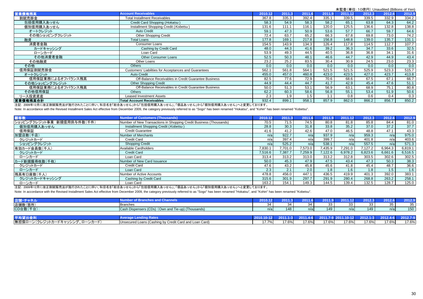|                   |                                                       |         |       |        |        | 未監査(単位: 10億円) Unaudited (Billions of Yen) |        |        |        |
|-------------------|-------------------------------------------------------|---------|-------|--------|--------|-------------------------------------------|--------|--------|--------|
| 営業債権残高            | <b>Account Receivables</b>                            | 2010.12 | 2011  | 2011.6 | 2011.9 | 2011.12                                   | 2012.3 | 2012.6 | 2012.9 |
| 割賦売掛金             | <b>Total Installment Receivables</b>                  | 367.8   | 335.3 | 392.4  | 335.1  | 339.5                                     | 339.5  | 332.9  | 334.2  |
| 包括信用購入あっせん        | Credit Card Shopping (Hokatsu)                        | 58.3    | 54.9  | 58.3   | 58.2   | 65.1                                      | 63.8   | 64.3   | 64.2   |
| 個別信用購入あっせん        | Installment Shopping Credit (Kobetsu)                 | 131.6   | 111.1 | 116.1  | 120.0  | 125.5                                     | 136.6  | 132.8  | 138.8  |
| オートクレジット          | <b>Auto Credit</b>                                    | 59.1    | 47.3  | 50.9   | 53.6   | 57.7                                      | 66.7   | 59.7   | 64.6   |
| その他ショッピングクレジット    | <b>Other Shopping Credit</b>                          | 72.4    | 63.7  | 65.2   | 66.3   | 67.8                                      | 69.8   | 73.0   | 74.2   |
| 融資                | <b>Total Loans</b>                                    | 177.8   | 169.1 | 217.8  | 156.8  | 148.8                                     | 139.0  | 135.7  | 131.1  |
| 消費者金融             | <b>Consumer Loans</b>                                 | 154.5   | 143.9 | 134.3  | 126.4  | 117.8                                     | 114.5  | 112.7  | 107.7  |
| カードキャッシング         | Cashing by Credit Card                                | 48.0    | 44.3  | 41.6   | 39.2   | 36.3                                      | 34.7   | 33.6   | 32.5   |
| ローンカード            | Loan Card                                             | 53.9    | 49.3  | 44.5   | 40.5   | 36.8                                      | 36.8   | 34.1   | 31.6   |
| その他消費者金融          | Other Consumer Loans                                  | 52.5    | 50.3  | 48.1   | 46.6   | 44.7                                      | 42.9   | 44.9   | 43.4   |
| その他融資             | Other Loans                                           | 23.2    | 25.2  | 83.5   | 30.4   | 30.9                                      | 24.5   | 23.0   | 23.3   |
| その他               | <b>Others</b>                                         | 0.0     | 0.0   | 0.0    | 0.0    | 0.0                                       | 0.0    | 0.0    | 0.0    |
| 信用保証割賦売掛金         | Customers' Liabilities for Acceptances and Guarantees | 562.1   | 561.8 | 564.1  | 521.5  | 521.5                                     | 525.9  | 523.3  | 515.7  |
| オートクレジット          | <b>Auto Credit</b>                                    | 455.0   | 457.0 | 460.8  | 423.0  | 423.5                                     | 427.0  | 423.7  | 413.8  |
| 信用保証業務によるオフバランス残高 | Off-Balance Receivables in Credit Guarantee Business  | 82.5    | 77.6  | 72.9   | 70.6   | 68.6                                      | 67.5   | 67.1   | 66.7   |
| その他ショッピングクレジット    | <b>Other Shopping Credit</b>                          | 44.9    | 44.4  | 44.7   | 41.7   | 42.9                                      | 45.4   | 47.6   | 51.1   |
| 信用保証業務によるオフバランス残高 | Off-Balance Receivables in Credit Guarantee Business  | 50.0    | 51.3  | 53.1   | 56.9   | 63.1                                      | 68.9   | 75.1   | 80.8   |
| その他信用保証           | <b>Others</b>                                         | 62.2    | 60.3  | 58.6   | 56.8   | 55.1                                      | 53.4   | 51.9   | 50.6   |
| リース投資資産           | Leased Investment Assets                              | 2.3     | 1.9   | 1.5    | 1.1    | 0.8                                       | 0.6    | 0.4    | 0.3    |
| 営業債権残高合計          | <b>Total Account Receivables</b>                      | 932.4   | 899.1 | 958.1  | 857.9  | 862.0                                     | 866.2  | 856.7  | 850.2  |

注記: 2009年12月に改正割賦販売法が施行されたことに伴い、科目名を「総合あっせん」から「包括信用購入あっせん」、「個品あっせん」から「個別信用購入あっせん」へと変更しております。

Note: In accordance with the Revised Installment Sales Act effective from December 2009, the category previously referred to as "Sogo" has been renamed "Hokatsu", and "Kohin" has been renamed "Kobetsu".

| 順客数                        | <b>Number of Customers (Thousands)</b>                             | 2010.12 | 2011.3  | 2011.6  | 2011.9  | 2011.12 | 2012.3  | 2012.6  | 2012.9  |
|----------------------------|--------------------------------------------------------------------|---------|---------|---------|---------|---------|---------|---------|---------|
| ショッピングクレジット事業 新規信用供与件数(千件) | Number of New Transactions in Shopping Credit Business (Thousands) | 70.5    | 71.5    | 74.5    | 80.8    | 81.8    | 85.8    | 84.4    | 81.0    |
| 個別信用購入あっせん                 | Installment Shopping Credit (Kobetsu)                              | 28.8    | 30.3    | 31.8    | 33.8    | 35.2    | 37.0    | 37.2    | 37.7    |
| 信用保証                       | <b>Credit Guarantee</b>                                            | 41.6    | 41.2    | 42.6    | 47.0    | 46.5    | 48.8    | 47.1    | 43.3    |
| 加盟店数(千店)                   | <b>Number of Merchants</b>                                         | n/a     | 922.7   | n/al    | 937.9   | n/a     | 959.3   | n/a     | 975.0   |
| クレジットカード                   | <b>Credit Card</b>                                                 | n/a     | 397.4   | n/a     | 399.7   | n/a     | 401.8   | n/a     | 403.6   |
| ショッピングクレジット                | <b>Shopping Credit</b>                                             | n/a     | 525.2   | n/a     | 538.1   | n/a     | 557.5   | n/a     | 571.3   |
| 有効カード会員数(千人)               | Available Cardholders                                              | 7,830.1 | 701.0   | 7,573.0 | 7,435.9 | 7,291.0 | 7,127.2 | 6,964.3 | 6,819.1 |
| クレジットカード                   | <b>Credit Card</b>                                                 | 7.516.6 | 7,387.7 | 259.9   | 7.122.6 | 6,978.2 | 6,823.6 | 6,661.6 | 6,516.5 |
| ローンカード                     | Loan Card                                                          | 313.4   | 313.2   | 313.0   | 313.2   | 312.8   | 303.5   | 302.6   | 302.5   |
| カード新規獲得枚数(千枚)              | Number of New Card Issuance                                        | 50.0    | 45.3    | 47.9    | 47.5    | 43.4    | 47.3    | 50.3    | 38.3    |
| クレジットカード                   | Credit Card                                                        | 47.6    | 43.2    | 45.8    | 45.6    | 41.8    | 45.4    | 48.7    | 36.6    |
| ローンカード                     | Loan Card                                                          | 2.3     |         | 2.0     | 1.8     | 1.6     | 1.8     | 1.5     | 1.6     |
| 残高有口座数(千人)                 | Number of Active Accounts                                          | 478.8   | 456.0   | 447.1   | 436.5   | 419.9   | 401.3   | 392.0   | 383.1   |
| クレジットカードキャッシング             | Cashing by Credit Card                                             | 315.6   | 301.9   | 297.7   | 291.9   | 280.4   | 268.8   | 263.2   | 258.1   |
| ローンカード                     | Loan Card                                                          | 163.2   | 154.1   | 149.3   | 144.5   | 139.4   | 132.5   | 128.7   | 125.0   |

注記: 2009年12月に改正割賦販売法が施行されたことに伴い、科目名を「総合あっせん」から「包括信用購入あっせん」、「個品あっせん」から「個別信用購入あっせん」へと変更しております。

Note: In accordance with the Revised Installment Sales Act effective from December 2009, the category previously referred to as "Sogo" has been renamed "Hokatsu", and "Kohin" has been renamed "Kohetsu".

| 店舗                                                    |                                                       | ---<br>401 U.IZ | $\sim$ $\sim$<br>œ    | 人名英格兰 | 2011 |          |     |     |     |
|-------------------------------------------------------|-------------------------------------------------------|-----------------|-----------------------|-------|------|----------|-----|-----|-----|
| 店舗数(箇所)                                               | <b>Branches</b>                                       | -54             |                       |       |      | --<br>ഄഄ |     | ື   |     |
| CD台数(千台)                                              | Cash Dispensers (CDs)<br>(Own and Tie-up) (Thousands) | n/a             | $\overline{10}$<br>40 | 17 a  | 149  | n/a      | 149 | n/a | 150 |
| <b>Commercial Contract Contract Contract Contract</b> |                                                       |                 |                       |       |      |          |     |     |     |

| 平均广                                                              | ,,,,,,,                                                             |                       |         |       |       |       | 2012<br>- 51 |       |                    |
|------------------------------------------------------------------|---------------------------------------------------------------------|-----------------------|---------|-------|-------|-------|--------------|-------|--------------------|
| 無担保ロー.<br>・ン(クレジットカー<br>ードキャッパノ・ノグ<br>・・カート …<br>□—<br>- - - - - | <b>Unsecured Loans (Cashing by Cit</b><br>ut Card and Loan Card)۔۔۔ | 1770/<br>. <i>.</i> 0 | $1 - 0$ | 17.6% | 17.6% | 17.6% | 17.6%        | 17.6% | 17 6%<br>$1.070$ . |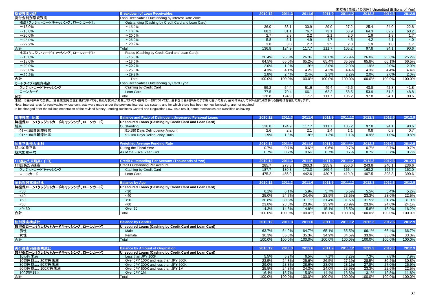|                            |                                                     | $\lambda = \frac{1}{2}$ and $\lambda = \frac{1}{2}$ and $\lambda = \frac{1}{2}$ and $\lambda = \frac{1}{2}$ and $\lambda = \frac{1}{2}$ |        |        |        |         |        |        |        |
|----------------------------|-----------------------------------------------------|-----------------------------------------------------------------------------------------------------------------------------------------|--------|--------|--------|---------|--------|--------|--------|
| 融資残高内訳                     | <b>Breakdown of Loan Receivables</b>                | 2010.12                                                                                                                                 | 2011.3 | 2011.6 | 2011.9 | 2011.12 | 2012.3 | 2012.6 | 2012.9 |
| 貸付金利別融資残高                  | Loan Receivables Outstanding by Interest Rate Zone  |                                                                                                                                         |        |        |        |         |        |        |        |
| 残高(クレジットカードキャッシング、ローンカード): | Outstanding (Cashing by Credit Card and Loan Card): |                                                                                                                                         |        |        |        |         |        |        |        |
| $~15.0\%$                  | $~15.0\%$                                           | 36.0                                                                                                                                    | 33.1   | 30.9   | 29.0   | 27.2    | 25.4   | 24.0   | 22.8   |
| $~18.0\%$                  | $~18.0\%$                                           | 88.2                                                                                                                                    | 81.1   | 76.7   | 73.1   | 68.9    | 64.3   | 62.2   | 60.2   |
| $~20.0\%$                  | $~20.0\%$                                           | 2.7                                                                                                                                     | 2.3    | 2.2    | 2.1    | 2.0     | 1.9    | 1.8    | 1.7    |
| $~25.0\%$                  | $~25.0\%$                                           | 5.8                                                                                                                                     | 5.1    | 4.9    | 4.7    | 4.5     | 4.2    | 4.1    | 4.0    |
| $~29.2\%$                  | ~29.2%                                              | 3.8                                                                                                                                     | 3.0    | 2.7    | 2.5    | 2.3     | 1.9    | 1.8    | 1.7    |
| 合計                         | Total                                               | 136.8                                                                                                                                   | 124.9  | 117.7  | 111.7  | 105.2   | 97.8   | 94.1   | 90.6   |
| 比率(クレジットカードキャッシング、ローンカード): | Ratios (Cashing by Credit Card and Loan Card):      |                                                                                                                                         |        |        |        |         |        |        |        |
| $~15.0\%$                  | $~15.0\%$                                           | 26.4%                                                                                                                                   | 26.5%  | 26.3%  | 26.0%  | 25.9%   | 26.0%  | 25.6%  | 25.2%  |
| $~18.0\%$                  | $~18.0\%$                                           | 64.5%                                                                                                                                   | 65.0%  | 65.2%  | 65.4%  | 65.5%   | 65.8%  | 66.1%  | 66.5%  |
| $~20.0\%$                  | $~20.0\%$                                           | 2.0%                                                                                                                                    | 1.9%   | 1.9%   | 2.0%   | 2.0%    | 1.9%   | 2.0%   | 2.0%   |
| $~25.0\%$                  | $~25.0\%$                                           | 4.3%                                                                                                                                    | 4.1%   | 4.2%   | 4.3%   | 4.4%    | 4.3%   | 4.4%   | 4.4%   |
| $~29.2\%$                  | $~29.2\%$                                           | 2.8%                                                                                                                                    | 2.4%   | 2.4%   | 2.3%   | 2.2%    | 2.0%   | 2.0%   | 2.0%   |
| 提                          | Total                                               | 100.0%                                                                                                                                  | 100.0% | 100.0% | 100.0% | 100.0%  | 100.0% | 100.0% | 100.0% |
| カードタイプ別融資残高                | Loan Receivables Outstanding by Card Type           |                                                                                                                                         |        |        |        |         |        |        |        |
| クレジットカードキャッシング             | Cashing by Credit Card                              | 59.2                                                                                                                                    | 54.4   | 51.6   | 49.4   | 46.6    | 43.8   | 42.8   | 41.8   |
| ローンカード                     | Loan Card                                           | 77.5                                                                                                                                    | 70.4   | 66.1   | 62.2   | 58.5    | 53.9   | 51.3   | 48.8   |
| 合計                         | Total                                               | 136.8                                                                                                                                   | 124.9  | 117.7  | 111.7  | 105.2   | 97.8   | 94.1   | 90.6   |

注記: 旧金利体系で契約し、貸金業法完全施行後においても、新たな貸付が発生していない債権の一部については、金利を旧金利体系のまま据え置いており、金利体系として20%超に分類される債権は存在しております。

Note: Interest rates for receivables whose contracts were made under the previous interest rate system, and for which there has been no new borrowing, are not required

to be changed after the full implementation of the revised Money-Lending Business Control and Regulation Law. As a result, some receivables are classified as having

| 比率                            | <b>Balance and Ratio of Delinguent Unsecured Personal Loans</b> | 2010.1 | 2011.3  |       |       | 2011.12 | 2012.3 |      |        |
|-------------------------------|-----------------------------------------------------------------|--------|---------|-------|-------|---------|--------|------|--------|
| 無担保ローン(クレジットカードキャッシング、ローンカード) | Unsecured Loans (Cashing by Credit Card and Loan Card)          |        |         |       |       |         |        |      |        |
| 残高                            | Outstanding                                                     | 136.8  | 124.9   | 117.7 | 111.7 | 105.2   | 97.8   | 94.1 | 90.6   |
| 91~180日延滞残高                   | 91-180 Days Delinguency Amount                                  | 2.6    | 2.2     |       |       |         | 0.8    | 0.9  | 0.7    |
| 91~180日延滞比率                   | 91-180 Days Delinguency Ratio                                   | 1.9%   | 1.8%    | 1.8%  | 1.3%  | 1.1%    | 0.9%   | 1.0% | 0.8%   |
|                               |                                                                 |        |         |       |       |         |        |      |        |
| 加重平均借入金利                      | <b>Weighted Average Funding Rate</b>                            | 2010.1 | 2011.31 |       |       | 2011.12 | 2012.3 |      | 2012.9 |

| 明中加重平均 | <b>Fiscal Year</b><br>During the | 570/6<br><b>v.r.</b> | 7%    | 0.6% | 0.6% | 770<br>v. 170   | 0.7%<br>0.1/2 | 770/ | $-0.1$<br>. .        |
|--------|----------------------------------|----------------------|-------|------|------|-----------------|---------------|------|----------------------|
| 期末加重平均 | As of the Fiscal Year End        | 0.7%                 | $7\%$ | 0.6% | 0.7% | 0.704<br>V. 170 | 0.7%          | 0.7% | $\sim -0.1$<br>1.170 |
|        |                                  |                      |       |      |      |                 |               |      |                      |

| <b>Contract of the State State State</b><br>N口座めた、 |                                | 2010.1        | 2011.3 | 0044  | 0.044 | 2011.12 | 2012.3 | 2012.6 | 0.040 |
|----------------------------------------------------|--------------------------------|---------------|--------|-------|-------|---------|--------|--------|-------|
| 1口座あたり残高                                           | Credit Outstanding Per Account | 285.7         | 273.8  | 263.3 | 255.9 | 250.6   | 243.8  | 240.1  | 236.6 |
| クレジットカードキャッシング                                     | Cashing by Credit Card         | 4077<br>187.7 | 180.3  | 173.3 | 169.4 | 166.4   | 163.2  | 162.7  | 162.0 |
| ローンカード                                             | Loan Card                      | 475.2         | 456.9  | 442.6 | 430.7 | 419.9   | 407.5  | 398.3  | 390.6 |

| 年齢別残;                         | <b>Balance by Age</b>                                  | 2010.12 | 2011   | 2011.6 | 2011.9 |        | 2012.3 | 2012.6 | 2012.9 |
|-------------------------------|--------------------------------------------------------|---------|--------|--------|--------|--------|--------|--------|--------|
| 無担保ローン(クレジットカードキャッシング、ローンカード) | Unsecured Loans (Cashing by Credit Card and Loan Card) |         |        |        |        |        |        |        |        |
| $30$                          | $30$                                                   | 6.1%    | 6.1%   | 5.9%   | 5.7%   | 5.5%   | 5.5%   | 5.4%   | 5.2%   |
| -40                           | <40                                                    | 25.0%   | 24.7%  | 24.4%  | 23.9%  | 23.5%  | 23.3%  | 23.0%  | 22.5%  |
| $50$                          | < 50                                                   | 30.8%   | 30.8%  | 31.1%  | 31.4%  | 31.6%  | 31.5%  | 31.7%  | 31.9%  |
| <60                           | <60                                                    | 23.8%   | 23.8%  | 23.9%  | 23.9%  | 23.9%  | 23.9%  | 24.0%  | 24.1%  |
| $>= 60$                       | Over <sub>60</sub>                                     | 14.3%   | 14.6%  | 14.8%  | 15.1%  | 15.5%  | 15.8%  | 15.9%  | 16.2%  |
| 合計                            | Total                                                  | 100.0%  | 100.0% | 100.0% | 100.0% | 100.0% | 100.0% | 100.0% | 100.0% |

| 标为什                                  | <b>Considere</b>                                       | 2010.1 | 2011   |        |        | 2011.  | 2012.3 | 2012.6 | 2012.9 |
|--------------------------------------|--------------------------------------------------------|--------|--------|--------|--------|--------|--------|--------|--------|
| 無担保ローン(クレジットカードキャッシング、ロー<br>、ローンカード) | Unsecured Loans (Cashing by Credit Card and Loan Card) |        |        |        |        |        |        |        |        |
| 男性                                   | Male                                                   | 63.7%  | 64.2%  | 64.7%  | 65.1%  | 65.5%  | 66.1%  | 66.4%  | 66.7%  |
| カツ<br>- -                            | Female                                                 | 36.3%  | 35.8%  | 35.3%  | 34.9%  | 34.5%  | 33.9%  | 33.6%  | 33.3%  |
| 合言                                   | Total                                                  | 100.0% | 100.0% | 100.0% | 100.0% | 100.0% | 100.0% | 100.0% | 100.0% |

| 実行残高別残高構成比                    | <b>Balance by Amount of Origination</b>                | 2010.12 | 2011.3 | 2011.6 | 2011.9 | 2011.12 | 2012.3 | 2012.6 | 2012.9              |
|-------------------------------|--------------------------------------------------------|---------|--------|--------|--------|---------|--------|--------|---------------------|
| 無担保ローン(クレジットカードキャッシング、ローンカード) | Unsecured Loans (Cashing by Credit Card and Loan Card) |         |        |        |        |         |        |        |                     |
| 10万円未満                        | Less than JPY 100K                                     | 5.5%    | 5.9%   | 6.5%   | 7.1%   | 7.2%    | 7.3%   | 7.8%   | 7.9%                |
| 10万円以上、30万円未満                 | Over JPY 100K and less than JPY 300K                   | 23.5%   | 24.8%  | 25.6%  | 26.5%  | 27.1%   | 28.5%  | 30.2%  | $30.\overline{8\%}$ |
| 30万円以上、50万円未満                 | Over JPY 300K and less than JPY 500K                   | 29.0%   | 28.8%  | 28.6%  | 28.0%  | 28.1%   | 27.8%  | 27.0%  | 26.9%               |
| 50万円以上、100万円未満                | Over JPY 500K and less than JPY 1M                     | 25.5%   | 24.8%  | 24.3%  | 24.0%  | 23.9%   | 23.3%  | 22.6%  | 22.5%               |
| 100万円以上                       | Over JPY 1M                                            | 16.4%   | 15.7%  | 15.0%  | 14.4%  | 13.8%   | 13.1%  | 12.5%  | 11.8%               |
| 合計                            | Total                                                  | 100.0%  | 100.0% | 100.0% | 100.0% | 100.0%  | 100.0% | 100.0% | 100.0%              |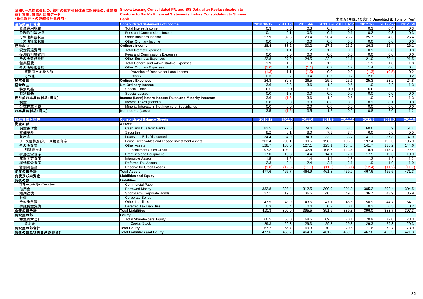#### 昭和リース株式会社の、銀行の勘定科目体系に組替後の、連結損 益計算書、貸借対照表データ **Showa Leasing Consolidated P/L and B/S Data, after Reclassification to**

| <b>Conform to Bank's Financial Statements, before Consolidating to Shinsei</b> |  |  |
|--------------------------------------------------------------------------------|--|--|
| <b>Bank</b>                                                                    |  |  |

| (新生銀行への連結会計処理前) | <b>Bank</b>                                              |            |              |               |      |                     |              | 未監査(単位:10億円) Unaudited (Billions of Yen) |          |
|-----------------|----------------------------------------------------------|------------|--------------|---------------|------|---------------------|--------------|------------------------------------------|----------|
| 連結損益計算書         | <b>Consolidated Statements of Income</b>                 | 2010.10-12 | $2011.1 - 3$ | 2011.4-6      |      | 2011.7-9 2011.10-12 | $2012.1 - 3$ | 2012.4-6                                 | 2012.7-9 |
| 資金運用収益          | Total Interest Income                                    | 0.3        | 0.5          | 0.3           | 0.3  | 0.3                 | 0.3          | 0.4                                      | 0.3      |
| 役務取引等収益         | Fees and Commissions Income                              | 0.1        | 0.1          | 0.3           | 0.4  | 0.1                 | 0.2          | 0.3                                      | 0.3      |
| その他業務収益         | Other Business Income                                    | 27.9       | 32.5         | 29.4          | 26.4 | 25.2                | 25.7         | 24.6                                     | 25.4     |
| その他経常収益         | Other Ordinary Income                                    | 0.0        | 0.0          | 0.0           | 0.0  | 0.0                 | 0.0          | 0.0                                      | 0.0      |
| 経常収益            | <b>Ordinary Income</b>                                   | 28.4       | 33.2         | 30.2          | 27.2 | 25.7                | 26.3         | 25.4                                     | 26.1     |
| 資金調達費用          | <b>Total Interest Expenses</b>                           | 1.1        | 1.1          | $1.2^{\circ}$ | 1.0  | 0.8                 | 0.9          | 0.8                                      | 0.8      |
| 役務取引等費用         | Fees and Commissions Expenses                            | 0.0        | 0.0          | 0.0           | 0.0  | 0.0                 | 0.0          | 0.0                                      | 0.0      |
| その他業務費用         | <b>Other Business Expenses</b>                           | 22.8       | 27.9         | 24.5          | 22.2 | 21.1                | 21.0         | 20.4                                     | 21.5     |
| 営業経費            | <b>Total General and Administrative Expenses</b>         | 1.9        | 1.9          | 1.8           | 1.9  | 1.8                 | 1.9          | 1.8                                      | 1.8      |
| その他経常費用         | <b>Other Ordinary Expenses</b>                           |            | 1.8          |               | 0.7  | 1.2                 | 1.4          | 0.0                                      | 0.4      |
| 貸倒引当金繰入額        | Provision of Reserve for Loan Losses                     | (1.3)      | 1.1          | (1.5)         | 0.0  | 0.9                 | (1.3)        | (0.5)                                    | 0.2      |
| その他             | <b>Others</b>                                            | 0.3        | 0.7          | 0.4           | 0.7  | 0.2                 | 2.8          | 0.5                                      | 0.2      |
| 経常費用            | <b>Ordinary Expenses</b>                                 | 24.8       | 32.8         | 26.5          | 25.9 | 25.1                | 25.3         | 23.2                                     | 24.8     |
| 経常利益            | <b>Net Ordinary Income</b>                               | 3.6        | 0.3          | 3.6           | 1.2  | 0.5                 | 1.0          | 2.2                                      | 1.3      |
| 特別利益            | Special Gains                                            | 0.0        | 0.0          |               | 0.0  | 0.0                 | 0.0          |                                          | $\sim$   |
| 特別損失            | <b>Special Losses</b>                                    | 0.0        | 1.8          | 0.0           | 0.0  | 0.0                 | 0.0          | 0.0                                      | 0.0      |
| 税引前四半期純利益(損失)   | Income (Loss) before Income Taxes and Minority Interests | 3.6        | (1.5)        | 3.6           | 1.2  | 0.5                 | 1.0          | 2.2                                      | 1.3      |
| 税金              | Income Taxes (Benefit)                                   | 0.0        | 0.0          | 0.0           | 0.0  | 0.3                 | 0.1          | 0.1                                      | 0.0      |
| 少数株主利益          | Minority Interests in Net Income of Subsidiaries         | 0.0        | 0.0          | 0.0           | 0.0  | 0.0                 | 0.0          | 0.0                                      | 0.0      |
| 四半期純利益(損失)      | Net Income (Loss)                                        | 3.5        | (1.5)        | 3.5           | 1.2  | 0.2                 | 0.8          | 2.0                                      | 1.2      |

| 連結貸借対照表        | <b>Consolidated Balance Sheets</b>             | 2010.12 | 2011.3 | 2011.6 | 2011.9 | 2011.12 | 2012.3 | 2012.6 | 2012.9 |
|----------------|------------------------------------------------|---------|--------|--------|--------|---------|--------|--------|--------|
| 資産の部:          | Assets:                                        |         |        |        |        |         |        |        |        |
| 現金預け金          | Cash and Due from Banks                        | 82.5    | 72.5   | 79.4   | 79.0   | 68.5    | 60.6   | 55.9   | 61.4   |
| 有価証券           | Securities                                     | 8.2     | 8.1    | 8.0    | 7.3    | 7.4     | 6.0    | 5.6    | 5.5    |
| 貸出金            | Loans and Bills Discounted                     | 34.4    | 34.9   | 34.3   | 33.2   | 33.7    | 41.1   | 37.8   | 37.9   |
| リース債権及びリース投資資産 | Lease Receivables and Leased Investment Assets | 203.4   | 206.1  | 199.5  | 198.3  | 195.6   | 197.4  | 195.3  | 196.9  |
| その他資産          | <b>Other Assets</b>                            | 128.7   | 130.0  | 127.1  | 125.1  | 134.8   | 141.7  | 138.2  | 144.6  |
| 割賦売掛金          | <b>Installment Sales Credit</b>                | 107.2   | 108.4  | 102.8  | 105.7  | 113.6   | 118.4  | 115.7  | 122.4  |
| 有形固定資産         | Premises and Equipment                         | 17.0    | 13.8   | 14.4   | 14.1   | 17.1    | 17.5   | 19.6   | 19.9   |
| 無形固定資産         | Intangible Assets                              | 1.5     | 1.5    | 1.4    | 1.4    | 1.3     | 1.3    | 1.2    | 1.2    |
| 繰延税金資産         | <b>Deferred Tax Assets</b>                     | 2.3     | 2.4    | 2.4    | 2.4    | 2.1     | 1.9    | 1.9    | 1.9    |
| 貸倒引当金          | <b>Reserve for Credit Losses</b>               | (9.8)   | (12.8) | (11.1) | (11.6) | (13.1)  | (12.4) | (11.2) | (11.7) |
| 資産の部合計         | <b>Total Assets</b>                            | 477.6   | 465.7  | 464.9  | 461.8  | 459.9   | 467.6  | 456.5  | 471.3  |
| 負債及び純資産        | Liabilities and Equity                         |         |        |        |        |         |        |        |        |
| 負債の部:          | Liabilities:                                   |         |        |        |        |         |        |        |        |
| コマーシャル・ペーパー    | <b>Commercial Paper</b>                        |         |        |        |        |         |        |        |        |
| 借用金            | <b>Borrowed Monev</b>                          | 332.8   | 328.4  | 312.5  | 300.9  | 291.0   | 305.2  | 292.4  | 304.5  |
| 短期社債           | Short-Term Corporate Bonds                     | 27.1    | 19.3   | 36.6   | 40.8   | 49.0    | 36.7   | 43.9   | 35.9   |
| 社債             | Corporate Bonds                                |         |        |        |        |         |        |        |        |
| その他負債          | <b>Other Liabilities</b>                       | 47.5    | 48.9   | 43.5   | 47.1   | 46.6    | 50.9   | 44.7   | 54.1   |
| 繰延税金負債         | <b>Deferred Tax Liabilities</b>                | 0.3     | 0.4    | 0.4    | 0.2    | 0.1     | 0.2    | 0.3    | 0.2    |
| 負債の部合計         | <b>Total Liabilities</b>                       | 410.3   | 399.9  | 395.5  | 391.6  | 389.3   | 396.0  | 383.7  | 397.3  |
| 純資産の部          | Equity:                                        |         |        |        |        |         |        |        |        |
| 株主資本合計         | <b>Total Shareholders' Equity</b>              | 66.5    | 65.0   | 68.6   | 69.8   | 70.1    | 70.9   | 72.0   | 73.3   |
| 資本金            | <b>Capital Stock</b>                           | 29.3    | 29.3   | 29.3   | 29.3   | 29.3    | 29.3   | 29.3   | 29.3   |
| 純資産の部合計        | <b>Total Equity</b>                            | 67.2    | 65.7   | 69.3   | 70.2   | 70.5    | 71.6   | 72.7   | 73.9   |
| 負債の部及び純資産の部合計  | <b>Total Liabilities and Equity</b>            | 477.6   | 465.7  | 464.9  | 461.8  | 459.9   | 467.6  | 456.5  | 471.3  |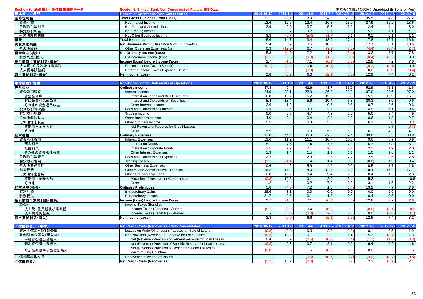| Section 5. 新生銀行 単体財務関連データ | Section 5. Shinsei Bank Non-Consolidated P/L and B/S Data    | 未監査(単位:10億円) Unaudited (Billions of Yen) |                  |                  |                  |                     |                  |               |          |
|---------------------------|--------------------------------------------------------------|------------------------------------------|------------------|------------------|------------------|---------------------|------------------|---------------|----------|
| 単体損益の概要                   | <b>Results of Operations (Non-Consolidated)</b>              | 2010.10-12                               | 2011.1-3         | 2011.4-6         |                  | 2011.7-9 2011.10-12 | $2012.1 - 3$     | 2012.4-6      | 2012.7-9 |
| 業務粗利益                     | <b>Total Gross Business Profit (Loss)</b>                    | 21.1                                     | 23.7             | 13.9             | 24.3             | 21.0                | 35.5             | 24.8          | 27.2     |
| 資金利益                      | Net Interest Income                                          | 12.6                                     | 19.5             | 12.4             | 16.8             | 13.0                | 27.9             | 16.2          | 18.6     |
| 役務取引等利益                   | Net Fees and Commissions                                     | 3.9                                      | 0.9              | $\overline{3.7}$ | 5.7              | 6.2                 | 2.4              | 4.4           | 3.0      |
| 特定取引利益                    | Net Trading Income                                           | 1.1                                      | 3.9              | 3.2              | 3.4              | 1.6                 | 5.1              | 4.1           | 4.4      |
| その他業務利益                   | Net Other Business Income                                    | 3.3                                      | (0.7)            | (5.4)            | (1.7)            | 0.1                 | 0.1              | 0.1           | 1.1      |
| 経費                        | <b>Total Expenses</b>                                        | 15.6                                     | 14.7             | 13.4             | 13.9             | 17.4                | 17.8             | 16.7          | 16.6     |
| 実質業務純益                    | Net Business Profit (Jisshitsu Gyomu Jun-eki)                | 5.4                                      | 8.9              | 0.5              | 10.3             | 3.5                 | 17.7             | 8.1           | 10.6     |
| その他損益                     | Other Operating Expenses, Net                                | 0.3                                      | (12.9)           | 6.7              | (9.2)            | (7.0)               | (4.4)            | (0.4)         | (2.7)    |
| 経常利益(損失)                  | <b>Net Ordinary Income (Loss)</b>                            | 5.8                                      | (4.0)            | 7.2              | 1.0              | (3.4)               | 13.2             | 7.7           | 7.8      |
| 特別利益(損失)                  | Extraordinary Income (Loss)                                  | (3.1)                                    | 2.6              | (0.0)            | (1.2)            | (0.0)               | (0.4)            | (0.5)         | 0.0      |
| 税引前四半期純利益(損失)             | Income (Loss) before Income Taxes                            | 2.7                                      | (1.3)            | 7.1              | (0.1)            | (3.5)               | 12.8             | 7.2           | 7.8      |
| 法人税、住民税及び事業税              | <b>Current Income Taxes (Benefit)</b>                        | (0.1)                                    | (0.0)            | 0.4              | (0.1)            | 0.0                 | (0.2)            | (0.1)         | 0.0      |
| 法人税等調整額                   | Deferred Income Taxes Expense (Benefit)                      |                                          | (0.2)            | (0.0)            | 2.0              | 0.0                 | 0.0              | (0.0)         | (0.4)    |
|                           |                                                              |                                          |                  |                  |                  |                     |                  |               |          |
| 四半期純利益(損失)                | Net Income (Loss)                                            | 2.8                                      | (0.9)            | 6.6              | (2.1)            | (3.6)               | 12.9             | 7.4           | 8.2      |
| 単体損益計算書                   | <b>Non-Consolidated Statements of Operations</b>             | 2010.10-12                               | 2011.1-3         | 2011.4-6         |                  | 2011.7-9 2011.10-12 | 2012.1-3         | 2012.4-6      | 2012.7-9 |
| 経常収益                      | <b>Ordinary Income</b>                                       | 37.8                                     | 40.4             | 42.6             | 43.7             | 35.9                | 52.9             | 41.1          | 41.6     |
| 資金運用収益                    | Interest income                                              | 24.9                                     | 30.1             | 22.9             | 26.9             | 22.9                | 37.0             | 24.6          | 27.0     |
| 貸出金利息                     | Interest on Loans and Bills Discounted                       | 16.8                                     | 15.7             | 16.2             | 15.8             | 15.9                | 15.9             | 15.9          | 16.7     |
| 有価証券利息配当金                 | Interest and Dividends on Securities                         | 5.4                                      | 13.4             | 5.6              | 10.4             | 6.3                 | 20.3             | 8.0           | 9.6      |
| その他の資金運用収益                | Other Interest Income                                        | 2.6                                      | 1.0              | 1.1              | 0.7              | 0.6                 | 0.7              | 0.6           | 0.6      |
|                           |                                                              |                                          | 3.4              | 4.0              | 3.7              | 3.6                 | 4.0              | 4.1           | 3.6      |
| 役務取引等収益                   | Fees and Commissions Income                                  | 3.3<br>0.0                               | 2.5              | 4.7              | 4.8              | 2.0                 | 5.0              | 5.4           | 4.9      |
| 特定取引収益                    | Trading Income                                               |                                          | $\overline{3.4}$ | 0.4              | 2.3              |                     |                  | 1.8           | 2.7      |
| その他業務収益                   | Other Business Income                                        | 4.0                                      |                  |                  |                  | 1.0                 | 0.6              |               |          |
| その他経常収益                   | Other Ordinary Income                                        | 5.5                                      | 0.8              | 10.3             | 5.8              | 6.3                 | 6.1              | 5.0           | 3.3      |
| 貸倒引当金戻入益                  | Net Reversal of Reserve for Credit Losses                    |                                          |                  |                  |                  |                     |                  | 0.7           | (0.7)    |
| その他                       | Other                                                        | 5.5                                      | 0.8              | 10.3             | 5.8              | 6.3                 | 6.1              | 4.2           | 4.1      |
| 経常費用                      | <b>Ordinary Expenses</b>                                     | 32.0                                     | 44.4             | 35.3             | 42.6             | 39.4                | 39.6             | 33.3          | 33.8     |
| 資金調達費用                    | <b>Interest Expenses</b>                                     | 13.0                                     | 11.2             | 11.1             | 10.7             | 10.5                | 9.6              | 8.9           | 8.9      |
| 預金利息                      | <b>Interest on Deposits</b>                                  | 8.1                                      | 7.5              | 7.4              | 7.5              | 7.3                 | 6.3              | 5.8           | 5.7      |
| 社債利息                      | Interest on Corporate Bonds                                  | 3.5                                      | 2.2              | 2.1              | 2.0              | 2.1                 | 2.2              | 1.9           | 2.0      |
| その他の資金調達費用                | <b>Other Interest Expenses</b>                               | 1.3                                      | 1.4              | 1.5              | 1.1              | 1.1                 | 1.0              | 1.0           | 1.1      |
| 役務取引等費用                   | Fees and Commissions Expenses                                | 2.2                                      | 2.2              | 2.3              | 2.5              | 2.2                 | 2.5              | 2.5           | 2.8      |
| 特定取引費用                    | <b>Trading Losses</b>                                        | (1.1)                                    | (1.4)            | 1.4              | 1.4              | 0.3                 | (0.0)            | 1.3           | 0.4      |
| その他業務費用                   | <b>Other Business Expenses</b>                               | 0.6                                      | 4.2              | 5.9              | 4.0              | 0.9                 | 0.5              | 1.7           | 1.6      |
| 営業経費                      | General and Administrative Expenses                          | 16.2                                     | 15.4             | 14.0             | 14.5             | 18.0                | 18.4             | 17.2          | 17.1     |
| その他経常費用                   | <b>Other Ordinary Expenses</b>                               | 0.8                                      | 12.7             | 0.4              | 9.4              | 7.3                 | 8.4              | 1.5           | 2.8      |
| 貸倒引当金繰入額                  | Provision of Reserve for Credit Losses                       | (0.3)                                    | 10.2             | 0.1              | 2.0              | 6.4                 | 5.2              | $\sim$        | 0.6      |
| その他                       | Other                                                        | 1.2                                      | 2.4              | 0.2              | 7.3              | 0.8                 | $\overline{3.1}$ | 1.5           | 2.2      |
| 経常利益(損失)                  | <b>Ordinary Profit (Loss)</b>                                | 5.8                                      | (4.0)            | 7.2              | 1.0              | (3.4)               | 13.2             | 7.7           | 7.8      |
| 特別利益                      | <b>Extraordinary Gains</b>                                   | 28.6                                     | 3.1              | 0.0              | 0.0              | 0.0                 | 0.0              | 0.0           | 0.0      |
| 特別損失                      | <b>Extraordinary Losses</b>                                  | 31.7                                     | 0.5              | 0.1              | 1.3              | 0.0                 | 0.4              | 0.5           | 0.0      |
| 税引前四半期純利益(損失)             | Income (Loss) before Income Taxes                            | 2.7                                      | (1.3)            | 7.1              | (0.0)            | (3.5)               | 12.8             | 7.2           | 7.8      |
| 税金:                       | Income Taxes (Benefit):                                      |                                          |                  |                  |                  |                     |                  |               |          |
| 法人税、住民税及び事業税              | Income Taxes (Benefits) - Current                            | (0.1)                                    | (0.0)            | 0.4              | (0.0)            | 0.0                 | (0.0)            | (0.1)         | 0.0      |
| 法人税等調整額                   | Income Taxes (Benefits) - Deferred                           |                                          | (0.0)            | (0.0)            | 2.0              | 0.0                 | 0.0              | (0.0)         | (0.4)    |
| 四半期純利益(損失)                | <b>Net Income (Loss)</b>                                     | 2.8                                      | (0.0)            | 6.6              | (2.1)            | (3.6)               | 12.9             | 7.4           | 8.2      |
|                           |                                                              |                                          |                  |                  |                  |                     |                  |               |          |
| 与信関連費用 (単体)               | <b>Net Credit Costs (Recoveries) (Non-Consolidated)</b>      | 2010.10-12                               | 2011.1-3         | 2011.4-6         |                  | 2011.7-9 2011.10-12 | $2012.1 - 3$     | 2012.4-6      | 2012.7-9 |
| 貸出金償却·債権処分損               | Losses on Write-Off of Loans / Losses on Sale of Loans       | (0.8)                                    | (0.0)            | 0.0              | $\overline{2.0}$ | (0.0)               | 0.1              | $0.5^{\circ}$ | 1.9      |
| 貸倒引当金繰入(戻入益)              | Net Provision (Reversal) of Reserve for Loan Losses          | (0.3)                                    | 10.2             | 0.1              | $\overline{2.0}$ | 6.4                 | $\overline{5.2}$ | (0.7)         | 1.3      |
| 一般貸倒引当金繰入                 | Net (Reversal) Provision of General Reserve for Loan Losses  | 0.4                                      | 0.9              | (0.5)            | (0.0)            | (3.4)               | (1.1)            | (1.6)         | (3.3)    |
| 個別貸倒引当金繰入                 | Net (Reversal) Provision of Specific Reserve for Loan Losses | (0.8)                                    | 9.3              | 0.7              | 2.1              | 9.9                 | 6.4              | 0.9           | 4.6      |
|                           | Net (Reversal) Provision of Reserve for Loan Losses to       | (0.0)                                    | 0.0              |                  | (0.0)            | 0.0                 | 0.0              |               |          |
| 特定海外債権引当勘定繰入              | <b>Restructuring Countries</b>                               |                                          |                  |                  |                  |                     |                  |               |          |
| 償却債権取立益                   | Recoveries of written-off claims                             |                                          |                  | (0.6)            | (0.7)            | (0.7)               | (3.0)            | (0.7)         | (0.8)    |
| 与信関連費用                    | <b>Net Credit Costs (Recoveries)</b>                         | (1.2)                                    | 10.2             | (0.4)            | 3.3              | 5.7                 | 2.3              | (0.9)         | 2.4      |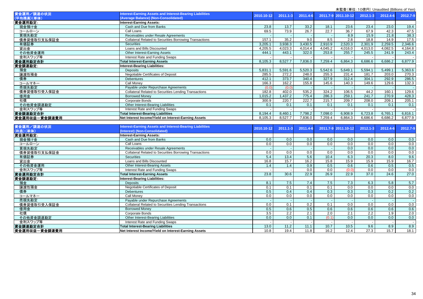|               |                                                                 |            |              |          |                  | $\lambda = 1$ . To keep the conduction of the contract $\lambda$ |              |          |          |
|---------------|-----------------------------------------------------------------|------------|--------------|----------|------------------|------------------------------------------------------------------|--------------|----------|----------|
| 資金運用/調達の状況    | Interest-Earning Assets and Interest-Bearing Liabilities        | 2010.10-12 | $2011.1 - 3$ | 2011.4-6 |                  | 2011.7-9 2011.10-12                                              | $2012.1 - 3$ | 2012.4-6 | 2012.7-9 |
| (平均残高)(単体)    | (Average Balance) (Non-Consolidated)                            |            |              |          |                  |                                                                  |              |          |          |
| 資金運用勘定:       | <b>Interest-Earning Assets:</b>                                 |            |              |          |                  |                                                                  |              |          |          |
| 現金預け金         | Cash and Due from Banks                                         | 23.8       | 13.7         | 33.2     | 18.1             | 23.6                                                             | 23.4         | 23.0     | 19.4     |
| コールローン        | Call Loans                                                      | 69.5       | 73.9         | 26.7     | 22.7             | 36.7                                                             | 67.9         | 42.3     | 47.5     |
| 買現先勘定         | Receivables under Resale Agreements                             |            |              |          |                  | 8.9                                                              | 15.9         | 21.8     | 38.3     |
| 債券貸借取引支払保証金   | <b>Collateral Related to Securities Borrowing Transactions</b>  | 157.1      | 35.2         | 9.0      | 8.5              | 2.8                                                              | 18.8         | 14.9     | 17.5     |
| 有価証券          | <b>Securities</b>                                               | 3,205.1    | 3,938.3      | 3,430.5  | 2,910.9          | 2,520.3                                                          | 2,301.9      | 2,259.5  | 2,346.6  |
| 貸出金           | Loans and Bills Discounted                                      | 4,205.5    | 4,023.3      | 4,014.4  | 4,045.2          | 4,016.0                                                          | 4,013.0      | 4,082.5  | 4,164.8  |
| その他資金運用       | Other Interest-Earning Assets                                   | 444.1      | 443.1        | 322.0    | 253.8            | 255.7                                                            | 245.5        | 241.9    | 243.4    |
| 金利スワップ等       | Interest Rate and Funding Swaps                                 |            |              |          |                  |                                                                  |              |          |          |
| 資金運用勘定合計      | <b>Total Interest-Earning Assets</b>                            | 8.105.3    | 8,527.7      | 7,836.0  | 7,259.4          | 6,864.3                                                          | 6,686.6      | 6,686.2  | 6,877.9  |
| 資金調達勘定:       | Interest-Bearing Liabilities:                                   |            |              |          |                  |                                                                  |              |          |          |
| 預金            | <b>Deposits</b>                                                 | 5,831.1    | 5,591.6      | 5,520.3  | 5,542.6          | 5,649.1                                                          | 5,594.1      | 5,499.1  | 5,363.6  |
| 讓渡性預金         | Negotiable Certificates of Deposit                              | 285.5      | 272.2        | 248.0    | 255.3            | 231.4                                                            | 181.7        | 203.0    | 270.3    |
| 債券            | <b>Debentures</b>                                               | 412.1      | 373.7        | 340.4    | 327.9            | 312.4                                                            | 304.1        | 292.9    | 286.5    |
| コールマネー        | Call Money                                                      | 166.3      | 162.2        | 155.8    | 145.6            | 140.3                                                            | 149.6        | 129.6    | 132.3    |
| 売現先勘定         | Payable under Repurchase Agreements                             | (0.0)      | (0.0)        |          |                  |                                                                  |              |          |          |
| 債券貸借取引受入保証金   | <b>Collateral Related to Securities Lending Transactions</b>    | 182.8      | 402.0        | 535.2    | 324.2            | 106.5                                                            | 44.2         | 160.1    | 129.6    |
| 借用金           | <b>Borrowed Money</b>                                           | 1,015.2    | 1,437.2      | 775.4    | 286.3            | 259.1                                                            | 241.7        | 270.9    | 428.3    |
| 社債            | Corporate Bonds                                                 | 300.9      | 220.7        | 222.7    | 215.7            | 209.7                                                            | 208.0        | 209.1    | 205.1    |
| その他資金調達勘定     | Other Interest-Bearing Liabilities                              | 0.1        | 0.1          | 0.1      | 0.1              | 0.1                                                              | 0.1          | 0.1      | 0.1      |
| 金利スワップ等       | Interest Rate and Funding Swaps                                 |            |              |          |                  |                                                                  |              |          |          |
| 資金調達勘定合計      | <b>Total Interest-Bearing Liabilities</b>                       | 8,194.4    | 8,460.1      | 7,798.2  | 7,098.0          | 6,908.9                                                          | 6,723.8      | 6,765.1  | 6,816.1  |
| 資金運用収益一資金調達費用 | Net Interest Income/Yield on Interest-Earning Assets            | 8,105.3    | 8,527.7      | 7,836.0  | 7,259.4          | 6,864.3                                                          | 6,686.6      | 6,686.2  | 6,877.9  |
|               |                                                                 |            |              |          |                  |                                                                  |              |          |          |
| 資金運用/調達の状況    | <b>Interest-Earning Assets and Interest-Bearing Liabilities</b> |            |              |          |                  |                                                                  |              |          |          |
| (利息)(単体)      | (Interest) (Non-Consolidated)                                   | 2010.10-12 | $2011.1 - 3$ | 2011.4-6 |                  | 2011.7-9 2011.10-12                                              | $2012.1 - 3$ | 2012.4-6 | 2012.7-9 |
| 資金運用勘定:       | <b>Interest-Earning Assets:</b>                                 |            |              |          |                  |                                                                  |              |          |          |
| 現金預け金         | Cash and Due from Banks                                         | 0.0        | 0.0          | 0.0      | 0.0              | 0.0                                                              | 0.0          | 0.0      | 0.0      |
| コールローン        | Call Loans                                                      | 0.0        | 0.0          | 0.0      | 0.0              | 0.0                                                              | 0.0          | 0.0      | 0.0      |
| 買現先勘定         | Receivables under Resale Agreements                             |            |              |          |                  | 0.0                                                              | 0.0          | 0.0      | 0.0      |
| 債券貸借取引支払保証金   | <b>Collateral Related to Securities Borrowing Transactions</b>  | 0.0        | 0.0          | 0.0      | $\overline{0.0}$ | 0.0                                                              | 0.0          | 0.0      | 0.0      |
| 有価証券          | <b>Securities</b>                                               | 5.4        | 13.4         | 5.6      | 10.4             | 6.3                                                              | 20.3         | 8.0      | 9.6      |
| 貸出金           | Loans and Bills Discounted                                      | 16.8       | 15.7         | 16.2     | 15.8             | 15.9                                                             | 15.9         | 15.9     | 16.7     |
| その他資金運用       | <b>Other Interest-Bearing Assets</b>                            | 1.4        | 1.4          | 0.9      | 0.5              | 0.6                                                              | 0.6          | 0.5      | 0.5      |
| 金利スワップ等       | Interest Rate and Funding Swaps                                 |            |              | 0.0      | 0.0              | (0.0)                                                            | 0.0          | 0.0      | 0.0      |
| 資金運用勘定合計      | <b>Total Interest-Earning Assets</b>                            | 23.8       | 30.6         | 22.9     | 26.9             | 22.9                                                             | 37.0         | 24.6     | 27.0     |
| 資金調達勘定:       | <b>Interest-Bearing Liabilities:</b>                            |            |              |          |                  |                                                                  |              |          |          |
| 預金            | <b>Deposits</b>                                                 | 8.1        | 7.5          | 7.4      | 7.5              | 7.3                                                              | 6.3          | 5.8      | 5.7      |
| 讓渡性預金         | Negotiable Certificates of Deposit                              | 0.1        | 0.1          | 0.1      | 0.1              | 0.0                                                              | 0.0          | 0.0      | 0.0      |
|               |                                                                 |            |              |          |                  |                                                                  |              |          |          |

Debentures 0.5 0.4 0.4 0.3 0.3 0.3 0.2 0.2

金 Borrowed Money 0.6 | 0.6 | 0.6 | 0.6 | 0.6 | 0.6

債 Corporate Bonds 2.2 | 2.1 | 2.2 | 1.9 | 2.0

Call Money 0.0 0.0 0.0 0.0 0.0 0.0 0.0 0.0

Payable under Repurchase Agreements and the contract of the contract of the contract of the contract of the contract of the contract of the contract of the contract of the contract of the contract of the contract of the co

Collateral Related to Securities Lending Transactions 0.0 0.1 0.2 0.1 0.0 0.0 0.0 0.0

Other Interest-Bearing Liabilities 0.0 0.0 0.1 (0.1) 0.0 0.0 0.0 0.0

Interest Rate and Funding Swaps - - - - - - - -

**Total Interest-Bearing Liabilities** 13.0 11.2 11.1 10.7 10.5 9.6 8.9 8.9 8.9 8.9 8.9 8.9 8.1 11.2 11.1 10.7 10.5 9.6 8.9 8.9 8.9 8.9 8.9 11.2 10.5 10.8 11.2 11.1 10.7 10.5 9.6 8.9 8.9 8.9 8.9 11.2 10.5 12.4 27.3 15.7 18.1

**Net Interest Income/Yield on Interest-Earning Assets** 10.8 10.8 10.8 10.8 10.8 10.8 10.2 12.4 27.3 15.7 18.1

コールマネー

債券貸借取引受入保証金

その他資金調達勘定

資金運用収益-資金調達費用

金利スワップ等

資金調達勘定合計

売現先勘定

借用金

社債

債券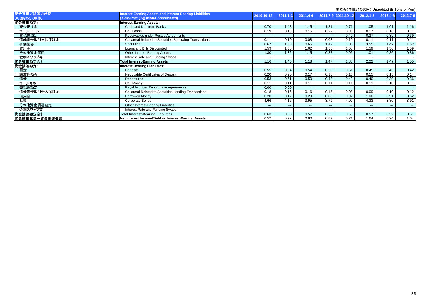|               |                                                                | $\frac{1}{2}$ and $\frac{1}{2}$ and $\frac{1}{2}$ are $\frac{1}{2}$ and $\frac{1}{2}$ and $\frac{1}{2}$ and $\frac{1}{2}$ and $\frac{1}{2}$ and $\frac{1}{2}$ |              |          |       |                     |              |          |                   |
|---------------|----------------------------------------------------------------|---------------------------------------------------------------------------------------------------------------------------------------------------------------|--------------|----------|-------|---------------------|--------------|----------|-------------------|
| 資金運用/調達の状況    | nterest-Earning Assets and Interest-Bearing Liabilities        | 2010.10-12                                                                                                                                                    | $2011.1 - 3$ | 2011.4-6 |       | 2011.7-9 2011.10-12 | $2012.1 - 3$ | 2012.4-6 | 2012.7-9          |
| (利回り(%)) (単体) | (Yield/Rate (%)) (Non-Consolidated)                            |                                                                                                                                                               |              |          |       |                     |              |          |                   |
| 資金運用勘定:       | <b>Interest-Earning Assets:</b>                                |                                                                                                                                                               |              |          |       |                     |              |          |                   |
| 現金預け金         | Cash and Due from Banks                                        | 0.70                                                                                                                                                          | 1.48         | 1.15     | 1.31  | 0.71                | 1.05         | 1.01     | 1.16              |
| コールローン        | Call Loans                                                     | 0.19                                                                                                                                                          | 0.13         | 0.15     | 0.22  | 0.36                | 0.17         | 0.16     | 0.11              |
| 買現先勘定         | Receivables under Resale Agreements                            |                                                                                                                                                               |              |          |       | 0.40                | 0.37         | 0.39     | 0.39              |
| 債券貸借取引支払保証金   | <b>Collateral Related to Securities Borrowing Transactions</b> | 0.11                                                                                                                                                          | 0.10         | 0.08     | 0.08  | 0.10                | 0.11         | 0.11     | 0.11              |
| 有価証券          | <b>Securities</b>                                              | 0.67                                                                                                                                                          | 1.38         | 0.66     | 1.42  | 1.00                | 3.55         | 1.42     | 1.62              |
| 貸出金           | Loans and Bills Discounted                                     | 1.59                                                                                                                                                          | 1.58         | 1.62     | 1.55  | 1.58                | 1.59         | 1.56     | $1.\overline{59}$ |
| その他資金運用       | <b>Other Interest-Bearing Assets</b>                           | 1.30                                                                                                                                                          | 1.32         | 1.15     | 0.87  | 0.96                | 1.01         | 0.86     | 0.86              |
| 金利スワップ等       | Interest Rate and Funding Swaps                                |                                                                                                                                                               |              |          |       |                     |              |          |                   |
| 資金運用勘定合計      | <b>Total Interest-Earning Assets</b>                           | 1.16                                                                                                                                                          | 1.45         | 1.18     | 1.47  | 1.33                | 2.22         | 1.47     | 1.55              |
| 資金調達勘定:       | Interest-Bearing Liabilities:                                  |                                                                                                                                                               |              |          |       |                     |              |          |                   |
| 預金            | <b>Deposits</b>                                                | 0.55                                                                                                                                                          | 0.54         | 0.54     | 0.53  | 0.51                | 0.45         | 0.43     | 0.42              |
| 讓渡性預金         | Negotiable Certificates of Deposit                             | 0.20                                                                                                                                                          | 0.20         | 0.17     | 0.16  | 0.15                | 0.15         | 0.15     | 0.14              |
| 債券            | <b>Debentures</b>                                              | 0.53                                                                                                                                                          | 0.51         | 0.50     | 0.48  | 0.43                | 0.40         | 0.39     | 0.36              |
| コールマネー        | Call Monev                                                     | 0.11                                                                                                                                                          | 0.11         | 0.11     | 0.11  | 0.11                | 0.11         | 0.10     | 0.11              |
| 売現先勘定         | Payable under Repurchase Agreements                            | 0.00                                                                                                                                                          | 0.00         |          |       |                     |              |          |                   |
| 債券貸借取引受入保証金   | <b>Collateral Related to Securities Lending Transactions</b>   | 0.18                                                                                                                                                          | 0.16         | 0.16     | 0.15  | 0.08                | 0.09         | 0.10     | 0.12              |
| 借用金           | <b>Borrowed Money</b>                                          | 0.20                                                                                                                                                          | 0.17         | 0.29     | 0.83  | 0.92                | 1.00         | 0.91     | 0.62              |
| 社債            | Corporate Bonds                                                | 4.66                                                                                                                                                          | 4.16         | 3.95     | 3.79  | 4.02                | 4.33         | 3.80     | 3.91              |
| その他資金調達勘定     | Other Interest-Bearing Liabilities                             | $***$                                                                                                                                                         | $***$        | $***$    | $***$ | $***$               | $***$        | $***$    | $***$             |
| 金利スワップ等       | Interest Rate and Funding Swaps                                |                                                                                                                                                               |              |          |       |                     |              |          |                   |
| 資金調達勘定合計      | <b>Total Interest-Bearing Liabilities</b>                      | 0.63                                                                                                                                                          | 0.53         | 0.57     | 0.59  | 0.60                | 0.57         | 0.52     | 0.51              |
| 資金運用収益一資金調達費用 | Net Interest Income/Yield on Interest-Earning Assets           | 0.52                                                                                                                                                          | 0.92         | 0.60     | 0.89  | 0.71                | 1.64         | 0.94     | 1.04              |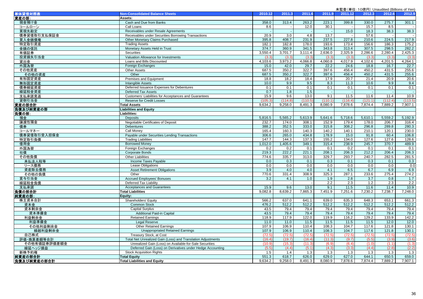|                          |                                                              |         |                          |         |         | 未監査(単位:10億円) Unaudited (Billions of Yen) |         |         |         |
|--------------------------|--------------------------------------------------------------|---------|--------------------------|---------|---------|------------------------------------------|---------|---------|---------|
| 単体貸借対照表                  | <b>Non-Consolidated Balance Sheets</b>                       | 2010.12 | 2011.3                   | 2011.6  | 2011.9  | 2011.12                                  | 2012.3  | 2012.6  | 2012.9  |
| 資産の部:                    | Assets:                                                      |         |                          |         |         |                                          |         |         |         |
| 現金預け金                    | Cash and Due from Banks                                      | 358.0   | 313.4                    | 263.2   | 223.1   | 399.8                                    | 330.0   | 275.7   | 301.1   |
| コールローン                   | Call Loans                                                   | 8.6     | $\overline{\phantom{a}}$ | 12.0    | 30.1    |                                          | 15.7    | 8.5     |         |
| 買現先勘定                    | Receivables under Resale Agreements                          |         | $\sim$                   |         |         | 15.0                                     | 18.3    | 38.3    | 38.3    |
| 債券貸借取引支払保証金              | Receivables under Securities Borrowing Transactions          | 20.9    | $\overline{3.0}$         | 4.8     | 13.7    |                                          | 57.6    |         |         |
| 買入金銭債権                   | Other Monetary Claims Purchased                              | 395.8   | 408.7                    | 231.9   | 237.5   | 227.8                                    | 210.6   | 224.5   | 217.9   |
| 特定取引資産                   | <b>Trading Assets</b>                                        | 182.1   | 182.8                    | 178.0   | 193.6   | 173.4                                    | 156.6   | 186.3   | 175.2   |
| 金銭の信託                    | Monetary Assets Held in Trust                                | 374.7   | 360.9                    | 341.5   | 343.8   | 313.4                                    | 307.5   | 298.5   | 282.2   |
| 有価証券                     | <b>Securities</b>                                            | 3.550.4 | 3.701.7                  | 3,111.4 | 2,636.0 | 2,325.9                                  | 2,286.6 | 2,280.4 | 2,425.3 |
| 投資損失引当金                  | Valuation Allowance for Investments                          | (3.3)   | (3.3)                    | (3.3)   | (3.3)   | (3.3)                                    | (3.3)   | (3.3)   | (3.3)   |
| 貸出金                      | Loans and Bills Discounted                                   | 4,103.6 | 3,973.2                  | 4,066.8 | 4,060.8 | 4,017.9                                  | 4,102.6 | 4,201.5 | 4,264.1 |
| 外国為替                     | Foreign Exchanges                                            | 15.0    | 42.0                     | 29.7    | 22.2    | 24.6                                     | 18.8    | 16.7    | 22.7    |
| その他資産                    | <b>Other Assets</b>                                          | 687.5   | 350.2                    | 322.7   | 397.6   | 456.4                                    | 450.2   | 431.5   | 255.6   |
| その他の資産                   | Other                                                        | 687.5   | 350.2                    | 322.7   | 397.6   | 456.4                                    | 450.2   | 431.5   | 255.6   |
| 有形固定資産                   | Premises and Equipment                                       | 18.8    | 18.2                     | 18.4    | 17.9    | 20.7                                     | 21.4    | 20.9    | 20.6    |
| 無形固定資産                   | <b>Intangible Assets</b>                                     | 10.0    | 9.9                      | 9.5     | 8.3     | 11.3                                     | 10.6    | 9.9     | 9.4     |
| 債券繰延資産                   | Deferred Issuance Expenses for Debentures                    | 0.1     | 0.1                      | 0.1     | 0.1     | 0.1                                      | 0.1     | 0.1     | 0.1     |
| 繰延税金資産                   | Deferred Tax Assets                                          | 0.7     | 1.8                      | 1.5     |         |                                          | $\sim$  |         |         |
| 支払承諾見返                   | Customers' Liabilities for Acceptances and Guarantees        | 15.9    | 9.6                      | 13.0    | 9.1     | 11.5                                     | 11.6    | 11.4    | 10.9    |
| 貸倒引当金                    | <b>Reserve for Credit Losses</b>                             | (105.3) | (114.8)                  | (110.5) | (110.1) | (116.4)                                  | (121.1) | (112.4) | (113.5) |
| 資産の部合計                   | <b>Total Assets</b>                                          | 9,634.2 | 9,258.0                  | 8,491.3 | 8,080.9 | 7,878.6                                  | 7,874.4 | 7,889.2 | 7,907.1 |
| 負債及び純資産の部                | <b>Liabilities and Equity</b>                                |         |                          |         |         |                                          |         |         |         |
| 負債の部:                    | Liabilities:                                                 |         |                          |         |         |                                          |         |         |         |
| 預金                       | <b>Deposits</b>                                              | 5,816.5 | 5,565.2                  | 5,613.9 | 5,641.6 | 5,718.6                                  | 5,610.1 | 5,559.2 | 5,192.9 |
| 讓渡性預金                    | Negotiable Certificates of Deposit                           | 232.7   | 174.0                    | 308.1   | 152.9   | 179.4                                    | 178.0   | 206.7   | 316.4   |
| 債券                       | <b>Debentures</b>                                            | 388.2   | 352.5                    | 333.0   | 315.8   | 308.2                                    | 296.8   | 289.8   | 280.3   |
| コールマネー                   | Call Monev                                                   | 165.4   | 160.3                    | 140.3   | 140.2   | 140.1                                    | 210.1   | 120.1   | 230.0   |
| 債券貸借取引受入担保金              | Payable under Securities Lending Transactions                | 306.6   | 265.0                    | 434.8   | 178.9   | 15.0                                     | 91.8    | 60.4    | 106.8   |
| 特定取引負債                   | <b>Trading Liabilities</b>                                   | 147.7   | 144.3                    | 137.3   | 155.2   | 134.0                                    | 127.6   | 127.6   | 128.6   |
| 借用金                      | <b>Borrowed Money</b>                                        | 1,012.0 | 1,405.6                  | 349.1   | 315.4   | 238.9                                    | 245.7   | 370.7   | 489.9   |
| 外国為替                     | Foreign Exchanges                                            | 0.2     | 0.2                      | 0.1     | 0.1     | 0.2                                      | 0.1     | 0.1     | 0.1     |
| 社債                       | <b>Corporate Bonds</b>                                       | 219.3   | 222.2                    | 221.1   | 208.1   | 206.3                                    | 212.2   | 206.4   | 206.3   |
| その他負債                    | <b>Other Liabilities</b>                                     | 774.6   | 335.7                    | 313.0   | 329.7   | 293.7                                    | 240.7   | 282.5   | 281.5   |
| 未払法人税等                   | Income Taxes Payable                                         | 0.0     | 0.3                      | 0.1     | 0.3     | 0.1                                      | 0.3     | 0.1     | 0.3     |
| リース債務                    | <b>Lease Obligations</b>                                     | 0.0     | 0.0                      | 0.0     | 0.0     | 0.0                                      | 0.0     | 0.0     | 0.0     |
| 資産除去債務                   | <b>Asset Retirement Obligations</b>                          | 3.9     | 4.0                      | 4.0     | 4.1     | 6.5                                      | 6.7     | 6.9     | 6.9     |
| その他の負債                   | Other                                                        | 770.6   | 331.4                    | 308.9   | 325.3   | 287.1                                    | 233.6   | 275.4   | 274.2   |
| 賞与引当金                    | <b>Accrued Employees' Bonuses</b>                            | 3.2     | 4.1                      | 1.0     | 1.9     | 2.8                                      | 3.7     | 0.8     | $1.7$   |
| 繰延税金負債                   | Deferred Tax Liability                                       |         | $\sim$                   |         | 2.2     | 2.3                                      | 1.2     | 2.3     | 2.2     |
| 支払承諾                     | <b>Acceptances and Guarantees</b>                            | 15.9    | 9.6                      | 13.0    | 9.1     | 11.5                                     | 11.6    | 11.4    | 10.9    |
| 負債の部合計                   | <b>Total Liabilities</b>                                     | 9.082.8 | 8,639.2                  | 7,865.3 | 7,451.9 | 7,251.6                                  | 7,230.2 | 7,238.7 | 7,248.0 |
| 純資産の部:                   | Equity:                                                      |         |                          |         |         |                                          |         |         |         |
| 株主資本合計                   | Shareholders' Equity                                         | 566.2   | 637.0                    | 641.1   | 639.0   | 635.3                                    | 648.3   | 653.1   | 661.3   |
| 資本金                      | <b>Common Stock</b>                                          | 476.2   | 512.2                    | 512.2   | 512.2   | 512.2                                    | 512.2   | 512.2   | 512.2   |
| 資本剰余金                    | <b>Capital Surplus</b>                                       | 43.5    | 79.4                     | 79.4    | 79.4    | 79.4                                     | 79.4    | 79.4    | 79.4    |
| 資本準備金                    | Additional Paid-in Capital                                   | 43.5    | 79.4                     | 79.4    | 79.4    | 79.4                                     | 79.4    | 79.4    | 79.4    |
| 利益剰余金                    | <b>Retained Earnings</b>                                     | 118.9   | 117.9                    | 122.0   | 119.9   | 116.2                                    | 129.2   | 133.9   | 142.2   |
| 利益準備金                    | <b>Legal Reserve</b>                                         | 11.0    | 11.0                     | 11.5    | 11.5    | 11.5                                     | 11.5    | 12.0    | 12.0    |
| その他利益剰余金                 | Other Retained Earnings                                      | 107.9   | 106.9                    | 110.4   | 108.3   | 104.7                                    | 117.6   | 121.8   | 130.1   |
| 繰越利益剰余金                  | <b>Unappropriated Retained Earnings</b>                      | 107.9   | 106.9                    | 110.4   | 108.3   | 104.7                                    | 117.6   | 121.8   | 130.1   |
| 自己株式                     | Treasury Stock, at Cost                                      | (72.5)  | (72.5)                   | (72.5)  | (72.5)  | (72.5)                                   | (72.5)  | (72.5)  | (72.5)  |
| 評価・換算差額等合計               | Total Net Unrealized Gain (Loss) and Translation Adjustments | (16.4)  | (19.7)                   | (16.4)  | (11.3)  | (9.7)                                    | (5.5)   | (3.9)   | (3.6)   |
| その他有価証券評価差額金             | Unrealized Gain (Loss) on Available-for-Sale Securities      | (10.9)  | (15.3)                   | (11.3)  | (6.9)   | (6.4)                                    | (1.0)   | (1.1)   | (1.3)   |
| 繰延ヘッジ損益                  | Deferred Gain (Loss) on Derivatives under Hedge Accounting   | (5.5)   | (4.4)                    | (5.1)   | (4.3)   | (3.3)                                    | (4.4)   | (2.8)   | (2.2)   |
| 新株予約権                    | <b>Stock Acquisition Rights</b>                              | 1.5     | 1.4                      | 1.3     | 1.3     | 1.3                                      | 1.3     | 1.3     | 1.3     |
|                          | <b>Total Equity</b>                                          | 551.3   | 618.7                    | 626.0   | 629.0   | 627.0                                    | 644.1   | 650.5   | 659.0   |
| 純資産の部合計<br>  負債及び純資産の部合計 | <b>Total Liabilities and Equity</b>                          | 9.634.2 | 9.258.0                  | 8.491.3 | 8.080.9 | 7.878.6                                  | 7.874.4 | 7.889.2 | 7.907.1 |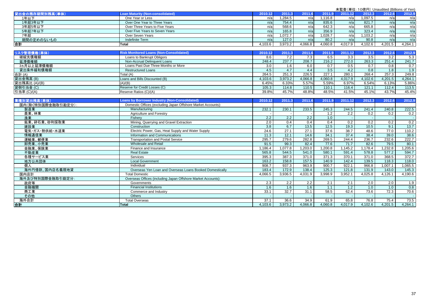|                    |                                                              |                  |                  |         |         |                  |                  | 未監査(単位: 10億円) Unaudited (Billions of Yen) |         |
|--------------------|--------------------------------------------------------------|------------------|------------------|---------|---------|------------------|------------------|-------------------------------------------|---------|
| 貸出金の残存期間別残高(単体)    | <b>Loan Maturity (Non-consolidated)</b>                      | 2010.12          | 2011.3           | 2011.6  | 2011.9  | 2011.12          | 2012.3           | 2012.6                                    | 2012.9  |
| 1年以下               | One Year or Less                                             | n/a              | 1,284.5          | n/a     | 1.116.8 | n/a              | 1.097.5          | n/a                                       | n/a     |
| 1年超3年以下            | Over One Year to Three Years                                 | n/a              | 754.4            | n/a     | 835.6   | n/a              | 821.7            | n/a                                       | n/a     |
| 3年超5年以下            | Over Three Years to Five Years                               | n/a              | 568.6            | n/a     | 642.3   | n/a              | 665.8            | n/a                                       | n/a     |
| 5年超7年以下            | Over Five Years to Seven Years                               | n/a              | 165.8            | n/a     | 356.9   | n/a              | 323.4            | n/a                                       | n/a     |
| 7年超                | Over Seven Years                                             | n/a              | 1,072.7          | n/a     | 1,028.7 | n/a              | 1.103.2          | n/a                                       | n/a     |
| 期間の定めのないもの         | Indefinite Term                                              | n/a              | 127.0            | n/a     | 80.2    | n/a              | 90.8             | n/a                                       | n/a     |
| 合計                 | <b>Total</b>                                                 | 4,103.6          | 3,973.2          | 4.066.8 | 4,060.8 | 4,017.9          | 4.102.6          | 4.201.5                                   | 4,264.1 |
|                    |                                                              |                  |                  |         |         |                  |                  |                                           |         |
| リスク管理債権(単体)        | <b>Risk Monitored Loans (Non-Consolidated)</b>               | 2010.12          | 2011.3           | 2011.6  | 2011.9  | 2011.12          | 2012.3           | 2012.6                                    | 2012.9  |
| 破綻先債権額             | Loans to Bankrupt Obligors                                   | 8.6              | 7.2              | 7.3     | 6.5     | 3.3              | 3.5              | 3.2                                       | 5.3     |
| 延滞債権額              | Non-Accrual Delinquent Loans                                 | 248.4            | 237.7            | 208.7   | 216.2   | 272.0            | 263.3            | 251.4                                     | 241.7   |
| 3ヵ月以上延滞債権額         | Loans Past Due Three Months or More                          | 3.0              | 1.6              | 6.0     | 0.7     | 0.5              | 0.7              | 0.8                                       | 0.7     |
| 貸出条件緩和債権額          | Restructured Loans                                           | 4.5              | 4.7              | 4.4     | 3.5     | 4.2              | $\overline{0.8}$ | 1.8                                       | 1.9     |
| 合計 (A)             | Total (A)                                                    | 264.5            | 251.3            | 226.5   | 227.1   | 280.1            | 268.4            | 257.3                                     | 249.8   |
| 貸出金残高 (B)          | Loans and Bills Discounted (B)                               | 4.103.6          | 3,973.2          | 4.066.8 | 4,060.8 | 4,017.9          | 4,102.6          | 4.201.5                                   | 4,264.1 |
| 貸出残高比 (A)/(B)      | (A)/(B)                                                      | 6.45%            | 6.33%            | 5.57%   | 5.59%   | 6.97%            | 6.54%            | 6.13%                                     | 5.86%   |
| 貸倒引当金 (C)          | Reserve for Credit Losses (C)                                | 105.3            | 114.8            | 110.5   | 110.1   | 116.4            | 121.1            | 112.4                                     | 113.5   |
| 引当率 (C)/(A)        | Reserve Ratios (C)/(A)                                       | 39.8%            | 45.7%            | 48.8%   | 48.5%   | 41.5%            | 45.1%            | 43.7%                                     | 45.4%   |
|                    |                                                              |                  |                  |         |         |                  |                  |                                           |         |
| 業種別貸出残高(単体)        | <b>Loans by Borrower Industry (Non-Consolidated)</b>         | 2010.12          | 2011.3           | 2011.6  | 2011.9  | 2011.12          | 2012.3           | 2012.6                                    | 2012.9  |
| 国内(除く特別国際金融取引勘定分): | Domestic Offices (excluding Japan Offshore Market Accounts): |                  |                  |         |         |                  |                  |                                           |         |
| 製造業                | Manufacturing                                                | 232.1            | 230.1            | 233.5   | 245.3   | 244.5            | 241.4            | 240.8                                     | 222.5   |
| 農業、林業              | Agriculture and Forestry                                     |                  |                  |         | 1.2     | $\overline{2.2}$ | 0.2              | 0.2                                       | 0.2     |
| 漁業                 | Fisherv                                                      | $\overline{2.2}$ | $\overline{2.2}$ | 2.2     | 1.0     |                  |                  |                                           |         |
| 鉱業、砕石業、砂利採取業       | Mining, Quarrying and Gravel Extraction                      | 2.0              | 0.4              | 0.4     | 0.4     | 0.2              | 0.2              | 0.2                                       | 0.2     |
| 建設業                | Construction                                                 | $\overline{3.8}$ | 6.7              | 13.5    | 12.5    | 19.3             | 10.5             | 9.1                                       | 13.7    |
| 電気・ガス・熱供給・水道業      | Electric Power, Gas, Heat Supply and Water Supply            | 24.6             | 27.1             | 27.1    | 37.6    | 38.7             | 48.6             | 77.0                                      | 110.2   |
| 情報通信業              | Information and Communications                               | 11.3             | 12.1             | 14.6    | 34.1    | 37.4             | 38.4             | 39.0                                      | 38.6    |
| 運輸業、郵便業            | <b>Transportation and Postal Service</b>                     | 295.7            | 279.6            | 282.8   | 269.5   | 244.4            | 236.7            | 232.6                                     | 222.7   |
| 卸売業、小売業            | <b>Wholesale and Retail</b>                                  | 91.5             | 99.3             | 82.4    | 77.6    | 71.7             | 82.6             | 79.5                                      | 80.1    |
| 金融業、保険業            | Finance and Insurance                                        | 1,186.4          | 1,077.8          | 1,203.0 | 1,200.8 | 1.145.2          | 1.178.4          | 1,232.8                                   | 1,205.6 |
| 不動産業               | <b>Real Estate</b>                                           | 565.8            | 544.5            | 541.0   | 580.1   | 591.4            | 578.8            | 577.2                                     | 594.7   |
| 各種サービス業            | Services                                                     | 395.3            | 387.3            | 371.0   | 371.3   | 370.1            | 371.0            | 368.5                                     | 372.7   |
| 地方公共団体             | <b>Local Government</b>                                      | 163.2            | 158.8            | 157.5   | 140.9   | 142.4            | 139.5            | 118.3                                     | 118.0   |
| 個人                 | Individual                                                   | 908.7            | 937.3            | 963.9   | 900.7   | 922.1            | 966.8            | 1,007.1                                   | 1,065.5 |
| 海外円借款、国内店名義現地貸     | Overseas Yen Loan and Overseas Loans Booked Domestically     | 183.4            | 172.9            | 138.4   | 125.3   | 121.8            | 131.9            | 143.0                                     | 145.3   |
| 国内店計               | <b>Total Domestic</b>                                        | 4,066.5          | 3,936.5          | 4,031.9 | 3,998.9 | 3,952.1          | 4,025.8          | 4,126.1                                   | 4,190.6 |
| 海外及び特別国際金融取引勘定分:   | Overseas Offices (including Japan Offshore Market Accounts): |                  |                  |         |         |                  |                  |                                           |         |
| 政府等                | Governments                                                  | 2.3              | 2.2              | 2.2     | 2.1     | 2.1              | 2.0              | 2.0                                       | 1.9     |
| 金融機関               | <b>Financial Institutions</b>                                | 1.6              | 1.6              | 1.6     | 1.1     | 1.2              | 1.0              | 1.0                                       | 0.8     |
| 商工業                | Commerce and Industry                                        | 33.1             | 32.7             | 31.1    | 58.5    | 62.4             | 73.6             | 72.3                                      | 70.6    |
| その他                | <b>Others</b>                                                |                  |                  |         |         |                  |                  |                                           |         |
| 海外合計               | <b>Total Overseas</b>                                        | 37.1             | 36.6             | 34.9    | 61.9    | 65.8             | 76.8             | 75.4                                      | 73.5    |
| 合計                 | <b>Total</b>                                                 | 4,103.6          | 3,973.2          | 4,066.8 | 4,060.8 | 4,017.9          | 4.102.6          | 4,201.5                                   | 4,264.1 |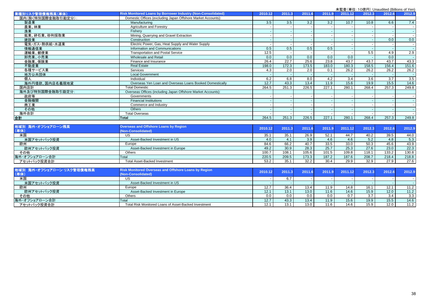|                    |                                                              |         |        |        |        |         | <b>木血直 (半匝:10応) j/ Orladdited (Diffioris or Terry</b> |        |        |
|--------------------|--------------------------------------------------------------|---------|--------|--------|--------|---------|-------------------------------------------------------|--------|--------|
| 業種別リスク管理債権残高(単体)   | Risk Monitored Loans by Borrower Industry (Non-Consolidated) | 2010.12 | 2011.3 | 2011.6 | 2011.9 | 2011.12 | 2012.3                                                | 2012.6 | 2012.9 |
| 国内(除く特別国際金融取引勘定分): | Domestic Offices (excluding Japan Offshore Market Accounts): |         |        |        |        |         |                                                       |        |        |
| 製造業                | Manufacturing                                                | 3.5     | 3.5    | 3.2    | 3.2    | 10.7    | 10.8                                                  | 6.6    | 7.4    |
| 農業、林業              | Agriculture and Forestry                                     |         |        |        |        |         |                                                       |        |        |
| 漁業                 | Fisherv                                                      |         |        |        |        |         |                                                       |        |        |
| 鉱業、砕石業、砂利採取業       | Mining, Quarrying and Gravel Extraction                      |         |        |        |        |         |                                                       |        |        |
| 建設業                | Construction                                                 |         |        |        |        |         |                                                       | 0.0    | 0.0    |
| 電気・ガス・熱供給・水道業      | Electric Power, Gas, Heat Supply and Water Supply            |         |        |        |        |         |                                                       |        |        |
| 情報通信業              | Information and Communications                               | 0.5     | 0.5    | 0.5    | 0.5    |         |                                                       |        |        |
| 運輸業、郵便業            | <b>Transportation and Postal Service</b>                     | 12.5    |        |        |        |         | 5.5                                                   | 4.9    | 2.9    |
| 卸売業、小売業            | Wholesale and Retail                                         | 0.0     | 0.0    | 0.0    | 0.0    | 0.0     |                                                       | 0.0    |        |
| 金融業、保険業            | Finance and Insurance                                        | 26.4    | 22.7   | 25.6   | 23.8   | 43.7    | 43.7                                                  | 43.7   | 43.3   |
| 不動産業               | <b>Real Estate</b>                                           | 198.0   | 172.3  | 173.5  | 183.0  | 180.3   | 158.5                                                 | 156.4  | 151.6  |
| 各種サービス業            | Services                                                     | 4.3     | 2.0    | 2.0    | 0.1    | 26.2    | 26.2                                                  | 26.2   | 26.2   |
| 地方公共団体             | <b>Local Government</b>                                      |         |        |        |        |         |                                                       |        |        |
| 個人                 | Individual                                                   | 6.2     | 6.8    | 8.0    | 4.2    | 3.4     | 3.6                                                   | 3.7    | 3.5    |
| 海外円借款、国内店名義現地貸     | Overseas Yen Loan and Overseas Loans Booked Domestically     | 12.7    | 43.3   | 13.4   | 11.9   | 15.6    | 19.9                                                  | 15.5   | 14.6   |
| 国内店計               | <b>Total Domestic</b>                                        | 264.5   | 251.3  | 226.5  | 227.1  | 280.1   | 268.4                                                 | 257.3  | 249.8  |
| 海外及び特別国際金融取引勘定分:   | Overseas Offices (including Japan Offshore Market Accounts): |         |        |        |        |         |                                                       |        |        |
| 政府等                | Governments                                                  |         |        |        |        |         |                                                       |        |        |
| 金融機関               | <b>Financial Institutions</b>                                |         |        |        |        |         |                                                       |        |        |
| 商工業                | Commerce and Industry                                        |         |        |        |        |         |                                                       |        |        |
| その他                | Others                                                       |         |        |        |        |         |                                                       |        |        |
| 海外合計               | <b>Total Overseas</b>                                        |         |        |        |        |         |                                                       |        |        |
| 合計                 | <b>Total</b>                                                 | 264.5   | 251.3  | 226.5  | 227.1  | 280.1   | 268.4                                                 | 257.3  | 249.8  |
|                    |                                                              |         |        |        |        |         |                                                       |        |        |
| 地域別 海外・オフショアローン残高  | <b>Overseas and Offshore Loans by Region</b>                 | 2010.12 | 2011.3 | 2011.6 | 2011.9 | 2011.12 | 2012.3                                                | 2012.6 | 2012.9 |
| (単体)               | (Non-Consolidated)                                           |         |        |        |        |         |                                                       |        |        |
| 米国                 | US                                                           | 35.1    | 35.1   | 26.9   | 52.1   | 44.7    | 40.2                                                  | 39.5   | 44.0   |
| 米国アセットバック投資        | Asset-Backed Investment in US                                | 4.0     | 4.1    | 3.9    | 4.6    | 4.6     | 5.2                                                   | 4.8    | 5.3    |
| 欧州                 | Europe                                                       | 84.6    | 66.2   | 40.7   | 33.5   | 33.0    | 50.3                                                  | 45.6   | 43.9   |
| 欧州アセットバック投資        | Asset-Backed Investment in Europe                            | 49.2    | 30.9   | 28.3   | 25.7   | 25.3    | $\overline{27.6}$                                     | 23.0   | 22.3   |
| その他                | <b>Others</b>                                                | 100.7   | 108.1  | 105.6  | 101.5  | 109.8   | 118.1                                                 | 133.2  | 130.8  |
| 海外・オフショアローン合計      | Total                                                        | 220.5   | 209.5  | 173.3  | 187.2  | 187.6   | 208.7                                                 | 218.4  | 218.8  |
| アセットバック投資合計        | <b>Total Asset-Backed Investment</b>                         | 53.2    | 35.1   | 32.2   | 30.4   | 29.9    | 32.9                                                  | 27.9   | 27.6   |
|                    |                                                              |         |        |        |        |         |                                                       |        |        |

| 地域別 海外・オフショアローン リスク管理債権残高<br>(単体) | <b>Risk Monitored Overseas and Offshore Loans by Region</b><br>(Non-Consolidated) | 2010.12 | 2011.3 | 2011.6          | 2011.9 | 2011.12 | 2012.3 | 2012.6 | 2012.9 |
|-----------------------------------|-----------------------------------------------------------------------------------|---------|--------|-----------------|--------|---------|--------|--------|--------|
| 米国                                | US                                                                                |         |        |                 |        |         |        |        |        |
| 米国アセットバック投資                       | Asset-Backed Investment in US                                                     |         |        |                 |        |         |        |        |        |
| 欧州                                | Europe                                                                            | 12.7    | 36.4   | 13.4            | 11.9   | 14.8    | 16.1   | 12.1   | 11.2   |
| 欧州アセットバック投資                       | Asset-Backed Investment in Europe                                                 | 12.1    | 13.1   | 13.0            | 11.6   | 14.6    | 15.9   | 12.0   | 11.2   |
| その他                               | Others                                                                            | 0.0     | 0.0    |                 | 0.0    |         | 3.7    | 3.4    | 3.3    |
| 海外・オフショアローン合計                     | Total                                                                             | 12.7    | 43.3   | 13.4            | 11.9   | 15.6    | 19.9   | 15.5   | 14.6   |
| アセットバック投資合計                       | Total Risk Monitored Loans of Asset-Backed Investment                             | 12.1    | 13.1   | 13 <sub>c</sub> | 11.6   | 14.6    | 15.9   | 12.0   | 11.2   |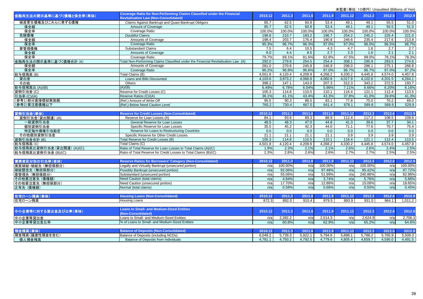| 金融再生法の開示基準に基づく債権と保全率(単体)  | Coverage Ratio for Non-Performing Claims Classified under the Financial           | 2010.12 | 2011.3  | 2011.6  | 2011.9  | 2011.12 | 2012.3  | 2012.6  | 2012.9  |
|---------------------------|-----------------------------------------------------------------------------------|---------|---------|---------|---------|---------|---------|---------|---------|
|                           | <b>Revitalization Law (Non-Consolidated)</b>                                      |         |         |         |         |         |         |         |         |
| 破産更生債権及びこれらに準ずる債権         | Claims Against Bankrupt and Quasi-Bankrupt Obligors                               | 85.7    | 62.5    | 60.8    | 53.4    | 49.1    | 49.1    | 55.5    | 51.0    |
| 保全額                       | Amount of Coverage                                                                | 85.7    | 62.5    | 60.8    | 53.4    | 49.1    | 49.1    | 55.5    | 51.0    |
| 保全率                       | Coverage Ratio                                                                    | 100.0%  | 100.0%  | 100.0%  | 100.0%  | 100.0%  | 100.0%  | 100.0%  | 100.0%  |
| 危険債権                      | Doubtful Claims                                                                   | 198.8   | 210.7   | 183.2   | 196.7   | 254.2   | 245.2   | 225.4   | 221.0   |
| 保全額                       | Amounts of Coverage                                                               | 198.4   | 203.7   | 176.4   | 190.8   | 246.6   | 235.4   | 217.6   | 213.8   |
| 保全率                       | Coverage Ratio                                                                    | 95.3%   | 96.7%   | 96.3%   | 97.0%   | 97.0%   | 96.0%   | 96.5%   | 96.7%   |
| 要管理債権                     | <b>Substandard Claims</b>                                                         | 7.5     | 6.4     | 10.5    | 4.3     | 4.7     | 1.6     | 2.7     | 2.7     |
| 保全額                       | <b>Amounts of Coverage</b>                                                        | 6.0     | 4.4     | 8.5     | 2.7     | 2.3     | 1.6     | 2.1     | 2.1     |
| 保全率                       | Coverage Ratio                                                                    | 79.7%   | 69.1%   | 81.6%   | 62.8%   | 47.5%   | 99.0%   | 78.1%   | 78.3%   |
| 金融再生法の開示基準に基づく債権合計 (A)    | Total Non-Performing Claims Classified under the Financial Revitalization Law (A) | 292.0   | 279.6   | 254.5   | 254.4   | 308.1   | 295.9   | 283.5   | 274.6   |
| 保全額                       | Amounts of Coverage                                                               | 281.0   | 270.6   | 245.8   | 246.9   | 298.0   | 286.1   | 275.1   | 266.8   |
| 保全率                       | <b>Coverage Ratio</b>                                                             | 96.2%   | 96.8%   | 96.6%   | 97.0%   | 96.7%   | 96.7%   | 97.0%   | 97.2%   |
| 総与信残高(B)                  | Total Claims (B)                                                                  | 4,501.8 | 4,120.4 | 4,209.9 | 4,268.2 | 4,330.2 | 4,445.8 | 4,574.0 | 4,457.8 |
| 貸出金                       | Loans and Bills Discounted                                                        | 4,103.6 | 3,973.2 | 4,066.8 | 4,060.8 | 4,017.9 | 4,102.6 | 4,201.5 | 4,264.1 |
| その他                       | <b>Others</b>                                                                     | 398.2   | 147.1   | 143.0   | 207.3   | 312.3   | 343.2   | 372.5   | 193.7   |
| 総与信残高比 (A)/(B)            | (A)/(B)                                                                           | 6.49%   | 6.78%   | 6.04%   | 5.96%   | 7.11%   | 6.66%   | 6.20%   | 6.16%   |
| 貸倒引当金(C)                  | Reserve for Credit Losses (C)                                                     | 105.3   | 114.8   | 110.5   | 110.1   | 116.4   | 121.1   | 112.4   | 113.5   |
| 引当率 (C)/(A)               | Reserve Ratios (C)/(A)                                                            | 36.1%   | 41.1%   | 43.4%   | 43.3%   | 37.8%   | 41.0%   | 39.6%   | 41.3%   |
| (参考1)部分直接償却実施額            | (Ref.) Amount of Write-Off                                                        | 95.5    | 90.3    | 88.5    | 83.1    | 77.8    | 75.0    | 70.2    | 69.0    |
| (参考2)要注意債権以下              | (Ref.) Below Need Caution Level                                                   | 765.2   | 730.4   | 667.0   | 641.4   | 678.1   | 589.8   | 568.9   | 529.9   |
|                           |                                                                                   |         |         |         |         |         |         |         |         |
| 貸倒引当金(単体)                 | <b>Reserve for Credit Losses (Non-Consolidated)</b>                               | 2010.12 | 2011.3  | 2011.6  | 2011.9  | 2011.12 | 2012.3  | 2012.6  | 2012.9  |
| 貸倒引当金(貸出関連)(A)            | Reserve for Loan Losses (A)                                                       | 84.1    | 93.6    | 89.3    | 88.9    | 112.4   | 117.2   | 108.5   | 109.6   |
| 一般貸倒引当金                   | General Reserve for Loan Losses                                                   | 48.5    | 48.3    | 47.0    | 44.8    | 41.3    | 39.6    | 37.7    | 34.1    |
| 個別貸倒引当金                   | Specific Reserve for Loan Losses                                                  | 35.5    | 45.2    | 42.3    | 44.0    | 71.1    | 77.6    | 70.7    | 75.4    |
| 特定海外債権引当勘定                | Reserve for Loans to Restructuring Countries                                      | 0.0     | 0.0     | 0.0     | 0.0     | 0.0     | 0.0     | 0.0     | 0.0     |
| その他個別貸倒引当金                | Specific Reserve for Other Credit Losses                                          | 21.1    | 21.1    | 21.1    | 21.1    | 3.9     | 3.9     | 3.9     | 3.9     |
| 貸倒引当金合計 (B)               | Total Reserve for Credit Losses (B)                                               | 105.3   | 114.8   | 110.5   | 110.1   | 116.4   | 121.1   | 112.4   | 113.5   |
| 総与信残高(C)                  | Total Claims (C)                                                                  | 4,501.8 | 4,120.4 | 4,209.9 | 4,268.2 | 4,330.2 | 4,445.8 | 4,574.0 | 4,457.8 |
| 総与信残高比貸倒引当金(貸出関連) (A)/(C) | Ratio of Total Reserve for Loan Losses to Total Claims (A)/(C)                    | 1.9%    | 2.3%    | 2.1%    | 2.1%    | 2.6%    | 2.6%    | 2.4%    | 2.5%    |
| 総与信残高比貸倒引当金 (B)/(C)       | Ratio of Total Reserve for Credit Losses to Total Claims (B)/(C)                  | 2.3%    | 2.8%    | 2.6%    | 2.6%    | 2.7%    | 2.7%    | 2.5%    | 2.5%    |
|                           |                                                                                   |         |         |         |         |         |         |         |         |
| 債務者区分別の引当率(単体)            | <b>Reserve Ratios for Borrowers' Category (Non-Consolidated)</b>                  | 2010.12 | 2011.3  | 2011.6  | 2011.9  | 2011.12 | 2012.3  | 2012.6  | 2012.9  |
| 実質破綻·破綻先 (無担保部分)          | Legally and Virtually Bankrupt (unsecured portion)                                | n/a     | 100.00% | n/a     | 100.00% | n/a     | 100.00% | n/a     | 100.00% |
| 破綻懸念先 (無担保部分)             | Possibly Bankrupt (unsecured portion)                                             | n/a     | 92.06%  | n/a     | 97.48%  | n/a     | 95.42%  | n/a     | 97.72%  |
| 要管理先 (無担保部分)              | Substandard (unsecured portion)                                                   | n/a     | 55.06%  | n/a     | 51.99%  | n/a     | 240.86% | n/a     | 82.98%  |
| その他要注意先 (債権額)             | <b>Need Caution (total claims)</b>                                                | n/a     | 4.84%   | n/a     | 3.74%   | n/a     | 5.76%   | n/a     | 5.86%   |
| その他要注意先 (無担保部分)           | Need Caution (unsecured portion)                                                  | n/a     | 17.70%  | n/a     | 12.86%  | n/a     | 15.08%  | n/a     | 18.65%  |
| 正常先 (債権額)                 | Normal (total claims)                                                             | n/a     | 0.58%   | n/a     | 0.66%   | n/a     | 0.55%   | n/a     | 0.45%   |
|                           |                                                                                   |         |         |         |         |         |         |         |         |
| 住宅ローン残高(単体)               | <b>Housing Loans (Non-Consolidated)</b>                                           | 2010.12 | 2011.3  | 2011.6  | 2011.9  | 2011.12 | 2012.3  | 2012.6  | 2012.9  |
| 住宅ローン残高                   | Housing Loans                                                                     | 872.3   | 892.0   | 910.4   | 879.5   | 893.9   | 931.0   | 964.1   | 1,011.2 |
|                           |                                                                                   |         |         |         |         |         |         |         |         |
|                           | <b>Loans to Small- and Medium-Sized Entities</b>                                  |         |         |         |         |         |         |         |         |
| 中小企業等に対する貸出金及び比率(単体)      | (Non-Consolidated)                                                                | 2010.12 | 2011.3  | 2011.6  | 2011.9  | 2011.12 | 2012.3  | 2012.6  | 2012.9  |
| 中小企業等貸出金                  | Loans to Small- and Medium-Sized Entities                                         | n/a     | 2,392.2 | n/a     | 2,514.3 | n/a     | 2,624.9 | n/a     | 2,706.3 |
| 中小企業等貸出金比率                | % of Loans to Small- and Medium-Sized Entities                                    | n/a     | 60.8%   | n/a     | 62.9%   | n/a     | 65.2%   | n/a     | 64.6%   |
|                           |                                                                                   |         |         |         |         |         |         |         |         |
| 預金残高(単体)                  | <b>Balance of Deposits (Non-Consolidated)</b>                                     | 2010.12 | 2011.3  | 2011.6  | 2011.9  | 2011.12 | 2012,3  | 2012.6  | 2012.9  |
| 預金残高(讓渡性預金を含む)            | Balance of Deposits (including NCDs)                                              | 6.049.2 | 5.739.3 | 5.922.1 | 5,794.6 | 5,898.1 | 5,788.2 | 5.765.9 | 5,509.3 |
| 個人預金残高                    | <b>Balance of Deposits from Individuals</b>                                       | 4,781.1 | 4,750.2 | 4,792.5 | 4,779.6 | 4,805.4 | 4,659.7 | 4.595.0 | 4,491.5 |
|                           |                                                                                   |         |         |         |         |         |         |         |         |